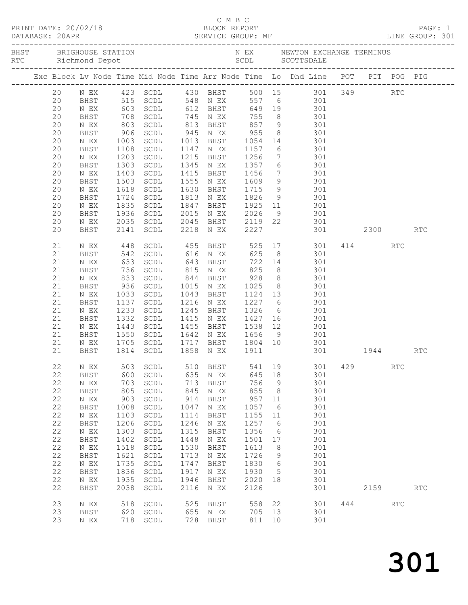|  |             |                                   |                      |                                                                  |              |                                    |                           |             | C M B C<br>PRINT DATE: 20/02/18 BLOCK REPORT<br>DATABASE: 20APR SERVICE GROUP: MF SERVICE GROUP: ME LINE GROUP: 301 |     |          |                      |                      |
|--|-------------|-----------------------------------|----------------------|------------------------------------------------------------------|--------------|------------------------------------|---------------------------|-------------|---------------------------------------------------------------------------------------------------------------------|-----|----------|----------------------|----------------------|
|  |             |                                   |                      |                                                                  |              |                                    |                           |             |                                                                                                                     |     |          |                      |                      |
|  |             |                                   |                      |                                                                  |              |                                    |                           |             | Exc Block Lv Node Time Mid Node Time Arr Node Time Lo Dhd Line POT PIT POG PIG                                      |     |          |                      |                      |
|  | 20          |                                   |                      |                                                                  |              |                                    |                           |             | N EX   423   SCDL   430   BHST   500   15   301   349                                                               |     |          | RTC                  |                      |
|  | 20          | <b>BHST</b>                       |                      |                                                                  |              |                                    |                           |             | 515 SCDL 548 NEX 557 6<br>603 SCDL 612 BHST 649 19 301<br>708 SCDL 745 NEX 755 8 301<br>803 SCDL 813 BHST 857 9 301 |     |          |                      |                      |
|  | 20          | N EX                              |                      |                                                                  |              |                                    |                           |             |                                                                                                                     |     |          |                      |                      |
|  | 20<br>20    | BHST                              |                      |                                                                  |              |                                    |                           |             |                                                                                                                     |     |          |                      |                      |
|  | 20          | N EX<br>BHST                      | 906                  | SCDL                                                             |              | 945 N EX                           | 955                       |             | 8 301                                                                                                               |     |          |                      |                      |
|  | 20          | N EX                              |                      | SCDL                                                             |              | 1013 BHST                          |                           |             |                                                                                                                     |     |          |                      |                      |
|  | 20          | BHST                              | 1003<br>1108<br>1108 | SCDL                                                             |              | 1147 N EX                          |                           |             | 1054 14 301<br>1157 6 301                                                                                           |     |          |                      |                      |
|  | 20          | N EX                              | 1203                 | SCDL                                                             | 1215         | BHST                               | 1256                      |             | 7 301                                                                                                               |     |          |                      |                      |
|  | 20          | BHST                              | 1303                 | SCDL                                                             |              | 1345 N EX                          | 1357                      |             | 6 301                                                                                                               |     |          |                      |                      |
|  | 20          | N EX                              | 1403<br>1503         | SCDL                                                             | 1415         | BHST                               | 1456<br>1609              |             | $\begin{array}{ccc} 7 & 301 \\ 9 & 301 \end{array}$                                                                 |     |          |                      |                      |
|  | 20          | BHST                              |                      | SCDL                                                             | 1555         | N EX                               |                           |             |                                                                                                                     |     |          |                      |                      |
|  | 20          | N EX                              | 1618                 | SCDL                                                             | 1630         | BHST                               | 1715                      |             | 9 301                                                                                                               |     |          |                      |                      |
|  | 20          | BHST                              | 1724                 | SCDL                                                             | 1813         | N EX                               | 1826                      |             | 9 301                                                                                                               |     |          |                      |                      |
|  | 20<br>20    | N EX<br>BHST                      | 1835<br>1936         | SCDL<br>SCDL                                                     | 1847<br>2015 | BHST<br>N EX                       |                           |             | 1925 11 301<br>2026 9 301                                                                                           |     |          |                      |                      |
|  | 20          | N EX                              | 2035                 | SCDL                                                             |              |                                    |                           |             | 2045 BHST 2119 22 301                                                                                               |     |          |                      |                      |
|  | 20          | BHST                              | 2141                 | SCDL                                                             |              | 2218 N EX                          | 2227                      |             | 301 2300                                                                                                            |     |          |                      | <b>RTC</b>           |
|  | 21          | N EX                              |                      |                                                                  |              |                                    |                           |             | 455 BHST 525 17 301 414 RTC                                                                                         |     |          |                      |                      |
|  | 21          | BHST                              |                      | 448 SCDL<br>542 SCDL                                             |              | 616 N EX 625                       |                           |             | 8 301                                                                                                               |     |          |                      |                      |
|  | 21          | N EX                              | 633                  | SCDL                                                             | 643          | BHST                               |                           |             | 722 14 301                                                                                                          |     |          |                      |                      |
|  | 21          | BHST                              | 736<br>833<br>936    | SCDL                                                             |              | 815 N EX                           | 825<br>928<br>1025        |             | 8 301                                                                                                               |     |          |                      |                      |
|  | 21          | N EX                              |                      | SCDL                                                             |              | 844 BHST                           |                           |             | 8 301<br>8 301                                                                                                      |     |          |                      |                      |
|  | 21          | BHST                              |                      | SCDL                                                             |              | 1015 N EX                          |                           |             |                                                                                                                     |     |          |                      |                      |
|  | 21          | N EX                              | 1033                 | SCDL                                                             | 1043         | BHST                               |                           |             | 1124 13 301                                                                                                         |     |          |                      |                      |
|  | 21          | BHST                              | 1137                 | SCDL                                                             |              | 1216 N EX                          | 1227                      |             | 6 301                                                                                                               |     |          |                      |                      |
|  | 21          | N EX                              | 1235<br>1332         | SCDL                                                             | 1245         | BHST                               | 1326<br>1326 6<br>1427 16 |             | 301                                                                                                                 |     |          |                      |                      |
|  | 21          | BHST                              | 1443                 | SCDL                                                             |              | 1415 N EX                          |                           |             | 301<br>1538 12 301                                                                                                  |     |          |                      |                      |
|  | 21<br>21    | N EX                              | 1550                 | SCDL                                                             | 1455<br>1642 | BHST                               | 1656                      |             |                                                                                                                     |     |          |                      |                      |
|  | 21          | BHST<br>N EX                      |                      | SCDL                                                             |              | N EX                               |                           | 9           | 301                                                                                                                 |     |          |                      |                      |
|  | 21          | BHST                              |                      | 1705 SCDL<br>1814 SCDL                                           |              | 1717 BHST 1804 10<br>1858 NEX 1911 |                           |             | $\frac{301}{20}$                                                                                                    |     | 301 1944 |                      | <b>RTC</b>           |
|  | 22          | N EX                              | 503                  | $\operatorname{\mathsf{SCDL}}$                                   | 510          | BHST                               | 541                       | 19          | 301                                                                                                                 | 429 |          | <b>RTC</b>           |                      |
|  | 22          | BHST                              | 600                  | $\operatorname{\mathsf{SCDL}}$                                   | 635          | N EX                               | 645                       | 18          | 301                                                                                                                 |     |          |                      |                      |
|  | 22          | $\mathbb N$ $\mathbb E \mathbf X$ | 703                  | SCDL                                                             | 713          | BHST                               | 756                       | $\mathsf 9$ | 301                                                                                                                 |     |          |                      |                      |
|  | 22          | BHST                              | 805                  | SCDL                                                             | 845          | N EX                               | 855                       | 8           | 301                                                                                                                 |     |          |                      |                      |
|  | 22          | $\,$ N $\,$ EX $\,$               | 903                  | $\operatorname{\mathsf{SCDL}}$                                   | 914          | BHST                               | 957                       | 11          | 301                                                                                                                 |     |          |                      |                      |
|  | 22          | BHST                              | 1008                 | $\operatorname{\mathsf{SCDL}}$                                   | 1047         | N EX                               | 1057                      | 6           | 301                                                                                                                 |     |          |                      |                      |
|  | 22          | $\,$ N $\,$ EX $\,$               | 1103                 | $\operatorname{\mathsf{SCDL}}$                                   | 1114         | BHST                               | 1155                      | 11          | 301                                                                                                                 |     |          |                      |                      |
|  | 22          | BHST                              | 1206                 | $\operatorname{\mathsf{SCDL}}$                                   | 1246         | N EX                               | 1257                      | 6           | 301                                                                                                                 |     |          |                      |                      |
|  | 22          | $\,$ N $\,$ EX $\,$               | 1303                 | SCDL                                                             | 1315         | <b>BHST</b>                        | 1356                      | 6           | 301                                                                                                                 |     |          |                      |                      |
|  | $2\sqrt{2}$ | BHST                              | 1402                 | $\operatorname{\mathsf{SCDL}}$                                   | 1448         | $\,$ N $\,$ EX $\,$                | 1501<br>1613              | 17          | 301                                                                                                                 |     |          |                      |                      |
|  | 22<br>22    | $\,$ N $\,$ EX $\,$<br>BHST       | 1518<br>1621         | $\operatorname{\mathsf{SCDL}}$<br>$\operatorname{\mathsf{SCDL}}$ | 1530<br>1713 | BHST                               | 1726                      | 8           | 301<br>301                                                                                                          |     |          |                      |                      |
|  | 22          | $\,$ N $\,$ EX $\,$               | 1735                 | SCDL                                                             | 1747         | N EX<br><b>BHST</b>                | 1830                      | 9<br>6      | 301                                                                                                                 |     |          |                      |                      |
|  | 22          | BHST                              | 1836                 | $\operatorname{\mathsf{SCDL}}$                                   | 1917         | N EX                               | 1930                      | 5           | 301                                                                                                                 |     |          |                      |                      |
|  | 22          | N EX                              | 1935                 | SCDL                                                             | 1946         | BHST                               | 2020                      | 18          | 301                                                                                                                 |     |          |                      |                      |
|  | 22          | BHST                              | 2038                 | $\operatorname{\mathsf{SCDL}}$                                   | 2116         | N EX                               | 2126                      |             | 301                                                                                                                 |     | 2159     |                      | $\operatorname{RTC}$ |
|  | 23          | N EX                              | 518                  | $\operatorname{\mathsf{SCDL}}$                                   | 525          | BHST                               | 558                       | 22          | 301                                                                                                                 | 444 |          | $\operatorname{RTC}$ |                      |
|  | 23          | BHST                              | 620                  | $\operatorname{\mathsf{SCDL}}$                                   | 655          | N EX                               | 705                       | 13          | 301                                                                                                                 |     |          |                      |                      |
|  | 23          | $\,$ N $\,$ EX $\,$               | 718                  | $\operatorname{\mathsf{SCDL}}$                                   | 728          | BHST                               | 811                       | 10          | 301                                                                                                                 |     |          |                      |                      |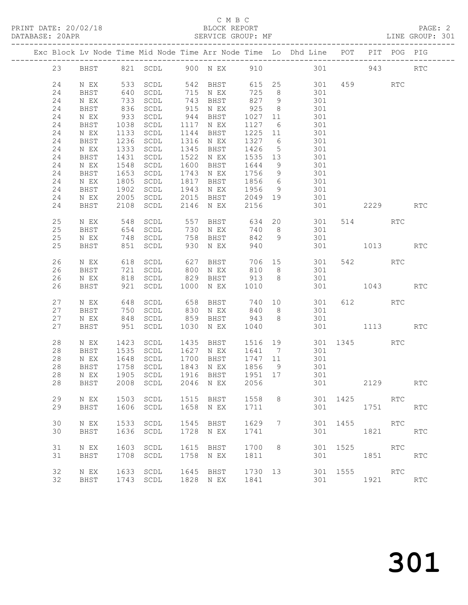# C M B C<br>BLOCK REPORT

| PRINT DATE: 20/02/18 |                   | BLOCK REPORT |  | PAGE: 2         |  |
|----------------------|-------------------|--------------|--|-----------------|--|
| DATABASE: 20APR      | SERVICE GROUP: MF |              |  | LINE GROUP: 301 |  |
|                      |                   |              |  |                 |  |

|  |    |                     |      |                                |      |           |         |                 | Exc Block Lv Node Time Mid Node Time Arr Node Time Lo Dhd Line | POT      | PIT      | POG PIG    |                      |
|--|----|---------------------|------|--------------------------------|------|-----------|---------|-----------------|----------------------------------------------------------------|----------|----------|------------|----------------------|
|  | 23 | BHST                |      | 821 SCDL                       |      | 900 N EX  | 910     |                 | 301                                                            |          | 943      |            | RTC                  |
|  | 24 | $\,$ N $\,$ EX $\,$ | 533  | $\operatorname{\mathsf{SCDL}}$ | 542  | BHST      | 615     | 25              | 301                                                            |          | 459      | RTC        |                      |
|  | 24 | BHST                | 640  | SCDL                           | 715  | N EX      | 725     | 8               | 301                                                            |          |          |            |                      |
|  | 24 | N EX                | 733  | SCDL                           | 743  | BHST      | 827     | 9               | 301                                                            |          |          |            |                      |
|  | 24 | BHST                | 836  | SCDL                           | 915  | N EX      | 925     | 8               | 301                                                            |          |          |            |                      |
|  | 24 |                     | 933  |                                | 944  |           |         |                 | 301                                                            |          |          |            |                      |
|  |    | $\,$ N $\,$ EX $\,$ |      | SCDL                           |      | BHST      | 1027    | 11              |                                                                |          |          |            |                      |
|  | 24 | BHST                | 1038 | SCDL                           | 1117 | N EX      | 1127    | 6               | 301                                                            |          |          |            |                      |
|  | 24 | N EX                | 1133 | SCDL                           | 1144 | BHST      | 1225    | 11              | 301                                                            |          |          |            |                      |
|  | 24 | BHST                | 1236 | SCDL                           | 1316 | N EX      | 1327    | $6\overline{6}$ | 301                                                            |          |          |            |                      |
|  | 24 | N EX                | 1333 | SCDL                           | 1345 | BHST      | 1426    | 5               | 301                                                            |          |          |            |                      |
|  | 24 | BHST                | 1431 | SCDL                           | 1522 | N EX      | 1535    | 13              | 301                                                            |          |          |            |                      |
|  | 24 | N EX                | 1548 | SCDL                           | 1600 | BHST      | 1644    | 9               | 301                                                            |          |          |            |                      |
|  | 24 | BHST                | 1653 | SCDL                           | 1743 | N EX      | 1756    | 9               | 301                                                            |          |          |            |                      |
|  | 24 | N EX                | 1805 | SCDL                           | 1817 | BHST      | 1856    | $6\overline{6}$ | 301                                                            |          |          |            |                      |
|  | 24 | BHST                | 1902 | $\operatorname{\mathsf{SCDL}}$ | 1943 | N EX      | 1956    | 9               | 301                                                            |          |          |            |                      |
|  | 24 | N EX                | 2005 | SCDL                           | 2015 | BHST      | 2049    | 19              | 301                                                            |          |          |            |                      |
|  | 24 | BHST                | 2108 | SCDL                           | 2146 | N EX      | 2156    |                 | 301                                                            |          | 2229     |            | <b>RTC</b>           |
|  | 25 | N EX                | 548  | SCDL                           | 557  | BHST      | 634     | 20              | 301                                                            |          | 514      | <b>RTC</b> |                      |
|  | 25 | BHST                | 654  | SCDL                           | 730  | N EX      | 740     | 8               | 301                                                            |          |          |            |                      |
|  | 25 | N EX                | 748  | SCDL                           | 758  | BHST      | 842     | 9               | 301                                                            |          |          |            |                      |
|  | 25 | BHST                | 851  | SCDL                           | 930  | N EX      | 940     |                 | 301                                                            |          | 1013     |            | RTC                  |
|  |    |                     |      |                                |      |           |         |                 |                                                                |          |          |            |                      |
|  | 26 | N EX                | 618  | SCDL                           | 627  | BHST      | 706     | 15              | 301                                                            | 542      |          | <b>RTC</b> |                      |
|  | 26 | BHST                | 721  | SCDL                           | 800  | N EX      | 810     | 8               | 301                                                            |          |          |            |                      |
|  | 26 | N EX                | 818  | SCDL                           | 829  | BHST      | 913     | 8               | 301                                                            |          |          |            |                      |
|  | 26 | BHST                | 921  | SCDL                           | 1000 | N EX      | 1010    |                 | 301                                                            |          | 1043     |            | <b>RTC</b>           |
|  | 27 | N EX                | 648  | SCDL                           | 658  | BHST      | 740     | 10              | 301                                                            | 612      |          | <b>RTC</b> |                      |
|  | 27 | BHST                | 750  | SCDL                           | 830  | N EX      | 840     | 8               | 301                                                            |          |          |            |                      |
|  | 27 | N EX                | 848  | SCDL                           | 859  | BHST      | 943     | 8               | 301                                                            |          |          |            |                      |
|  | 27 | BHST                | 951  | SCDL                           | 1030 | N EX      | 1040    |                 | 301                                                            |          | 1113     |            | <b>RTC</b>           |
|  |    |                     |      |                                |      |           |         |                 |                                                                |          |          |            |                      |
|  | 28 | N EX                | 1423 | SCDL                           | 1435 | BHST      | 1516    | 19              | 301                                                            |          | 1345     | <b>RTC</b> |                      |
|  | 28 | BHST                | 1535 | SCDL                           | 1627 | N EX      | 1641    | $\overline{7}$  | 301                                                            |          |          |            |                      |
|  | 28 | N EX                | 1648 | SCDL                           | 1700 | BHST      | 1747    | 11              | 301                                                            |          |          |            |                      |
|  | 28 | BHST                | 1758 | SCDL                           | 1843 | N EX      | 1856    | 9               | 301                                                            |          |          |            |                      |
|  | 28 | N EX                | 1905 | $\operatorname{\mathsf{SCDL}}$ | 1916 | BHST      | 1951    | 17              | 301                                                            |          |          |            |                      |
|  | 28 | BHST                | 2008 | SCDL                           |      | 2046 N EX | 2056    |                 | 301                                                            |          | 2129     |            | $\operatorname{RTC}$ |
|  |    |                     |      |                                |      |           |         |                 |                                                                |          |          |            |                      |
|  | 29 | N EX                |      | 1503 SCDL                      | 1515 | BHST      | 1558    | 8               |                                                                | 301 1425 |          | RTC        |                      |
|  | 29 | BHST                | 1606 | SCDL                           | 1658 | N EX      | 1711    |                 | 301                                                            |          | 1751     |            | RTC                  |
|  |    |                     |      |                                |      |           |         |                 |                                                                |          |          |            |                      |
|  | 30 | N EX                | 1533 | SCDL                           | 1545 | BHST      | 1629    | 7               | 301                                                            | 1455     |          | RTC        |                      |
|  | 30 | BHST                | 1636 | SCDL                           | 1728 | N EX      | 1741    |                 | 301                                                            |          | 1821     |            | <b>RTC</b>           |
|  |    |                     |      |                                |      |           |         |                 |                                                                |          |          |            |                      |
|  | 31 | N EX                | 1603 | SCDL                           | 1615 | BHST      | 1700 8  |                 |                                                                | 301 1525 | RTC      |            |                      |
|  | 31 | BHST                | 1708 | SCDL                           | 1758 | N EX      | 1811    |                 | 301                                                            |          | 1851     |            | RTC                  |
|  |    |                     |      |                                |      |           |         |                 |                                                                |          |          |            |                      |
|  | 32 | N EX                |      | 1633 SCDL                      | 1645 | BHST      | 1730 13 |                 |                                                                | 301 1555 | RTC      |            |                      |
|  | 32 | BHST                |      | 1743 SCDL                      |      | 1828 N EX | 1841    |                 | 301                                                            |          | 1921 RTC |            |                      |
|  |    |                     |      |                                |      |           |         |                 |                                                                |          |          |            |                      |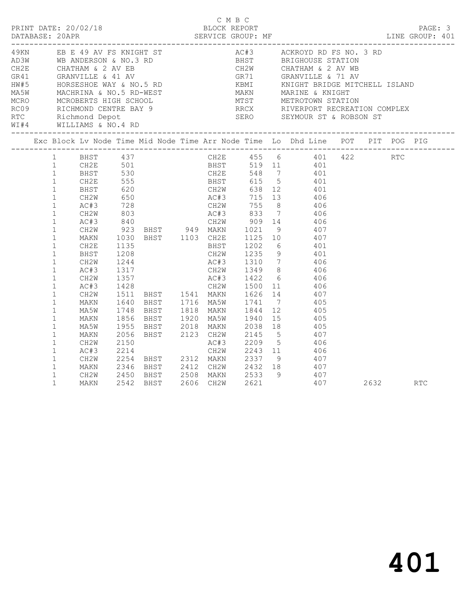|                         |                                                                                                                                                                                                                                                                                        |                                                                                                                    |      |  | C M B C | D M B C<br>PRINT DATE: 20/02/18 BLOCK REPORT<br>DATABASE: 20APR SERVICE GROUP: MF SERVICE GROUP: ME LINE GROUP: 401                                                                                                                                                                                                                                                                      |          |  |
|-------------------------|----------------------------------------------------------------------------------------------------------------------------------------------------------------------------------------------------------------------------------------------------------------------------------------|--------------------------------------------------------------------------------------------------------------------|------|--|---------|------------------------------------------------------------------------------------------------------------------------------------------------------------------------------------------------------------------------------------------------------------------------------------------------------------------------------------------------------------------------------------------|----------|--|
| WI#4 WILLIAMS & NO.4 RD |                                                                                                                                                                                                                                                                                        |                                                                                                                    |      |  |         |                                                                                                                                                                                                                                                                                                                                                                                          |          |  |
|                         |                                                                                                                                                                                                                                                                                        |                                                                                                                    |      |  |         | Exc Block Lv Node Time Mid Node Time Arr Node Time Lo Dhd Line POT PIT POG PIG                                                                                                                                                                                                                                                                                                           |          |  |
|                         | 1<br>1<br>$\begin{tabular}{ll} 1 & & CH2E \\ 1 & & BHST \end{tabular}$<br>$\mathbf{1}$<br>$\mathbf{1}$<br>$\mathbf{1}$<br>$\mathbf{1}$<br>$\mathbf{1}$<br>$\mathbf{1}$<br>$\mathbf{1}$<br>$\mathbf{1}$<br>$\mathbf{1}$<br>$\mathbf{1}$<br>$\mathbf{1}$<br>$\mathbf{1}$<br>$\mathbf{1}$ | 1 BHST 437<br>CH2W<br>AC#3<br>CH2W<br>AC#3<br>CH2W<br>MAKN<br>CH2E<br>BHST<br>CH2W<br>AC#3<br>CH2W<br>AC#3<br>CH2W | 1135 |  |         | CH2E 455 6 401 422 RTC<br>CH2E 501 BHST 519 11 401<br>BHST 530 CH2E 548 7 401<br>923 BHST 949 MAKN 1021 9 407<br>1030 BHST 1103 CH2E 1125 10 407<br>BHST 1202 6 401<br>CH2W 1235 9 401<br>$1208$ CH2W $1235$ 9 401<br>1244 AC#3 1310 7 406<br>1317 CH2W 1349 8 406<br>1357 AC#3 1422 6 406<br>1428 CH2W 1500 11 406<br>1511 BHST 1541 MAKN 1626 14 407<br>1640 BHST 1716 MA5W 1741 7 405 |          |  |
|                         | $\mathbf{1}$<br>$\mathbf{1}$<br>$\mathbf{1}$<br>$\mathbf{1}$<br>$\mathbf{1}$<br>$\mathbf{1}$<br>$\mathbf{1}$<br>$\mathbf{1}$<br>$\mathbf{1}$<br>$\mathbf{1}$<br>$\mathbf{1}$                                                                                                           | MAKN<br>MA5W<br>MAKN<br>MA5W<br>MAKN<br>CH2W<br>AC#3<br>CH2W<br>MAKN                                               | 1748 |  |         | 1748 BHST 1818 MAKN 1844 12 405<br>1856 BHST 1920 MA5W 1940 15 405<br>1955 BHST 2018 MAKN 2038 18 405<br>2056 BHST 2123 CH2W 2145 5 407<br>2150 AC#3 2209 5 406<br>2214 CH2W 2243 11 406<br>2254 BHST 2312 MAKN 2337 9 407<br>2346 BHST 2412 CH2W 2432 18 407<br>CH2W 2450 BHST 2508 MAKN 2533 9 407<br>MAKN 2542 BHST 2606 CH2W 2621 407<br>407                                         | 2632 RTC |  |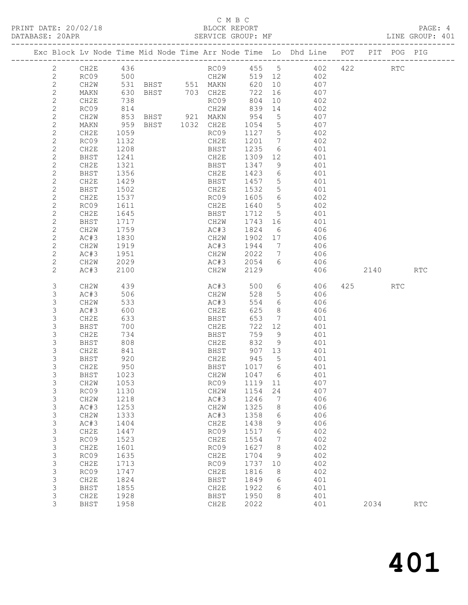## C M B C<br>BLOCK REPORT SERVICE GROUP: MF

|  |                              |              |              |                |                      |              |                      | Exc Block Lv Node Time Mid Node Time Arr Node Time Lo Dhd Line POT |     |      | PIT POG PIG |            |
|--|------------------------------|--------------|--------------|----------------|----------------------|--------------|----------------------|--------------------------------------------------------------------|-----|------|-------------|------------|
|  | $\overline{2}$               | CH2E         | 436          |                |                      |              |                      | RC09 455 5 402                                                     | 422 |      | <b>RTC</b>  |            |
|  | $\mathbf{2}$                 | RC09         |              |                |                      | 519 12       |                      | 402                                                                |     |      |             |            |
|  | $\mathbf{2}$                 | CH2W         |              |                |                      |              | 620 10               | 407                                                                |     |      |             |            |
|  | $\mathbf{2}$                 | MAKN         | 630          | BHST 703 CH2E  |                      | 722          | 16                   | 407                                                                |     |      |             |            |
|  | $\mathbf{2}$                 | CH2E         | 738          |                | RC09                 | 804          | 10                   | 402                                                                |     |      |             |            |
|  | $\mathbf{2}$                 | RC09         | 814          |                | CH2W                 | 839          | 14                   | 402                                                                |     |      |             |            |
|  | $\mathbf{2}$                 | CH2W         | 853          | BHST 921 MAKN  |                      | 954          | $5^{\circ}$          | 407                                                                |     |      |             |            |
|  | $\mathbf{2}$                 | MAKN         | 959          | BHST 1032 CH2E |                      | 1054         | $5^{\circ}$          | 407                                                                |     |      |             |            |
|  | $\mathbf{2}$                 | CH2E         | 1059         |                | RC09                 | 1127 5       |                      | 402                                                                |     |      |             |            |
|  | $\mathbf{2}$                 | RC09         | 1132         |                | CH2E                 | 1201 7       |                      | 402                                                                |     |      |             |            |
|  | $\mathbf{2}$                 | CH2E         | 1208         |                | BHST                 | 1235         | $6\overline{6}$      | 401                                                                |     |      |             |            |
|  | $\mathbf{2}$                 | BHST         | 1241         |                | CH2E                 | 1309 12      |                      | 401                                                                |     |      |             |            |
|  | $\mathbf{2}$                 | CH2E         | 1321         |                | BHST                 | 1347         | 9                    | 401                                                                |     |      |             |            |
|  | $\mathbf{2}$                 | BHST         | 1356         |                | CH2E                 | 1423         | 6                    | 401                                                                |     |      |             |            |
|  | $\mathbf{2}$                 | CH2E         | 1429         |                | BHST                 | 1457         | $5\overline{)}$      | 401                                                                |     |      |             |            |
|  | $\mathbf{2}$                 | BHST         | 1502         |                | CH2E                 | 1532         | $5\overline{)}$      | 401                                                                |     |      |             |            |
|  | $\mathbf{2}$                 | CH2E         | 1537         |                | RC09                 | 1605         | $6\overline{6}$      | 402                                                                |     |      |             |            |
|  | $\mathbf{2}$                 | RC09         | 1611         |                | CH2E                 | 1640         | $5\overline{)}$      | 402                                                                |     |      |             |            |
|  | $\mathbf{2}$                 | CH2E         | 1645         |                | BHST                 | 1712 5       |                      | 401                                                                |     |      |             |            |
|  | $\mathbf{2}$                 | BHST         | 1717         |                | CH2W                 | 1743 16      |                      | 401                                                                |     |      |             |            |
|  | $\mathbf{2}$                 | CH2W         | 1759         |                | AC#3                 | 1824         | 6                    | 406                                                                |     |      |             |            |
|  | $\mathbf{2}$                 | AC#3         | 1830         |                | CH2W<br>AC#3         | 1902 17      |                      | 406                                                                |     |      |             |            |
|  | $\mathbf{2}$<br>$\mathbf{2}$ | CH2W         | 1919<br>1951 |                | CH2W                 | 1944<br>2022 | 7<br>$7\overline{ }$ | 406<br>406                                                         |     |      |             |            |
|  | $\mathbf{2}$                 | AC#3<br>CH2W | 2029         |                | AC#3                 | 2054         | 6                    | 406                                                                |     |      |             |            |
|  | $\mathbf{2}$                 | AC#3         | 2100         |                | CH2W                 | 2129         |                      | 406                                                                |     | 2140 |             | <b>RTC</b> |
|  |                              |              |              |                |                      |              |                      |                                                                    |     |      |             |            |
|  | 3                            | CH2W         | 439          |                | AC#3                 |              |                      | 500 6 406                                                          | 425 |      | RTC         |            |
|  | 3                            | AC#3         | 506          |                | CH2W                 | 528          | $5\overline{)}$      | 406                                                                |     |      |             |            |
|  | 3                            | CH2W         | 533          |                | AC#3                 | 554          | 6                    | 406                                                                |     |      |             |            |
|  | $\mathsf 3$                  | AC#3         | 600          |                | CH2E                 | 625          | 8 <sup>8</sup>       | 406                                                                |     |      |             |            |
|  | 3                            | CH2E         | 633          |                | BHST                 | 653          | $\overline{7}$       | 401                                                                |     |      |             |            |
|  | 3                            | BHST         | 700          |                | CH2E                 | 722          | 12                   | 401                                                                |     |      |             |            |
|  | 3                            | CH2E         | 734          |                | BHST                 | 759          | 9                    | 401                                                                |     |      |             |            |
|  | 3                            | BHST         | 808          |                | CH2E<br>UHZE<br>BHST | 832          | 9                    | 401                                                                |     |      |             |            |
|  | 3                            | CH2E         | 841          |                |                      |              | 907 13               | 401                                                                |     |      |             |            |
|  | 3                            | BHST         | 920          |                | CH2E 945             |              | 5 <sup>5</sup>       | 401                                                                |     |      |             |            |
|  | 3                            | CH2E         | 950          |                | BHST                 | 1017 6       |                      | 401                                                                |     |      |             |            |
|  | 3                            | <b>BHST</b>  | 1023         |                | CH2W                 | 1047 6       |                      | 401                                                                |     |      |             |            |
|  | 3                            | CH2W 1053    |              |                | RC09 1119 11         |              |                      | 407<br>407                                                         |     |      |             |            |
|  | 3<br>$\mathsf 3$             | RC09<br>CH2W | 1130<br>1218 |                | CH2W<br>AC#3         | 1154<br>1246 | 24<br>7              | 406                                                                |     |      |             |            |
|  | $\mathsf 3$                  | AC#3         | 1253         |                | CH2W                 | 1325         | 8                    | 406                                                                |     |      |             |            |
|  | $\mathsf 3$                  | CH2W         | 1333         |                | AC#3                 | 1358         | 6                    | 406                                                                |     |      |             |            |
|  | 3                            | AC#3         | 1404         |                | CH2E                 | 1438         | 9                    | 406                                                                |     |      |             |            |
|  | $\mathsf 3$                  | CH2E         | 1447         |                | RC09                 | 1517         | 6                    | 402                                                                |     |      |             |            |
|  | $\mathsf 3$                  | RC09         | 1523         |                | CH2E                 | 1554         | 7                    | 402                                                                |     |      |             |            |
|  | $\ensuremath{\mathsf{3}}$    | CH2E         | 1601         |                | RC09                 | 1627         | 8                    | 402                                                                |     |      |             |            |
|  | $\mathsf 3$                  | RC09         | 1635         |                | CH2E                 | 1704         | 9                    | 402                                                                |     |      |             |            |
|  | 3                            | CH2E         | 1713         |                | RC09                 | 1737         | 10                   | 402                                                                |     |      |             |            |
|  | $\mathsf 3$                  | RC09         | 1747         |                | CH2E                 | 1816         | 8                    | 402                                                                |     |      |             |            |
|  | $\mathsf 3$                  | CH2E         | 1824         |                | BHST                 | 1849         | 6                    | 401                                                                |     |      |             |            |
|  | $\mathsf 3$                  | BHST         | 1855         |                | CH2E                 | 1922         | 6                    | 401                                                                |     |      |             |            |
|  | 3                            | CH2E         | 1928         |                | BHST                 | 1950         | 8                    | 401                                                                |     |      |             |            |
|  | 3                            | <b>BHST</b>  | 1958         |                | CH2E                 | 2022         |                      | 401                                                                |     | 2034 |             | RTC        |
|  |                              |              |              |                |                      |              |                      |                                                                    |     |      |             |            |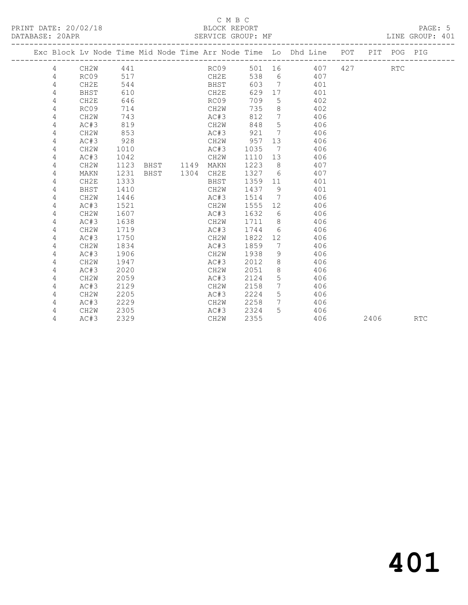## C M B C<br>BLOCK REPORT SERVICE GROUP: MF

|  |   |                   |      |      |      |           |        |                 | Exc Block Lv Node Time Mid Node Time Arr Node Time Lo Dhd Line POT |     |      | PIT POG PIG |     |
|--|---|-------------------|------|------|------|-----------|--------|-----------------|--------------------------------------------------------------------|-----|------|-------------|-----|
|  | 4 | CH2W              | 441  |      |      | RC09      | 501 16 |                 | 407                                                                | 427 |      | <b>RTC</b>  |     |
|  | 4 | RC09              | 517  |      |      | CH2E      | 538    | 6               | 407                                                                |     |      |             |     |
|  | 4 | CH2E              | 544  |      |      | BHST      | 603    | $\overline{7}$  | 401                                                                |     |      |             |     |
|  | 4 | BHST              | 610  |      |      | CH2E      | 629    | 17              | 401                                                                |     |      |             |     |
|  | 4 | CH2E              | 646  |      |      | RC09      | 709    | 5               | 402                                                                |     |      |             |     |
|  | 4 | RC09              | 714  |      |      | CH2W      | 735    | 8               | 402                                                                |     |      |             |     |
|  | 4 | CH <sub>2</sub> W | 743  |      |      | AC#3      | 812    | 7               | 406                                                                |     |      |             |     |
|  | 4 | AC#3              | 819  |      |      | CH2W      | 848    | 5               | 406                                                                |     |      |             |     |
|  | 4 | CH <sub>2</sub> W | 853  |      |      | AC#3      | 921    | $7\overline{ }$ | 406                                                                |     |      |             |     |
|  | 4 | AC#3              | 928  |      |      | CH2W      | 957    | 13              | 406                                                                |     |      |             |     |
|  | 4 | CH <sub>2</sub> W | 1010 |      |      | AC#3      | 1035   | 7               | 406                                                                |     |      |             |     |
|  | 4 | AC#3              | 1042 |      |      | CH2W      | 1110   | 13              | 406                                                                |     |      |             |     |
|  | 4 | CH2W              | 1123 | BHST |      | 1149 MAKN | 1223   | 8               | 407                                                                |     |      |             |     |
|  | 4 | MAKN              | 1231 | BHST | 1304 | CH2E      | 1327   | 6               | 407                                                                |     |      |             |     |
|  | 4 | CH2E              | 1333 |      |      | BHST      | 1359   | 11              | 401                                                                |     |      |             |     |
|  | 4 | BHST              | 1410 |      |      | CH2W      | 1437   | 9               | 401                                                                |     |      |             |     |
|  | 4 | CH <sub>2</sub> W | 1446 |      |      | AC#3      | 1514   | $\overline{7}$  | 406                                                                |     |      |             |     |
|  | 4 | AC#3              | 1521 |      |      | CH2W      | 1555   | 12              | 406                                                                |     |      |             |     |
|  | 4 | CH2W              | 1607 |      |      | AC#3      | 1632   | 6               | 406                                                                |     |      |             |     |
|  | 4 | AC#3              | 1638 |      |      | CH2W      | 1711   | 8               | 406                                                                |     |      |             |     |
|  | 4 | CH <sub>2</sub> W | 1719 |      |      | AC#3      | 1744   | 6               | 406                                                                |     |      |             |     |
|  | 4 | AC#3              | 1750 |      |      | CH2W      | 1822   | 12 <sup>°</sup> | 406                                                                |     |      |             |     |
|  | 4 | CH <sub>2</sub> W | 1834 |      |      | AC#3      | 1859   | 7               | 406                                                                |     |      |             |     |
|  | 4 | AC#3              | 1906 |      |      | CH2W      | 1938   | 9               | 406                                                                |     |      |             |     |
|  | 4 | CH <sub>2</sub> W | 1947 |      |      | AC#3      | 2012   | 8               | 406                                                                |     |      |             |     |
|  | 4 | AC#3              | 2020 |      |      | CH2W      | 2051   | 8               | 406                                                                |     |      |             |     |
|  | 4 | CH <sub>2</sub> W | 2059 |      |      | AC#3      | 2124   | 5               | 406                                                                |     |      |             |     |
|  | 4 | AC#3              | 2129 |      |      | CH2W      | 2158   | 7               | 406                                                                |     |      |             |     |
|  | 4 | CH <sub>2</sub> W | 2205 |      |      | AC#3      | 2224   | 5               | 406                                                                |     |      |             |     |
|  | 4 | AC#3              | 2229 |      |      | CH2W      | 2258   | $7^{\circ}$     | 406                                                                |     |      |             |     |
|  | 4 | CH2W              | 2305 |      |      | AC#3      | 2324   | 5.              | 406                                                                |     |      |             |     |
|  | 4 | AC#3              | 2329 |      |      | CH2W      | 2355   |                 | 406                                                                |     | 2406 |             | RTC |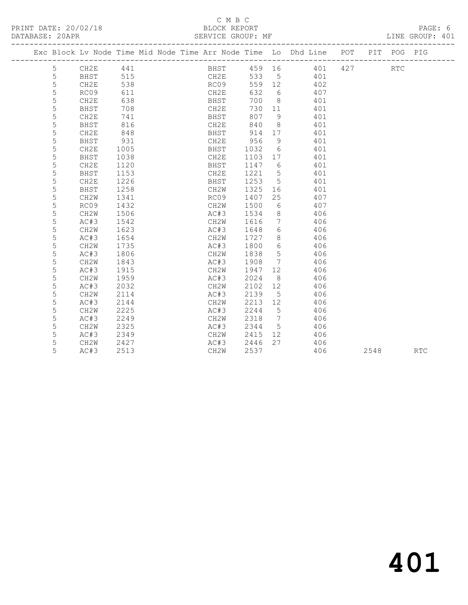# C M B C<br>BLOCK REPORT

SERVICE GROUP: MF **EXAPP SERVICE** GROUP: 401

|  |   |                   |      |  |      |        |                 | Exc Block Lv Node Time Mid Node Time Arr Node Time Lo Dhd Line | POT                     | PIT | POG PIG |  |
|--|---|-------------------|------|--|------|--------|-----------------|----------------------------------------------------------------|-------------------------|-----|---------|--|
|  | 5 | CH2E              | 441  |  | BHST | 459 16 |                 | 401                                                            | ----------------<br>427 |     | RTC     |  |
|  | 5 | BHST              | 515  |  | CH2E | 533    | 5               | 401                                                            |                         |     |         |  |
|  | 5 | CH2E              | 538  |  | RC09 | 559    | 12              | 402                                                            |                         |     |         |  |
|  | 5 | RC09              | 611  |  | CH2E | 632    | 6               | 407                                                            |                         |     |         |  |
|  | 5 | CH2E              | 638  |  | BHST | 700    | 8               | 401                                                            |                         |     |         |  |
|  | 5 | BHST              | 708  |  | CH2E | 730    | 11              | 401                                                            |                         |     |         |  |
|  | 5 | CH2E              | 741  |  | BHST | 807    | 9               | 401                                                            |                         |     |         |  |
|  | 5 | BHST              | 816  |  | CH2E | 840    | 8               | 401                                                            |                         |     |         |  |
|  | 5 | CH2E              | 848  |  | BHST | 914    | 17              | 401                                                            |                         |     |         |  |
|  | 5 | BHST              | 931  |  | CH2E | 956    | 9               | 401                                                            |                         |     |         |  |
|  | 5 | CH2E              | 1005 |  | BHST | 1032   | 6               | 401                                                            |                         |     |         |  |
|  | 5 | BHST              | 1038 |  | CH2E | 1103   | 17              | 401                                                            |                         |     |         |  |
|  | 5 | CH2E              | 1120 |  | BHST | 1147   | 6               | 401                                                            |                         |     |         |  |
|  | 5 | BHST              | 1153 |  | CH2E | 1221   | 5               | 401                                                            |                         |     |         |  |
|  | 5 | CH2E              | 1226 |  | BHST | 1253   | 5               | 401                                                            |                         |     |         |  |
|  | 5 | BHST              | 1258 |  | CH2W | 1325   | 16              | 401                                                            |                         |     |         |  |
|  | 5 | CH <sub>2</sub> W | 1341 |  | RC09 | 1407   | 25              | 407                                                            |                         |     |         |  |
|  | 5 | RC09              | 1432 |  | CH2W | 1500   | 6               | 407                                                            |                         |     |         |  |
|  | 5 | CH2W              | 1506 |  | AC#3 | 1534   | 8               | 406                                                            |                         |     |         |  |
|  | 5 | AC#3              | 1542 |  | CH2W | 1616   | $7\phantom{.0}$ | 406                                                            |                         |     |         |  |
|  | 5 | CH2W              | 1623 |  | AC#3 | 1648   | 6               | 406                                                            |                         |     |         |  |
|  | 5 | AC#3              | 1654 |  | CH2W | 1727   | 8               | 406                                                            |                         |     |         |  |
|  | 5 | CH2W              | 1735 |  | AC#3 | 1800   | 6               | 406                                                            |                         |     |         |  |
|  | 5 | AC#3              | 1806 |  | CH2W | 1838   | 5               | 406                                                            |                         |     |         |  |
|  | 5 | CH2W              | 1843 |  | AC#3 | 1908   | $7\phantom{.0}$ | 406                                                            |                         |     |         |  |

 5 AC#3 1915 CH2W 1947 12 406 5 CH2W 1959 AC#3 2024 8 406 5 AC#3 2032 CH2W 2102 12 406 5 CH2W 2114 AC#3 2139 5 406

 5 AC#3 2249 CH2W 2318 7 406 5 CH2W 2325 AC#3 2344 5 406 5 AC#3 2349 CH2W 2415 12 406 5 CH2W 2427 AC#3 2446 27 406

5 ac#3 2144 CH2W 2213 12 406<br>5 ac#3 2144 CH2W 2213 12 406<br>5 CH2W 2225 Ac#3 2244 5 406 5 CH2W 2225 AC#3 2244 5 406

5 AC#3 2513 CH2W 2537 406 2548 RTC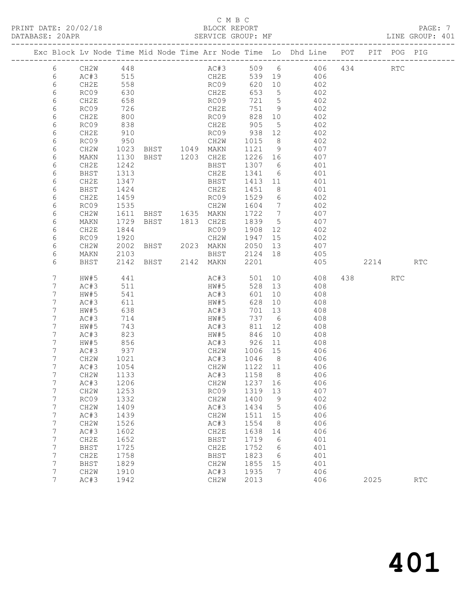## C M B C<br>BLOCK REPORT SERVICE GROUP: MF

|  |                  |                   |              |  |                                         |                                   |                 | Exc Block Lv Node Time Mid Node Time Arr Node Time Lo Dhd Line POT PIT POG PIG |      |     |            |
|--|------------------|-------------------|--------------|--|-----------------------------------------|-----------------------------------|-----------------|--------------------------------------------------------------------------------|------|-----|------------|
|  | 6                | CH2W 448          |              |  |                                         |                                   |                 | AC#3 509 6 406 434 RTC                                                         |      |     |            |
|  | 6                | AC#3 515          |              |  | CH2E                                    |                                   |                 | 539 19 406                                                                     |      |     |            |
|  | 6                | CH2E              | 558          |  | RC09                                    | 620 10                            |                 | 402                                                                            |      |     |            |
|  | 6                | RC09              | 630          |  | CH2E                                    | 653 5                             |                 | 402                                                                            |      |     |            |
|  | 6                | CH2E              | 658          |  | RC09                                    | 721 5                             |                 | 402                                                                            |      |     |            |
|  | 6                | RC09              | 726          |  | CH2E                                    | 751 9                             |                 | 402                                                                            |      |     |            |
|  | 6                | CH2E              | 800          |  | RC09                                    | 828 10                            |                 | 402                                                                            |      |     |            |
|  | 6                | RC09              | 838          |  | CH2E                                    | 905                               | $5\overline{)}$ | 402                                                                            |      |     |            |
|  | 6                | CH2E              | 910          |  | RC09                                    | $\frac{1}{2}$<br>938 12<br>1015 2 |                 | 402                                                                            |      |     |            |
|  | 6                | RC09              | 950          |  | CH2W                                    | 1015 8                            |                 | 402                                                                            |      |     |            |
|  | 6                | CH <sub>2</sub> W |              |  | 1023 BHST 1049 MAKN                     | 1121 9                            |                 | 407                                                                            |      |     |            |
|  | 6                | MAKN              | 1130         |  | BHST 1203 CH2E                          | 1226 16                           |                 | 407                                                                            |      |     |            |
|  | 6                | CH2E              | 1242         |  | BHST                                    | 1307 6<br>1341 6                  |                 | 401                                                                            |      |     |            |
|  | 6                | BHST              | 1313<br>1347 |  | CH2E<br>BHST 1413 11                    |                                   |                 | 401<br>401                                                                     |      |     |            |
|  | 6<br>6           | CH2E<br>BHST      | 1424         |  | CH2E                                    | 1451                              | 8 <sup>8</sup>  | 401                                                                            |      |     |            |
|  | 6                | CH2E              | 1459         |  | RC09                                    | 1529 6                            |                 | 402                                                                            |      |     |            |
|  | 6                | RC09              | 1535         |  | CH2W                                    | 1604 7                            |                 | 402                                                                            |      |     |            |
|  | 6                | CH2W              |              |  | 1611 BHST 1635 MAKN 1722 7              |                                   |                 | 407                                                                            |      |     |            |
|  | 6                | MAKN              | 1729         |  | BHST 1813 CH2E                          | 1839 5                            |                 | 407                                                                            |      |     |            |
|  | 6                | CH2E              | 1844         |  | RC09                                    | 1908 12                           |                 | 402                                                                            |      |     |            |
|  | 6                | RC09              | 1920         |  | CH2W                                    | 1947 15                           |                 | 402                                                                            |      |     |            |
|  | 6                | CH2W              |              |  | 2002 BHST 2023 MAKN                     | 2050 13                           |                 | 407                                                                            |      |     |            |
|  | 6                | MAKN              | 2103         |  | BHST 2124 18                            |                                   |                 | 405                                                                            |      |     |            |
|  | 6                | BHST              |              |  | 2142 BHST 2142 MAKN                     | 2201                              |                 | 405 2214                                                                       |      |     | <b>RTC</b> |
|  | 7                |                   | 441          |  | AC#3                                    |                                   |                 | 501 10 408                                                                     | 438  | RTC |            |
|  | 7                | HW#5<br>AC#3      | 511          |  | HW#5                                    | 528 13                            |                 | 408                                                                            |      |     |            |
|  | 7                | HW#5              | 541          |  | AC#3                                    | 601 10                            |                 | 408                                                                            |      |     |            |
|  | $\boldsymbol{7}$ | AC#3              | 611          |  | HW#5                                    | 628 10                            |                 | 408                                                                            |      |     |            |
|  | 7                | HW#5              | 638          |  | $AC \nparallel 3$<br>$A C \nparallel 3$ | 701 13                            |                 | 408                                                                            |      |     |            |
|  | 7                | AC#3              | 714          |  | HW#5                                    | 737 6                             |                 | 408                                                                            |      |     |            |
|  | 7                | HW#5              | 743          |  | AC#3                                    | 811 12                            |                 | 408                                                                            |      |     |            |
|  | 7                | AC#3              | 823          |  | HW#5                                    | 846 10                            |                 | 408                                                                            |      |     |            |
|  | 7                | HW#5              | 856          |  | HW#5 846 10<br>AC#3 926 11              |                                   |                 | 408                                                                            |      |     |            |
|  | 7                | AC#3              | 937          |  | CH2W                                    | 1006 15                           |                 | 406                                                                            |      |     |            |
|  | 7                | CH2W              | 1021         |  | AC#3                                    | 1046 8                            |                 | 406                                                                            |      |     |            |
|  | 7                | AC#3              | 1054         |  | CH2W                                    | 1122 11                           |                 | 406                                                                            |      |     |            |
|  | 7                | CH2W              | 1133         |  | AC#3                                    | 1158 8                            |                 | 406                                                                            |      |     |            |
|  | 7                | AC#3              | 1206         |  | CH2W 1237 16                            |                                   |                 | 406                                                                            |      |     |            |
|  | 7                | CH2W              | 1253         |  | RC09                                    | 1319                              | 13              | 407                                                                            |      |     |            |
|  | 7                | RC09              | 1332         |  | CH2W                                    | 1400                              | - 9             | 402                                                                            |      |     |            |
|  | 7                | CH2W              | 1409         |  | AC#3                                    | 1434                              | 5               | 406                                                                            |      |     |            |
|  | 7                | AC#3              | 1439         |  | CH2W                                    | 1511                              | 15              | 406                                                                            |      |     |            |
|  | 7                | CH2W              | 1526         |  | AC#3                                    | 1554                              | 8               | 406                                                                            |      |     |            |
|  | 7                | AC#3              | 1602         |  | CH2E                                    | 1638                              | 14              | 406                                                                            |      |     |            |
|  | 7<br>7           | CH2E<br>BHST      | 1652<br>1725 |  | BHST<br>CH2E                            | 1719<br>1752                      | 6               | 401<br>401                                                                     |      |     |            |
|  | 7                | CH2E              | 1758         |  | BHST                                    | 1823                              | 6<br>6          | 401                                                                            |      |     |            |
|  | 7                | BHST              | 1829         |  | CH2W                                    | 1855                              | 15              | 401                                                                            |      |     |            |
|  | 7                | CH2W              | 1910         |  | AC#3                                    | 1935                              | 7               | 406                                                                            |      |     |            |
|  | 7                | AC#3              | 1942         |  | CH2W                                    | 2013                              |                 | 406                                                                            | 2025 |     | <b>RTC</b> |
|  |                  |                   |              |  |                                         |                                   |                 |                                                                                |      |     |            |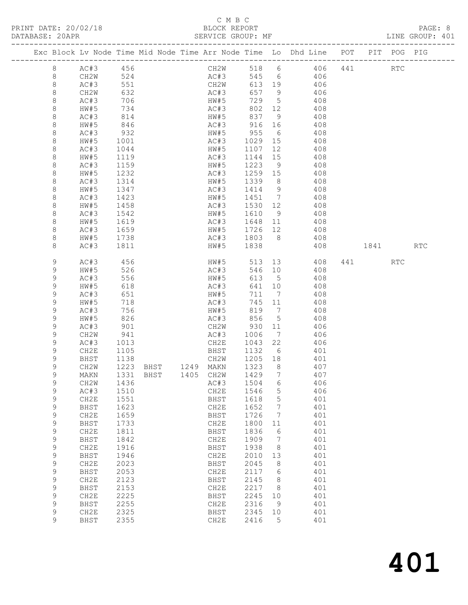# C M B C<br>BLOCK REPORT

LINE GROUP: 401

|             |          |            |                            |           |              |                     |                 | Exc Block Lv Node Time Mid Node Time Arr Node Time Lo Dhd Line POT PIT POG PIG |      |            |            |
|-------------|----------|------------|----------------------------|-----------|--------------|---------------------|-----------------|--------------------------------------------------------------------------------|------|------------|------------|
| 8           | AC#3 456 |            |                            |           |              |                     |                 | CH2W 518 6 406                                                                 | 441  | <b>RTC</b> |            |
| 8           | CH2W     |            |                            |           |              |                     |                 |                                                                                |      |            |            |
| $\,8\,$     | AC#3     | 524<br>551 |                            |           |              |                     |                 | AC#3 545 6 406<br>CH2W 613 19 406                                              |      |            |            |
| 8           | CH2W     | 632        |                            |           | AC#3         |                     |                 | $657$ 9 406                                                                    |      |            |            |
| 8           | AC#3     | 706        |                            |           | HW#5         | 729 5               |                 | 408                                                                            |      |            |            |
| 8           |          | 734        |                            |           |              | 802 12              |                 |                                                                                |      |            |            |
|             | HW#5     |            |                            |           | AC#3<br>HW#5 |                     |                 | 408                                                                            |      |            |            |
| 8           | AC#3     | 814<br>846 |                            |           |              | 837 9               |                 | 408<br>AC#3 916 16 408                                                         |      |            |            |
| 8           | HW#5     |            |                            |           |              |                     |                 |                                                                                |      |            |            |
| 8           | AC#3     | 932        |                            |           |              |                     |                 | HW#5 955 6 408                                                                 |      |            |            |
| 8           | HW#5     | 1001       |                            |           | AC#3         | 1029 15             |                 | 408                                                                            |      |            |            |
| 8           | AC#3     | 1044       |                            |           | HW#5         | 1107 12             |                 | 408                                                                            |      |            |            |
| 8           | HW#5     | 1119       |                            |           | AC#3         | 1144 15             |                 | 408                                                                            |      |            |            |
| 8           | AC#3     | 1159       |                            |           | HW#5         | 1223                | 9               | 408                                                                            |      |            |            |
| 8           | HW#5     | 1232       |                            |           | AC#3         | 1259 15             |                 | 408                                                                            |      |            |            |
| 8           | AC#3     | 1314       |                            |           | HW#5         | 1339                | 8 <sup>8</sup>  | 408                                                                            |      |            |            |
| 8           | HW#5     | 1347       |                            |           | AC#3         | 1414 9              |                 | 408                                                                            |      |            |            |
| 8           | AC#3     | 1423       |                            |           |              |                     |                 | HW#5 1451 7 408                                                                |      |            |            |
| 8           | HW#5     | 1458       |                            |           | AC#3         | 1530 12             |                 | 408                                                                            |      |            |            |
| 8           | AC#3     | 1542       |                            |           | HW#5         | 1610 9              |                 | 408                                                                            |      |            |            |
| 8           | HW#5     | 1619       |                            |           | AC#3         | 1648 11             |                 | 408                                                                            |      |            |            |
| 8           | AC#3     | 1659       |                            |           |              |                     |                 | HW#5 1726 12 408                                                               |      |            |            |
| 8           | HW#5     | 1738       |                            |           |              |                     |                 | AC#3 1803 8 408                                                                |      |            |            |
| 8           | AC#3     | 1811       |                            |           | HW#5 1838    |                     |                 | 408                                                                            | 1841 |            | <b>RTC</b> |
| 9           | AC#3     | 456        |                            |           | HW#5         | 513                 |                 | 13 408                                                                         |      | <b>RTC</b> |            |
| 9           | HW#5     | 526        |                            |           | AC#3         |                     |                 | 546 10 408                                                                     |      |            |            |
| 9           | AC#3     | 556        |                            |           | HW#5         | 613 5               |                 | 408                                                                            |      |            |            |
| 9           | HW#5     | 618        |                            |           | AC#3         | 641 10              |                 | 408                                                                            |      |            |            |
| 9           | AC#3     | 651        |                            |           | HW#5         | 711 7               |                 | 408                                                                            |      |            |            |
| 9           | HW#5     | 718        |                            |           | AC#3         | 745 11              |                 | 408                                                                            |      |            |            |
| 9           | AC#3     | 756        |                            |           | HW#5         | 819 7<br>819<br>856 |                 | 408                                                                            |      |            |            |
| 9           | HW#5     | 826        |                            |           | AC#3         |                     | $5\overline{)}$ | 408                                                                            |      |            |            |
| 9           | AC#3     | 901        |                            |           | CH2W         | 930 11              |                 | 406                                                                            |      |            |            |
| 9           | CH2W     | 941        |                            |           | AC#3         | 1006                | $\overline{7}$  | 406                                                                            |      |            |            |
| 9           | AC#3     | 1013       |                            |           | CH2E         | 1043                | 22              | 406                                                                            |      |            |            |
| 9           | CH2E     | 1105       |                            |           | BHST         | 1132 6              |                 | 401                                                                            |      |            |            |
| 9           | BHST     | 1138       |                            |           | CH2W 1205 18 |                     |                 | 401                                                                            |      |            |            |
| 9           | CH2W     |            | 1223 BHST 1249 MAKN 1323 8 |           |              |                     |                 | 407                                                                            |      |            |            |
| 9           | MAKN     |            | 1331 BHST                  | 1405 CH2W |              | 1429 7              |                 | 407                                                                            |      |            |            |
| 9           |          |            | CH2W 1436 AC#3 1504 6      |           |              |                     |                 | 406                                                                            |      |            |            |
| $\mathsf 9$ | AC#3     | 1510       |                            |           | CH2E         | 1546                | 5               | 406                                                                            |      |            |            |
| $\mathsf 9$ | CH2E     | 1551       |                            |           | <b>BHST</b>  | 1618                | 5               | 401                                                                            |      |            |            |
| $\mathsf 9$ | BHST     | 1623       |                            |           | CH2E         | 1652                | 7               | 401                                                                            |      |            |            |
| $\mathsf 9$ | CH2E     | 1659       |                            |           | BHST         | 1726                | 7               | 401                                                                            |      |            |            |
| $\mathsf 9$ | BHST     | 1733       |                            |           | CH2E         | 1800                | 11              | 401                                                                            |      |            |            |
| 9           | CH2E     | 1811       |                            |           | BHST         | 1836                | 6               | 401                                                                            |      |            |            |
| $\mathsf 9$ | BHST     | 1842       |                            |           | CH2E         | 1909                | 7               | 401                                                                            |      |            |            |
| 9           | CH2E     | 1916       |                            |           | BHST         | 1938                | 8               | 401                                                                            |      |            |            |
| $\mathsf 9$ | BHST     | 1946       |                            |           | CH2E         | 2010                | 13              | 401                                                                            |      |            |            |
| 9           | CH2E     | 2023       |                            |           | BHST         | 2045                | 8               | 401                                                                            |      |            |            |
| $\mathsf 9$ | BHST     | 2053       |                            |           | CH2E         | 2117                | 6               | 401                                                                            |      |            |            |
| $\mathsf 9$ | CH2E     | 2123       |                            |           | BHST         | 2145                | 8               | 401                                                                            |      |            |            |
| $\mathsf 9$ | BHST     | 2153       |                            |           | CH2E         | 2217                | 8               | 401                                                                            |      |            |            |
| 9           | CH2E     | 2225       |                            |           | BHST         | 2245                | 10              | 401                                                                            |      |            |            |
| 9           | BHST     | 2255       |                            |           | CH2E         | 2316                | 9               | 401                                                                            |      |            |            |
| $\mathsf 9$ | CH2E     | 2325       |                            |           | BHST         | 2345                | 10              | 401                                                                            |      |            |            |
| 9           | BHST     | 2355       |                            |           | CH2E         | 2416                | 5               | 401                                                                            |      |            |            |
|             |          |            |                            |           |              |                     |                 |                                                                                |      |            |            |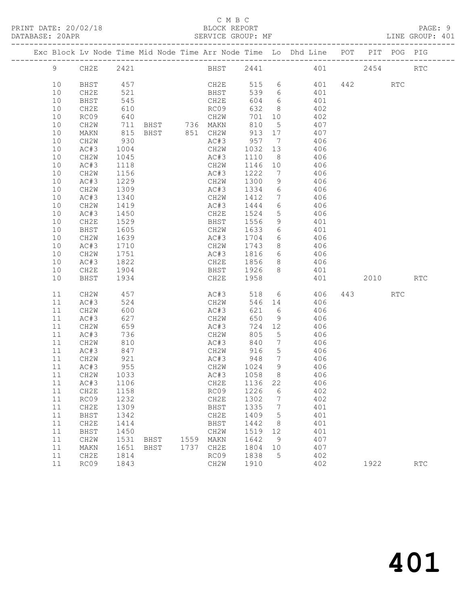# C M B C<br>BLOCK REPORT

### SERVICE GROUP: MF

|  |                |              |                  |               |      |                              |         |                 | Exc Block Lv Node Time Mid Node Time Arr Node Time Lo Dhd Line POT |         | PIT POG PIG |            |
|--|----------------|--------------|------------------|---------------|------|------------------------------|---------|-----------------|--------------------------------------------------------------------|---------|-------------|------------|
|  | $\overline{9}$ | CH2E         | 2421             |               |      |                              |         |                 | BHST 2441 401                                                      | 2454    |             | RTC        |
|  | 10             | BHST         | 457              |               |      | CH2E                         |         |                 | 515 6 401                                                          | 442 RTC |             |            |
|  | 10             | CH2E         | 521              |               |      | BHST                         | 539 6   |                 | 401                                                                |         |             |            |
|  | 10             | BHST         | 545              |               |      | CH2E<br>RC09                 | 604 6   |                 | 401                                                                |         |             |            |
|  | 10             | CH2E         | 610              |               |      |                              | 632 8   |                 | 402                                                                |         |             |            |
|  | 10             | RC09         | 640              |               |      | CH2W                         |         |                 | 701 10 402                                                         |         |             |            |
|  | 10             | CH2W         | 711              |               |      | BHST 736 MAKN                | 810     | $5^{\circ}$     | 407                                                                |         |             |            |
|  | 10             | MAKN         | 815<br>930       | BHST 851 CH2W |      | CH2W 913 17<br>AC#3 957 7    | 913 17  |                 | 407                                                                |         |             |            |
|  | 10             | CH2W         |                  |               |      |                              |         |                 | 406                                                                |         |             |            |
|  | 10             | AC#3         | 1004             |               |      | CH2W 1032 13                 |         |                 | 406                                                                |         |             |            |
|  | 10             | CH2W         | 1045             |               |      | AC#3                         | 1110 8  |                 | 406                                                                |         |             |            |
|  | 10             | AC#3         | 1118             |               |      | CH2W                         | 1146 10 |                 | 406                                                                |         |             |            |
|  | 10             | CH2W         | $\frac{1}{1156}$ |               |      | AC#3                         | 1222 7  |                 | 406                                                                |         |             |            |
|  | 10             | AC#3         | 1229             |               |      | CH2W 1300                    |         | 9               | 406                                                                |         |             |            |
|  | 10             | CH2W         | 1309             |               |      | AC#3 1334 6                  |         |                 | 406                                                                |         |             |            |
|  | 10             | AC#3         | 1340<br>1419     |               |      | CH2W                         | 1412 7  |                 | 406                                                                |         |             |            |
|  | 10             | CH2W         |                  |               |      | AC#3                         | 1444 6  |                 | 406                                                                |         |             |            |
|  | 10             | AC#3         | 1450             |               |      | CH2E 1524                    |         | 5 <sup>5</sup>  | 406                                                                |         |             |            |
|  | 10             | CH2E         | 1529             |               |      | BHST 1556                    |         | 9               | 401                                                                |         |             |            |
|  | 10             | BHST         | 1605<br>1639     |               |      | CH2W                         | 1633 6  |                 | 401                                                                |         |             |            |
|  | 10             | CH2W         |                  |               |      | AC#3                         | 1704 6  |                 | 406                                                                |         |             |            |
|  | 10             | AC#3         | 1710             |               |      |                              |         |                 | CH2W 1743 8 406                                                    |         |             |            |
|  | 10             | CH2W         | 1751             |               |      |                              |         |                 | AC#3 1816 6 406                                                    |         |             |            |
|  | 10             | AC#3         | 1822             |               |      | CH2E                         | 1856 8  |                 | 406                                                                |         |             |            |
|  | 10             | CH2E         | 1904<br>1934     |               |      | BHST 1926 8<br>CH2E 1958     |         |                 | 401                                                                |         |             |            |
|  | 10             | BHST         |                  |               |      |                              |         |                 | 401                                                                | 2010    |             | <b>RTC</b> |
|  | 11             | CH2W         | 457              |               |      | AC#3                         | 518 6   |                 | 406                                                                | 443 RTC |             |            |
|  | 11             | AC#3         | 524              |               |      | CH2W                         | 546 14  |                 | 406                                                                |         |             |            |
|  | 11             | CH2W         | 600              |               |      | AC#3                         | 621 6   |                 | 406                                                                |         |             |            |
|  | 11             | AC#3         | 627              |               |      | CH2W                         | 650     | 9               | 406                                                                |         |             |            |
|  | 11             | CH2W         | 659              |               |      | AC#3                         | 724 12  |                 | 406                                                                |         |             |            |
|  | 11             | AC#3         | 736<br>810       |               |      | CH2W<br>$Cn\angle W$<br>AC#3 | 805     | $5^{\circ}$     | 406                                                                |         |             |            |
|  | 11             | CH2W         |                  |               |      |                              | 840     | $7\overline{ }$ | 406                                                                |         |             |            |
|  | 11             | AC#3         | 847              |               |      | CH2W                         | 916     | $5\overline{)}$ | 406                                                                |         |             |            |
|  | 11             | CH2W         | 921              |               |      | AC#3 948                     |         | $7\overline{ }$ | 406                                                                |         |             |            |
|  | 11             | AC#3         | 955              |               |      | CH2W 1024 9<br>AC#3 1058 8   |         |                 | 406                                                                |         |             |            |
|  | 11             | CH2W         | 1033             |               |      |                              |         |                 | 406                                                                |         |             |            |
|  |                | 11 AC#3 1106 |                  |               |      | CH2E 1136 22                 |         |                 | 406                                                                |         |             |            |
|  | 11             | CH2E         | 1158             |               |      | RC09                         | 1226    | 6               | 402                                                                |         |             |            |
|  | 11             | RC09         | 1232             |               |      | CH2E                         | 1302    | $\overline{7}$  | 402                                                                |         |             |            |
|  | 11             | CH2E         | 1309             |               |      | BHST                         | 1335    | $\overline{7}$  | 401                                                                |         |             |            |
|  | 11             | BHST         | 1342             |               |      | CH2E                         | 1409    | 5               | 401                                                                |         |             |            |
|  | 11             | CH2E         | 1414             |               |      | BHST                         | 1442    | 8               | 401                                                                |         |             |            |
|  | 11             | BHST         | 1450             |               |      | CH2W                         | 1519    | 12              | 401                                                                |         |             |            |
|  | 11             | CH2W         | 1531             | BHST          |      | 1559 MAKN                    | 1642    | 9               | 407                                                                |         |             |            |
|  | 11             | MAKN         | 1651             | BHST          | 1737 | CH2E                         | 1804    | 10              | 407                                                                |         |             |            |
|  | 11             | CH2E         | 1814             |               |      | RC09                         | 1838    | 5               | 402                                                                |         |             |            |
|  | 11             | RC09         | 1843             |               |      | CH2W                         | 1910    |                 | 402                                                                | 1922    |             | <b>RTC</b> |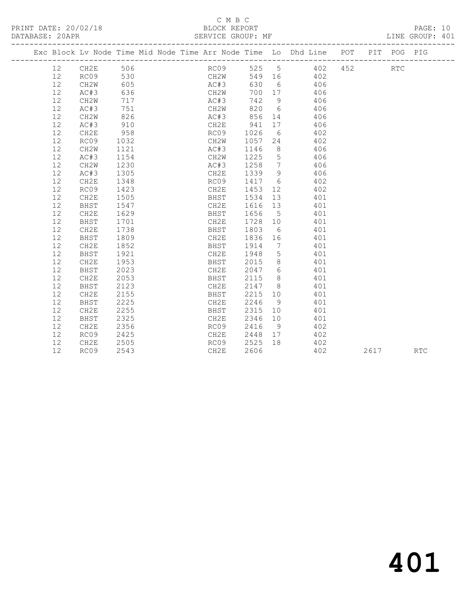## C M B C<br>BLOCK REPORT SERVICE GROUP: MF

|         |             |      |  |      |        |                 | Exc Block Lv Node Time Mid Node Time Arr Node Time Lo Dhd Line POT |      | PIT POG PIG |            |
|---------|-------------|------|--|------|--------|-----------------|--------------------------------------------------------------------|------|-------------|------------|
| 12 CH2E |             | 506  |  | RC09 | 525 5  |                 | 402 452                                                            |      | <b>RTC</b>  |            |
| 12      | RC09        | 530  |  | CH2W | 549 16 |                 | 402                                                                |      |             |            |
| 12      | CH2W        | 605  |  | AC#3 | 630    | $6\overline{6}$ | 406                                                                |      |             |            |
| 12      | AC#3        | 636  |  | CH2W | 700    | 17              | 406                                                                |      |             |            |
| 12      | CH2W        | 717  |  | AC#3 | 742    | 9               | 406                                                                |      |             |            |
| 12      | AC#3        | 751  |  | CH2W | 820    | $6\overline{6}$ | 406                                                                |      |             |            |
| 12      | CH2W        | 826  |  | AC#3 | 856    |                 | 14<br>406                                                          |      |             |            |
| 12      | AC#3        | 910  |  | CH2E | 941    | 17              | 406                                                                |      |             |            |
| 12      | CH2E        | 958  |  | RC09 | 1026   | 6               | 402                                                                |      |             |            |
| 12      | RC09        | 1032 |  | CH2W | 1057   | 24              | 402                                                                |      |             |            |
| 12      | CH2W        | 1121 |  | AC#3 | 1146   | 8 <sup>8</sup>  | 406                                                                |      |             |            |
| 12      | AC#3        | 1154 |  | CH2W | 1225   | $5\overline{)}$ | 406                                                                |      |             |            |
| 12      | CH2W        | 1230 |  | AC#3 | 1258   | $\overline{7}$  | 406                                                                |      |             |            |
| 12      | AC#3        | 1305 |  | CH2E | 1339   | 9               | 406                                                                |      |             |            |
| 12      | CH2E        | 1348 |  | RC09 | 1417   | 6               | 402                                                                |      |             |            |
| 12      | RC09        | 1423 |  | CH2E | 1453   | 12              | 402                                                                |      |             |            |
| 12      | CH2E        | 1505 |  | BHST | 1534   | 13              | 401                                                                |      |             |            |
| 12      | BHST        | 1547 |  | CH2E | 1616   | 13              | 401                                                                |      |             |            |
| 12      | CH2E        | 1629 |  | BHST | 1656   | 5 <sup>5</sup>  | 401                                                                |      |             |            |
| 12      | <b>BHST</b> | 1701 |  | CH2E | 1728   | 10              | 401                                                                |      |             |            |
| 12      | CH2E        | 1738 |  | BHST | 1803   | 6               | 401                                                                |      |             |            |
| 12      | BHST        | 1809 |  | CH2E | 1836   | 16              | 401                                                                |      |             |            |
| 12      | CH2E        | 1852 |  | BHST | 1914   | $\overline{7}$  | 401                                                                |      |             |            |
| 12      | BHST        | 1921 |  | CH2E | 1948   | $5^{\circ}$     | 401                                                                |      |             |            |
| 12      | CH2E        | 1953 |  | BHST | 2015   | 8 <sup>8</sup>  | 401                                                                |      |             |            |
| 12      | BHST        | 2023 |  | CH2E | 2047   | 6               | 401                                                                |      |             |            |
| 12      | CH2E        | 2053 |  | BHST | 2115   | 8 <sup>8</sup>  | 401                                                                |      |             |            |
| 12      | BHST        | 2123 |  | CH2E | 2147   | 8 <sup>8</sup>  | 401                                                                |      |             |            |
| 12      | CH2E        | 2155 |  | BHST | 2215   | 10              | 401                                                                |      |             |            |
| 12      | <b>BHST</b> | 2225 |  | CH2E | 2246   | 9 <sup>°</sup>  | 401                                                                |      |             |            |
| 12      | CH2E        | 2255 |  | BHST | 2315   | 10              | 401                                                                |      |             |            |
| 12      | BHST        | 2325 |  | CH2E | 2346   | 10              | 401                                                                |      |             |            |
| 12      | CH2E        | 2356 |  | RC09 | 2416   | - 9             | 402                                                                |      |             |            |
| 12      | RC09        | 2425 |  | CH2E | 2448   | 17              | 402                                                                |      |             |            |
| 12      | CH2E        | 2505 |  | RC09 | 2525   | 18              | 402                                                                |      |             |            |
| 12      | RC09        | 2543 |  | CH2E | 2606   |                 | 402                                                                | 2617 |             | <b>RTC</b> |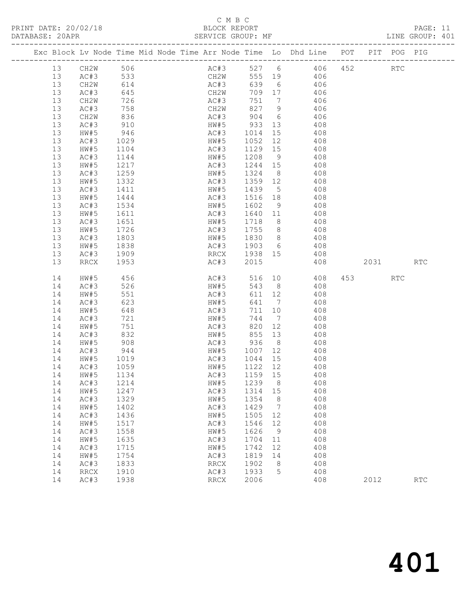# C M B C

| DATABASE: 20APR |              |                   | --------------------------- | SERVICE GROUP: MF                                                              |                            |                |                                |          | LINE GROUP: 401             |  |
|-----------------|--------------|-------------------|-----------------------------|--------------------------------------------------------------------------------|----------------------------|----------------|--------------------------------|----------|-----------------------------|--|
|                 |              |                   |                             | Exc Block Lv Node Time Mid Node Time Arr Node Time Lo Dhd Line POT PIT POG PIG |                            |                |                                |          |                             |  |
| 13              | CH2W 506     |                   |                             | AC#3 527 6 406 452 RTC                                                         |                            |                |                                |          |                             |  |
| 13              | AC#3 533     |                   |                             | CH2W 555 19 406                                                                |                            |                |                                |          |                             |  |
| 13              | CH2W         | 614<br>645<br>726 |                             | AC#3                                                                           |                            |                | 639 6 406                      |          |                             |  |
| 13              | AC#3         |                   |                             |                                                                                | 709 17                     |                | 406                            |          |                             |  |
| 13              | CH2W         |                   |                             | CH2W<br>AC#3                                                                   |                            |                | $751$ 7 $406$<br>$751$ 7 $406$ |          |                             |  |
| 13              | AC#3         | 758               |                             | CH2W 827 9 406                                                                 |                            |                |                                |          |                             |  |
| 13              | CH2W         | 836               |                             | AC#3 904 6 406                                                                 |                            |                |                                |          |                             |  |
| 13              | AC#3         |                   |                             |                                                                                |                            |                | 408                            |          |                             |  |
| 13              | HW#5         | 910<br>946        |                             | HW#5 933 13<br>AC#3 1014 15                                                    |                            |                | 408                            |          |                             |  |
| 13              | AC#3         | 1029              |                             | HW#5 1052 12 408                                                               |                            |                |                                |          |                             |  |
| 13              | HW#5         | 1104              |                             | AC#3                                                                           |                            |                | 1129 15 408                    |          |                             |  |
| 13              | AC#3         | 1144              |                             | HW#5                                                                           | 1208 9                     |                | 408                            |          |                             |  |
| 13              | HW#5         | $\frac{1}{2}$     |                             |                                                                                |                            |                | $AC#3$ $1244$ $15$ $408$       |          |                             |  |
| 13              | AC#3         | 1259              |                             | HW#5 1324 8 408                                                                |                            |                |                                |          |                             |  |
| 13              | HW#5         | 1332              |                             | AC#3                                                                           |                            |                | 1359 12 408                    |          |                             |  |
| 13              | AC#3         | 1411<br>1444      |                             | HW#5       1439     5<br>AC#3       1516   18                                  | 1439 5                     |                | 408                            |          |                             |  |
| 13              | HW#5         |                   |                             |                                                                                |                            |                | 408                            |          |                             |  |
| 13              | AC#3         | 1534              |                             | HW#5 1602 9 408                                                                |                            |                |                                |          |                             |  |
| 13              | HW#5         | 1611              |                             | AC#3                                                                           |                            |                | 1640 11 408                    |          |                             |  |
| 13              | AC#3         | 1651<br>1726      |                             | HW#5                                                                           | 1718 8<br>1718 b<br>1755 8 |                | 408                            |          |                             |  |
| 13              | HW#5         |                   |                             | AC#3                                                                           |                            |                | 408                            |          |                             |  |
| 13              | AC#3         | 1803              |                             | HW#5 1830 8 408                                                                |                            |                |                                |          |                             |  |
| 13              | HW#5         | 1838              |                             | AC#3 1903 6 408                                                                |                            |                |                                |          |                             |  |
| 13              | AC#3         | 1909              |                             | RRCX 1938 15 408                                                               |                            |                |                                |          |                             |  |
| 13              | RRCX         | 1953              |                             | AC#3                                                                           | 2015                       |                | 408                            | 2031 RTC |                             |  |
| 14              | HW#5         | 456               |                             | AC#3 516 10 408                                                                |                            |                |                                | 453 RTC  |                             |  |
| 14              | AC#3         | 526               |                             | HW#5                                                                           | 543 8                      |                | 408                            |          |                             |  |
| 14              | HW#5         | 551               |                             | AC#3<br>HW#5                                                                   | 611 12                     |                | 408                            |          |                             |  |
| 14              | AC#3         | 623               |                             |                                                                                |                            |                | $641$ $7$ $408$                |          |                             |  |
| 14              | HW#5         | 648               |                             | AC#3                                                                           | 711 10                     |                | 408                            |          |                             |  |
| 14              | AC#3         | 721               |                             | HW#5                                                                           | 744 7                      |                | 408                            |          |                             |  |
| 14              | HW#5         | 721<br>751<br>832 |                             | AC#3 820 12<br>HW#5 855 13                                                     |                            |                | 408                            |          |                             |  |
| 14              | AC#3         |                   |                             |                                                                                |                            |                | 408                            |          |                             |  |
| 14              | HW#5         | 908               |                             | AC#3 936 8 408                                                                 |                            |                |                                |          |                             |  |
| 14              | AC#3         | 944               |                             |                                                                                |                            |                | HW#5 1007 12 408               |          |                             |  |
| 14              | HW#5         | 1019<br>1059      |                             | AC#3 1044 15<br>HW#5 1122 12                                                   |                            |                | 408                            |          |                             |  |
| 14              | AC#3         |                   |                             |                                                                                |                            |                | 408                            |          |                             |  |
|                 | 14 HW#5 1134 |                   |                             | AC#3 1159 15                                                                   |                            |                | 408                            |          |                             |  |
| 14              | AC#3         | 1214              |                             | HW#5                                                                           | 1239                       | 8              | 408                            |          |                             |  |
| 14              | HW#5         | 1247              |                             | AC#3                                                                           | 1314 15                    |                | 408                            |          |                             |  |
| 14              | AC#3         | 1329              |                             | HW#5                                                                           | 1354                       | 8              | 408                            |          |                             |  |
| 14              | HW#5         | 1402              |                             | AC#3                                                                           | 1429                       | $\overline{7}$ | 408                            |          |                             |  |
| 14              | AC#3         | 1436              |                             | HW#5                                                                           | 1505                       | 12             | 408                            |          |                             |  |
| 14              | HW#5         | 1517              |                             | AC#3                                                                           | 1546                       | 12             | 408                            |          |                             |  |
| 14              | AC#3         | 1558              |                             | HW#5                                                                           | 1626                       | 9              | 408                            |          |                             |  |
| 14              | HW#5         | 1635              |                             | AC#3                                                                           | 1704                       | 11             | 408                            |          |                             |  |
| 14              | AC#3         | 1715              |                             | HW#5                                                                           | 1742                       | 12             | 408                            |          |                             |  |
| 14<br>14        | HW#5<br>AC#3 | 1754<br>1833      |                             | AC#3                                                                           | 1819<br>1902               | 14<br>8        | 408<br>408                     |          |                             |  |
| 14              |              |                   |                             | RRCX<br>AC#3                                                                   | 1933                       | 5              | 408                            |          |                             |  |
| 14              | RRCX<br>AC#3 | 1910<br>1938      |                             | RRCX                                                                           | 2006                       |                | 408                            | 2012     | $\mathop{\rm RTC}\nolimits$ |  |
|                 |              |                   |                             |                                                                                |                            |                |                                |          |                             |  |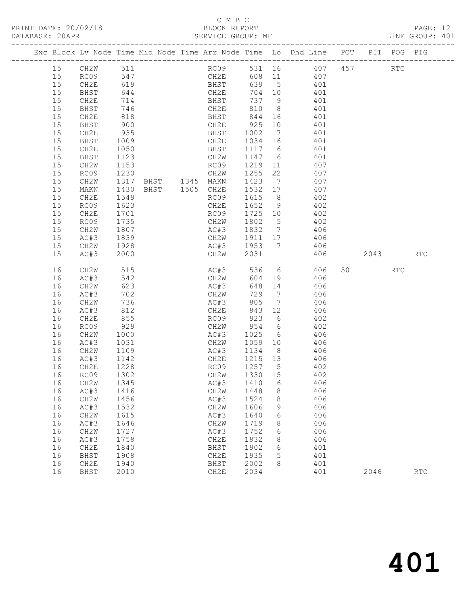# C M B C<br>BLOCK REPORT

| DATABASE: 20APR |              |                  | SERVICE GROUP: MF |                            |         |   |                                                                                |          | LINE GROUP: 401      |  |
|-----------------|--------------|------------------|-------------------|----------------------------|---------|---|--------------------------------------------------------------------------------|----------|----------------------|--|
|                 |              |                  |                   |                            |         |   | Exc Block Lv Node Time Mid Node Time Arr Node Time Lo Dhd Line POT PIT POG PIG |          |                      |  |
| 15              | CH2W 511     |                  |                   |                            |         |   | RC09 531 16 407 457 RTC                                                        |          |                      |  |
| 15              | RC09 547     |                  |                   |                            |         |   | CH2E 608 11 407                                                                |          |                      |  |
| 15              | CH2E         | 619              |                   | BHST<br>CH2E<br>BHST       |         |   | 639 5 401                                                                      |          |                      |  |
| 15              | BHST         | $644$<br>714     |                   |                            |         |   |                                                                                |          |                      |  |
| 15              | CH2E         | 714              |                   |                            |         |   | 704 10 401<br>737 9 401                                                        |          |                      |  |
| 15              | BHST         | 746              |                   | CH2E 810 8 401             |         |   |                                                                                |          |                      |  |
| 15              | CH2E         | 818              |                   | BHST 844                   |         |   | 16 401                                                                         |          |                      |  |
| 15              | BHST         |                  |                   |                            |         |   | 401                                                                            |          |                      |  |
| 15              | CH2E         | 900<br>935       |                   |                            |         |   | 401                                                                            |          |                      |  |
| 15              | BHST         | 1009             |                   |                            |         |   | CH2E 1034 16 401                                                               |          |                      |  |
| 15              | CH2E         | 1050             |                   | <b>BHST</b>                |         |   | 1117 6 401                                                                     |          |                      |  |
| 15              | BHST         | 1123             |                   | CH2W                       |         |   |                                                                                |          |                      |  |
| 15              | CH2W         | $\frac{1}{1153}$ |                   | RC09                       |         |   | 1147 6 401<br>1219 11 407                                                      |          |                      |  |
| 15              | RC09         | 1230             |                   | CH2W                       |         |   | 1255 22 407                                                                    |          |                      |  |
| 15              | CH2W         | 1317             |                   | BHST 1345 MAKN 1423 7 407  |         |   |                                                                                |          |                      |  |
| 15              | MAKN         |                  | BHST 1505 CH2E    |                            | 1532 17 |   | 407                                                                            |          |                      |  |
| 15              | CH2E         | 1430<br>1549     |                   | RC09                       | 1615 8  |   | 402                                                                            |          |                      |  |
| 15              | RC09         | 1623             |                   | CH2E                       |         |   | 1652 9 402                                                                     |          |                      |  |
| 15              | CH2E         | 1701             |                   | RC09                       |         |   | 1725 10 402                                                                    |          |                      |  |
| 15              | RC09         |                  |                   |                            | 1802 5  |   | 402                                                                            |          |                      |  |
| 15              | CH2W         | 1735<br>1807     |                   | CH2W 1802 5<br>AC#3 1832 7 |         |   | 406                                                                            |          |                      |  |
| 15              | AC#3         | 1839             |                   |                            |         |   | CH2W 1911 17 406                                                               |          |                      |  |
| 15              | CH2W         | 1928             |                   |                            |         |   | AC#3 1953 7 406                                                                |          |                      |  |
| 15              | AC#3         | 2000             |                   | CH2W                       | 2031    |   |                                                                                | 406 2043 | <b>RTC</b>           |  |
| 16              | CH2W         | 515              |                   | AC#3                       |         |   | 536 6 406                                                                      | 501 RTC  |                      |  |
| 16              | AC#3         | 542              |                   | CH2W                       |         |   | 604 19 406                                                                     |          |                      |  |
| 16              | CH2W         | 623              |                   | AC#3                       |         |   | 648 14 406                                                                     |          |                      |  |
| 16              | AC#3         | 702              |                   | CH2W                       | 729 7   |   | 406                                                                            |          |                      |  |
| 16              | CH2W         | 736              |                   | AC#3                       | 805     |   | $7 \overline{406}$                                                             |          |                      |  |
| 16              | AC#3         | 812              |                   | CH2E                       | 843 12  |   | 406                                                                            |          |                      |  |
| 16              | CH2E         | 855              |                   | RC09 923 6                 |         |   | 402                                                                            |          |                      |  |
| 16              | RC09         | 929              |                   | CH2W 954 6<br>AC#3 1025 6  |         |   | 402                                                                            |          |                      |  |
| 16              | CH2W         | 1000             |                   |                            |         |   | 406                                                                            |          |                      |  |
| 16              | AC#3         | 1031             |                   |                            |         |   | CH2W 1059 10 406                                                               |          |                      |  |
| 16              | CH2W         | 1109             |                   | AC#3                       |         |   | 1134 8 406                                                                     |          |                      |  |
| 16              | AC#3         | 1142<br>1228     |                   | CH2E                       | 1215 13 |   | 406                                                                            |          |                      |  |
| 16              | CH2E         |                  |                   | RC09                       | 1257 5  |   | 402                                                                            |          |                      |  |
|                 | 16 RC09 1302 |                  |                   |                            |         |   | CH2W 1330 15 402                                                               |          |                      |  |
| 16              | CH2W         | 1345             |                   | AC#3                       | 1410    | 6 | 406                                                                            |          |                      |  |
| 16              | AC#3         | 1416             |                   | CH2W                       | 1448    | 8 | 406                                                                            |          |                      |  |
| 16              | CH2W         | 1456             |                   | AC#3                       | 1524    | 8 | 406                                                                            |          |                      |  |
| 16              | AC#3         | 1532             |                   | CH2W                       | 1606    | 9 | 406                                                                            |          |                      |  |
| 16              | CH2W         | 1615             |                   | AC#3                       | 1640    | 6 | 406                                                                            |          |                      |  |
| 16              | AC#3         | 1646             |                   | CH2W                       | 1719    | 8 | 406                                                                            |          |                      |  |
| 16              | CH2W         | 1727             |                   | AC#3                       | 1752    | 6 | 406                                                                            |          |                      |  |
| 16              | AC#3         | 1758             |                   | CH2E                       | 1832    | 8 | 406                                                                            |          |                      |  |
| 16              | CH2E         | 1840             |                   | BHST                       | 1902    | 6 | 401                                                                            |          |                      |  |
| 16              | BHST         | 1908             |                   | CH2E                       | 1935    | 5 | 401                                                                            |          |                      |  |
| 16              | CH2E         | 1940             |                   | BHST                       | 2002    | 8 | 401                                                                            |          |                      |  |
| 16              | BHST         | 2010             |                   | CH2E                       | 2034    |   | 401                                                                            | 2046     | $\operatorname{RTC}$ |  |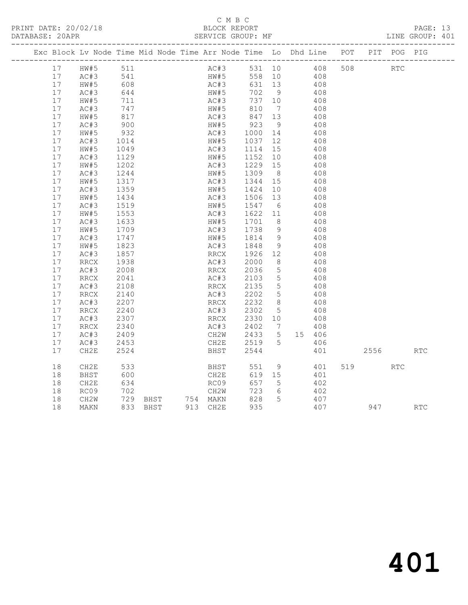# C M B C<br>BLOCK REPORT

SERVICE GROUP: MF

|  |         | Exc Block Lv Node Time Mid Node Time Arr Node Time Lo Dhd Line POT PIT POG PIG |                                                |  |      |              |                  |                 |        |                                           |     |            |            |            |
|--|---------|--------------------------------------------------------------------------------|------------------------------------------------|--|------|--------------|------------------|-----------------|--------|-------------------------------------------|-----|------------|------------|------------|
|  | 17 HW#5 |                                                                                | 511                                            |  |      |              |                  |                 |        | AC#3 531 10 408                           | 508 | <b>RTC</b> |            |            |
|  | 17      | AC#3<br>hw#5                                                                   | 541<br>608                                     |  |      | HW#5<br>AC#3 | $558$ 10         |                 |        | $\begin{array}{c} 408 \\ 408 \end{array}$ |     |            |            |            |
|  | 17      |                                                                                |                                                |  |      |              | 631 13           |                 |        |                                           |     |            |            |            |
|  | 17      | AC#3                                                                           | 644                                            |  | HW#5 |              | 702 9            |                 |        | 408                                       |     |            |            |            |
|  | 17      | HW#5                                                                           | 711<br>747                                     |  | AC#3 |              | 737 10           |                 |        | 408                                       |     |            |            |            |
|  | 17      | AC#3                                                                           |                                                |  | HW#5 |              | 810 7            |                 |        | 408                                       |     |            |            |            |
|  | 17      | HW#5                                                                           | 817<br>900                                     |  | AC#3 |              | 847 13<br>923 9  |                 |        | 408                                       |     |            |            |            |
|  | 17      | AC#3                                                                           |                                                |  | HW#5 |              |                  | 9               |        | 408                                       |     |            |            |            |
|  | 17      | HW#5                                                                           | 932                                            |  | AC#3 |              | 1000 14          |                 | 408    |                                           |     |            |            |            |
|  | 17      | AC#3                                                                           | 1014<br>1049                                   |  | HW#5 |              | 1037 12          |                 |        | 408                                       |     |            |            |            |
|  | 17      | HW#5                                                                           |                                                |  | AC#3 |              | 1114 15          |                 |        | 408                                       |     |            |            |            |
|  | 17      | AC#3                                                                           | 1129                                           |  | HW#5 |              | 1152 10          |                 |        | 408                                       |     |            |            |            |
|  | 17      | HW#5                                                                           | 1202                                           |  | AC#3 |              | 1229 15          |                 |        | 408                                       |     |            |            |            |
|  | 17      | AC#3                                                                           | 1244                                           |  | HW#5 |              | 1309 8           |                 |        | 408                                       |     |            |            |            |
|  | 17      | HW#5                                                                           | 1317                                           |  | AC#3 |              | 1344             | 15              |        | 408                                       |     |            |            |            |
|  | 17      | AC#3                                                                           | 1359                                           |  | HW#5 |              | 1424 10          |                 |        | 408                                       |     |            |            |            |
|  | 17      | HW#5                                                                           | 1434                                           |  |      |              | AC#3 1506 13     |                 | 408    |                                           |     |            |            |            |
|  | 17      | AC#3                                                                           |                                                |  | HW#5 |              | 1547 6           |                 |        | 408                                       |     |            |            |            |
|  | 17      | HW#5                                                                           | 1519<br>1553                                   |  | AC#3 |              | 1622 11          |                 |        | 408                                       |     |            |            |            |
|  | 17      | AC#3                                                                           | 1633                                           |  | HW#5 |              | 1701             | 8 <sup>1</sup>  |        | 408                                       |     |            |            |            |
|  | 17      | HW#5                                                                           |                                                |  | AC#3 |              | 1738 9           |                 |        | 408                                       |     |            |            |            |
|  | 17      | AC#3                                                                           | 1709<br>1747                                   |  | HW#5 |              | 1814 9           |                 |        | 408                                       |     |            |            |            |
|  | 17      | HW#5                                                                           | 1823                                           |  | AC#3 |              | 1848             | - 9             |        | 408                                       |     |            |            |            |
|  | 17      | AC#3                                                                           | 1857                                           |  | RRCX |              | 1926 12          |                 |        | 408                                       |     |            |            |            |
|  | 17      | RRCX                                                                           | 1938                                           |  | AC#3 |              | 2000             | 8 <sup>8</sup>  |        | 408                                       |     |            |            |            |
|  | 17      | AC#3                                                                           | 2008                                           |  | RRCX |              | 2036             | $5\overline{)}$ |        | 408                                       |     |            |            |            |
|  | 17      | RRCX                                                                           | 2041                                           |  | AC#3 |              | 2103 5           |                 |        | 408                                       |     |            |            |            |
|  | 17      | AC#3                                                                           | 2108                                           |  | RRCX |              | 2135             | $5\overline{)}$ |        | 408                                       |     |            |            |            |
|  | 17      | RRCX                                                                           | 2140                                           |  | AC#3 |              | 2202             | $5\overline{)}$ |        | 408                                       |     |            |            |            |
|  | 17      | AC#3                                                                           | 214∪<br>2207                                   |  | RRCX |              | 2202 5<br>2232 8 |                 |        | 408                                       |     |            |            |            |
|  | 17      | RRCX                                                                           | 2240                                           |  | AC#3 |              | 2302             | $5^{\circ}$     |        | 408                                       |     |            |            |            |
|  | 17      | AC#3                                                                           | 2307                                           |  | RRCX |              | 2330 10          |                 |        | 408                                       |     |            |            |            |
|  | 17      | RRCX                                                                           | 2340                                           |  | AC#3 |              | 2402 7           |                 |        | 408                                       |     |            |            |            |
|  | 17      | AC#3                                                                           | 2409                                           |  |      | CH2W         | 2433 5           |                 | 15 406 |                                           |     |            |            |            |
|  | 17      | AC#3                                                                           | 2453                                           |  | CH2E |              | 2519 5           |                 |        | 406                                       |     |            |            |            |
|  | 17      | CH2E                                                                           | 2524                                           |  | BHST |              | 2544             |                 |        | 401                                       |     | 2556       |            | <b>RTC</b> |
|  |         |                                                                                |                                                |  |      |              |                  |                 |        |                                           |     |            |            |            |
|  | 18      | CH2E                                                                           | 533                                            |  |      | <b>BHST</b>  | 551              | 9               |        | 401                                       |     | 519        | <b>RTC</b> |            |
|  | 18      | BHST                                                                           | 600                                            |  | CH2E |              | 619 15           |                 |        | 401                                       |     |            |            |            |
|  | 18      | CH2E                                                                           | 634                                            |  | RC09 |              | 657              | $5^{\circ}$     |        | 402                                       |     |            |            |            |
|  | 18      | RC09                                                                           | 702                                            |  | CH2W |              | 723              | 6               |        | 402                                       |     |            |            |            |
|  | 18      | CH2W                                                                           |                                                |  |      |              | 828              | 5               |        | 407                                       |     |            |            |            |
|  | 18      | MAKN                                                                           | 729 BHST     754 MAKN<br>833 BHST     913 CH2E |  |      |              | 935              |                 |        | 407                                       |     | 947        |            | RTC        |
|  |         |                                                                                |                                                |  |      |              |                  |                 |        |                                           |     |            |            |            |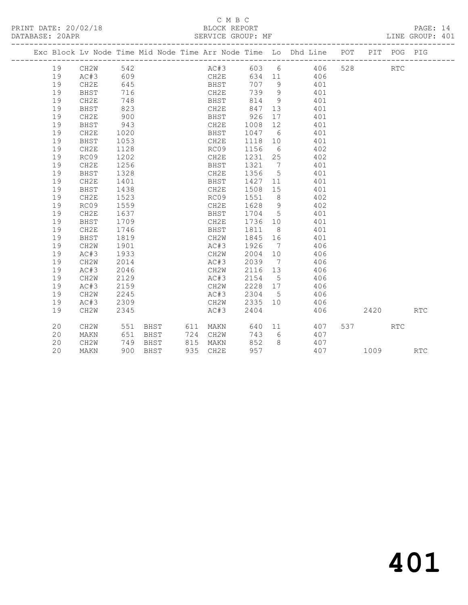## C M B C<br>BLOCK REPORT SERVICE GROUP: MF

| Exc Block Lv Node Time Mid Node Time Arr Node Time Lo Dhd Line POT<br>19<br>CH2W<br>542<br>AC#3 603 6 406<br>528<br>609<br>CH2E<br>19<br>AC#3<br>634 11 406<br><b>BHST</b><br>707 9<br>19<br>CH2E<br>645<br>401<br>716<br>739<br>9 <sup>°</sup><br>19<br>BHST<br>CH2E<br>401<br>748<br>814<br>9<br>19<br>CH2E<br>BHST<br>401<br>823<br>847<br>19<br>CH2E<br>13<br>401<br>BHST<br>19<br>CH2E<br>900<br>926<br>17<br>BHST<br>401<br>943<br>12<br>19<br>CH2E<br>1008<br>401<br>BHST<br>19<br>CH2E<br>1020<br>1047 6<br>BHST<br>401<br>19<br>1053<br>CH2E<br>1118<br>401<br><b>BHST</b><br>10<br>1156<br>19<br>CH2E<br>1128<br>RC09<br>6<br>402<br>19<br>1202<br>CH2E<br>1231<br>25<br>RC09<br>402<br>19<br>CH2E<br>1256<br>1321<br>$\overline{7}$<br>401<br>BHST<br>19<br>1356<br>$5^{\circ}$<br>BHST<br>1328<br>CH2E<br>401<br>19<br>CH2E<br>1401<br>1427<br>BHST<br>11<br>401<br>1508 15<br>19<br>BHST<br>1438<br>CH2E<br>401<br>19<br>1523<br>1551<br>8 <sup>8</sup><br>CH2E<br>RC09<br>402<br>1559<br>1628<br>19<br>RC09<br>CH2E<br>- 9<br>402<br>19<br>CH2E<br>1637<br>1704<br>5<br>BHST<br>401<br>19<br><b>BHST</b><br>1709<br>CH2E<br>1736<br>10<br>401<br>19<br>CH2E<br>1746<br>1811<br>8 <sup>8</sup><br>401<br>BHST<br>19<br>1819<br>CH2W<br>1845<br><b>BHST</b><br>16<br>401<br>1926<br>19<br>CH <sub>2</sub> W<br>1901<br>AC#3<br>406<br>$\overline{7}$<br>1933<br>19<br>AC#3<br>CH2W<br>2004<br>10<br>406<br>19<br>2014<br>AC#3<br>2039<br>$\overline{7}$<br>CH2W<br>406<br>19<br>2046<br>CH2W<br>2116 13<br>406<br>AC#3<br>19<br>2129<br>AC#3<br>2154<br>$5^{\circ}$<br>CH2W<br>406<br>19<br>2159<br>CH2W<br>2228 17<br>406<br>AC#3<br>2245<br>2304 5<br>19<br>CH2W<br>AC#3<br>406<br>2335<br>19<br>AC#3<br>2309<br>CH2W<br>10<br>406<br>2404<br>CH <sub>2</sub> W<br>2345<br>AC#3<br>406<br>19<br>20<br>CH2W<br>551<br>537 — 100<br>BHST<br>611 MAKN<br>640<br>11 — 1<br>407 |                    |  |
|------------------------------------------------------------------------------------------------------------------------------------------------------------------------------------------------------------------------------------------------------------------------------------------------------------------------------------------------------------------------------------------------------------------------------------------------------------------------------------------------------------------------------------------------------------------------------------------------------------------------------------------------------------------------------------------------------------------------------------------------------------------------------------------------------------------------------------------------------------------------------------------------------------------------------------------------------------------------------------------------------------------------------------------------------------------------------------------------------------------------------------------------------------------------------------------------------------------------------------------------------------------------------------------------------------------------------------------------------------------------------------------------------------------------------------------------------------------------------------------------------------------------------------------------------------------------------------------------------------------------------------------------------------------------------------------------------------------------------------------------------------------------------------------------------------------------------------------------------------------------------------------|--------------------|--|
|                                                                                                                                                                                                                                                                                                                                                                                                                                                                                                                                                                                                                                                                                                                                                                                                                                                                                                                                                                                                                                                                                                                                                                                                                                                                                                                                                                                                                                                                                                                                                                                                                                                                                                                                                                                                                                                                                          | PIT POG PIG        |  |
|                                                                                                                                                                                                                                                                                                                                                                                                                                                                                                                                                                                                                                                                                                                                                                                                                                                                                                                                                                                                                                                                                                                                                                                                                                                                                                                                                                                                                                                                                                                                                                                                                                                                                                                                                                                                                                                                                          | <b>RTC</b>         |  |
|                                                                                                                                                                                                                                                                                                                                                                                                                                                                                                                                                                                                                                                                                                                                                                                                                                                                                                                                                                                                                                                                                                                                                                                                                                                                                                                                                                                                                                                                                                                                                                                                                                                                                                                                                                                                                                                                                          |                    |  |
|                                                                                                                                                                                                                                                                                                                                                                                                                                                                                                                                                                                                                                                                                                                                                                                                                                                                                                                                                                                                                                                                                                                                                                                                                                                                                                                                                                                                                                                                                                                                                                                                                                                                                                                                                                                                                                                                                          |                    |  |
|                                                                                                                                                                                                                                                                                                                                                                                                                                                                                                                                                                                                                                                                                                                                                                                                                                                                                                                                                                                                                                                                                                                                                                                                                                                                                                                                                                                                                                                                                                                                                                                                                                                                                                                                                                                                                                                                                          |                    |  |
|                                                                                                                                                                                                                                                                                                                                                                                                                                                                                                                                                                                                                                                                                                                                                                                                                                                                                                                                                                                                                                                                                                                                                                                                                                                                                                                                                                                                                                                                                                                                                                                                                                                                                                                                                                                                                                                                                          |                    |  |
|                                                                                                                                                                                                                                                                                                                                                                                                                                                                                                                                                                                                                                                                                                                                                                                                                                                                                                                                                                                                                                                                                                                                                                                                                                                                                                                                                                                                                                                                                                                                                                                                                                                                                                                                                                                                                                                                                          |                    |  |
|                                                                                                                                                                                                                                                                                                                                                                                                                                                                                                                                                                                                                                                                                                                                                                                                                                                                                                                                                                                                                                                                                                                                                                                                                                                                                                                                                                                                                                                                                                                                                                                                                                                                                                                                                                                                                                                                                          |                    |  |
|                                                                                                                                                                                                                                                                                                                                                                                                                                                                                                                                                                                                                                                                                                                                                                                                                                                                                                                                                                                                                                                                                                                                                                                                                                                                                                                                                                                                                                                                                                                                                                                                                                                                                                                                                                                                                                                                                          |                    |  |
|                                                                                                                                                                                                                                                                                                                                                                                                                                                                                                                                                                                                                                                                                                                                                                                                                                                                                                                                                                                                                                                                                                                                                                                                                                                                                                                                                                                                                                                                                                                                                                                                                                                                                                                                                                                                                                                                                          |                    |  |
|                                                                                                                                                                                                                                                                                                                                                                                                                                                                                                                                                                                                                                                                                                                                                                                                                                                                                                                                                                                                                                                                                                                                                                                                                                                                                                                                                                                                                                                                                                                                                                                                                                                                                                                                                                                                                                                                                          |                    |  |
|                                                                                                                                                                                                                                                                                                                                                                                                                                                                                                                                                                                                                                                                                                                                                                                                                                                                                                                                                                                                                                                                                                                                                                                                                                                                                                                                                                                                                                                                                                                                                                                                                                                                                                                                                                                                                                                                                          |                    |  |
|                                                                                                                                                                                                                                                                                                                                                                                                                                                                                                                                                                                                                                                                                                                                                                                                                                                                                                                                                                                                                                                                                                                                                                                                                                                                                                                                                                                                                                                                                                                                                                                                                                                                                                                                                                                                                                                                                          |                    |  |
|                                                                                                                                                                                                                                                                                                                                                                                                                                                                                                                                                                                                                                                                                                                                                                                                                                                                                                                                                                                                                                                                                                                                                                                                                                                                                                                                                                                                                                                                                                                                                                                                                                                                                                                                                                                                                                                                                          |                    |  |
|                                                                                                                                                                                                                                                                                                                                                                                                                                                                                                                                                                                                                                                                                                                                                                                                                                                                                                                                                                                                                                                                                                                                                                                                                                                                                                                                                                                                                                                                                                                                                                                                                                                                                                                                                                                                                                                                                          |                    |  |
|                                                                                                                                                                                                                                                                                                                                                                                                                                                                                                                                                                                                                                                                                                                                                                                                                                                                                                                                                                                                                                                                                                                                                                                                                                                                                                                                                                                                                                                                                                                                                                                                                                                                                                                                                                                                                                                                                          |                    |  |
|                                                                                                                                                                                                                                                                                                                                                                                                                                                                                                                                                                                                                                                                                                                                                                                                                                                                                                                                                                                                                                                                                                                                                                                                                                                                                                                                                                                                                                                                                                                                                                                                                                                                                                                                                                                                                                                                                          |                    |  |
|                                                                                                                                                                                                                                                                                                                                                                                                                                                                                                                                                                                                                                                                                                                                                                                                                                                                                                                                                                                                                                                                                                                                                                                                                                                                                                                                                                                                                                                                                                                                                                                                                                                                                                                                                                                                                                                                                          |                    |  |
|                                                                                                                                                                                                                                                                                                                                                                                                                                                                                                                                                                                                                                                                                                                                                                                                                                                                                                                                                                                                                                                                                                                                                                                                                                                                                                                                                                                                                                                                                                                                                                                                                                                                                                                                                                                                                                                                                          |                    |  |
|                                                                                                                                                                                                                                                                                                                                                                                                                                                                                                                                                                                                                                                                                                                                                                                                                                                                                                                                                                                                                                                                                                                                                                                                                                                                                                                                                                                                                                                                                                                                                                                                                                                                                                                                                                                                                                                                                          |                    |  |
|                                                                                                                                                                                                                                                                                                                                                                                                                                                                                                                                                                                                                                                                                                                                                                                                                                                                                                                                                                                                                                                                                                                                                                                                                                                                                                                                                                                                                                                                                                                                                                                                                                                                                                                                                                                                                                                                                          |                    |  |
|                                                                                                                                                                                                                                                                                                                                                                                                                                                                                                                                                                                                                                                                                                                                                                                                                                                                                                                                                                                                                                                                                                                                                                                                                                                                                                                                                                                                                                                                                                                                                                                                                                                                                                                                                                                                                                                                                          |                    |  |
|                                                                                                                                                                                                                                                                                                                                                                                                                                                                                                                                                                                                                                                                                                                                                                                                                                                                                                                                                                                                                                                                                                                                                                                                                                                                                                                                                                                                                                                                                                                                                                                                                                                                                                                                                                                                                                                                                          |                    |  |
|                                                                                                                                                                                                                                                                                                                                                                                                                                                                                                                                                                                                                                                                                                                                                                                                                                                                                                                                                                                                                                                                                                                                                                                                                                                                                                                                                                                                                                                                                                                                                                                                                                                                                                                                                                                                                                                                                          |                    |  |
|                                                                                                                                                                                                                                                                                                                                                                                                                                                                                                                                                                                                                                                                                                                                                                                                                                                                                                                                                                                                                                                                                                                                                                                                                                                                                                                                                                                                                                                                                                                                                                                                                                                                                                                                                                                                                                                                                          |                    |  |
|                                                                                                                                                                                                                                                                                                                                                                                                                                                                                                                                                                                                                                                                                                                                                                                                                                                                                                                                                                                                                                                                                                                                                                                                                                                                                                                                                                                                                                                                                                                                                                                                                                                                                                                                                                                                                                                                                          |                    |  |
|                                                                                                                                                                                                                                                                                                                                                                                                                                                                                                                                                                                                                                                                                                                                                                                                                                                                                                                                                                                                                                                                                                                                                                                                                                                                                                                                                                                                                                                                                                                                                                                                                                                                                                                                                                                                                                                                                          |                    |  |
|                                                                                                                                                                                                                                                                                                                                                                                                                                                                                                                                                                                                                                                                                                                                                                                                                                                                                                                                                                                                                                                                                                                                                                                                                                                                                                                                                                                                                                                                                                                                                                                                                                                                                                                                                                                                                                                                                          |                    |  |
|                                                                                                                                                                                                                                                                                                                                                                                                                                                                                                                                                                                                                                                                                                                                                                                                                                                                                                                                                                                                                                                                                                                                                                                                                                                                                                                                                                                                                                                                                                                                                                                                                                                                                                                                                                                                                                                                                          |                    |  |
|                                                                                                                                                                                                                                                                                                                                                                                                                                                                                                                                                                                                                                                                                                                                                                                                                                                                                                                                                                                                                                                                                                                                                                                                                                                                                                                                                                                                                                                                                                                                                                                                                                                                                                                                                                                                                                                                                          |                    |  |
|                                                                                                                                                                                                                                                                                                                                                                                                                                                                                                                                                                                                                                                                                                                                                                                                                                                                                                                                                                                                                                                                                                                                                                                                                                                                                                                                                                                                                                                                                                                                                                                                                                                                                                                                                                                                                                                                                          |                    |  |
|                                                                                                                                                                                                                                                                                                                                                                                                                                                                                                                                                                                                                                                                                                                                                                                                                                                                                                                                                                                                                                                                                                                                                                                                                                                                                                                                                                                                                                                                                                                                                                                                                                                                                                                                                                                                                                                                                          | 2420<br><b>RTC</b> |  |
|                                                                                                                                                                                                                                                                                                                                                                                                                                                                                                                                                                                                                                                                                                                                                                                                                                                                                                                                                                                                                                                                                                                                                                                                                                                                                                                                                                                                                                                                                                                                                                                                                                                                                                                                                                                                                                                                                          | <b>RTC</b>         |  |
| 20<br>651<br>724 CH2W<br>743<br>6<br>407<br>MAKN<br>BHST                                                                                                                                                                                                                                                                                                                                                                                                                                                                                                                                                                                                                                                                                                                                                                                                                                                                                                                                                                                                                                                                                                                                                                                                                                                                                                                                                                                                                                                                                                                                                                                                                                                                                                                                                                                                                                 |                    |  |
| 852<br>20<br>CH2W<br>749<br>BHST<br>815 MAKN<br>8<br>407                                                                                                                                                                                                                                                                                                                                                                                                                                                                                                                                                                                                                                                                                                                                                                                                                                                                                                                                                                                                                                                                                                                                                                                                                                                                                                                                                                                                                                                                                                                                                                                                                                                                                                                                                                                                                                 |                    |  |
| 957<br>20<br>935 CH2E<br>407<br>1009<br>900 BHST<br>MAKN                                                                                                                                                                                                                                                                                                                                                                                                                                                                                                                                                                                                                                                                                                                                                                                                                                                                                                                                                                                                                                                                                                                                                                                                                                                                                                                                                                                                                                                                                                                                                                                                                                                                                                                                                                                                                                 | <b>RTC</b>         |  |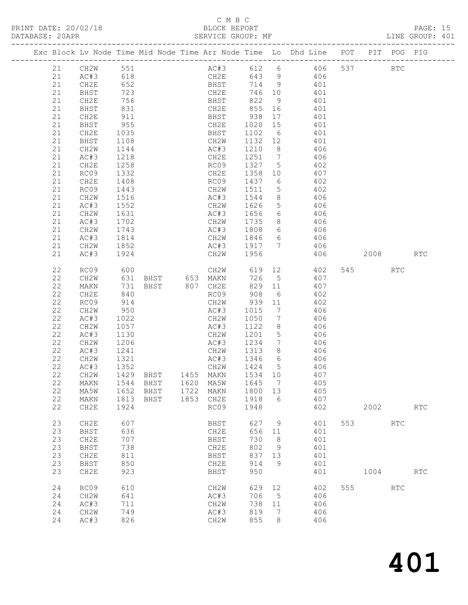# C M B C

|                                                                                                          |                                                                                                                                                                       |                                                                                                                   |                              |                              |                                                                                                            |                                                             |                                            |                                                                                                                                                                                                                                                                                                                                                                                                                                                                                                                                                                                                                                                               |            |             |                   | PAGE: 15<br>LINE GROUP: 401 |  |
|----------------------------------------------------------------------------------------------------------|-----------------------------------------------------------------------------------------------------------------------------------------------------------------------|-------------------------------------------------------------------------------------------------------------------|------------------------------|------------------------------|------------------------------------------------------------------------------------------------------------|-------------------------------------------------------------|--------------------------------------------|---------------------------------------------------------------------------------------------------------------------------------------------------------------------------------------------------------------------------------------------------------------------------------------------------------------------------------------------------------------------------------------------------------------------------------------------------------------------------------------------------------------------------------------------------------------------------------------------------------------------------------------------------------------|------------|-------------|-------------------|-----------------------------|--|
|                                                                                                          |                                                                                                                                                                       |                                                                                                                   |                              |                              |                                                                                                            |                                                             |                                            | Exc Block Lv Node Time Mid Node Time Arr Node Time Lo Dhd Line POT PIT POG PIG                                                                                                                                                                                                                                                                                                                                                                                                                                                                                                                                                                                |            |             |                   |                             |  |
| 21<br>21<br>21<br>21<br>21<br>21<br>21<br>21<br>21<br>21<br>21<br>21<br>21<br>21                         | CH2E<br>BHST<br>CH2W<br>AC#3<br>CH2E<br>RC09<br>CH2E<br>RC09<br>CH2W<br>AC#3<br>CH2W<br>AC#3<br>CH2W<br>AC#3                                                          | 1035<br>1108<br>1144<br>1218<br>1258<br>1332<br>1408<br>1443<br>1516<br>1552<br>1631<br>1702<br>1743<br>1814      |                              |                              | CH2W 1626                                                                                                  |                                                             |                                            | 21 CH2W 551 AC#3 612 6 406 537<br>CH2E 643 9 406<br>BHST 714 9 401<br>CH2E 746 10 401<br>21 AC#3 531<br>21 AC#3 618<br>21 CH2E 652<br>21 BHST 723<br>21 CH2E 756<br>21 CH2E 756<br>21 BHST 831<br>21 CH2E 911<br>21 BHST 955<br>21 BHST 938 17<br>21 BHST 938 17<br>21 BHST 938 17<br>21 BHST 938 17<br>21 BHST 938 17<br>21 BHST 938 17<br>21 BHST 9<br>BHST 1102 6 401<br>CH2W 1132 12 401<br>AC#3 1210 8 406<br>CH2E 1251 7 406<br>AC#3 1210 8 406<br>CH2E 1251 7 406<br>RC09 1327 5 402<br>CH2E 1358 10 407<br>RC09 1437 6 402<br>CH2W 1511 5 402<br>AC#3 1544 8 406<br>5 406<br>AC#3 1656 6 406<br>CH2W 1735 8 406<br>AC#3 1808 6 406<br>CH2W 1846 6 406 |            |             | <b>RTC</b>        |                             |  |
| 21<br>21                                                                                                 | CH2W<br>AC#3                                                                                                                                                          | 1852<br>1924                                                                                                      |                              |                              |                                                                                                            |                                                             |                                            | AC#3 1917 7 406<br>CH2W 1956 406<br>406 2008                                                                                                                                                                                                                                                                                                                                                                                                                                                                                                                                                                                                                  |            |             |                   | RTC                         |  |
| 22<br>22<br>22<br>22<br>22<br>22<br>22<br>22<br>22<br>22<br>22<br>22<br>22<br>22<br>22<br>22<br>22<br>22 | RC09<br>CH2W<br>MAKN<br>CH2E<br>RC09<br>CH2W<br>AC#3<br>CH2W<br>AC#3<br>CH2W<br>AC#3<br>CH2W<br>AC#3<br>CH <sub>2</sub> W<br>MAKN<br>MA5W<br>MAKN<br>CH <sub>2E</sub> | 600<br>914<br>950<br>1022<br>1057<br>1130<br>1206<br>1241<br>1321<br>1352<br>1429<br>1544<br>1652<br>1813<br>1924 | BHST<br>BHST<br>BHST<br>BHST | 1455<br>1620<br>1722<br>1853 | AC#3 1015<br>CH2W 1050<br>AC#3 1234<br>CH2W 1313 8<br>AC#3<br>CH2W<br>MAKN<br>MA5W<br>MAKN<br>CH2E<br>RC09 | 1424<br>1534<br>1645<br>1800<br>1918<br>1948                | $7\overline{ }$<br>5<br>10<br>7<br>13<br>6 | CH2W 619 12 402<br>631 BHST 653 MAKN 726 5 407<br>731 BHST 807 CH2E 829 11 407<br>840 RC09 908 6 402<br>CH2W 939 11 402<br>$\begin{array}{ccc} 7 & 406 \\ 7 & 406 \end{array}$<br>AC#3 1122 8 406<br>CH2W 1201 5 406<br>7 406<br>1313 8 406<br>1346 6 406<br>406<br>407<br>405<br>405<br>407<br>402                                                                                                                                                                                                                                                                                                                                                           |            | 545<br>2002 | <b>RTC</b>        | <b>RTC</b>                  |  |
| 23<br>23<br>23<br>23<br>23<br>23<br>23<br>24<br>24                                                       | CH2E<br>BHST<br>CH2E<br>BHST<br>CH2E<br>BHST<br>CH <sub>2E</sub><br>RC09<br>CH2W                                                                                      | 607<br>636<br>707<br>738<br>811<br>850<br>923<br>610<br>641                                                       |                              |                              | BHST<br>CH2E<br>BHST<br>CH2E<br>BHST<br>CH2E<br>BHST<br>CH <sub>2</sub> W<br>AC#3                          | 627<br>656<br>730<br>802<br>837<br>914<br>950<br>629<br>706 | 9<br>11<br>8<br>9<br>13<br>9<br>12<br>5    | 401<br>401<br>401<br>401<br>401<br>401<br>401<br>402<br>406                                                                                                                                                                                                                                                                                                                                                                                                                                                                                                                                                                                                   | 553<br>555 | 1004        | <b>RTC</b><br>RTC | <b>RTC</b>                  |  |
| 24<br>24<br>24                                                                                           | AC#3<br>CH <sub>2</sub> W<br>AC#3                                                                                                                                     | 711<br>749<br>826                                                                                                 |                              |                              | CH2W<br>AC#3<br>CH2W                                                                                       | 738<br>819<br>855                                           | 11<br>7<br>8                               | 406<br>406<br>406                                                                                                                                                                                                                                                                                                                                                                                                                                                                                                                                                                                                                                             |            |             |                   |                             |  |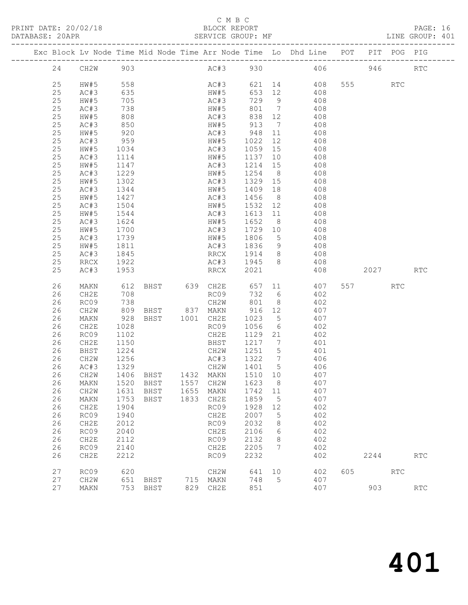# C M B C

| DATABASE: 20APR |    |             |                  |                              |           | SERVICE GROUP: MF                  |             |             | LINE GROUP: 401                                                                |          |            |            |  |
|-----------------|----|-------------|------------------|------------------------------|-----------|------------------------------------|-------------|-------------|--------------------------------------------------------------------------------|----------|------------|------------|--|
|                 |    |             |                  |                              |           |                                    |             |             | Exc Block Lv Node Time Mid Node Time Arr Node Time Lo Dhd Line POT PIT POG PIG |          |            |            |  |
|                 |    | 24 CH2W 903 |                  |                              |           |                                    |             |             | AC#3 930 406 946 RTC                                                           |          |            |            |  |
|                 | 25 | HW#5        | 558              |                              |           |                                    |             |             | AC#3 621 14 408 555 RTC                                                        |          |            |            |  |
|                 | 25 | AC#3        |                  |                              |           | HW#5                               | 653 12      |             | 408                                                                            |          |            |            |  |
|                 | 25 | HW#5        | $-38$<br>635     |                              |           | AC#3                               |             |             | $729$ 9 408                                                                    |          |            |            |  |
|                 | 25 | AC#3        | 738              |                              |           | HW#5                               |             |             | 801 7 408                                                                      |          |            |            |  |
|                 | 25 | HW#5        | 808              |                              |           | AC#3                               |             |             | 838 12 408                                                                     |          |            |            |  |
|                 | 25 | AC#3        |                  |                              |           | HW#5                               | 913 7       |             | 408                                                                            |          |            |            |  |
|                 | 25 | HW#5        | 850<br>920       |                              |           |                                    |             |             | $AC#3$ $948$ $11$ $408$                                                        |          |            |            |  |
|                 | 25 | AC#3        | 959              |                              |           |                                    |             |             | HW#5 1022 12 408                                                               |          |            |            |  |
|                 | 25 | HW#5        | 1034             |                              |           | AC#3                               |             |             | 1059 15 408                                                                    |          |            |            |  |
|                 | 25 | AC#3        | 1114             |                              |           | HW#5                               | 1137 10     |             |                                                                                |          |            |            |  |
|                 | 25 | HW#5        | $\frac{1}{1147}$ |                              |           | AC#3                               | $1214$ $15$ |             | $408$<br>$408$                                                                 |          |            |            |  |
|                 | 25 | AC#3        | 1229             |                              |           |                                    |             |             | HW#5 1254 8 408                                                                |          |            |            |  |
|                 | 25 | HW#5        | 1302             |                              |           | AC#3                               |             |             | 1329 15 408                                                                    |          |            |            |  |
|                 | 25 | AC#3        |                  |                              |           | HW#5                               | 1409 18     |             | 408                                                                            |          |            |            |  |
|                 | 25 | HW#5        | 1344<br>1427     |                              |           | AC#3                               | 1456 8      |             | 408                                                                            |          |            |            |  |
|                 | 25 | AC#3        | 1504             |                              |           |                                    |             |             | HW#5 1532 12 408                                                               |          |            |            |  |
|                 | 25 | HW#5        | 1544             |                              |           | AC#3                               |             |             | 1613 11 408                                                                    |          |            |            |  |
|                 | 25 | AC#3        |                  |                              |           | HW#5                               | 1652 8      |             | 408                                                                            |          |            |            |  |
|                 | 25 | HW#5        | 1624<br>1700     |                              |           | AC#3                               | 1729 10     |             | 408                                                                            |          |            |            |  |
|                 | 25 | AC#3        | 1739             |                              |           |                                    |             |             | HW#5 1806 5 408                                                                |          |            |            |  |
|                 | 25 | HW#5        | 1811             |                              |           |                                    |             |             | AC#3 1836 9 408                                                                |          |            |            |  |
|                 | 25 | AC#3        | 1845             |                              |           | RRCX 1914 8                        |             |             | 408                                                                            |          |            |            |  |
|                 | 25 | RRCX        | 1922             |                              |           | AC#3 1945 8                        |             |             | 408                                                                            |          |            |            |  |
|                 | 25 | AC#3        | 1953             |                              |           | RRCX 2021                          |             |             | 408                                                                            | 2027 RTC |            |            |  |
|                 | 26 | MAKN        | 612              |                              |           |                                    |             |             | BHST 639 CH2E 657 11 407                                                       | 557 RTC  |            |            |  |
|                 | 26 | CH2E        | 708              |                              |           | RC09                               | 732 6       |             | 402                                                                            |          |            |            |  |
|                 | 26 | RC09        | $100$<br>738     |                              |           |                                    |             |             | CH2W 801 8 402                                                                 |          |            |            |  |
|                 | 26 | CH2W        |                  | 809 BHST 837 MAKN 916 12 407 |           |                                    |             |             |                                                                                |          |            |            |  |
|                 | 26 | MAKN        | 928              | BHST 1001 CH2E               |           |                                    | 1023 5      |             | 407                                                                            |          |            |            |  |
|                 | 26 | CH2E        | 1028             |                              |           | RC09                               | 1056 6      |             | 402                                                                            |          |            |            |  |
|                 | 26 | RC09        | 1102             |                              |           | CH2E                               | 1129 21     |             | 402                                                                            |          |            |            |  |
|                 | 26 | CH2E        | 1150             |                              |           | <b>BHST</b>                        |             |             | 1217 7 401                                                                     |          |            |            |  |
|                 | 26 | BHST        | 1224             |                              |           | CH2W                               |             |             | 1251 5 401                                                                     |          |            |            |  |
|                 | 26 | CH2W        | 1256<br>1329     |                              |           | AC#3 1322 7<br>CH2W 1401 5<br>AC#3 |             |             | 406<br>406                                                                     |          |            |            |  |
|                 | 26 | AC#3        |                  |                              |           |                                    |             |             |                                                                                |          |            |            |  |
|                 |    |             |                  |                              |           |                                    |             |             | 26 CH2W 1406 BHST 1432 MAKN 1510 10 407                                        |          |            |            |  |
|                 | 26 | MAKN        | 1520             | BHST                         | 1557 CH2W |                                    | 1623        | 8           | 407                                                                            |          |            |            |  |
|                 | 26 | CH2W        | 1631             | BHST                         | 1655 MAKN |                                    | 1742 11     |             | 407                                                                            |          |            |            |  |
|                 | 26 | MAKN        | 1753             | BHST                         | 1833 CH2E |                                    | 1859        | $5^{\circ}$ | 407                                                                            |          |            |            |  |
|                 | 26 | CH2E        | 1904             |                              |           | RC09                               | 1928        | 12          | 402                                                                            |          |            |            |  |
|                 | 26 | RC09        | 1940             |                              |           | CH2E                               | 2007        | 5           | 402                                                                            |          |            |            |  |
|                 | 26 | CH2E        | 2012             |                              |           | RC09                               | 2032        | 8           | 402                                                                            |          |            |            |  |
|                 | 26 | RC09        | 2040             |                              |           | CH2E                               | 2106        | 6           | 402                                                                            |          |            |            |  |
|                 | 26 | CH2E        | 2112             |                              |           | RC09                               | 2132        | 8           | 402                                                                            |          |            |            |  |
|                 | 26 | RC09        | 2140             |                              |           | CH2E                               | 2205        | 7           | 402                                                                            |          |            |            |  |
|                 | 26 | CH2E        | 2212             |                              |           | RC09                               | 2232        |             | 402                                                                            | 2244     |            | <b>RTC</b> |  |
|                 | 27 | RC09        | 620              |                              |           | CH2W                               | 641         | 10          | 402                                                                            | 605 000  | <b>RTC</b> |            |  |
|                 | 27 | CH2W        | 651              | BHST                         | 715 MAKN  |                                    | 748         | $5^{\circ}$ | 407                                                                            |          |            |            |  |
|                 | 27 | MAKN        | 753              | BHST                         |           | 829 CH2E                           | 851         |             | 407                                                                            | 903      |            | <b>RTC</b> |  |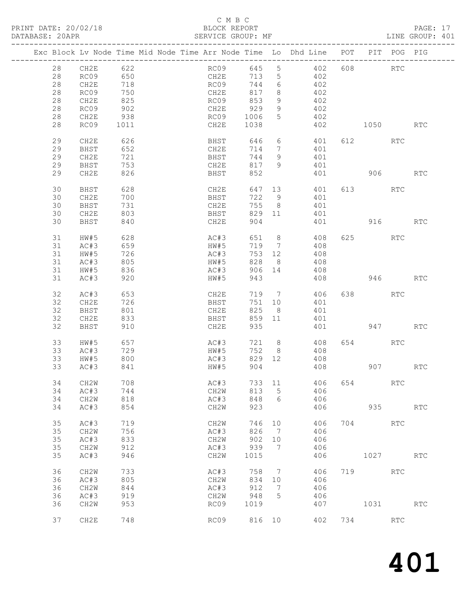# C M B C<br>BLOCK REPORT

# PAGE: 17<br>LINE GROUP: 401

|  |    |      |                   |  |      |        |                 | Exc Block Lv Node Time Mid Node Time Arr Node Time Lo Dhd Line POT PIT POG PIG |     |           |                      |                             |
|--|----|------|-------------------|--|------|--------|-----------------|--------------------------------------------------------------------------------|-----|-----------|----------------------|-----------------------------|
|  |    |      |                   |  |      |        |                 |                                                                                |     |           |                      |                             |
|  | 28 | CH2E | 622               |  | RC09 | 645    | 5 <sup>5</sup>  | 402                                                                            |     | 608 000   | $\operatorname{RTC}$ |                             |
|  | 28 | RC09 | 650<br>718<br>750 |  | CH2E | 713    | 5 <sup>5</sup>  | 402                                                                            |     |           |                      |                             |
|  | 28 | CH2E |                   |  | RC09 | 744    | $6\overline{6}$ | 402                                                                            |     |           |                      |                             |
|  | 28 | RC09 |                   |  | CH2E | 817    | 8               | 402                                                                            |     |           |                      |                             |
|  | 28 | CH2E | 825               |  | RC09 | 853    | 9               | 402                                                                            |     |           |                      |                             |
|  | 28 | RC09 | 902               |  | CH2E | 929    | 9               | 402                                                                            |     |           |                      |                             |
|  | 28 | CH2E | 938               |  | RC09 | 1006   | $5\overline{)}$ | 402                                                                            |     |           |                      |                             |
|  | 28 | RC09 | 1011              |  | CH2E | 1038   |                 | 402                                                                            |     | 1050      |                      | <b>RTC</b>                  |
|  |    |      |                   |  |      |        |                 |                                                                                |     |           |                      |                             |
|  | 29 | CH2E | 626               |  | BHST | 646    | 6               | 401                                                                            |     | 612 72    | RTC                  |                             |
|  | 29 | BHST | 652               |  | CH2E | 714    | $7\phantom{.0}$ | 401                                                                            |     |           |                      |                             |
|  |    |      |                   |  |      |        |                 |                                                                                |     |           |                      |                             |
|  | 29 | CH2E | 721               |  | BHST | 744    | 9               | 401                                                                            |     |           |                      |                             |
|  | 29 | BHST | 753               |  | CH2E | 817    | 9               | 401                                                                            |     |           |                      |                             |
|  | 29 | CH2E | 826               |  | BHST | 852    |                 | 401                                                                            |     | 906       |                      | <b>RTC</b>                  |
|  |    |      |                   |  |      |        |                 |                                                                                |     |           |                      |                             |
|  | 30 | BHST | 628               |  | CH2E | 647    | 13              | 401                                                                            |     | 613 — 100 | RTC                  |                             |
|  | 30 | CH2E | 700               |  | BHST | 722    | - 9             | 401                                                                            |     |           |                      |                             |
|  | 30 | BHST | 731               |  | CH2E | 755    | 8 <sup>8</sup>  | 401                                                                            |     |           |                      |                             |
|  | 30 | CH2E | 803               |  | BHST | 829    | 11              | 401                                                                            |     |           |                      |                             |
|  | 30 | BHST | 840               |  | CH2E | 904    |                 | 401                                                                            |     |           | 916 70               | <b>RTC</b>                  |
|  |    |      |                   |  |      |        |                 |                                                                                |     |           |                      |                             |
|  | 31 | HW#5 | 628               |  | AC#3 | 651    | 8 <sup>8</sup>  | 408                                                                            |     | 625       | RTC                  |                             |
|  |    |      |                   |  |      |        |                 |                                                                                |     |           |                      |                             |
|  | 31 | AC#3 | 659               |  | HW#5 | 719    | $\overline{7}$  | 408                                                                            |     |           |                      |                             |
|  | 31 | HW#5 | 726               |  | AC#3 | 753    | 12              | 408                                                                            |     |           |                      |                             |
|  | 31 | AC#3 | 805               |  | HW#5 | 828    | 8 <sup>8</sup>  | 408                                                                            |     |           |                      |                             |
|  | 31 | HW#5 | 836               |  | AC#3 | 906    | 14              | 408                                                                            |     |           |                      |                             |
|  | 31 | AC#3 | 920               |  | HW#5 | 943    |                 | 408                                                                            |     | 946       |                      | <b>RTC</b>                  |
|  |    |      |                   |  |      |        |                 |                                                                                |     |           |                      |                             |
|  | 32 | AC#3 | 653               |  | CH2E | 719    | $\overline{7}$  | 406                                                                            |     | 638 RTC   |                      |                             |
|  | 32 | CH2E | 726               |  | BHST | 751    | 10              | 401                                                                            |     |           |                      |                             |
|  | 32 | BHST | 801               |  | CH2E | 825    | 8               | 401                                                                            |     |           |                      |                             |
|  | 32 | CH2E | 833               |  | BHST | 859    | 11              | 401                                                                            |     |           |                      |                             |
|  | 32 | BHST | 910               |  | CH2E | 935    |                 | 401                                                                            |     |           | 947                  | <b>RTC</b>                  |
|  |    |      |                   |  |      |        |                 |                                                                                |     |           |                      |                             |
|  |    |      |                   |  |      |        |                 |                                                                                |     |           |                      |                             |
|  | 33 | HW#5 | 657               |  | AC#3 | 721    | 8 <sup>8</sup>  | 408                                                                            |     | 654       | RTC                  |                             |
|  | 33 | AC#3 | 729<br>800        |  | HW#5 | 752    | 8 <sup>8</sup>  | 408                                                                            |     |           |                      |                             |
|  | 33 | HW#5 |                   |  | AC#3 | 829 12 |                 | 408                                                                            |     |           |                      |                             |
|  | 33 | AC#3 | 841               |  | HW#5 | 904    |                 | 408                                                                            |     |           | 907 — 100            | RTC                         |
|  |    |      |                   |  |      |        |                 |                                                                                |     |           |                      |                             |
|  | 34 | CH2W | 708               |  | AC#3 |        |                 | 733 11 406 654 RTC                                                             |     |           |                      |                             |
|  | 34 | AC#3 | 744               |  | CH2W | 813    | 5               | 406                                                                            |     |           |                      |                             |
|  | 34 | CH2W | 818               |  | AC#3 | 848    | 6               | 406                                                                            |     |           |                      |                             |
|  | 34 | AC#3 | 854               |  | CH2W | 923    |                 | 406                                                                            |     | 935       |                      | $\mathop{\rm RTC}\nolimits$ |
|  |    |      |                   |  |      |        |                 |                                                                                |     |           |                      |                             |
|  | 35 | AC#3 | 719               |  | CH2W | 746    | 10              | 406                                                                            | 704 |           | <b>RTC</b>           |                             |
|  | 35 | CH2W | 756               |  | AC#3 | 826    | 7               | 406                                                                            |     |           |                      |                             |
|  |    |      |                   |  |      |        |                 |                                                                                |     |           |                      |                             |
|  | 35 | AC#3 | 833               |  | CH2W | 902    | 10              | 406                                                                            |     |           |                      |                             |
|  | 35 | CH2W | 912               |  | AC#3 | 939    | 7               | 406                                                                            |     |           |                      |                             |
|  | 35 | AC#3 | 946               |  | CH2W | 1015   |                 | 406                                                                            |     | 1027      |                      | $\operatorname{RTC}$        |
|  |    |      |                   |  |      |        |                 |                                                                                |     |           |                      |                             |
|  | 36 | CH2W | 733               |  | AC#3 | 758    | 7               | 406                                                                            | 719 |           | <b>RTC</b>           |                             |
|  | 36 | AC#3 | 805               |  | CH2W | 834    | 10              | 406                                                                            |     |           |                      |                             |
|  | 36 | CH2W | 844               |  | AC#3 | 912    | $7\phantom{.0}$ | 406                                                                            |     |           |                      |                             |
|  | 36 | AC#3 | 919               |  | CH2W | 948    | 5               | 406                                                                            |     |           |                      |                             |
|  | 36 | CH2W | 953               |  | RC09 | 1019   |                 | 407                                                                            |     | 1031      |                      | $\operatorname{RTC}$        |
|  |    |      |                   |  |      |        |                 |                                                                                |     |           |                      |                             |
|  | 37 | CH2E | 748               |  | RC09 | 816 10 |                 | 402                                                                            | 734 |           | $\operatorname{RTC}$ |                             |
|  |    |      |                   |  |      |        |                 |                                                                                |     |           |                      |                             |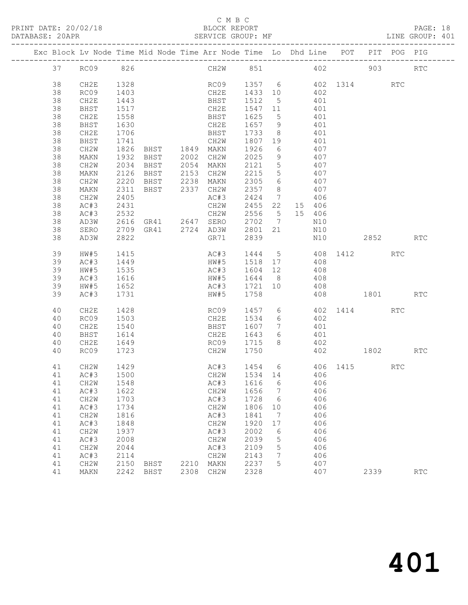# C M B C

| PRINT DATE: 20/02/18 | BLOCK REPORT      | PAGE:           |
|----------------------|-------------------|-----------------|
| DATABASE: 20APR      | SERVICE GROUP: MF | LINE GROUP: 401 |

|          |              |                      |                     | Exc Block Lv Node Time Mid Node Time Arr Node Time Lo Dhd Line POT |                             |                 |        |     |                     | PIT POG PIG |                             |
|----------|--------------|----------------------|---------------------|--------------------------------------------------------------------|-----------------------------|-----------------|--------|-----|---------------------|-------------|-----------------------------|
| 37       | RC09 826     |                      |                     | CH2W 851 402 903                                                   |                             |                 |        |     |                     |             | $\mathop{\rm RTC}\nolimits$ |
| 38<br>38 | CH2E<br>RC09 | 1328<br>1403         |                     | RC09 1357 6 402 1314 RTC<br>CH2E 1433 10                           |                             |                 |        | 402 |                     |             |                             |
| 38       | CH2E         | 1443                 |                     | BHST                                                               | 1512 5                      |                 |        | 401 |                     |             |                             |
| 38       | BHST         | 1517                 |                     | CH2E                                                               | 1547 11                     |                 |        | 401 |                     |             |                             |
| 38       | CH2E         | 1558                 |                     | BHST                                                               | 1625                        | $5^{\circ}$     | 401    |     |                     |             |                             |
| 38       | BHST         | 1630                 |                     | CH2E                                                               | 1657 9                      |                 |        | 401 |                     |             |                             |
| 38       | CH2E         | 1706                 |                     | BHST                                                               | 1733                        | 8 <sup>8</sup>  |        | 401 |                     |             |                             |
| 38       | BHST         | 1741                 |                     | CH2W                                                               | 1807 19                     |                 |        | 401 |                     |             |                             |
| 38       | CH2W         |                      | 1826 BHST 1849 MAKN |                                                                    | 1926                        | 6               |        | 407 |                     |             |                             |
| 38       | MAKN         | 1932                 | BHST                | 2002 CH2W                                                          | 2025                        | 9               |        | 407 |                     |             |                             |
| 38       | CH2W         | 2034                 | BHST                | 2054 MAKN<br>2153 CH2W                                             | 2121                        | $5\overline{)}$ |        | 407 |                     |             |                             |
| 38       | MAKN         |                      | 2126 BHST           |                                                                    | 2215                        | $5\overline{)}$ |        | 407 |                     |             |                             |
| 38       | CH2W         | 2220                 | BHST                | 2238 MAKN                                                          | 2305                        | 6               | 407    |     |                     |             |                             |
| 38       | MAKN         | 2311                 | BHST 2337 CH2W      |                                                                    | 2357                        | 8 <sup>8</sup>  |        | 407 |                     |             |                             |
| 38       | CH2W         | 2405                 |                     | AC#3                                                               | 2424<br>$2424$ ,<br>2455 22 |                 |        | 406 |                     |             |                             |
| 38       | AC#3         | 2431                 |                     | CH2W                                                               |                             |                 | 15 406 |     |                     |             |                             |
| 38       | AC#3         | 2532                 |                     | CH2W                                                               | 2556 5 15 406               |                 |        |     |                     |             |                             |
| 38       | AD3W         |                      |                     | 2616 GR41 2647 SERO 2702                                           |                             | $\overline{7}$  |        | N10 |                     |             |                             |
| 38       | SERO         |                      |                     | 2709 GR41 2724 AD3W 2801 21                                        |                             |                 | N10    |     |                     |             |                             |
| 38       | AD3W         | 2822                 |                     | GR71                                                               | 2839                        |                 |        | N10 | 2852                |             | <b>RTC</b>                  |
| 39       | HW#5         | 1415                 |                     | AC#3                                                               |                             |                 |        |     | 1444 5 408 1412     | RTC         |                             |
| 39       | AC#3         | 1449<br>1535<br>1616 |                     | HW#5                                                               | 1518 17                     |                 |        | 408 |                     |             |                             |
| 39       | HW#5         |                      |                     | AC#3                                                               | 1604 12                     |                 |        | 408 |                     |             |                             |
| 39       | AC#3         |                      |                     | HW#5 1644 8                                                        |                             |                 | 408    |     |                     |             |                             |
| 39       | HW#5         | 1652                 |                     | AC#3 1721 10                                                       |                             |                 | 408    |     |                     |             |                             |
| 39       | AC#3         | 1731                 |                     | HW#5                                                               | 1758                        |                 |        |     | 408 1801 RTC        |             |                             |
| 40       | CH2E         | 1428                 |                     | RC09                                                               |                             |                 |        |     | 1457 6 402 1414 RTC |             |                             |
| 40       | RC09         | 1503                 |                     | CH2E                                                               | 1534                        | $6\overline{6}$ |        | 402 |                     |             |                             |
| 40       | CH2E         | 1540                 |                     | BHST                                                               | 1607                        | $7\overline{ }$ |        | 401 |                     |             |                             |
| 40       | BHST         | 1614                 |                     | CH2E                                                               | 1643                        | $6\overline{6}$ |        | 401 |                     |             |                             |
| 40       | CH2E         | 1649                 |                     | RC09                                                               | 1715                        | 8               |        | 402 |                     |             |                             |
| 40       | RC09         | 1723                 |                     | CH2W                                                               | 1750                        |                 |        |     | 402 1802 RTC        |             |                             |
| 41       | CH2W         | 1429                 |                     | AC#3 1454 6                                                        |                             |                 |        |     | $406$ 1415          | RTC         |                             |
| 41       | AC#3         | 1500                 |                     | CH2W                                                               | 1534 14                     |                 |        | 406 |                     |             |                             |
|          | 41 CH2W 1548 |                      |                     | AC#3 1616 6 406                                                    |                             |                 |        |     |                     |             |                             |
| 41       | AC#3         | 1622                 |                     | CH2W                                                               | 1656                        | $\overline{7}$  |        | 406 |                     |             |                             |
| 41       | CH2W         | 1703                 |                     | AC#3                                                               | 1728                        | 6               |        | 406 |                     |             |                             |
| 41       | AC#3         | 1734                 |                     | CH2W                                                               | 1806                        | 10              |        | 406 |                     |             |                             |
| 41       | CH2W         | 1816                 |                     | AC#3                                                               | 1841                        | $\overline{7}$  |        | 406 |                     |             |                             |
| 41       | AC#3         | 1848                 |                     | CH2W                                                               | 1920                        | 17              |        | 406 |                     |             |                             |
| 41       | CH2W         | 1937                 |                     | AC#3                                                               | 2002                        | 6               |        | 406 |                     |             |                             |
| 41       | AC#3         | 2008                 |                     | CH2W                                                               | 2039                        | 5               |        | 406 |                     |             |                             |
| 41       | CH2W         | 2044                 |                     | AC#3                                                               | 2109                        | 5               |        | 406 |                     |             |                             |
| 41       | AC#3         | 2114                 |                     | CH2W                                                               | 2143                        | 7               |        | 406 |                     |             |                             |
| 41       | CH2W         | 2150                 | BHST                | 2210 MAKN                                                          | 2237                        | 5               |        | 407 |                     |             |                             |
| 41       | MAKN         |                      | 2242 BHST           | 2308 CH2W                                                          | 2328                        |                 |        | 407 | 2339                |             | RTC                         |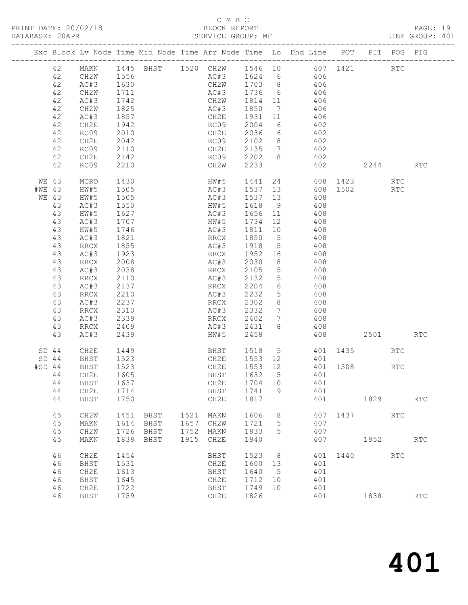PRINT DATE: 20/02/18 BLOCK REPORT<br>DATABASE: 20APR PAGE: 20APR

# C M B C<br>BLOCK REPORT

PAGE: 19<br>LINE GROUP: 401

|          |             |                     |              | Exc Block Lv Node Time Mid Node Time Arr Node Time Lo Dhd Line POT PIT POG PIG |              |                                          |                 |                 |                |                        |      |              |            |                      |
|----------|-------------|---------------------|--------------|--------------------------------------------------------------------------------|--------------|------------------------------------------|-----------------|-----------------|----------------|------------------------|------|--------------|------------|----------------------|
|          | 42          | MAKN                |              | 1445 BHST 1520 CH2W 1546 10 407 1421                                           |              |                                          |                 |                 |                |                        |      |              | <b>RTC</b> |                      |
|          | 42          | CH2W                | 1556         |                                                                                |              | AC#3 1624 6 406                          |                 |                 |                |                        |      |              |            |                      |
|          | 42          | AC#3                | 1630<br>1711 |                                                                                |              | CH2W 1703 8 406<br>AC#3 1736 6 406       |                 |                 |                |                        |      |              |            |                      |
|          | 42<br>42    | CH2W<br>AC#3        | 1742         |                                                                                |              | CH2W 1814 11 406                         |                 |                 |                |                        |      |              |            |                      |
|          | 42          | CH2W                | 1825         |                                                                                |              | AC#3                                     | 1850            |                 | 7 406          |                        |      |              |            |                      |
|          | 42          | AC#3                | 1857         |                                                                                |              | CH2E                                     | 1931 11         |                 |                |                        |      |              |            |                      |
|          | 42          | CH2E                | 1942         |                                                                                |              | RC09                                     | 2004            | $6\overline{6}$ |                | $406$<br>$402$         |      |              |            |                      |
|          | 42          | RC09                | 2010         |                                                                                |              | CH2E                                     | 2036            |                 | 6 402          |                        |      |              |            |                      |
|          | 42          | CH2E                | 2042         |                                                                                |              | RC09                                     | 2102 8 402      |                 |                |                        |      |              |            |                      |
|          | 42          | RC09                | 2110         |                                                                                |              | CH2E                                     | 2135 7          |                 |                | 402                    |      |              |            |                      |
|          | 42<br>42    | CH2E<br>RC09        | 2142<br>2210 |                                                                                |              | RC09 2202 8<br>CH2W 2233                 |                 |                 |                | 402<br>402             |      | 2244 RTC     |            |                      |
|          |             |                     |              |                                                                                |              |                                          |                 |                 |                |                        |      |              |            |                      |
|          | WE 43       | MCRO                | 1430<br>1505 |                                                                                |              | HW#5                                     | 1441            | 24              |                |                        |      | 408 1423 RTC |            |                      |
| #WE 43   |             | HW#5<br>HW#5        | 1505         |                                                                                |              | AC#3<br>AC#3 1537 13 408                 | 1537 13         |                 |                |                        |      | 408 1502 RTC |            |                      |
|          | WE 43<br>43 | AC#3                | 1550         |                                                                                |              | HW#5                                     | 1618 9          |                 | 408            |                        |      |              |            |                      |
|          | 43          | HW#5                | 1627         |                                                                                |              | AC#3                                     | 1656 11         |                 |                | 408                    |      |              |            |                      |
|          | 43          | AC#3                | 1707         |                                                                                |              | HW#5                                     | 1734 12         |                 |                | 408                    |      |              |            |                      |
|          | 43          | HW#5                | 1746         |                                                                                |              | AC#3                                     | 1811 10 408     |                 |                |                        |      |              |            |                      |
|          | 43          | AC#3                | 1821         |                                                                                |              | RRCX                                     | 1850 5 408      |                 |                |                        |      |              |            |                      |
|          | 43          | RRCX                | 1855         |                                                                                |              | AC#3                                     | 1918            | 5 <sup>5</sup>  |                | 408                    |      |              |            |                      |
|          | 43<br>43    | AC#3<br>RRCX        | 1923<br>2008 |                                                                                |              | RRCX<br>AC#3                             | 1952 16<br>2030 | 8 <sup>8</sup>  |                | 408<br>$\frac{1}{408}$ |      |              |            |                      |
|          | 43          | AC#3                | 2038         |                                                                                |              | RRCX 2105                                |                 | $5\overline{)}$ | 408            |                        |      |              |            |                      |
|          | 43          | RRCX                | 2110         |                                                                                |              | AC#3                                     | 2132            | 5 <sup>5</sup>  | 408            |                        |      |              |            |                      |
|          | 43          | AC#3                | 2137         |                                                                                |              | RRCX                                     | 2204            | $6\overline{6}$ | $408$<br>$408$ |                        |      |              |            |                      |
|          | 43          | RRCX                | 2210         |                                                                                |              | AC#3                                     | 2232            | 5 <sup>5</sup>  |                |                        |      |              |            |                      |
|          | 43          | AC#3                | 2237<br>2310 |                                                                                |              | RRCX                                     | 2302<br>2332    | 8 <sup>8</sup>  | 408            |                        |      |              |            |                      |
|          | 43<br>43    | RRCX<br>AC#3        | 2339         |                                                                                |              | AC#3<br>RRCX                             | 2402            | $\overline{7}$  | 7 408          |                        |      |              |            |                      |
|          | 43          | RRCX                | 2409         |                                                                                |              | AC#3                                     | 2431            | 8               |                | $408$<br>$408$         |      |              |            |                      |
|          | 43          | AC#3                | 2439         |                                                                                |              | HW#5                                     | 2458            |                 |                | 408                    |      | 2501         |            | <b>RTC</b>           |
|          | $SD$ 44     | CH2E                | 1449         |                                                                                |              |                                          |                 |                 |                |                        |      |              | RTC        |                      |
|          | $SD$ 44     | BHST                | 1523         |                                                                                |              | BHST 1518 5 401 1435<br>CH2E 1553 12 401 |                 |                 |                |                        |      |              |            |                      |
| $#SD$ 44 |             | BHST                | 1523         |                                                                                |              | CH2E 1553 12 401 1508 RTC                |                 |                 |                |                        |      |              |            |                      |
|          | 44          | CH2E                | 1605         |                                                                                |              | BHST                                     | 1632 5          |                 | 401            |                        |      |              |            |                      |
|          |             | 44 BHST             | 1637         |                                                                                |              | CH2E 1704 10                             |                 |                 |                | 401                    |      |              |            |                      |
|          | 44<br>44    | CH2E                | 1714<br>1750 |                                                                                |              | BHST<br>CH2E                             | 1741<br>1817    | 9               |                | 401<br>401             |      |              |            | <b>RTC</b>           |
|          |             | BHST                |              |                                                                                |              |                                          |                 |                 |                |                        |      | 1829         |            |                      |
|          | 45          | CH <sub>2</sub> M   | 1451         | BHST                                                                           | 1521         | MAKN                                     | 1606            | 8               |                | 407                    | 1437 |              | <b>RTC</b> |                      |
|          | 45          | MAKN                | 1614         | BHST                                                                           | 1657         | CH2W                                     | 1721            | 5               |                | 407                    |      |              |            |                      |
|          | 45<br>45    | CH2W<br>MAKN        | 1726<br>1838 | BHST<br>BHST                                                                   | 1752<br>1915 | MAKN<br>CH2E                             | 1833<br>1940    | 5               |                | 407<br>407             |      | 1952         |            | RTC                  |
|          |             |                     |              |                                                                                |              |                                          |                 |                 |                |                        |      |              |            |                      |
|          | 46          | CH2E                | 1454         |                                                                                |              | BHST                                     | 1523            | 8               |                | 401                    | 1440 |              | <b>RTC</b> |                      |
|          | 46          | BHST                | 1531         |                                                                                |              | CH2E                                     | 1600            | 13              |                | 401                    |      |              |            |                      |
|          | 46          | CH2E                | 1613         |                                                                                |              | BHST                                     | 1640            | - 5             |                | 401                    |      |              |            |                      |
|          | 46<br>46    | <b>BHST</b><br>CH2E | 1645<br>1722 |                                                                                |              | CH2E<br>BHST                             | 1712<br>1749    | 10<br>10        |                | 401<br>401             |      |              |            |                      |
|          | 46          | BHST                | 1759         |                                                                                |              | CH2E                                     | 1826            |                 |                | 401                    |      | 1838         |            | $\operatorname{RTC}$ |
|          |             |                     |              |                                                                                |              |                                          |                 |                 |                |                        |      |              |            |                      |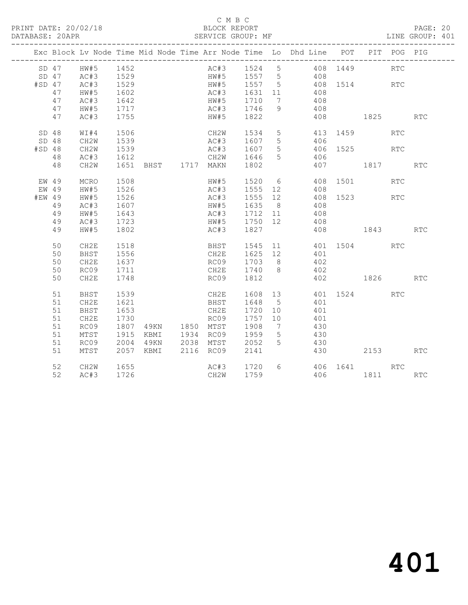# C M B C<br>BLOCK REPORT

PAGE: 20<br>LINE GROUP: 401

|        |       |      |                          |  |                |      |                                            |                | Exc Block Lv Node Time Mid Node Time Arr Node Time Lo Dhd Line POT PIT POG PIG |              |      |            |            |
|--------|-------|------|--------------------------|--|----------------|------|--------------------------------------------|----------------|--------------------------------------------------------------------------------|--------------|------|------------|------------|
|        |       |      |                          |  |                |      |                                            |                | AC#3 1524 5 408 1449<br>HW#5 1557 5 408                                        |              |      | <b>RTC</b> |            |
|        |       |      |                          |  |                |      |                                            |                | 408                                                                            |              |      |            |            |
| #SD 47 |       |      |                          |  |                |      | HW#5 1557 5                                |                | 408 1514 RTC                                                                   |              |      |            |            |
|        | 47    | HW#5 | 1602                     |  |                |      |                                            |                | AC#3 1631 11 408                                                               |              |      |            |            |
|        | 47    | AC#3 | 1642                     |  |                |      |                                            |                | HW#5 1710 7 408                                                                |              |      |            |            |
|        | 47    | HW#5 | 1717<br>1755             |  |                |      | AC#3 1746<br>HW#5 1822                     | 9              | 408                                                                            |              |      |            |            |
|        | 47    | AC#3 |                          |  |                |      |                                            |                |                                                                                | 408 1825     |      |            | <b>RTC</b> |
|        | SD 48 | WT#4 | 1506                     |  |                |      | CH2W 1534                                  | 5 <sup>5</sup> | 413 1459                                                                       |              |      | <b>RTC</b> |            |
|        | SD 48 | CH2W | 1539                     |  |                |      | AC#3 1607 5<br>AC#3 1607 5                 |                |                                                                                |              |      |            |            |
| #SD 48 |       | CH2W | 1539                     |  |                |      |                                            |                |                                                                                |              |      |            |            |
|        | 48    | AC#3 | 1612                     |  |                |      | CH2W 1646                                  | $5^{\circ}$    | 406                                                                            |              |      |            |            |
|        | 48    | CH2W | 1651 BHST 1717 MAKN 1802 |  |                |      |                                            |                |                                                                                | 407 1817 RTC |      |            |            |
|        | EW 49 | MCRO | 1508                     |  |                |      | HW#5 1520 6<br>AC#3 1555 12                |                |                                                                                | 408 1501     |      | <b>RTC</b> |            |
| EW 49  |       | HW#5 | 1526                     |  |                |      |                                            |                | 408                                                                            |              |      |            |            |
| #EW 49 |       | HW#5 | 1526                     |  |                |      | AC#3 1555 12                               |                | 408 1523 RTC                                                                   |              |      |            |            |
|        | 49    | AC#3 | 1607                     |  |                |      | HW#5 1635 8                                |                | 408                                                                            |              |      |            |            |
|        | 49    | HW#5 | 1643                     |  |                |      |                                            |                | 408                                                                            |              |      |            |            |
|        | 49    | AC#3 | 1723<br>1802             |  |                |      |                                            |                | 408                                                                            |              |      |            |            |
|        | 49    | HW#5 |                          |  |                |      | AC#3 1712 11<br>HW#5 1750 12<br>AC#3 1827  |                |                                                                                | 408 1843 RTC |      |            |            |
|        | 50    | CH2E | 1518                     |  |                |      |                                            |                | BHST 1545 11 401 1504 RTC                                                      |              |      |            |            |
|        | 50    | BHST | 1556                     |  |                |      |                                            |                | CH2E 1625 12 401                                                               |              |      |            |            |
|        | 50    | CH2E | 1637                     |  |                |      | RC09 1703 8                                |                | 402                                                                            |              |      |            |            |
|        | 50    | RC09 | 1711                     |  |                |      | CH2E 1740 8                                |                | 402                                                                            |              |      |            |            |
|        | 50    | CH2E | 1748                     |  |                |      | RC09 1812                                  |                |                                                                                | 402 1826     |      |            | <b>RTC</b> |
|        | 51    | BHST | 1539                     |  |                |      |                                            |                |                                                                                | 401 1524 RTC |      |            |            |
|        | 51    | CH2E | 1621                     |  |                |      |                                            |                | 401                                                                            |              |      |            |            |
|        | 51    | BHST | 1653                     |  |                | CH2E | 1720 10                                    |                | 401                                                                            |              |      |            |            |
|        | 51    | CH2E | 1730                     |  |                |      | RC09 1757 10                               |                | 401                                                                            |              |      |            |            |
|        | 51    | RC09 | 1807                     |  | 49KN 1850 MTST |      | 1908                                       | $\overline{7}$ | 430                                                                            |              |      |            |            |
|        | 51    | MTST | 1915<br>2004             |  |                |      | KBMI 1934 RC09 1959<br>49KN 2038 MTST 2052 | $5^{\circ}$    | 430                                                                            |              |      |            |            |
|        | 51    | RC09 | 2004                     |  |                |      |                                            | 5              | 430                                                                            |              |      |            |            |
|        | 51    | MTST |                          |  |                |      | 2057 KBMI 2116 RC09 2141                   |                |                                                                                | 430          | 2153 |            | <b>RTC</b> |
|        | 52    | CH2W | 1655                     |  |                |      | AC#3 1720<br>CH2W 1759                     |                | $6 \overline{}$                                                                | 406 1641 RTC |      |            |            |
|        | 52    | AC#3 | 1726                     |  |                | CH2W | 1759                                       |                |                                                                                | 406 1811 RTC |      |            |            |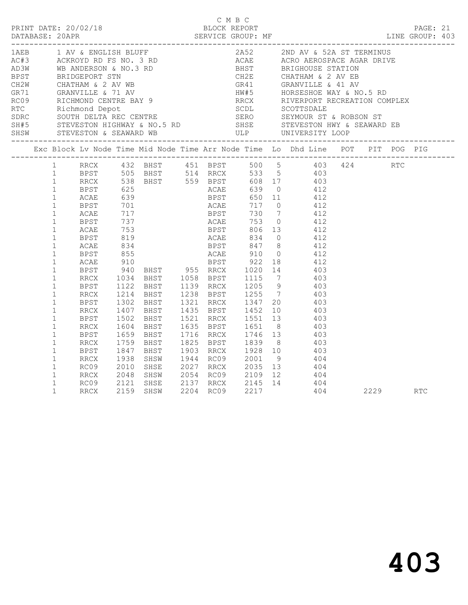|                                                                                                              |              |  |  | C M B C | PRINT DATE: 20/02/18 BLOCK REPORT<br>:DATABASE: 20APR SERVICE GROUP: MF SERVICE GROUP: ME LINE GROUP:<br>BLOCK REPORT PAGE: 21<br>SERVICE GROUP: MF LINE GROUP: 403                                                                                                                                                                                                                                                                                                                                                                                                                                                                                                                                                                             |  |  |  |
|--------------------------------------------------------------------------------------------------------------|--------------|--|--|---------|-------------------------------------------------------------------------------------------------------------------------------------------------------------------------------------------------------------------------------------------------------------------------------------------------------------------------------------------------------------------------------------------------------------------------------------------------------------------------------------------------------------------------------------------------------------------------------------------------------------------------------------------------------------------------------------------------------------------------------------------------|--|--|--|
|                                                                                                              |              |  |  |         |                                                                                                                                                                                                                                                                                                                                                                                                                                                                                                                                                                                                                                                                                                                                                 |  |  |  |
|                                                                                                              |              |  |  |         | Exc Block Lv Node Time Mid Node Time Arr Node Time Lo Dhd Line POT PIT POG PIG                                                                                                                                                                                                                                                                                                                                                                                                                                                                                                                                                                                                                                                                  |  |  |  |
| $\mathbf{1}$<br>$\mathbf{1}$<br>$\mathbf{1}$<br>$\mathbf{1}$<br>$\mathbf{1}$<br>$\mathbf{1}$<br>$\mathbf{1}$ | BPST<br>RRCX |  |  |         | 1 RRCX 432 BHST 451 BPST 500 5 403 424 RTC<br>1 BPST 505 BHST 514 RRCX 533 5 403<br>$\begin{tabular}{cccccccc} 1 & BPST & 505 & BHST & 514 & RRCX & 533 & 5 & 403 \\ 1 & RRCX & 538 & BHST & 559 & BPST & 608 & 17 & 403 \\ 1 & BPST & 625 & & ACAE & 639 & 0 & 412 \\ 1 & ACAE & 717 & & BPST & 730 & 7 & 412 \\ 1 & BPST & 701 & & ACAE & 717 & 0 & 412 \\ 1 & BPST & 737 & & ACAE & 753 & 0 & 412 \\ 1 & BPST & 819 & & B$<br>1302 BHST 1321 RRCX 1347 20 403<br>1407 BHST 1435 BPST 1452 10 403<br>REST 1502 BHST 1521 RRCX 1551 13 403<br>RRCX 1604 BHST 1635 BPST 1651 8 403<br>BPST 1659 BHST 1716 RRCX 1746 13 403<br>RRCX 1759 BHST 1825 BPST 1839 8 403<br>BPST 1847 BHST 1903 RRCX 1928 10 403<br>BPST 1847 BHST 1903 RRCX 1928 10 4 |  |  |  |
| $\mathbf{1}$<br>$\mathbf{1}$<br>$\mathbf{1}$<br>$\mathbf{1}$<br>$\mathbf{1}$                                 |              |  |  |         | RECX 1938 SHSW 1944 RC09 2001 9 404<br>RC09 2010 SHSE 2027 RRCX 2035 13 404<br>RRCX 2048 SHSW 2054 RC09 2109 12 404<br>RC09 2121 SHSE 2137 RRCX 2145 14 404<br>RRCX 2159 SHSW 2204 RC09 2217 404 2229 RTC                                                                                                                                                                                                                                                                                                                                                                                                                                                                                                                                       |  |  |  |
|                                                                                                              |              |  |  |         |                                                                                                                                                                                                                                                                                                                                                                                                                                                                                                                                                                                                                                                                                                                                                 |  |  |  |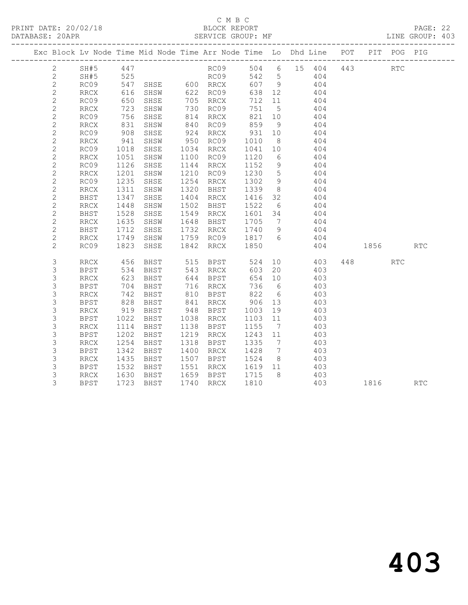## C M B C<br>BLOCK REPORT SERVICE GROUP: MF

|  |                |                              |                | Exc Block Lv Node Time Mid Node Time Arr Node Time Lo Dhd Line POT |      |              |         |                 |        |              |     |      | PIT POG PIG |                             |
|--|----------------|------------------------------|----------------|--------------------------------------------------------------------|------|--------------|---------|-----------------|--------|--------------|-----|------|-------------|-----------------------------|
|  | $\mathbf{2}$   | SH#5                         | 447            |                                                                    |      | RC09         |         |                 |        | 504 6 15 404 | 443 |      | <b>RTC</b>  |                             |
|  | 2              | SH#5                         | 525<br>547     |                                                                    |      | RC09<br>RRCX | 542 5   |                 |        | 404          |     |      |             |                             |
|  | $\sqrt{2}$     | RC09                         |                |                                                                    |      |              | 607 9   |                 |        | 404          |     |      |             |                             |
|  | 2              | RRCX                         | 616            | SHSW                                                               |      | 622 RC09     | 638 12  |                 |        | 404          |     |      |             |                             |
|  | $\overline{2}$ | RC09                         | 650            | SHSE                                                               |      | 705 RRCX     | 712     | 11              |        | 404          |     |      |             |                             |
|  | $\sqrt{2}$     | RRCX                         | 723            | SHSW                                                               |      | 730 RC09     | 751 5   |                 |        | 404          |     |      |             |                             |
|  | $\mathbf{2}$   | RC09                         | 756            | SHSE                                                               |      | 814 RRCX     | 821     | 10              |        | 404          |     |      |             |                             |
|  | $\mathbf{2}$   | RRCX                         | 831            | SHSW                                                               |      | 840 RC09     | 859     | 9               | 404    |              |     |      |             |                             |
|  | $\overline{c}$ | RC09                         | 908            | SHSE                                                               | 924  | RRCX         | 931     | 10              |        | 404          |     |      |             |                             |
|  | $\overline{c}$ | RRCX                         | 941            | SHSW                                                               |      | 950 RC09     | 1010    | 8 <sup>8</sup>  |        | 404          |     |      |             |                             |
|  | $\overline{c}$ | RC09                         | 1018           | SHSE                                                               | 1034 | RRCX         | 1041    | 10              | 404    |              |     |      |             |                             |
|  | $\mathbf{2}$   | RRCX                         | 1051           | SHSW                                                               | 1100 | RC09         | 1120    | 6               |        | 404          |     |      |             |                             |
|  | $\overline{c}$ | RC09                         | 1126           | SHSE                                                               | 1144 | RRCX         | 1152    | 9               |        | 404          |     |      |             |                             |
|  | $\mathbf{2}$   | $\mathop{\mathrm{RRCX}}$     | 1201           | SHSW                                                               |      | 1210 RC09    | 1230    | 5 <sup>5</sup>  |        | 404          |     |      |             |                             |
|  | $\mathbf{2}$   | RC09                         | 1235           | SHSE                                                               | 1254 | RRCX         | 1302    | 9               | 404    |              |     |      |             |                             |
|  | $\mathbf{2}$   | $\mathop{\rm RRCX}\nolimits$ | 1311           | SHSW                                                               | 1320 | BHST         | 1339    | 8 <sup>8</sup>  |        | 404          |     |      |             |                             |
|  | $\mathbf{2}$   | BHST                         | 1347           | SHSE                                                               | 1404 | RRCX         | 1416    | 32              |        | 404          |     |      |             |                             |
|  | $\mathbf{2}$   | RRCX                         | 1448           | SHSW                                                               | 1502 | BHST         | 1522    | 6               |        | 404          |     |      |             |                             |
|  | $\mathbf{2}$   | BHST                         | 1528           | SHSE                                                               | 1549 | RRCX         | 1601 34 |                 | 404    |              |     |      |             |                             |
|  | $\mathbf{2}$   | $\mathop{\rm RRCX}\nolimits$ | 1635           | SHSW                                                               | 1648 | BHST         | 1705    | $7\overline{ }$ |        | 404          |     |      |             |                             |
|  | $\mathbf{2}$   | BHST                         | 1712           | SHSE                                                               |      | 1732 RRCX    | 1740    | 9               |        | 404          |     |      |             |                             |
|  | $\mathbf{2}$   | RRCX                         | 1749           | SHSW                                                               | 1759 | RC09         | 1817 6  |                 |        | 404          |     |      |             |                             |
|  | $\mathbf{2}$   | RC09                         | 1823           | SHSE                                                               | 1842 | RRCX         | 1850    |                 |        | 404          |     | 1856 |             | $\mathop{\rm RTC}\nolimits$ |
|  | 3              | RRCX                         | 456            | BHST                                                               |      | 515 BPST     | 524     |                 |        | 10 403       |     |      | RTC         |                             |
|  | 3              | BPST                         | 534            | BHST                                                               |      | 543 RRCX     | 603     |                 | 20 403 |              |     |      |             |                             |
|  | $\mathsf S$    | <b>RRCX</b>                  | 623            | BHST                                                               | 644  | BPST         | 654     | 10              |        | 403          |     |      |             |                             |
|  | $\mathsf S$    | BPST                         | 704            | BHST                                                               |      | 716 RRCX     | 736     | 6               |        | 403          |     |      |             |                             |
|  | $\mathsf S$    | RRCX                         | 742            | BHST                                                               |      | 810 BPST     | 822     | $6\overline{6}$ |        | 403          |     |      |             |                             |
|  | $\mathsf S$    | BPST                         | 828            | BHST                                                               |      | 841 RRCX     | 906 13  |                 |        | 403          |     |      |             |                             |
|  | 3              | <b>RRCX</b>                  | 919            | BHST                                                               | 948  | BPST         | 1003    | 19              |        | 403          |     |      |             |                             |
|  | $\mathsf S$    | <b>BPST</b>                  | 1022           | BHST                                                               | 1038 | RRCX         | 1103    | 11              |        | 403          |     |      |             |                             |
|  | 3              | RRCX                         | 1114           | BHST                                                               | 1138 | BPST         | 1155    | $\overline{7}$  |        | 403          |     |      |             |                             |
|  | 3              | <b>BPST</b>                  | 1202           | BHST                                                               | 1219 | RRCX         | 1243    | 11              |        | 403          |     |      |             |                             |
|  | 3              | RRCX                         | 1254           | BHST                                                               | 1318 | BPST         | 1335    | $\overline{7}$  |        | 403          |     |      |             |                             |
|  | $\mathsf S$    | <b>BPST</b>                  | 1342           | BHST                                                               | 1400 | RRCX         | 1428    | $\overline{7}$  |        | 403          |     |      |             |                             |
|  | 3              | RRCX                         | 1435           | BHST                                                               | 1507 | BPST         | 1524    | 8 <sup>8</sup>  | 403    |              |     |      |             |                             |
|  | 3              | <b>BPST</b>                  | 1532           | BHST                                                               | 1551 | RRCX         | 1619    | 11              | 403    |              |     |      |             |                             |
|  | 3              | $\mathop{\rm RRCX}\nolimits$ | $1630$<br>1722 | BHST                                                               |      | 1659 BPST    | 1715    | 8 <sup>8</sup>  |        | 403          |     |      |             |                             |
|  | 3              | <b>BPST</b>                  |                | 1723 BHST                                                          | 1740 | RRCX         | 1810    |                 |        | 403          |     | 1816 |             | <b>RTC</b>                  |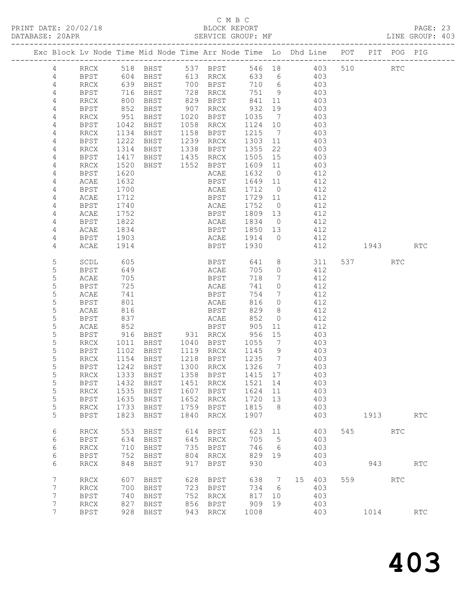PRINT DATE: 20/02/18 BLOCK REPORT<br>DATABASE: 20APR PAGE: 20APR

# C M B C<br>BLOCK REPORT

PAGE: 23<br>LINE GROUP: 403

|                |                     |                | Exc Block Lv Node Time Mid Node Time Arr Node Time Lo Dhd Line POT PIT POG PIG |            |                     |                                                           |                |           |            |     |      |                      |            |
|----------------|---------------------|----------------|--------------------------------------------------------------------------------|------------|---------------------|-----------------------------------------------------------|----------------|-----------|------------|-----|------|----------------------|------------|
| 4              |                     |                | RRCX 518 BHST 537 BPST                                                         |            |                     |                                                           |                |           | 546 18 403 |     | 510  | $\operatorname{RTC}$ |            |
| 4              | BPST                |                | 604 BHST                                                                       |            | 613 RRCX            |                                                           |                | 633 6 403 |            |     |      |                      |            |
| $\overline{4}$ | RRCX                |                |                                                                                |            | 700 BPST            | 710 6                                                     |                |           |            |     |      |                      |            |
| 4              | BPST                |                | 639 BHST<br>716 BHST                                                           |            | 728 RRCX            | 751 9                                                     |                |           | 403<br>403 |     |      |                      |            |
| 4              | RRCX                | 800            | BHST                                                                           |            | 829 BPST            | 841 11                                                    |                | 403       |            |     |      |                      |            |
| 4              | BPST                | 852            | BHST                                                                           | 907        | RRCX                | 932                                                       | 19             | 403       |            |     |      |                      |            |
| 4              | RRCX                |                | BHST                                                                           |            | 1020 BPST           | 1035                                                      | $\overline{7}$ |           | 403        |     |      |                      |            |
| 4              | BPST                | 951<br>1042    | BHST                                                                           |            | 1058 RRCX           | 1124 10                                                   |                |           | 403        |     |      |                      |            |
| 4              | RRCX                | 1134           | BHST                                                                           | 1158       | BPST                | 1215                                                      | $\overline{7}$ | 403       |            |     |      |                      |            |
| 4              | BPST                | 1222           | BHST                                                                           | 1239       | RRCX                | 1303                                                      | 11             |           | 403        |     |      |                      |            |
| 4              | RRCX                | 1314           | BHST                                                                           |            | 1338 BPST           | 1355                                                      | 22             |           | 403        |     |      |                      |            |
| 4              | BPST                | 1417           | BHST                                                                           |            | 1435 RRCX           | 1505                                                      | 15             |           | 403        |     |      |                      |            |
| 4              | RRCX                | 1520           | BHST 1552 BPST                                                                 |            |                     | 1609 11                                                   |                | 403       |            |     |      |                      |            |
| 4              | BPST                | 1620           |                                                                                |            | ACAE                | 1632                                                      | $\overline{0}$ |           | 412        |     |      |                      |            |
| 4              | ACAE                | 1632           |                                                                                |            | BPST                | 1649 11                                                   |                |           | 412        |     |      |                      |            |
| $\overline{4}$ | BPST                | 1700           |                                                                                |            | ACAE                | 1712 0                                                    |                |           | 412        |     |      |                      |            |
| 4              | ACAE                | 1712           |                                                                                |            | BPST                | 1729 11                                                   |                |           | 412        |     |      |                      |            |
| 4              | BPST                | 1740           |                                                                                |            | ACAE                | 1752                                                      | $\overline{0}$ |           | 412        |     |      |                      |            |
| 4<br>4         | ACAE                | 1752           |                                                                                |            | BPST                | 1809 13<br>1834 0                                         |                |           | 412<br>412 |     |      |                      |            |
| 4              | BPST<br>ACAE        | 1822<br>1834   |                                                                                |            | ACAE<br><b>BPST</b> | 1850 13                                                   |                |           | 412        |     |      |                      |            |
| 4              | BPST                | 1903           |                                                                                |            | ACAE 1914 0         |                                                           |                | 412       |            |     |      |                      |            |
| 4              | ACAE                | 1914           |                                                                                |            | BPST                | 1930                                                      |                | 412       |            |     | 1943 |                      | RTC        |
|                |                     |                |                                                                                |            |                     |                                                           |                |           |            |     |      |                      |            |
| 5              | SCDL                | 605            |                                                                                |            | <b>BPST</b>         |                                                           |                |           | 641 8 311  |     | 537  | RTC                  |            |
| 5              | BPST                | 649            |                                                                                |            | ACAE                | 705                                                       | $\overline{0}$ | 412       |            |     |      |                      |            |
| 5              | ACAE                | 705            |                                                                                |            | BPST                | 718                                                       | $7\phantom{0}$ |           | 412        |     |      |                      |            |
| 5              | BPST                | 725            |                                                                                |            | ACAE                | 741                                                       | $\circ$        |           | 412        |     |      |                      |            |
| 5              | ACAE                | 741            |                                                                                |            | BPST                | 754                                                       | $\overline{7}$ |           | 412        |     |      |                      |            |
| 5              | BPST                | 801            |                                                                                |            | ACAE                | 816                                                       | $\overline{0}$ |           | 412        |     |      |                      |            |
| 5              | ACAE                | 816            |                                                                                |            | BPST                | 829                                                       | 8              |           | 412        |     |      |                      |            |
| 5              | BPST                | 837<br>852     |                                                                                |            | ACAE                | 852                                                       | $\overline{0}$ |           | 412        |     |      |                      |            |
| 5<br>5         | ACAE                | 916            | BHST 931 RRCX                                                                  |            | BPST                | 905<br>956                                                | 11<br>15       |           | 412<br>403 |     |      |                      |            |
| 5              | BPST<br>RRCX        | 1011           | BHST                                                                           |            | 1040 BPST           | 1055                                                      | $\overline{7}$ |           | 403        |     |      |                      |            |
| 5              | BPST                | 1102           | BHST                                                                           |            | 1119 RRCX           | 1145                                                      | 9              |           | 403        |     |      |                      |            |
| 5              | RRCX                | $1102$<br>1154 | BHST                                                                           |            | 1218 BPST           | $\begin{array}{cc}\n1 & 1 \\ 1 & 2 \\ 1 & 3\n\end{array}$ |                |           | 403        |     |      |                      |            |
| 5              | BPST                | 1242           | BHST                                                                           |            | 1300 RRCX           | 1326 7                                                    |                |           | 403        |     |      |                      |            |
| 5              | RRCX                |                | 1333 BHST                                                                      |            | 1358 BPST           | 1415 17                                                   |                | 403       |            |     |      |                      |            |
| 5              | <b>BPST</b>         |                | 1432 BHST                                                                      |            | 1451 RRCX           | 1521 14                                                   |                |           | 403        |     |      |                      |            |
| 5              | <b>RRCX</b>         | 1535           | BHST                                                                           | 1607       | <b>BPST</b>         | 1624                                                      | 11             |           | 403        |     |      |                      |            |
| 5              | <b>BPST</b>         | 1635           | BHST                                                                           | 1652       | RRCX                | 1720                                                      | 13             |           | 403        |     |      |                      |            |
| 5              | <b>RRCX</b>         | 1733           | <b>BHST</b>                                                                    | 1759       | BPST                | 1815                                                      | 8              |           | 403        |     |      |                      |            |
| 5              | <b>BPST</b>         | 1823           | BHST                                                                           | 1840       | RRCX                | 1907                                                      |                |           | 403        |     | 1913 |                      | RTC        |
|                |                     |                |                                                                                |            |                     |                                                           |                |           |            |     |      |                      |            |
| 6<br>6         | RRCX<br><b>BPST</b> | 553<br>634     | BHST<br><b>BHST</b>                                                            | 614<br>645 | <b>BPST</b><br>RRCX | 623<br>705                                                | 11<br>5        |           | 403<br>403 | 545 |      | RTC                  |            |
| 6              | <b>RRCX</b>         | 710            | BHST                                                                           | 735        | <b>BPST</b>         | 746                                                       | 6              |           | 403        |     |      |                      |            |
| 6              | <b>BPST</b>         | 752            | BHST                                                                           | 804        | RRCX                | 829                                                       | 19             |           | 403        |     |      |                      |            |
| 6              | <b>RRCX</b>         | 848            | BHST                                                                           | 917        | <b>BPST</b>         | 930                                                       |                |           | 403        |     | 943  |                      | RTC        |
|                |                     |                |                                                                                |            |                     |                                                           |                |           |            |     |      |                      |            |
| 7              | <b>RRCX</b>         | 607            | BHST                                                                           | 628        | BPST                | 638                                                       | 7              | 15        | 403        | 559 |      | <b>RTC</b>           |            |
| 7              | <b>RRCX</b>         | 700            | BHST                                                                           | 723        | BPST                | 734                                                       | 6              |           | 403        |     |      |                      |            |
| 7              | <b>BPST</b>         | 740            | <b>BHST</b>                                                                    | 752        | RRCX                | 817                                                       | 10             |           | 403        |     |      |                      |            |
| 7              | <b>RRCX</b>         | 827            | BHST                                                                           | 856        | <b>BPST</b>         | 909                                                       | 19             |           | 403        |     |      |                      |            |
| 7              | <b>BPST</b>         | 928            | BHST                                                                           | 943        | RRCX                | 1008                                                      |                |           | 403        |     | 1014 |                      | <b>RTC</b> |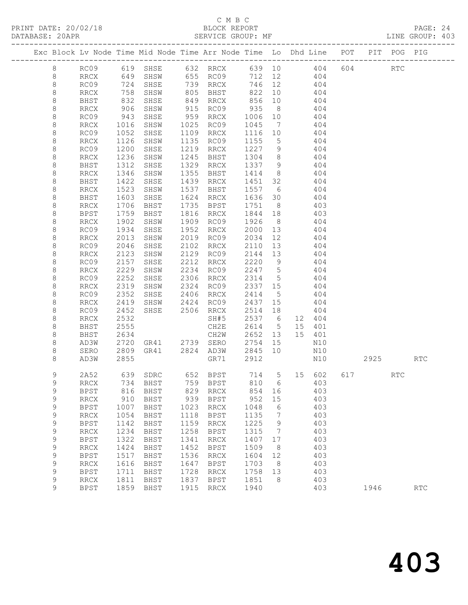# C M B C<br>BLOCK REPORT<br>SERVICE GROUP: MF

| DATABASE: 20APR | ------------------- |                     |              |      | SERVICE GROUP: MF                                                                            |                   |                |                                                                                        |      |     | LINE GROUP: 403 |  |
|-----------------|---------------------|---------------------|--------------|------|----------------------------------------------------------------------------------------------|-------------------|----------------|----------------------------------------------------------------------------------------|------|-----|-----------------|--|
|                 |                     |                     |              |      |                                                                                              |                   |                | Exc Block Lv Node Time Mid Node Time Arr Node Time Lo Dhd Line POT PIT POG PIG         |      |     |                 |  |
| 8               |                     |                     |              |      |                                                                                              |                   |                | RC09 619 SHSE 632 RRCX 639 10 404 604 RTC                                              |      |     |                 |  |
| 8               |                     |                     |              |      |                                                                                              |                   |                | RRCX 649 SHSW 655 RC09 712 12 404                                                      |      |     |                 |  |
| 8               | RC09                |                     |              |      | 724 SHSE 739 RRCX 746 12 404<br>758 SHSW 805 BHST 822 10 404<br>832 SHSE 849 RRCX 856 10 404 |                   |                |                                                                                        |      |     |                 |  |
| $\,8\,$         | RRCX                |                     |              |      |                                                                                              |                   |                |                                                                                        |      |     |                 |  |
| 8               | BHST                |                     |              |      |                                                                                              |                   |                | $\begin{array}{c} \overline{1} & \overline{0} & \overline{1} \\ 4 & 0 & 4 \end{array}$ |      |     |                 |  |
| 8               | RRCX                | 906                 | SHSW         |      | 915 RC09 935 8                                                                               |                   |                | 404                                                                                    |      |     |                 |  |
| 8               | RC09                |                     | SHSE         |      | 959 RRCX                                                                                     | 1006 10           |                | 404                                                                                    |      |     |                 |  |
| $\,8\,$         | RRCX                |                     | SHSW         |      | 1025 RC09                                                                                    | 1045 7            |                | 404                                                                                    |      |     |                 |  |
| $\,8\,$         | RC09                | 943<br>1016<br>1052 | SHSE         |      | 1109 RRCX                                                                                    | 1116 10           |                | 404                                                                                    |      |     |                 |  |
| 8               | RRCX                | 1126                | SHSW         |      | 1135 RC09                                                                                    | 1155 5            |                | 404                                                                                    |      |     |                 |  |
| 8               | RC09                | 1200                | SHSE         |      | 1219 RRCX                                                                                    | 1227 9            |                | 404                                                                                    |      |     |                 |  |
| 8               | RRCX                | 1236<br>1312        | SHSW         |      | 1245 BHST                                                                                    | 1304 8<br>1337 9  |                | 404                                                                                    |      |     |                 |  |
| $\,8\,$         | BHST                |                     | SHSE         |      | 1329 RRCX                                                                                    |                   |                | $1337$ 9 404                                                                           |      |     |                 |  |
| 8               | RRCX                | 1346                | SHSW         |      | 1355 BHST 1414 8 404                                                                         |                   |                |                                                                                        |      |     |                 |  |
| $\,8\,$         | BHST                | 1422                | SHSE         |      | 1439 RRCX                                                                                    |                   |                | 1451 32 404                                                                            |      |     |                 |  |
| 8               | RRCX                | 1523<br>1603        | SHSW         |      | 1537 BHST                                                                                    | 1557 6<br>1636 30 |                | 404                                                                                    |      |     |                 |  |
| $\,8\,$         | BHST                |                     | SHSE         |      | 1624 RRCX                                                                                    |                   |                | 404                                                                                    |      |     |                 |  |
| 8               | RRCX                | 1706                | <b>BHST</b>  |      | 1735 BPST 1751 8                                                                             |                   |                | 403                                                                                    |      |     |                 |  |
| 8               | BPST                | 1759                | BHST         |      | 1816 RRCX                                                                                    | 1844 18           |                | 403                                                                                    |      |     |                 |  |
| 8               | RRCX                | 1902<br>1934        | SHSW         |      | 1909 RC09                                                                                    | 1926              | 8 <sup>2</sup> | 404                                                                                    |      |     |                 |  |
| $\,8\,$         | RC09                |                     | SHSE         |      | 1952 RRCX                                                                                    | 2000 13           |                | 404                                                                                    |      |     |                 |  |
| 8               | RRCX                | 2013                | SHSW         |      | 2019 RC09                                                                                    | 2034 12           |                | 404                                                                                    |      |     |                 |  |
| 8               | RC09                | 2046                | SHSE         |      | 2102 RRCX                                                                                    |                   |                | 2110 13 404                                                                            |      |     |                 |  |
| 8               | RRCX                | 2123                | SHSW         |      | 2129 RC09                                                                                    | 2144 13           |                | 404                                                                                    |      |     |                 |  |
| $\,8\,$         | RC09                | 2157                | SHSE         |      | 2212 RRCX<br>2234 RC09 2247 5                                                                | 2220 9            |                | 404<br>404                                                                             |      |     |                 |  |
| 8               | RRCX                | 2229                | SHSW         |      |                                                                                              |                   |                |                                                                                        |      |     |                 |  |
| 8               | RC09                | 2252                | SHSE         |      | 2306 RRCX                                                                                    | 2314 5            |                | 404                                                                                    |      |     |                 |  |
| 8               | RRCX                | 2319                | SHSW         |      | 2324 RC09                                                                                    | 2337 15           |                | 404                                                                                    |      |     |                 |  |
| 8               | RC09                | 2352<br>2419        | SHSE         |      | 2406 RRCX<br>SHSW 2424 RC09 2437 15                                                          | 2414 5            |                | 404<br>404                                                                             |      |     |                 |  |
| 8<br>8          | RRCX<br>RC09        | 2452                |              |      | SHSE 2506 RRCX                                                                               | 2514 18           |                | 404                                                                                    |      |     |                 |  |
| 8               | RRCX                | 2532                |              |      | SH#5                                                                                         | 2537 6            |                | 12 404                                                                                 |      |     |                 |  |
| 8               | BHST                | 2555                |              |      |                                                                                              |                   |                | 15 401                                                                                 |      |     |                 |  |
| 8               | BHST                | 2634                |              |      | CH2E 2614 5<br>CH2W 2652 13                                                                  | 2652 13           |                | 15 401                                                                                 |      |     |                 |  |
| 8               | AD3W                | 2720                |              |      | GR41 2739 SERO 2754 15                                                                       |                   |                | N10                                                                                    |      |     |                 |  |
| 8               | SERO                | 2809                |              |      | GR41 2824 AD3W                                                                               | 2845 10           |                | N10                                                                                    |      |     |                 |  |
| 8               | AD3W                | 2855                |              |      | GR71                                                                                         | 2912              |                | N10                                                                                    | 2925 |     | RTC             |  |
| 9               |                     |                     |              |      |                                                                                              |                   |                | 639 SDRC 652 BPST 714 5 15 602 617                                                     |      |     |                 |  |
|                 | 2A52                | 734                 |              | 759  |                                                                                              |                   |                |                                                                                        |      | RTC |                 |  |
| 9<br>9          | RRCX<br><b>BPST</b> | 816                 | BHST<br>BHST | 829  | BPST<br>RRCX                                                                                 | 810<br>854        | 6<br>16        | 403<br>403                                                                             |      |     |                 |  |
| 9               | <b>RRCX</b>         | 910                 | BHST         | 939  | BPST                                                                                         | 952               | 15             | 403                                                                                    |      |     |                 |  |
| 9               | <b>BPST</b>         | 1007                | BHST         | 1023 | RRCX                                                                                         | 1048              | 6              | 403                                                                                    |      |     |                 |  |
| 9               | <b>RRCX</b>         | 1054                | BHST         | 1118 | <b>BPST</b>                                                                                  | 1135              | $\overline{7}$ | 403                                                                                    |      |     |                 |  |
| 9               | <b>BPST</b>         | 1142                | <b>BHST</b>  | 1159 | $\operatorname{RRCX}$                                                                        | 1225              | 9              | 403                                                                                    |      |     |                 |  |
| $\mathsf 9$     | <b>RRCX</b>         | 1234                | BHST         | 1258 | <b>BPST</b>                                                                                  | 1315              | $\overline{7}$ | 403                                                                                    |      |     |                 |  |
| 9               | <b>BPST</b>         | 1322                | <b>BHST</b>  | 1341 | RRCX                                                                                         | 1407              | 17             | 403                                                                                    |      |     |                 |  |
| 9               | <b>RRCX</b>         | 1424                | BHST         | 1452 | BPST                                                                                         | 1509              | 8              | 403                                                                                    |      |     |                 |  |
| 9               | <b>BPST</b>         | 1517                | <b>BHST</b>  | 1536 | $\operatorname{RRCX}$                                                                        | 1604              | 12             | 403                                                                                    |      |     |                 |  |
| $\mathsf 9$     | <b>RRCX</b>         | 1616                | BHST         | 1647 | <b>BPST</b>                                                                                  | 1703              | 8              | 403                                                                                    |      |     |                 |  |
| 9               | <b>BPST</b>         | 1711                | BHST         | 1728 | RRCX                                                                                         | 1758              | 13             | 403                                                                                    |      |     |                 |  |
| 9               | <b>RRCX</b>         | 1811                | BHST         | 1837 | BPST                                                                                         | 1851              | - 8            | 403                                                                                    |      |     |                 |  |
| 9               | <b>BPST</b>         | 1859                | BHST         | 1915 | RRCX                                                                                         | 1940              |                | 403                                                                                    | 1946 |     | <b>RTC</b>      |  |
|                 |                     |                     |              |      |                                                                                              |                   |                |                                                                                        |      |     |                 |  |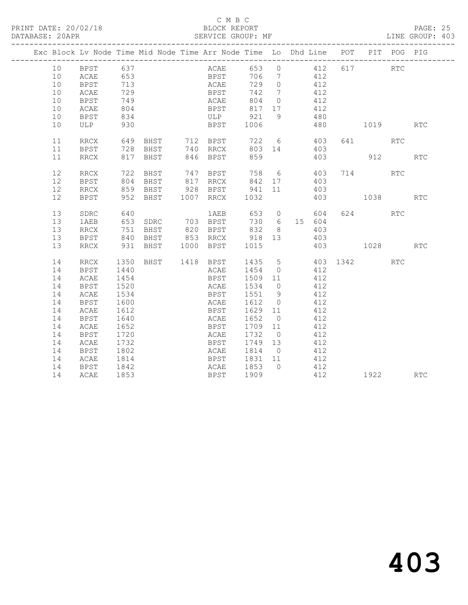# C M B C

## DATABASE: 20APR SERVICE GROUP: MF LINE GROUP: 403

|  |    | Exc Block Lv Node Time Mid Node Time Arr Node Time Lo Dhd Line POT PIT POG PIG<br>k Lv Noul<br>-----------------<br>BPST 637<br><sup>--</sup> CAE 653<br>713 |      |                                                                                   |  |      |             |                                                                          |                |                 |            |                                          |     |            |
|--|----|--------------------------------------------------------------------------------------------------------------------------------------------------------------|------|-----------------------------------------------------------------------------------|--|------|-------------|--------------------------------------------------------------------------|----------------|-----------------|------------|------------------------------------------|-----|------------|
|  | 10 |                                                                                                                                                              |      |                                                                                   |  |      |             |                                                                          |                |                 |            | ACAE 653 0 412 617 RTC<br>BPST 706 7 412 |     |            |
|  | 10 |                                                                                                                                                              |      |                                                                                   |  |      |             |                                                                          |                |                 | 412        |                                          |     |            |
|  | 10 |                                                                                                                                                              |      |                                                                                   |  |      | <b>ACAE</b> | 729 0                                                                    |                | 412             |            |                                          |     |            |
|  | 10 | ACAE                                                                                                                                                         | 729  |                                                                                   |  |      | <b>BPST</b> | 742 7                                                                    |                | 412             |            |                                          |     |            |
|  | 10 | BPST                                                                                                                                                         | 749  |                                                                                   |  |      |             |                                                                          |                |                 | 412        |                                          |     |            |
|  | 10 | ACAE                                                                                                                                                         | 804  |                                                                                   |  |      |             | ACAE 804 0<br>BPST 817 17<br>ULP 921 9                                   |                |                 | 412        |                                          |     |            |
|  | 10 | <b>BPST</b>                                                                                                                                                  | 834  |                                                                                   |  |      |             |                                                                          |                | $\frac{1}{480}$ |            |                                          |     |            |
|  | 10 | ULP                                                                                                                                                          | 930  |                                                                                   |  |      | <b>BPST</b> | 1006                                                                     |                |                 |            | 480 1019                                 |     | <b>RTC</b> |
|  | 11 | RRCX                                                                                                                                                         |      |                                                                                   |  |      |             |                                                                          |                |                 | 403        | 641 RTC                                  |     |            |
|  | 11 | BPST                                                                                                                                                         |      |                                                                                   |  |      |             |                                                                          |                |                 | 403        |                                          |     |            |
|  | 11 | RRCX                                                                                                                                                         |      |                                                                                   |  |      | 846 BPST    |                                                                          |                |                 | 403        | 912 RTC                                  |     |            |
|  | 12 | RRCX                                                                                                                                                         | 722  | BHST                                                                              |  |      |             | 747 BPST 758 6 403                                                       |                |                 |            | 714 RTC                                  |     |            |
|  | 12 | BPST                                                                                                                                                         |      |                                                                                   |  |      |             |                                                                          |                |                 | 403        |                                          |     |            |
|  | 12 | RRCX                                                                                                                                                         |      | 804 BHST<br>859 BHST                                                              |  |      |             | 817 RRCX             842       17<br>928     BPST             941     11 |                |                 | 403        |                                          |     |            |
|  | 12 | BPST                                                                                                                                                         |      | 952 BHST                                                                          |  |      | 1007 RRCX   | 1032                                                                     |                |                 |            | 403 1038                                 |     | <b>RTC</b> |
|  | 13 | SDRC                                                                                                                                                         |      |                                                                                   |  |      |             |                                                                          |                |                 |            | 624 RTC                                  |     |            |
|  | 13 | 1AEB                                                                                                                                                         |      | 640         1AEB   653   0     604<br>653  SDRC    703  BPST    730   6   15  604 |  |      |             |                                                                          |                |                 |            |                                          |     |            |
|  | 13 | RRCX                                                                                                                                                         |      | 751 BHST                                                                          |  |      | 820 BPST    | 832                                                                      |                | 8 <sup>1</sup>  | 403        |                                          |     |            |
|  | 13 | BPST                                                                                                                                                         |      | 840 BHST 853 RRCX 918 13                                                          |  |      |             |                                                                          |                | 403             |            |                                          |     |            |
|  | 13 | RRCX                                                                                                                                                         |      | 931 BHST 1000 BPST 1015                                                           |  |      |             |                                                                          |                |                 |            | 403 1028                                 |     | <b>RTC</b> |
|  | 14 | RRCX                                                                                                                                                         | 1350 | BHST 1418 BPST                                                                    |  |      |             |                                                                          |                |                 |            | 1435 5 403 1342                          | RTC |            |
|  | 14 | BPST                                                                                                                                                         | 1440 |                                                                                   |  |      |             | ACAE 1454 0                                                              |                | 412             |            |                                          |     |            |
|  | 14 | ACAE                                                                                                                                                         | 1454 |                                                                                   |  |      | BPST        | 1509 11                                                                  |                | 412             |            |                                          |     |            |
|  | 14 | <b>BPST</b>                                                                                                                                                  | 1520 |                                                                                   |  | ACAE |             | 1534 0                                                                   |                |                 | 412        |                                          |     |            |
|  | 14 | ACAE                                                                                                                                                         | 1534 |                                                                                   |  |      |             | BPST 1551 9                                                              |                |                 | 412        |                                          |     |            |
|  | 14 | <b>BPST</b>                                                                                                                                                  | 1600 |                                                                                   |  |      |             | ACAE 1612 0                                                              |                |                 | 412        |                                          |     |            |
|  | 14 | ACAE                                                                                                                                                         | 1612 |                                                                                   |  |      | <b>BPST</b> | 1629 11                                                                  |                | 412             |            |                                          |     |            |
|  | 14 | BPST                                                                                                                                                         | 1640 |                                                                                   |  | ACAE |             | 1652                                                                     | $\overline{0}$ |                 | 412        |                                          |     |            |
|  | 14 | ACAE                                                                                                                                                         | 1652 |                                                                                   |  | BPST |             | 1709 11                                                                  |                |                 | 412        |                                          |     |            |
|  | 14 | BPST                                                                                                                                                         | 1720 |                                                                                   |  | ACAE |             | 1732                                                                     | $\overline{0}$ |                 | 412        |                                          |     |            |
|  | 14 | ACAE                                                                                                                                                         | 1732 |                                                                                   |  |      |             | BPST 1749 13                                                             |                | 412             |            |                                          |     |            |
|  | 14 | <b>BPST</b>                                                                                                                                                  | 1802 |                                                                                   |  |      | ACAE        | 1814 0                                                                   |                | 412             |            |                                          |     |            |
|  | 14 | ACAE                                                                                                                                                         | 1814 |                                                                                   |  |      |             | BPST 1831 11                                                             |                | 412             |            |                                          |     |            |
|  | 14 | <b>BPST</b>                                                                                                                                                  | 1842 |                                                                                   |  |      |             | ACAE 1853 0                                                              |                |                 | 412<br>412 |                                          |     |            |
|  | 14 | ACAE                                                                                                                                                         | 1853 |                                                                                   |  |      | <b>BPST</b> | 1909                                                                     |                |                 |            | 1922 RTC                                 |     |            |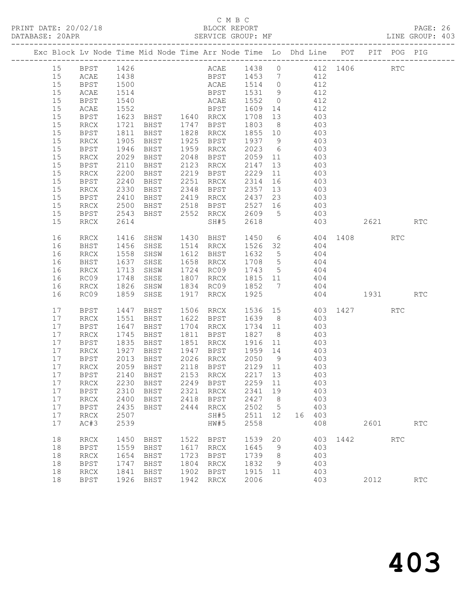# C M B C

|    |                          |      | Exc Block Lv Node Time Mid Node Time Arr Node Time Lo Dhd Line POT PIT POG PIG               |      |                              |                                                                    |    |            |     |                      |      |                      |            |  |
|----|--------------------------|------|----------------------------------------------------------------------------------------------|------|------------------------------|--------------------------------------------------------------------|----|------------|-----|----------------------|------|----------------------|------------|--|
|    |                          |      | 15 BPST 1426                                                                                 |      | ACAE 1438 0 412 1406         |                                                                    |    |            |     |                      |      | RTC                  |            |  |
| 15 | ACAE                     |      |                                                                                              |      |                              |                                                                    |    |            |     |                      |      |                      |            |  |
| 15 | <b>BPST</b>              |      |                                                                                              |      |                              |                                                                    |    |            |     |                      |      |                      |            |  |
| 15 | ACAE                     |      | 1438 BPST 1453 7 412<br>1500 ACAE 1514 0 412<br>1514 BPST 1531 9 412<br>1540 ACAE 1552 0 412 |      |                              |                                                                    |    |            |     |                      |      |                      |            |  |
| 15 | <b>BPST</b>              |      |                                                                                              |      |                              |                                                                    |    |            |     |                      |      |                      |            |  |
| 15 | ACAE                     | 1552 | <b>BPST</b>                                                                                  |      |                              | 1609 14 412                                                        |    |            |     |                      |      |                      |            |  |
| 15 | BPST                     | 1623 | BHST 1640 RRCX                                                                               |      |                              |                                                                    |    |            |     |                      |      |                      |            |  |
| 15 | RRCX                     | 1721 | BHST 1747 BPST                                                                               |      |                              | 1708 13 403<br>1803 8 403<br>1803                                  |    |            |     |                      |      |                      |            |  |
| 15 | <b>BPST</b>              | 1811 | BHST                                                                                         |      | 1828 RRCX                    | $1855$ 10 403                                                      |    |            |     |                      |      |                      |            |  |
| 15 | RRCX                     | 1905 | BHST                                                                                         |      | 1925 BPST                    | 1937 9 403                                                         |    |            |     |                      |      |                      |            |  |
| 15 | BPST                     | 1946 | BHST                                                                                         |      | 1959 RRCX                    |                                                                    |    | 2023 6 403 |     |                      |      |                      |            |  |
| 15 | RRCX                     | 2029 | BHST                                                                                         | 2048 | BPST                         |                                                                    |    |            |     |                      |      |                      |            |  |
| 15 | BPST                     | 2110 | BHST                                                                                         | 2123 | RRCX                         | 2059 11 403<br>2147 13 403                                         |    |            |     |                      |      |                      |            |  |
| 15 | RRCX                     | 2200 | BHST                                                                                         |      | 2219 BPST                    | 2229                                                               |    | 11 403     |     |                      |      |                      |            |  |
| 15 | BPST                     | 2240 | BHST                                                                                         | 2251 | RRCX                         | 2314                                                               |    | 16 403     |     |                      |      |                      |            |  |
| 15 | RRCX                     | 2330 | BHST                                                                                         |      | 2348 BPST                    |                                                                    |    |            |     |                      |      |                      |            |  |
| 15 | BPST                     | 2410 | BHST                                                                                         |      | 2419 RRCX                    | 2357 13 403<br>2437 23 403                                         |    |            |     |                      |      |                      |            |  |
| 15 | RRCX                     | 2500 | BHST                                                                                         |      | 2518 BPST 2527 16 403        |                                                                    |    |            |     |                      |      |                      |            |  |
| 15 | BPST                     | 2543 | BHST                                                                                         |      | 2552 RRCX 2609 5 403         |                                                                    |    |            |     |                      |      |                      |            |  |
| 15 | RRCX                     | 2614 |                                                                                              |      | SH#5                         | 2618                                                               |    | 403        |     |                      |      | 2621                 | RTC        |  |
|    |                          |      |                                                                                              |      |                              |                                                                    |    |            |     |                      |      |                      |            |  |
| 16 | RRCX                     | 1416 | SHSW 1430 BHST                                                                               |      |                              |                                                                    |    |            |     | 1450 6 404 1408      |      | <b>RTC</b>           |            |  |
| 16 | BHST                     | 1456 | SHSE                                                                                         |      | 1514 RRCX                    | 1526 32 404                                                        |    |            |     |                      |      |                      |            |  |
| 16 | RRCX                     | 1558 | SHSW                                                                                         |      | 1612 BHST                    |                                                                    |    |            |     |                      |      |                      |            |  |
| 16 | BHST                     | 1637 | SHSE                                                                                         |      | 1658 RRCX                    | $\begin{array}{cccc} 1632 & 5 & 404 \\ 1708 & 5 & 404 \end{array}$ |    |            |     |                      |      |                      |            |  |
|    |                          |      |                                                                                              |      | 1724 RC09                    | 1743 5 404                                                         |    |            |     |                      |      |                      |            |  |
| 16 | RRCX                     | 1713 | SHSW                                                                                         |      |                              |                                                                    |    |            |     |                      |      |                      |            |  |
| 16 | RC09                     | 1748 | SHSE                                                                                         |      | 1807 RRCX                    | 1815 11 404                                                        |    |            |     |                      |      |                      |            |  |
| 16 | RRCX                     | 1826 | SHSW                                                                                         |      | 1834 RC09                    | 1852 7 404                                                         |    |            |     |                      |      |                      |            |  |
| 16 | RC09                     | 1859 | SHSE                                                                                         | 1917 | RRCX                         | 1925                                                               |    |            |     | 404 1931 RTC         |      |                      |            |  |
| 17 | BPST                     | 1447 | BHST                                                                                         |      | 1506 RRCX                    |                                                                    |    |            |     | 1536 15 403 1427 RTC |      |                      |            |  |
| 17 | RRCX                     | 1551 | BHST                                                                                         |      | 1622 BPST                    | 1639 8 403<br>1734 11 403                                          |    |            |     |                      |      |                      |            |  |
| 17 | BPST                     | 1647 | BHST                                                                                         |      | 1704 RRCX                    |                                                                    |    |            |     |                      |      |                      |            |  |
| 17 | RRCX                     | 1745 | BHST                                                                                         |      | 1811 BPST                    | 1734 11 403<br>1827 8 403                                          |    |            |     |                      |      |                      |            |  |
| 17 | BPST                     | 1835 | BHST                                                                                         |      | 1851 RRCX                    | 1916 11 403                                                        |    |            |     |                      |      |                      |            |  |
| 17 | $\mathop{\mathrm{RRCX}}$ | 1927 | BHST                                                                                         | 1947 | BPST                         | 1959 14                                                            |    |            | 403 |                      |      |                      |            |  |
| 17 | BPST                     | 2013 | <b>BHST</b>                                                                                  | 2026 | <b>RRCX</b>                  | 2050                                                               | 9  |            | 403 |                      |      |                      |            |  |
| 17 | <b>RRCX</b>              | 2059 | BHST                                                                                         | 2118 | <b>BPST</b>                  | 2129                                                               | 11 |            | 403 |                      |      |                      |            |  |
| 17 | <b>BPST</b>              | 2140 | BHST                                                                                         | 2153 | RRCX                         | 2217                                                               | 13 |            | 403 |                      |      |                      |            |  |
| 17 | <b>RRCX</b>              | 2230 | BHST                                                                                         | 2249 | <b>BPST</b>                  | 2259                                                               | 11 |            | 403 |                      |      |                      |            |  |
| 17 | <b>BPST</b>              | 2310 | BHST                                                                                         | 2321 | <b>RRCX</b>                  | 2341                                                               | 19 |            | 403 |                      |      |                      |            |  |
| 17 | <b>RRCX</b>              | 2400 | BHST                                                                                         | 2418 | <b>BPST</b>                  | 2427                                                               | 8  |            | 403 |                      |      |                      |            |  |
| 17 | <b>BPST</b>              | 2435 | BHST                                                                                         | 2444 | <b>RRCX</b>                  | 2502                                                               | 5  |            | 403 |                      |      |                      |            |  |
| 17 | <b>RRCX</b>              | 2507 |                                                                                              |      | SH#5                         | 2511                                                               | 12 | 16         | 403 |                      |      |                      |            |  |
| 17 | AC#3                     | 2539 |                                                                                              |      | HW#5                         | 2558                                                               |    |            | 408 |                      | 2601 |                      | <b>RTC</b> |  |
|    |                          |      |                                                                                              |      |                              |                                                                    |    |            |     |                      |      |                      |            |  |
| 18 | <b>RRCX</b>              | 1450 | <b>BHST</b>                                                                                  | 1522 | <b>BPST</b>                  | 1539                                                               | 20 |            | 403 | 1442                 |      | $\operatorname{RTC}$ |            |  |
| 18 | <b>BPST</b>              | 1559 | BHST                                                                                         | 1617 | <b>RRCX</b>                  | 1645                                                               | 9  |            | 403 |                      |      |                      |            |  |
| 18 | <b>RRCX</b>              | 1654 | BHST                                                                                         | 1723 | <b>BPST</b>                  | 1739                                                               | 8  |            | 403 |                      |      |                      |            |  |
| 18 | <b>BPST</b>              | 1747 | <b>BHST</b>                                                                                  | 1804 | <b>RRCX</b>                  | 1832                                                               | 9  |            | 403 |                      |      |                      |            |  |
| 18 | <b>RRCX</b>              | 1841 | BHST                                                                                         | 1902 | <b>BPST</b>                  | 1915                                                               | 11 |            | 403 |                      |      |                      |            |  |
| 18 | <b>BPST</b>              | 1926 | BHST                                                                                         | 1942 | $\mathop{\rm RRCX}\nolimits$ | 2006                                                               |    |            | 403 |                      | 2012 |                      | RTC        |  |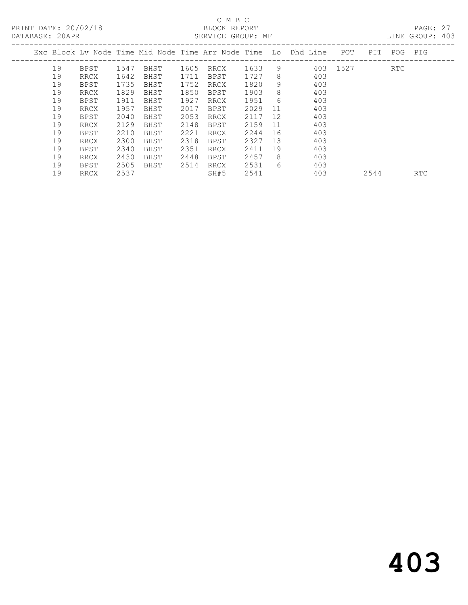PRINT DATE: 20/02/18 BLOCK REPORT<br>DATABASE: 20APR BATABASE: 20APR

# C M B C<br>BLOCK REPORT

PAGE: 27<br>LINE GROUP: 403

|    |      |      |      |      | CHILL SILOUI. III |      |    |                                                                |      |      |            |            |
|----|------|------|------|------|-------------------|------|----|----------------------------------------------------------------|------|------|------------|------------|
|    |      |      |      |      |                   |      |    | Exc Block Ly Node Time Mid Node Time Arr Node Time Lo Dhd Line | POT  | PIT  | POG PIG    |            |
| 19 | BPST | 1547 | BHST | 1605 | RRCX              | 1633 | 9  | 403                                                            | 1527 |      | <b>RTC</b> |            |
| 19 | RRCX | 1642 | BHST | 1711 | BPST              | 1727 | 8  | 403                                                            |      |      |            |            |
| 19 | BPST | 1735 | BHST | 1752 | RRCX              | 1820 | 9  | 403                                                            |      |      |            |            |
| 19 | RRCX | 1829 | BHST | 1850 | BPST              | 1903 | 8  | 403                                                            |      |      |            |            |
| 19 | BPST | 1911 | BHST | 1927 | RRCX              | 1951 | 6  | 403                                                            |      |      |            |            |
| 19 | RRCX | 1957 | BHST | 2017 | BPST              | 2029 | 11 | 403                                                            |      |      |            |            |
| 19 | BPST | 2040 | BHST | 2053 | RRCX              | 2117 | 12 | 403                                                            |      |      |            |            |
| 19 | RRCX | 2129 | BHST | 2148 | BPST              | 2159 | 11 | 403                                                            |      |      |            |            |
| 19 | BPST | 2210 | BHST | 2221 | RRCX              | 2244 | 16 | 403                                                            |      |      |            |            |
| 19 | RRCX | 2300 | BHST | 2318 | BPST              | 2327 | 13 | 403                                                            |      |      |            |            |
| 19 | BPST | 2340 | BHST | 2351 | RRCX              | 2411 | 19 | 403                                                            |      |      |            |            |
| 19 | RRCX | 2430 | BHST | 2448 | BPST              | 2457 | 8  | 403                                                            |      |      |            |            |
| 19 | BPST | 2505 | BHST | 2514 | RRCX              | 2531 | 6  | 403                                                            |      |      |            |            |
| 19 | RRCX | 2537 |      |      | SH#5              | 2541 |    | 403                                                            |      | 2544 |            | <b>RTC</b> |
|    |      |      |      |      |                   |      |    |                                                                |      |      |            |            |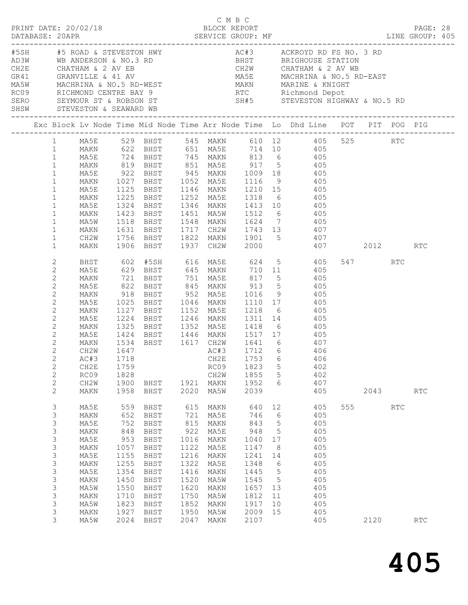| DATABASE: 20APR                                                                                                                                                                                                                                                 |                                                                                                                                           |                                                                                                                 |                                                                                                                      |                                                                                                                  |                                                                                                                      |                                                                                                                     |                                                                                                                                   | DESCRIPTION DESCRIPTION DESCRIPTION DESCRIPTION DESCRIPTION DESCRIPTION DESCRIPTION DESCRIPTION DESCRIPTIONS D<br>DATABASE: 20APR SERVICE GROUP: MF DIRECTION DESCRIPTION DESCRIPTION DESCRIPTION DESCRIPTIONS DESCRIPTIONS DESCR                                                                                                                                                                                                                               |                 |      | PAGE: 28 |  |
|-----------------------------------------------------------------------------------------------------------------------------------------------------------------------------------------------------------------------------------------------------------------|-------------------------------------------------------------------------------------------------------------------------------------------|-----------------------------------------------------------------------------------------------------------------|----------------------------------------------------------------------------------------------------------------------|------------------------------------------------------------------------------------------------------------------|----------------------------------------------------------------------------------------------------------------------|---------------------------------------------------------------------------------------------------------------------|-----------------------------------------------------------------------------------------------------------------------------------|-----------------------------------------------------------------------------------------------------------------------------------------------------------------------------------------------------------------------------------------------------------------------------------------------------------------------------------------------------------------------------------------------------------------------------------------------------------------|-----------------|------|----------|--|
|                                                                                                                                                                                                                                                                 |                                                                                                                                           |                                                                                                                 |                                                                                                                      |                                                                                                                  |                                                                                                                      |                                                                                                                     |                                                                                                                                   | $\begin{tabular}{lllllllllllllllllllllll} \hline \texttt{ADR} & #S\ ROSAD & & & & & & & & & \\ \hline & \texttt{ADR} & #S\ RADD & & & & & & & & \\ \hline & \texttt{ADR} & & & & & & & & & \\ \hline & \texttt{ADR} & & & & & & & & & \\ \hline & \texttt{ADR} & & & & & & & & & \\ \hline & \texttt{CHATR} & & & & & & & & & \\ \hline & \texttt{CHATR} & & & & & & & & & \\ \hline & \texttt{CHATR} & & & & & & & & & \\ \hline & \texttt{CHATR} & & & & & &$ |                 |      |          |  |
|                                                                                                                                                                                                                                                                 |                                                                                                                                           |                                                                                                                 |                                                                                                                      |                                                                                                                  |                                                                                                                      |                                                                                                                     |                                                                                                                                   | Exc Block Lv Node Time Mid Node Time Arr Node Time Lo Dhd Line POT PIT POG PIG                                                                                                                                                                                                                                                                                                                                                                                  |                 |      |          |  |
| $1 \quad$<br>1<br>$\mathbf{1}$<br>$\mathbf{1}$<br>$\mathbf{1}$<br>$\mathbf{1}$<br>$\mathbf{1}$<br>$\mathbf{1}$<br>$\mathbf{1}$<br>$\mathbf{1}$<br>$\mathbf{1}$<br>$\mathbf{1}$                                                                                  | MA5E<br>MAKN<br>MA5E<br>MAKN<br>MA5W<br>MAKN                                                                                              |                                                                                                                 | 1324 BHST<br>1423 BHST                                                                                               |                                                                                                                  |                                                                                                                      |                                                                                                                     |                                                                                                                                   | MA5E 529 BHST 545 MAKN 610 12 405 525 RTC<br>MAKN 622 BHST 651 MA5E 714 10 405<br>MA5E 724 BHST 745 MAKN 813 6 405<br>MAKN 819 BHST 851 MA5E 917 5 405<br>MA5E 922 BHST 945 MAKN 1009 18 405<br>MAKN 1027 BHST 1052 MA5E 1116 9 405<br>1125 BHST 1146 MAKN 1210 15 405<br>1225 BHST 1252 MA5E 1318 6 405<br>1346 MAKN 1413 10 405<br>1451 MA5W 1512 6 405<br>1518 BHST 1548 MAKN 1624 7 405<br>1631 BHST 1717 CH2W 1743 13 407                                  |                 |      |          |  |
| $\mathbf{1}$<br>$\mathbf{1}$                                                                                                                                                                                                                                    | CH2W<br>MAKN                                                                                                                              |                                                                                                                 |                                                                                                                      |                                                                                                                  |                                                                                                                      |                                                                                                                     |                                                                                                                                   |                                                                                                                                                                                                                                                                                                                                                                                                                                                                 |                 |      |          |  |
| $\mathbf{2}$<br>$\mathbf{2}$<br>$\sqrt{2}$<br>$\mathbf{2}$<br>$\mathbf{2}$<br>$\mathbf{2}$<br>$\sqrt{2}$<br>2<br>$\mathbf{2}$<br>$\overline{2}$<br>$\mathbf{2}$<br>$\mathbf{2}$<br>$\mathbf{2}$<br>$\mathbf{2}$<br>$\mathbf{2}$<br>$\mathbf{2}$<br>$\mathbf{2}$ | BHST<br>MA5E<br>MAKN<br>MA5E<br>MAKN<br>MA5E<br>MAKN<br>MA5E<br>MAKN<br>MA5E<br>MAKN<br>CH2W<br>AC#3 1718<br>CH2E<br>RC09<br>CH2W<br>MAKN | 1025<br>1424<br>1759<br>1828<br>1900<br>1958                                                                    | 1127 BHST<br>$1224$ BHST<br>BHST<br>BHST                                                                             |                                                                                                                  | RC09<br>CH2W<br>1921 MAKN<br>2020 MA5W                                                                               | 1823<br>1855<br>1952<br>2039                                                                                        | $\mathsf S$<br>$5\phantom{.0}$<br>6                                                                                               | 602 #5SH 616 MA5E 624 5 405<br>918 BHST 952 MA5E 1016 9 405<br>BHST 1046 MAKN 1110 17 405<br>1152 MA5E 1218 6 405<br>1246 MAKN 1311 14 405<br>1325 BHST 1352 MA5E 1418 6 405<br>BHST 1446 MAKN 1517 17 405<br>CH2E 1753 6 406<br>402<br>402<br>407<br>405                                                                                                                                                                                                       | 547 RTC         | 2043 | RTC      |  |
| 3<br>3<br>3<br>3<br>3<br>$\mathsf S$<br>3<br>3<br>3<br>$\mathsf S$<br>3<br>3<br>3<br>3<br>3                                                                                                                                                                     | MA5E<br>MAKN<br>MA5E<br>MAKN<br>MA5E<br>MAKN<br>MA5E<br>MAKN<br>MA5E<br>MAKN<br>MA5W<br>MAKN<br>MA5W<br>MAKN<br>MA5W                      | 559<br>652<br>752<br>848<br>953<br>1057<br>1155<br>1255<br>1354<br>1450<br>1550<br>1710<br>1823<br>1927<br>2024 | BHST<br>BHST<br>BHST<br>BHST<br>BHST<br>BHST<br>BHST<br>BHST<br>BHST<br>BHST<br>BHST<br>BHST<br>BHST<br>BHST<br>BHST | 615<br>721<br>815<br>922<br>1016<br>1122<br>1216<br>1322<br>1416<br>1520<br>1620<br>1750<br>1852<br>1950<br>2047 | MAKN<br>MA5E<br>MAKN<br>MA5E<br>MAKN<br>MA5E<br>MAKN<br>MA5E<br>MAKN<br>MA5W<br>MAKN<br>MA5W<br>MAKN<br>MA5W<br>MAKN | 640<br>746<br>843<br>948<br>1040<br>1147<br>1241<br>1348<br>1445<br>1545<br>1657 13<br>1812<br>1917<br>2009<br>2107 | 12<br>$6\overline{6}$<br>$5\overline{)}$<br>$5^{\circ}$<br>17<br>8<br>14<br>6<br>$5^{\circ}$<br>$5\overline{)}$<br>11<br>10<br>15 | 405<br>405<br>405<br>405<br>405<br>405<br>405<br>405<br>405<br>405<br>405<br>405<br>405<br>405<br>405                                                                                                                                                                                                                                                                                                                                                           | 555 755<br>2120 | RTC  | RTC      |  |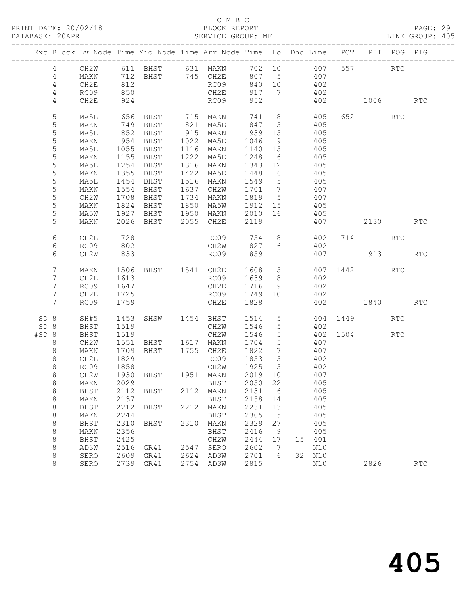# C M B C<br>BLOCK REPORT

# PAGE: 29<br>LINE GROUP: 405

|                  |              |              |                   |      | Exc Block Lv Node Time Mid Node Time Arr Node Time Lo Dhd Line POT PIT POG PIG |                                     |                 |     |               |     |              |            |            |
|------------------|--------------|--------------|-------------------|------|--------------------------------------------------------------------------------|-------------------------------------|-----------------|-----|---------------|-----|--------------|------------|------------|
| 4                |              |              |                   |      | CH2W 611 BHST 631 MAKN 702 10 407                                              |                                     |                 |     |               |     | 557 RTC      |            |            |
| $\overline{4}$   | MAKN         |              |                   |      | 712 BHST 745 CH2E 807 5 407                                                    |                                     |                 |     |               |     |              |            |            |
| 4                | CH2E         | 812          |                   |      | RC09                                                                           | 840 10                              |                 | 402 |               |     |              |            |            |
| 4                | RC09         | 850          |                   |      | CH2E                                                                           | 917 7                               |                 |     | 402           |     |              |            |            |
| 4                | CH2E         | 924          |                   |      | RC09                                                                           | 952                                 |                 |     | 402           |     | 1006         |            | RTC        |
| 5                | MA5E         | 656          |                   |      | BHST 715 MAKN                                                                  |                                     |                 |     | 741 8 405     |     | 652          | RTC        |            |
| 5                | MAKN         |              | 749 BHST          |      | 821 MA5E                                                                       | 847 5                               |                 |     | 405           |     |              |            |            |
| $\mathsf S$      | MA5E         |              |                   |      |                                                                                |                                     |                 |     | 405<br>405    |     |              |            |            |
| 5                | MAKN         |              |                   |      |                                                                                |                                     | 9               | 405 |               |     |              |            |            |
| 5                | MA5E         | 1055         | <b>BHST</b>       |      | 1116 MAKN 1140 15                                                              |                                     |                 |     |               |     |              |            |            |
| 5<br>$\mathsf S$ | MAKN<br>MA5E | 1155<br>1254 | BHST<br>BHST      |      | 1222 MA5E<br>1316 MAKN                                                         | 1248 6                              |                 |     | 405           |     |              |            |            |
| $\mathsf S$      | MAKN         | 1355         | BHST              |      | 1422 MA5E                                                                      | $1343$ $12$<br>$1448$ $6$<br>1448 6 |                 |     | 405<br>405    |     |              |            |            |
| 5                | MA5E         | 1454         | BHST              |      | 1516 MAKN                                                                      | 1549 5                              |                 | 405 |               |     |              |            |            |
| $\mathsf S$      | MAKN         | 1554         | BHST              |      | 1637 CH2W                                                                      | 1701 7                              |                 |     | 407           |     |              |            |            |
| 5                | CH2W         |              |                   |      |                                                                                |                                     |                 |     |               |     |              |            |            |
| 5                | MAKN         |              |                   |      | 1708 BHST   1734 MAKN   1819   5<br>1824 BHST   1850 MA5W   1912  15           |                                     |                 |     | 407<br>405    |     |              |            |            |
| $\mathsf S$      | MA5W         |              |                   |      | 1927 BHST 1950 MAKN 2010 16                                                    |                                     |                 | 405 |               |     |              |            |            |
| 5                | MAKN         |              |                   |      | 2026 BHST 2055 CH2E                                                            | 2119                                |                 |     |               | 407 | 2130 RTC     |            |            |
| 6                | CH2E         | 728          |                   |      | RC09 754 8 402 714 RTC                                                         |                                     |                 |     |               |     |              |            |            |
| 6                | RC09         | 802          |                   |      | CH2W 827 6                                                                     |                                     |                 |     | 402           |     |              |            |            |
| 6                | CH2W         | 833          |                   |      | RC09 859                                                                       |                                     |                 |     |               |     | 407 913      |            | <b>RTC</b> |
| $7\phantom{.}$   | MAKN         |              |                   |      | 1506 BHST 1541 CH2E 1608 5 407 1442 RTC                                        |                                     |                 |     |               |     |              |            |            |
| 7                | CH2E         | 1613         |                   |      | RC09 1639 8                                                                    |                                     |                 |     | 402           |     |              |            |            |
| 7                | RC09         | 1647         |                   |      | CH2E 1716 9                                                                    |                                     |                 |     | 402           |     |              |            |            |
| 7                | CH2E         | 1725         |                   |      | RC09                                                                           | 1749 10                             |                 |     | 402           |     |              |            |            |
| $7\overline{ }$  | RC09         | 1759         |                   |      | CH2E                                                                           | 1828                                |                 |     |               |     | 402 1840     |            | RTC        |
| SD 8             | SH#5         | 1453         |                   |      | SHSW 1454 BHST 1514 5                                                          |                                     |                 |     |               |     | 404 1449     | <b>RTC</b> |            |
| SD 8             | BHST         | 1519         |                   |      | CH2W 1546                                                                      |                                     | $5\overline{)}$ |     | 402           |     |              |            |            |
| #SD 8            | BHST         | 1519         |                   |      | CH2W                                                                           | 1546                                | $5\overline{)}$ |     |               |     | 402 1504 RTC |            |            |
| 8<br>8           | CH2W<br>MAKN |              |                   |      | 1709 BHST 1755 CH2E 1822 7                                                     |                                     |                 | 407 | 407           |     |              |            |            |
| $\,8\,$          | CH2E         | 1829         |                   |      | RC09 1853 5                                                                    |                                     |                 |     | 402           |     |              |            |            |
| $\,8\,$          | RC09         |              |                   |      |                                                                                |                                     |                 |     |               |     |              |            |            |
| $\,8\,$          | CH2W         |              |                   |      |                                                                                |                                     |                 |     | 402<br>407    |     |              |            |            |
| 8                |              |              |                   |      | MAKN 2029 BHST 2050 22 405                                                     |                                     |                 |     |               |     |              |            |            |
| 8                | BHST         | 2112         | BHST              |      | 2112 MAKN                                                                      | 2131                                | - 6             |     | 405           |     |              |            |            |
| 8                | MAKN         | 2137         |                   |      | BHST                                                                           | 2158 14                             |                 |     | 405           |     |              |            |            |
| $\,8\,$          | BHST         | 2212         | BHST              |      | 2212 MAKN                                                                      | 2231                                | 13              |     | 405           |     |              |            |            |
| 8                | MAKN         | 2244         |                   |      | BHST                                                                           | 2305                                | $-5$            |     | 405           |     |              |            |            |
| 8                | BHST         | 2310         | BHST              | 2310 | MAKN                                                                           | 2329                                | 27              |     | 405           |     |              |            |            |
| 8                | MAKN         | 2356         |                   |      | BHST                                                                           | 2416                                | - 9             |     | 405           |     |              |            |            |
| 8                | BHST         | 2425         |                   |      | CH2W                                                                           | 2444                                | 17              |     | 15 401        |     |              |            |            |
| 8                | AD3W         | 2516         | GR41              |      | 2547 SERO                                                                      | 2602                                | $7\phantom{.0}$ |     | N10           |     |              |            |            |
| 8<br>8           | SERO<br>SERO | 2609         | GR41<br>2739 GR41 |      | 2624 AD3W<br>2754 AD3W                                                         | 2701<br>2815                        | 6               |     | 32 N10<br>N10 |     | 2826         |            | <b>RTC</b> |
|                  |              |              |                   |      |                                                                                |                                     |                 |     |               |     |              |            |            |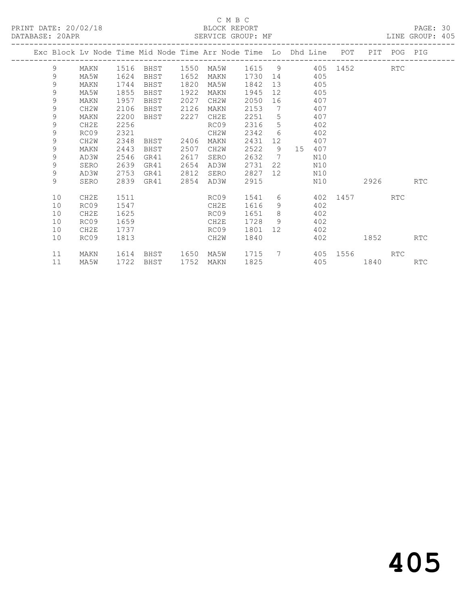# C M B C<br>BLOCK REPORT

| PRINT DATE: 20/02/18<br>DATABASE: 20APR |               |                   |      |                           |      | BLOCK REPORT<br>SERVICE GROUP: MF                                              |             |                 |         |        |                     |             | PAGE: 30<br>LINE GROUP: 405<br>--------------- |  |
|-----------------------------------------|---------------|-------------------|------|---------------------------|------|--------------------------------------------------------------------------------|-------------|-----------------|---------|--------|---------------------|-------------|------------------------------------------------|--|
|                                         |               |                   |      |                           |      | Exc Block Lv Node Time Mid Node Time Arr Node Time Lo Dhd Line POT PIT POG PIG |             |                 |         |        |                     |             |                                                |  |
|                                         | 9             | MAKN              |      |                           |      | 1516 BHST 1550 MA5W 1615 9 405 1452 RTC                                        |             |                 |         |        |                     |             |                                                |  |
|                                         | 9             | MA5W              | 1624 | BHST                      | 1652 | MAKN                                                                           | 1730 14 405 |                 |         |        |                     |             |                                                |  |
|                                         | $\mathcal{G}$ | MAKN              | 1744 | BHST                      | 1820 | MA5W                                                                           | 1842 13 405 |                 |         |        |                     |             |                                                |  |
|                                         | $\mathcal{G}$ | MA5W              | 1855 | BHST                      | 1922 | MAKN                                                                           | 1945        |                 | 12 405  |        |                     |             |                                                |  |
|                                         | $\mathsf 9$   | MAKN              | 1957 | BHST                      | 2027 | CH2W                                                                           | 2050        |                 | 16 407  |        |                     |             |                                                |  |
|                                         | $\mathcal{G}$ | CH <sub>2</sub> W | 2106 | BHST                      | 2126 | MAKN                                                                           | 2153        |                 | 7 407   |        |                     |             |                                                |  |
|                                         | $\mathcal{G}$ | MAKN              | 2200 | BHST 2227                 |      | CH2E                                                                           | 2251        |                 | 5 407   |        |                     |             |                                                |  |
|                                         | $\mathcal{G}$ | CH2E              | 2256 |                           |      | RC09                                                                           | 2316        |                 | 5 402   |        |                     |             |                                                |  |
|                                         | $\mathsf 9$   | RC09              | 2321 |                           |      | CH2W                                                                           | 2342 6      |                 | 402     |        |                     |             |                                                |  |
|                                         | 9             | CH <sub>2</sub> W | 2348 | BHST                      | 2406 | MAKN                                                                           | 2431        | 12 <sup>°</sup> | 407     |        |                     |             |                                                |  |
|                                         | $\mathsf 9$   | MAKN              | 2443 | BHST                      | 2507 | CH2W                                                                           | 2522        | 9               |         | 15 407 |                     |             |                                                |  |
|                                         | 9             | AD3W              | 2546 | GR41                      | 2617 | SERO                                                                           | 2632        | $7\phantom{0}$  |         | N10    |                     |             |                                                |  |
|                                         | 9             | SERO              | 2639 | GR41                      | 2654 | AD3W                                                                           | 2731        |                 | 22 — 20 | N10    |                     |             |                                                |  |
|                                         | 9             | AD3W              | 2753 | GR41                      | 2812 | SERO                                                                           | 2827        | 12              |         | N10    |                     |             |                                                |  |
|                                         | 9             | SERO              | 2839 | GR41                      | 2854 | AD3W                                                                           | 2915        |                 |         | N10    | 2926                |             | RTC                                            |  |
|                                         | 10            | CH2E              | 1511 | <b>Example 2019</b> RCO 9 |      |                                                                                | 1541        |                 |         |        | 6 402 1457 RTC      |             |                                                |  |
|                                         | 10            | RC09              | 1547 |                           |      | CH2E                                                                           | 1616        |                 | 9 402   |        |                     |             |                                                |  |
|                                         | 10            | CH2E              | 1625 |                           |      | RC09                                                                           | 1651        |                 | 8 402   |        |                     |             |                                                |  |
|                                         | 10            | RC09              | 1659 |                           |      | CH2E                                                                           | 1728 9 402  |                 |         |        |                     |             |                                                |  |
|                                         | 10            | CH2E              | 1737 |                           |      | RC09                                                                           | 1801        |                 | 12 402  |        |                     |             |                                                |  |
|                                         | 10            | RC09              | 1813 |                           |      | CH2W                                                                           | 1840        |                 |         | 402    |                     | 1852   1900 | RTC                                            |  |
|                                         | 11            | MAKN              | 1614 | BHST 1650 MA5W            |      |                                                                                |             |                 |         |        | 1715 7 405 1556 RTC |             |                                                |  |
|                                         | 11            | MA5W              |      | 1722 BHST                 | 1752 | MAKN                                                                           | 1825        |                 |         |        | 405 1840            |             | <b>RTC</b>                                     |  |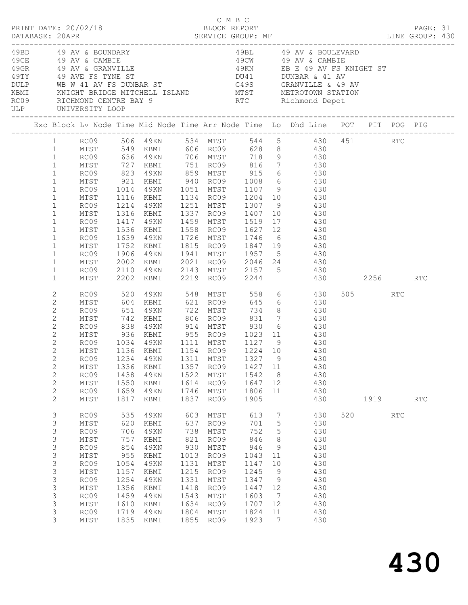|      |                             |                                  |                   |                        |      |                   |              |                      | C M B C<br>PRINT DATE: 20/02/18 BLOCK REPORT PAGE: 31<br>DATABASE: 20APR SERVICE GROUP: MF SERVICE GROUP: ME LINE GROUP: 430                                                                                                                                                                                                                                                                                                                                                                                                                                                                                                    |     |      |            |     |  |
|------|-----------------------------|----------------------------------|-------------------|------------------------|------|-------------------|--------------|----------------------|---------------------------------------------------------------------------------------------------------------------------------------------------------------------------------------------------------------------------------------------------------------------------------------------------------------------------------------------------------------------------------------------------------------------------------------------------------------------------------------------------------------------------------------------------------------------------------------------------------------------------------|-----|------|------------|-----|--|
| KBMI |                             | ULP UNIVERSITY LOOP              |                   |                        |      |                   |              |                      | $\begin{array}{lllllllllllllllll} \end{array} \begin{array}{lllllllllll} \begin{array}{lllllllllllll} \end{array} & \begin{array}{lllllllllllll} \begin{array}{lllllllllll} \begin{array}{lllllllllll} \end{array} & \begin{array}{lllllllllll} \begin{array}{lllllllllll} \end{array} & \begin{array}{lllllllllll} \begin{array}{lllllllllll} \end{array} & \begin{array}{lllllllllll} \begin{array}{lllllllllll} \end{array} & \begin{array}{lllllllllll} \begin{array}{lllllllllll} \end{array} & \begin{array}{ll$<br>KNIGHT BRIDGE MITCHELL ISLAND MTST METROTOWN STATION<br>RC09 RICHMOND CENTRE BAY 9 RTC Richmond Depot |     |      |            |     |  |
|      |                             |                                  |                   |                        |      |                   |              |                      | Exc Block Lv Node Time Mid Node Time Arr Node Time Lo Dhd Line POT PIT POG PIG                                                                                                                                                                                                                                                                                                                                                                                                                                                                                                                                                  |     |      |            |     |  |
|      |                             |                                  |                   |                        |      |                   |              |                      | 1 RC09 506 49KN 534 MTST 544 5 430 451 RTC<br>1 MTST 549 KBMI 606 RC09 628 8 430                                                                                                                                                                                                                                                                                                                                                                                                                                                                                                                                                |     |      |            |     |  |
|      |                             |                                  |                   |                        |      |                   |              |                      |                                                                                                                                                                                                                                                                                                                                                                                                                                                                                                                                                                                                                                 |     |      |            |     |  |
|      | $\mathbf{1}$                | RC09 636 49KN 706 MTST 718 9 430 |                   |                        |      |                   |              |                      |                                                                                                                                                                                                                                                                                                                                                                                                                                                                                                                                                                                                                                 |     |      |            |     |  |
|      | $\mathbf{1}$                | MTST                             |                   |                        |      |                   |              |                      | KBMI 751 RC09 816 7 430                                                                                                                                                                                                                                                                                                                                                                                                                                                                                                                                                                                                         |     |      |            |     |  |
|      | $\mathbf{1}$                | RC09                             |                   |                        |      |                   |              |                      |                                                                                                                                                                                                                                                                                                                                                                                                                                                                                                                                                                                                                                 |     |      |            |     |  |
|      | $\mathbf{1}$                | MTST                             |                   |                        |      |                   |              |                      |                                                                                                                                                                                                                                                                                                                                                                                                                                                                                                                                                                                                                                 |     |      |            |     |  |
|      | $\mathbf{1}$                | RC09 1014                        |                   |                        |      |                   |              |                      | 49KN 1051 MTST 1107 9 430                                                                                                                                                                                                                                                                                                                                                                                                                                                                                                                                                                                                       |     |      |            |     |  |
|      | $\mathbf{1}$                | MTST                             | 1116              |                        |      |                   |              |                      | KBMI 1134 RC09 1204 10 430                                                                                                                                                                                                                                                                                                                                                                                                                                                                                                                                                                                                      |     |      |            |     |  |
|      | $\mathbf{1}$                | RC09                             |                   | 1214 49KN<br>1316 KBMI |      |                   |              |                      | 1251 MTST 1307 9 430<br>1337 RC09 1407 10 430                                                                                                                                                                                                                                                                                                                                                                                                                                                                                                                                                                                   |     |      |            |     |  |
|      | $\mathbf{1}$<br>$\mathbf 1$ | MTST                             | 1417              |                        |      |                   |              |                      | 1459 MTST 1519 17 430                                                                                                                                                                                                                                                                                                                                                                                                                                                                                                                                                                                                           |     |      |            |     |  |
|      | $\mathbf{1}$                | RC09<br>MTST                     | 1536              | 4 9 K N<br>KBMI        |      |                   |              |                      | 1558 RC09 1627 12 430                                                                                                                                                                                                                                                                                                                                                                                                                                                                                                                                                                                                           |     |      |            |     |  |
|      | $\mathbf 1$                 | RC09                             |                   | 1639 49KN              |      |                   |              |                      |                                                                                                                                                                                                                                                                                                                                                                                                                                                                                                                                                                                                                                 |     |      |            |     |  |
|      | $\mathbf{1}$                | MTST                             | 1752              | KBMI                   |      |                   |              |                      | 1726 MTST 1746 6 430<br>1815 RC09 1847 19 430                                                                                                                                                                                                                                                                                                                                                                                                                                                                                                                                                                                   |     |      |            |     |  |
|      | $\mathbf 1$                 | RC09                             | 1906              | 49KN                   |      |                   |              |                      | 1941 MTST 1957 5 430                                                                                                                                                                                                                                                                                                                                                                                                                                                                                                                                                                                                            |     |      |            |     |  |
|      | $\mathbf{1}$                | MTST                             | 2002              |                        |      |                   |              |                      | KBMI 2021 RC09 2046 24 430                                                                                                                                                                                                                                                                                                                                                                                                                                                                                                                                                                                                      |     |      |            |     |  |
|      | $\mathbf 1$                 | RC09                             | 2110              | 49KN                   |      |                   |              |                      | 2143 MTST 2157 5 430                                                                                                                                                                                                                                                                                                                                                                                                                                                                                                                                                                                                            |     |      |            |     |  |
|      | $\mathbf{1}$                | MTST                             |                   | 2202 KBMI              |      | 2219 RC09 2244    |              |                      | 430 2256 RTC                                                                                                                                                                                                                                                                                                                                                                                                                                                                                                                                                                                                                    |     |      |            |     |  |
|      | 2                           | RC09                             | 520               |                        |      | 49KN 548 MTST 558 |              |                      | 6 430                                                                                                                                                                                                                                                                                                                                                                                                                                                                                                                                                                                                                           |     | 505  | <b>RTC</b> |     |  |
|      | $\mathbf{2}$                | MTST                             |                   | KBMI                   |      | 621 RC09          |              |                      | 645 6 430                                                                                                                                                                                                                                                                                                                                                                                                                                                                                                                                                                                                                       |     |      |            |     |  |
|      | $\overline{c}$              | RC09                             | 604<br>651<br>742 | 49KN                   |      |                   |              |                      |                                                                                                                                                                                                                                                                                                                                                                                                                                                                                                                                                                                                                                 |     |      |            |     |  |
|      | $\mathbf{2}$                | MTST                             |                   | KBMI                   |      |                   |              |                      |                                                                                                                                                                                                                                                                                                                                                                                                                                                                                                                                                                                                                                 |     |      |            |     |  |
|      | $\mathbf{2}$                | RC09                             | 838               |                        |      |                   |              |                      | 49KN 914 MTST 930 6 430                                                                                                                                                                                                                                                                                                                                                                                                                                                                                                                                                                                                         |     |      |            |     |  |
|      | 2                           | MTST                             | 936               |                        |      |                   |              |                      | KBMI 955 RC09 1023 11 430                                                                                                                                                                                                                                                                                                                                                                                                                                                                                                                                                                                                       |     |      |            |     |  |
|      | $\mathbf{2}$                | RC09                             |                   |                        |      |                   |              |                      | 1034 49KN 1111 MTST 1127 9      430<br>1136 KBMI 1154 RC09 1224 10     430                                                                                                                                                                                                                                                                                                                                                                                                                                                                                                                                                      |     |      |            |     |  |
|      | 2                           | MTST                             |                   |                        |      |                   |              |                      |                                                                                                                                                                                                                                                                                                                                                                                                                                                                                                                                                                                                                                 |     |      |            |     |  |
|      | $\mathbf{2}$                |                                  |                   |                        |      |                   |              |                      | RC09 1234 49KN 1311 MTST 1327 9 430                                                                                                                                                                                                                                                                                                                                                                                                                                                                                                                                                                                             |     |      |            |     |  |
|      | $\mathbf{2}$                | MTST                             | 1336              | KBMI                   | 1357 | RC09              | 1427 11      |                      | 430                                                                                                                                                                                                                                                                                                                                                                                                                                                                                                                                                                                                                             |     |      |            |     |  |
|      | $\mathbf{2}$                | RC09                             | 1438              | 49KN                   | 1522 | MTST              | 1542         | 8 <sup>8</sup>       | 430                                                                                                                                                                                                                                                                                                                                                                                                                                                                                                                                                                                                                             |     |      |            |     |  |
|      | $\mathbf{2}$                | MTST                             | 1550              | KBMI                   | 1614 | RC09              | 1647         | 12                   | 430                                                                                                                                                                                                                                                                                                                                                                                                                                                                                                                                                                                                                             |     |      |            |     |  |
|      | $\mathbf{2}$                | RC09                             | 1659              | 49KN                   | 1746 | MTST              | 1806         | 11                   | 430                                                                                                                                                                                                                                                                                                                                                                                                                                                                                                                                                                                                                             |     |      |            |     |  |
|      | 2                           | MTST                             | 1817              | KBMI                   | 1837 | RC09              | 1905         |                      | 430                                                                                                                                                                                                                                                                                                                                                                                                                                                                                                                                                                                                                             |     | 1919 |            | RTC |  |
|      | $\mathsf 3$                 | RC09                             | 535               | 49KN                   | 603  | MTST              | 613          | $7\phantom{.0}$      | 430                                                                                                                                                                                                                                                                                                                                                                                                                                                                                                                                                                                                                             | 520 |      | <b>RTC</b> |     |  |
|      | 3                           | MTST                             | 620               | KBMI                   | 637  | RC09              | 701          | 5                    | 430                                                                                                                                                                                                                                                                                                                                                                                                                                                                                                                                                                                                                             |     |      |            |     |  |
|      | 3                           | RC09                             | 706               | 49KN                   | 738  | MTST              | 752          | 5                    | 430                                                                                                                                                                                                                                                                                                                                                                                                                                                                                                                                                                                                                             |     |      |            |     |  |
|      | $\mathsf 3$                 | $\mathtt{MTST}$                  | 757               | KBMI                   | 821  | RC09              | 846          | 8                    | 430                                                                                                                                                                                                                                                                                                                                                                                                                                                                                                                                                                                                                             |     |      |            |     |  |
|      | $\ensuremath{\mathsf{3}}$   | RC09                             | 854               | 49KN                   | 930  | MTST              | 946          | $\overline{9}$       | 430                                                                                                                                                                                                                                                                                                                                                                                                                                                                                                                                                                                                                             |     |      |            |     |  |
|      | 3                           | $\mathtt{MTST}$                  | 955               | KBMI                   | 1013 | RC09              | 1043         | 11                   | 430                                                                                                                                                                                                                                                                                                                                                                                                                                                                                                                                                                                                                             |     |      |            |     |  |
|      | 3                           | RC09                             | 1054              | 49KN                   | 1131 | MTST              | 1147         | 10                   | 430                                                                                                                                                                                                                                                                                                                                                                                                                                                                                                                                                                                                                             |     |      |            |     |  |
|      | $\mathsf 3$                 | ${\tt MTST}$                     | 1157              | KBMI                   | 1215 | RC09              | 1245         | 9                    | 430                                                                                                                                                                                                                                                                                                                                                                                                                                                                                                                                                                                                                             |     |      |            |     |  |
|      | $\ensuremath{\mathsf{3}}$   | RC09                             | 1254              | 49KN                   | 1331 | MTST              | 1347         | 9                    | 430                                                                                                                                                                                                                                                                                                                                                                                                                                                                                                                                                                                                                             |     |      |            |     |  |
|      | 3                           | MTST                             | 1356              | KBMI                   | 1418 | RC09              | 1447         | 12                   | 430                                                                                                                                                                                                                                                                                                                                                                                                                                                                                                                                                                                                                             |     |      |            |     |  |
|      | 3                           | RC09                             | 1459              | 49KN                   | 1543 | MTST              | 1603         | $\overline{7}$       | 430                                                                                                                                                                                                                                                                                                                                                                                                                                                                                                                                                                                                                             |     |      |            |     |  |
|      | 3                           | MTST                             | 1610              | KBMI                   | 1634 | RC09              | 1707         | 12                   | 430                                                                                                                                                                                                                                                                                                                                                                                                                                                                                                                                                                                                                             |     |      |            |     |  |
|      | 3<br>3                      | RC09<br>$\mathtt{MTST}$          | 1719<br>1835      | 49KN                   | 1804 | MTST<br>1855 RC09 | 1824<br>1923 | 11<br>$\overline{7}$ | 430<br>430                                                                                                                                                                                                                                                                                                                                                                                                                                                                                                                                                                                                                      |     |      |            |     |  |
|      |                             |                                  |                   | KBMI                   |      |                   |              |                      |                                                                                                                                                                                                                                                                                                                                                                                                                                                                                                                                                                                                                                 |     |      |            |     |  |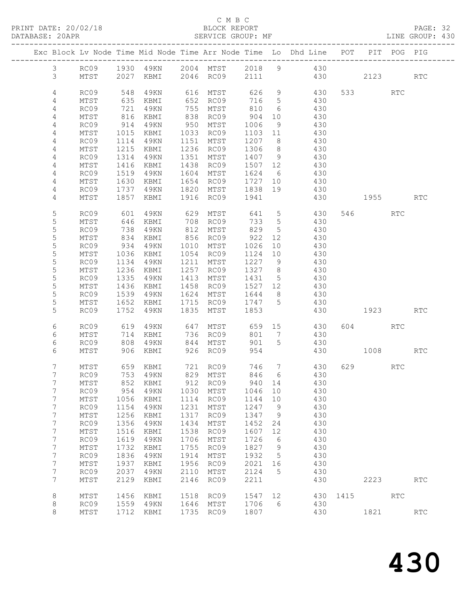# C M B C

| DATABASE: 20APR |                 |                 |              | SERVICE GROUP: MF |      |                                          |         |                | LINE GROUP: 430                                                                |              |         |      |            |  |
|-----------------|-----------------|-----------------|--------------|-------------------|------|------------------------------------------|---------|----------------|--------------------------------------------------------------------------------|--------------|---------|------|------------|--|
|                 |                 |                 |              |                   |      |                                          |         |                | Exc Block Lv Node Time Mid Node Time Arr Node Time Lo Dhd Line POT PIT POG PIG |              |         |      |            |  |
|                 | $\mathcal{S}$   |                 |              |                   |      |                                          |         |                | RC09 1930 49KN 2004 MTST 2018 9 430                                            |              |         |      |            |  |
|                 | 3 <sup>7</sup>  |                 |              |                   |      |                                          |         |                | MTST 2027 KBMI 2046 RC09 2111 430 2123 RTC                                     |              |         |      |            |  |
|                 | $\overline{4}$  | RC09            | 548          | 4 9 K N           |      |                                          |         |                | 616 MTST 626 9 430                                                             |              | 533 RTC |      |            |  |
|                 | 4               | MTST            | 635          | KBMI              |      | $652$ RC09 716 5                         |         |                | 430                                                                            |              |         |      |            |  |
|                 | 4               | RC09            | 721          | 49KN              |      | 755 MTST                                 |         |                | 810 6 430                                                                      |              |         |      |            |  |
|                 | 4               | MTST            | 816          | KBMI              |      | 838 RC09                                 | 904     |                | 10 430                                                                         |              |         |      |            |  |
|                 | 4               | RC09            | 914          | 49KN              |      | 950 MTST                                 | 1006    | 9              | 430                                                                            |              |         |      |            |  |
|                 | $\overline{4}$  | MTST            | 1015         | KBMI              |      | 1033 RC09                                |         |                | $1103$ $11$ $430$                                                              |              |         |      |            |  |
|                 | 4               | RC09            | 1114         | 49KN              |      | 1151 MTST                                |         |                | 1207 8 430                                                                     |              |         |      |            |  |
|                 | 4               | MTST            | 1215         | KBMI              |      | 1236 RC09                                | 1306 8  |                | 430                                                                            |              |         |      |            |  |
|                 | 4               | RC09            | 1314         | 49KN              |      | 1351 MTST                                |         |                |                                                                                |              |         |      |            |  |
|                 | 4               | MTST            | 1416         | KBMI              |      | 1438 RC09                                |         |                | 1407 9 430<br>1507 12 430                                                      |              |         |      |            |  |
|                 | 4               | RC09            | 1519         | 49KN              |      | 1604 MTST                                |         |                | 1624 6 430                                                                     |              |         |      |            |  |
|                 | 4               | MTST            | 1630         | KBMI              |      | 1654 RC09                                |         |                | 1727 10 430                                                                    |              |         |      |            |  |
|                 | 4               | RC09            |              | 49KN              |      |                                          |         |                | 430                                                                            |              |         |      |            |  |
|                 | 4               | MTST            | 1737<br>1857 |                   |      | 1820 MTST 1838 19<br>KBMI 1916 RC09 1941 |         |                |                                                                                | 430 1955 RTC |         |      |            |  |
|                 |                 |                 |              |                   |      |                                          |         |                |                                                                                |              |         |      |            |  |
|                 | 5               | RC09            | 601          | 49KN              |      |                                          |         |                | 629 MTST 641 5 430                                                             |              | 546 RTC |      |            |  |
|                 | 5               | MTST            | 646<br>738   | KBMI              |      |                                          |         |                | 430                                                                            |              |         |      |            |  |
|                 | $\mathsf S$     | RC09            |              | 49KN              |      |                                          |         |                | 430                                                                            |              |         |      |            |  |
|                 | 5               | MTST            | 834          | KBMI              |      | 856 RC09                                 | 922     |                | 12 430                                                                         |              |         |      |            |  |
|                 | 5               | RC09            | 934          | 49KN 1010 MTST    |      |                                          | 1026    |                | 10 430                                                                         |              |         |      |            |  |
|                 | 5               | MTST            | 1036         | KBMI              |      | 1054 RC09                                | 1124    | 10             | 430                                                                            |              |         |      |            |  |
|                 | 5               | RC09            | 1134         | 49KN              |      | 1211 MTST                                | 1227 9  |                | 430                                                                            |              |         |      |            |  |
|                 | 5               | MTST            | 1236         | KBMI              |      | 1257 RC09 1327 8                         |         |                | 430                                                                            |              |         |      |            |  |
|                 | 5               | RC09            | 1335         | 49KN              |      | 1413 MTST                                | 1431 5  |                | 430                                                                            |              |         |      |            |  |
|                 | 5               | MTST            | 1436         | KBMI              |      | 1458 RC09                                |         |                | 1527 12 430                                                                    |              |         |      |            |  |
|                 | 5               | RC09            | 1539         | 49KN              |      | 1624 MTST                                | 1644 8  |                | 430<br>430                                                                     |              |         |      |            |  |
|                 | 5<br>5          | MTST            | 1652         | KBMI              |      | 1715 RC09                                | 1747 5  |                |                                                                                |              |         |      |            |  |
|                 |                 | RC09            | 1752         | 4 9 K N           |      | 1835 MTST 1853                           |         |                | 430 1923                                                                       |              |         |      | <b>RTC</b> |  |
|                 | 6               | RC09            | 619          |                   |      |                                          |         |                | 49KN 647 MTST 659 15 430<br>KBMI 736 RC09 801 7 430                            |              | 604 RTC |      |            |  |
|                 | 6               | MTST            | 714          | KBMI              |      |                                          |         |                |                                                                                |              |         |      |            |  |
|                 | 6               | RC09            | 808          | 49KN              |      | 844 MTST                                 |         |                | 901 5 430                                                                      |              |         |      |            |  |
|                 | 6               | MTST            |              | 906 KBMI          |      | 926 RC09                                 | 954     |                |                                                                                | 430 1008 RTC |         |      |            |  |
|                 | $7\overline{ }$ | MTST            |              | 659 KBMI          |      | 721 RC09                                 |         |                | 746 7 430                                                                      |              | 629 RTC |      |            |  |
|                 | $7^{\circ}$     |                 |              |                   |      |                                          |         |                | RC09 753 49KN 829 MTST 846 6 430                                               |              |         |      |            |  |
|                 | 7               | MTST            | 852          | KBMI              | 912  | RC09                                     | 940     | 14             | 430                                                                            |              |         |      |            |  |
|                 | 7               | RC09            | 954          | 49KN              | 1030 | MTST                                     | 1046    | 10             | 430                                                                            |              |         |      |            |  |
|                 | 7               | MTST            | 1056         | KBMI              | 1114 | RC09                                     | 1144    | 10             | 430                                                                            |              |         |      |            |  |
|                 | 7               | RC09            | 1154         | 49KN              | 1231 | MTST                                     | 1247    | 9              | 430                                                                            |              |         |      |            |  |
|                 | 7               | MTST            | 1256         | KBMI              | 1317 | RC09                                     | 1347    | 9              | 430                                                                            |              |         |      |            |  |
|                 | $7\phantom{.}$  | RC09            | 1356         | 49KN              | 1434 | MTST                                     | 1452    | 24             | 430                                                                            |              |         |      |            |  |
|                 | $\overline{7}$  | $\mathtt{MTST}$ | 1516         | KBMI              | 1538 | RC09                                     | 1607    | 12             | 430                                                                            |              |         |      |            |  |
|                 | 7               | RC09            | 1619         | 49KN              | 1706 | MTST                                     | 1726    | 6              | 430                                                                            |              |         |      |            |  |
|                 | 7               | MTST            | 1732         | KBMI              | 1755 | RC09                                     | 1827    | $\overline{9}$ | 430                                                                            |              |         |      |            |  |
|                 | 7               | RC09            | 1836         | 49KN              | 1914 | MTST                                     | 1932    | $5^{\circ}$    | 430                                                                            |              |         |      |            |  |
|                 | $\overline{7}$  | $\mathtt{MTST}$ | 1937         | KBMI              | 1956 | RC09                                     | 2021 16 |                | 430                                                                            |              |         |      |            |  |
|                 | 7               | RC09            | 2037         | 49KN              | 2110 | MTST                                     | 2124    | $5^{\circ}$    | 430                                                                            |              |         |      |            |  |
|                 | $7\overline{ }$ | MTST            | 2129         | KBMI              | 2146 | RC09                                     | 2211    |                | 430                                                                            |              |         | 2223 | RTC        |  |
|                 | 8               | MTST            | 1456         | KBMI              | 1518 | RC09                                     | 1547 12 |                | 430 1415 RTC                                                                   |              |         |      |            |  |
|                 | 8               | RC09            |              | 1559 49KN         |      | 1646 MTST                                | 1706    | 6 <sup>6</sup> | 430                                                                            |              |         |      |            |  |
|                 | 8               | MTST            |              | 1712 KBMI         |      | 1735 RC09                                | 1807    |                | 430                                                                            |              | 1821    |      | RTC        |  |
|                 |                 |                 |              |                   |      |                                          |         |                |                                                                                |              |         |      |            |  |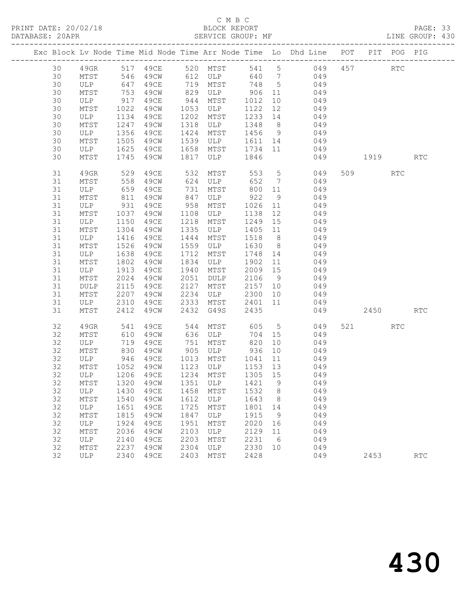# C M B C<br>BLOCK REPORT

PAGE: 33<br>LINE GROUP: 430

|  |    |            |                  |                                |      |                      |          |                | Exc Block Lv Node Time Mid Node Time Arr Node Time Lo Dhd Line POT          |         | PIT POG PIG |            |
|--|----|------------|------------------|--------------------------------|------|----------------------|----------|----------------|-----------------------------------------------------------------------------|---------|-------------|------------|
|  | 30 |            |                  |                                |      |                      |          |                | 49GR 517 49CE 520 MTST 541 5 049<br>MTST 546 49CW 612 ULP 640 7 049         | 457 RTC |             |            |
|  | 30 |            |                  |                                |      |                      |          |                |                                                                             |         |             |            |
|  | 30 | ULP        | 647              | 49CE                           |      | 719 MTST 748 5       |          |                | 049                                                                         |         |             |            |
|  | 30 | MTST       | 753              | 49CW                           | 829  | ULP 906              |          | 11             | 049                                                                         |         |             |            |
|  | 30 | ULP        | 917              | 49CE                           | 944  | MTST                 | 1012     | 10             | 049                                                                         |         |             |            |
|  | 30 | MTST       | 1022             | 49CW                           | 1053 | ULP                  | 1122     | $12$           | 049                                                                         |         |             |            |
|  | 30 | ULP        | 1134             | 49CE                           | 1202 | MTST                 |          |                | 1233 14 049                                                                 |         |             |            |
|  | 30 | MTST       | 1247             | 49CW                           | 1318 | ULP                  |          |                | 1348 8 049                                                                  |         |             |            |
|  | 30 | ULP        |                  | 49CE                           | 1424 | MTST                 | $1456$ 9 |                | 049<br>049                                                                  |         |             |            |
|  | 30 | MTST       | $1390$<br>$1505$ | 49CW                           | 1539 | ULP                  | 1611 14  |                |                                                                             |         |             |            |
|  | 30 | ULP        | 1625             | 49CE                           | 1658 | MTST                 |          |                | 1734 11 049                                                                 |         |             |            |
|  | 30 | MTST       | 1745             | 49CW                           | 1817 | ULP                  | 1846     |                | 049                                                                         | 1919    |             | <b>RTC</b> |
|  | 31 | 49GR       | 529              | 49ce                           | 532  | MTST                 |          |                | 553 5<br>049                                                                | 509     | RTC         |            |
|  | 31 | MTST       | 558              | 49CW                           | 624  | ULP                  | 652 7    |                | 049                                                                         |         |             |            |
|  | 31 | ULP        | 659              | 49CE                           | 731  | MTST                 | 800 11   |                | 049                                                                         |         |             |            |
|  | 31 | MTST       | 811              | 49CW                           | 847  | ULP                  | 922      | 9              | 049                                                                         |         |             |            |
|  | 31 | ULP        | 931              | 49CE                           | 958  | MTST                 | 1026 11  |                | 049                                                                         |         |             |            |
|  | 31 | MTST       | 1037             | 49CW                           | 1108 | ULP                  | 1138     | 12             | 049                                                                         |         |             |            |
|  | 31 | ULP        | 1150             | 49CE                           | 1218 | MTST                 | 1249     |                | 15 049                                                                      |         |             |            |
|  | 31 | MTST       | 1304             | 49CW                           | 1335 | ULP                  | 1405     |                | 11 049                                                                      |         |             |            |
|  | 31 | ULP        | 1416             | 49CE                           | 1444 | MTST                 | 1518 8   |                | 049                                                                         |         |             |            |
|  | 31 | MTST       | 1526             | 49CW                           | 1559 | ULP                  | 1630     |                | $\begin{array}{c c}\n\cdot & \cdot & \cdot & \cdot \\ 8 & 049\n\end{array}$ |         |             |            |
|  | 31 | ULP        | 1638             | 49CE                           | 1712 | MTST                 |          |                | 1748 14 049                                                                 |         |             |            |
|  | 31 | MTST       | 1802             | 49CW                           | 1834 | ULP                  | 1902     | 11             | 049                                                                         |         |             |            |
|  | 31 | ULP        | 1913             | 49CE                           | 1940 | MTST                 | 2009 15  |                | 049<br>$2106$ 9 049                                                         |         |             |            |
|  | 31 | MTST       | 2024             | 49CW                           | 2051 | DULP                 |          |                |                                                                             |         |             |            |
|  | 31 | DULP       | 2115             | 49CE                           | 2127 | MTST                 |          |                | 2157 10 049                                                                 |         |             |            |
|  | 31 | MTST       | 2207             | 49CW                           | 2234 | ULP                  | 2300     | 10             | 049                                                                         |         |             |            |
|  | 31 | ULP        | 2310             | 49CE                           |      | 2333 MTST            | 2401 11  |                | 049                                                                         |         |             |            |
|  | 31 | MTST       | 2412             | 49CW                           |      | 2432 G49S            | 2435     |                | 049                                                                         | 2450    |             | <b>RTC</b> |
|  | 32 | 49GR       | 541              | 49CE                           | 544  | MTST 605             |          |                | 5 <sub>1</sub><br>049                                                       | 521 72  | <b>RTC</b>  |            |
|  | 32 | MTST       | $-41$<br>610     | 49CW                           | 636  | ULP                  | 704      | 15             | 049                                                                         |         |             |            |
|  | 32 | ULP        |                  | 49CE                           | 751  | MTST                 | 820      | 10             | 049                                                                         |         |             |            |
|  | 32 | MTST       | 830              | 49CW                           |      | 905 ULP              | 936      |                | 10 049                                                                      |         |             |            |
|  | 32 | ULP        | 946              | 49CE                           |      | 1013 MTST            | 1041     | 11             | 049                                                                         |         |             |            |
|  | 32 | MTST       |                  | 1052 49CW<br>1206 49CE         |      | 1123 ULP<br>1123 ULP | 1153 13  |                | 049                                                                         |         |             |            |
|  | 32 | ULP        |                  |                                |      | 1234 MTST            | 1305 15  |                | 049                                                                         |         |             |            |
|  | 32 |            |                  | MTST 1320 49CW 1351 ULP 1421 9 |      |                      |          |                | 049                                                                         |         |             |            |
|  | 32 | ULP        | 1430             | 49CE                           | 1458 | MTST                 | 1532     | 8 <sup>8</sup> | 049                                                                         |         |             |            |
|  | 32 | MTST       | 1540             | 49CW                           | 1612 | ULP                  | 1643     | 8 <sup>8</sup> | 049                                                                         |         |             |            |
|  | 32 | ULP        | 1651             | 49CE                           | 1725 | MTST                 | 1801     | 14             | 049                                                                         |         |             |            |
|  | 32 | MTST       | 1815             | 49CW                           | 1847 | ULP                  | 1915     | - 9            | 049                                                                         |         |             |            |
|  | 32 | ULP        | 1924             | 49CE                           | 1951 | MTST                 | 2020     | 16             | 049                                                                         |         |             |            |
|  | 32 | MTST       | 2036             | 49CW                           | 2103 | ULP                  | 2129     | 11             | 049                                                                         |         |             |            |
|  | 32 | ULP        | 2140             | 49CE                           | 2203 | MTST                 | 2231     | 6              | 049                                                                         |         |             |            |
|  | 32 | MTST       | 2237             | 49CW                           | 2304 | ULP                  | 2330     | 10             | 049                                                                         |         |             |            |
|  | 32 | <b>ULP</b> | 2340             | 49CE                           | 2403 | MTST                 | 2428     |                | 049                                                                         | 2453    |             | <b>RTC</b> |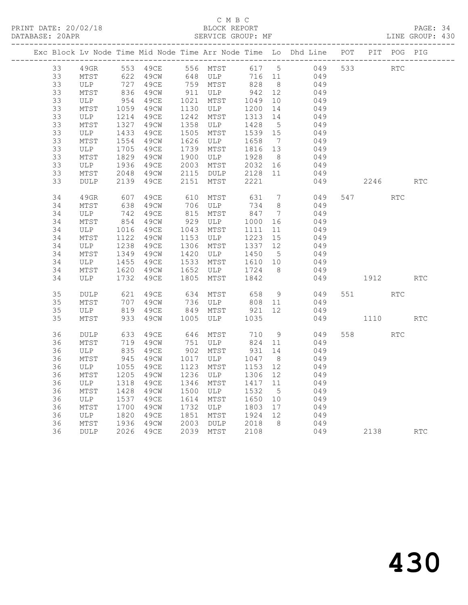# C M B C<br>BLOCK REPORT

PAGE: 34<br>LINE GROUP: 430

|  |    |             |                  |                      |      |                     |         |                              | Exc Block Lv Node Time Mid Node Time Arr Node Time Lo Dhd Line POT PIT POG PIG |     |         |            |            |
|--|----|-------------|------------------|----------------------|------|---------------------|---------|------------------------------|--------------------------------------------------------------------------------|-----|---------|------------|------------|
|  | 33 | 49GR        |                  | 553 49CE<br>622 49CW |      | 556 MTST            |         |                              | 617 5 049<br>716 11 049                                                        | 533 |         | RTC        |            |
|  | 33 | MTST        |                  |                      |      | 648 ULP             |         |                              |                                                                                |     |         |            |            |
|  | 33 | ULP         | $\frac{72}{836}$ | 49CE                 |      | 759 MTST<br>911 ULP | 828     | 8 <sup>8</sup>               | 049                                                                            |     |         |            |            |
|  | 33 | MTST        |                  | 49CW                 |      |                     | 942     | 12                           | 049                                                                            |     |         |            |            |
|  | 33 | ULP         | 954              | 49CE                 | 1021 | MTST                | 1049    | 10                           | 049                                                                            |     |         |            |            |
|  | 33 | MTST        | 1059             | 49CW                 | 1130 | ULP                 | 1200    | 14                           | 049                                                                            |     |         |            |            |
|  | 33 | ULP         | 1214             | 49CE                 | 1242 | MTST                | 1313    | 14                           | 049                                                                            |     |         |            |            |
|  | 33 | MTST        | 1327             | 49CW                 | 1358 | ULP                 | 1428    | $5^{\circ}$                  | 049                                                                            |     |         |            |            |
|  | 33 | ULP         | 1433             | 49CE                 | 1505 | MTST                | 1539 15 |                              | 049                                                                            |     |         |            |            |
|  | 33 | MTST        | 1554             | 49CW                 | 1626 | ULP                 | 1658    | $\overline{7}$               | 049                                                                            |     |         |            |            |
|  | 33 | ULP         | 1705             | 49CE                 | 1739 | MTST                | 1816 13 |                              | 049                                                                            |     |         |            |            |
|  | 33 | MTST        | 1829             | 49CW                 | 1900 | ULP                 | 1928    | 8 <sup>8</sup>               | 049                                                                            |     |         |            |            |
|  | 33 | ULP         | 1936             | 49CE                 | 2003 | MTST                | 2032    | 16                           | 049                                                                            |     |         |            |            |
|  | 33 | MTST        | 2048             | 49CW                 | 2115 | DULP                | 2128    | 11                           | 049                                                                            |     |         |            |            |
|  | 33 | DULP        | 2139             | 49CE                 | 2151 | MTST                | 2221    |                              | 049                                                                            |     | 2246    |            | <b>RTC</b> |
|  | 34 | 49GR        | 607              | 49CE                 | 610  | MTST                | 631     | $7\phantom{.0}\phantom{.0}7$ | 049                                                                            |     | 547 RTC |            |            |
|  | 34 | MTST        | 638              | 49CW                 | 706  | ULP                 | 734     | 8                            | 049                                                                            |     |         |            |            |
|  | 34 | ULP         | 742              | 49CE                 | 815  | MTST                | 847     | $\overline{7}$               | 049                                                                            |     |         |            |            |
|  | 34 | MTST        | 854              | 49CW                 | 929  | ULP                 | 1000    | 16                           | 049                                                                            |     |         |            |            |
|  | 34 | ULP         | 1016             | 49CE                 | 1043 | MTST                | 1111    | 11                           | 049                                                                            |     |         |            |            |
|  | 34 | MTST        | 1122             | 49CW                 | 1153 | ULP                 | 1223    | 15                           | 049                                                                            |     |         |            |            |
|  | 34 | ULP         | 1238             | 49CE                 | 1306 | MTST                | 1337    | 12                           | 049                                                                            |     |         |            |            |
|  | 34 | MTST        | 1349             | 49CW                 | 1420 | ULP                 | 1450    | 5                            | 049                                                                            |     |         |            |            |
|  | 34 | ULP         | 1455             | 49CE                 | 1533 | MTST                | 1610    | 10                           | 049                                                                            |     |         |            |            |
|  | 34 | MTST        | 1620             | 49CW                 | 1652 | ULP                 | 1724    | 8 <sup>8</sup>               | 049                                                                            |     |         |            |            |
|  | 34 | ULP         | 1732             | 49CE                 | 1805 | MTST                | 1842    |                              | 049                                                                            |     | 1912    |            | <b>RTC</b> |
|  | 35 | DULP        | 621              | 49CE                 | 634  | MTST                | 658     | 9                            | 049                                                                            |     | 551 35  | RTC        |            |
|  | 35 | MTST        | 707              | 49CW                 | 736  | ULP                 | 808 11  |                              | 049                                                                            |     |         |            |            |
|  | 35 | ULP         | 819              | 49CE                 | 849  | MTST                | 921     | 12                           | 049                                                                            |     |         |            |            |
|  | 35 | MTST        | 933              | 49CW                 | 1005 | ULP                 | 1035    |                              | 049                                                                            |     | 1110    |            | <b>RTC</b> |
|  | 36 | DULP        | 633              | 49CE                 | 646  | MTST                | 710     | 9                            | 049                                                                            |     | 558 35  | <b>RTC</b> |            |
|  | 36 | MTST        | 719              | 49CW                 | 751  | ULP                 | 824     | 11                           | 049                                                                            |     |         |            |            |
|  | 36 | ULP         | 835              | 49CE                 | 902  | MTST                | 931     | 14                           | 049                                                                            |     |         |            |            |
|  | 36 | MTST        | 945              | 49CW                 | 1017 | ULP                 | 1047    | 8 <sup>8</sup>               | 049                                                                            |     |         |            |            |
|  | 36 | ULP         | 1055             | 49CE                 | 1123 | MTST                | 1153    | 12                           | 049                                                                            |     |         |            |            |
|  | 36 | MTST        | 1205             | 49CW                 | 1236 | ULP                 | 1306    | 12                           | 049                                                                            |     |         |            |            |
|  | 36 | ULP         | 1318             | 49CE                 | 1346 | MTST                | 1417    | 11                           | 049                                                                            |     |         |            |            |
|  | 36 | MTST        | 1428             | 49CW                 | 1500 | ULP                 | 1532    | $5^{\circ}$                  | 049                                                                            |     |         |            |            |
|  | 36 | ULP         | 1537             | 49CE                 | 1614 | MTST                | 1650    | 10                           | 049                                                                            |     |         |            |            |
|  | 36 | MTST        | 1700             | 49CW                 | 1732 | ULP                 | 1803    | 17                           | 049                                                                            |     |         |            |            |
|  | 36 | ULP         | 1820             | 49CE                 | 1851 | MTST                | 1924    | 12                           | 049                                                                            |     |         |            |            |
|  | 36 | MTST        | 1936             | 49CW                 | 2003 | DULP                | 2018    | - 8                          | 049                                                                            |     |         |            |            |
|  | 36 | <b>DULP</b> | 2026             | 49CE                 |      | 2039 MTST           | 2108    |                              | 049                                                                            |     | 2138    |            | <b>RTC</b> |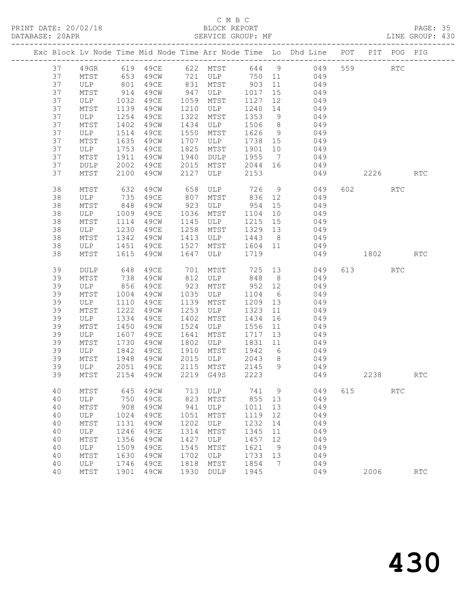# C M B C<br>BLOCK REPORT

PAGE: 35<br>LINE GROUP: 430

|    |    |            |            |             |      |                                                                                                                 |         |                | Exc Block Lv Node Time Mid Node Time Arr Node Time Lo Dhd Line POT |     |         | PIT POG PIG          |            |
|----|----|------------|------------|-------------|------|-----------------------------------------------------------------------------------------------------------------|---------|----------------|--------------------------------------------------------------------|-----|---------|----------------------|------------|
|    | 37 | 49GR       |            |             |      |                                                                                                                 |         |                | 619 49CE 622 MTST 644 9 049                                        | 559 |         | $\operatorname{RTC}$ |            |
|    | 37 | MTST       |            |             |      |                                                                                                                 |         |                |                                                                    |     |         |                      |            |
|    | 37 | ULP        |            |             |      | 653    49CW            721    ULP             750     11<br>801    49CE          831    MTST          903    11 |         |                |                                                                    |     |         |                      |            |
|    | 37 | MTST       | 914        | 49CW        | 947  | ULP                                                                                                             | 1017    | 15             | 049                                                                |     |         |                      |            |
|    | 37 | ULP        | 1032       | 49CE        | 1059 | MTST                                                                                                            | 1127    | 12             | 049                                                                |     |         |                      |            |
|    | 37 | MTST       | 1139       | 49CW        | 1210 | ULP                                                                                                             | 1240    | 14             |                                                                    |     |         |                      |            |
|    | 37 | ULP        | 1254       | 49CE        | 1322 | MTST                                                                                                            | 1353    | 9              | 049<br>049                                                         |     |         |                      |            |
|    | 37 | MTST       | 1402       | 49CW        | 1434 | ULP                                                                                                             | 1506    | 8 <sup>8</sup> | 049                                                                |     |         |                      |            |
|    | 37 | ULP        | 1514       | 49CE        | 1550 | MTST                                                                                                            | 1626    | 9              | 049                                                                |     |         |                      |            |
|    | 37 | MTST       | 1635       | 49CW        | 1707 | ULP                                                                                                             | 1738 15 |                | $049$                                                              |     |         |                      |            |
|    | 37 | ULP        | 1753       | 49CE        | 1825 | MTST                                                                                                            | 1901    | 10             | 049                                                                |     |         |                      |            |
|    | 37 | MTST       | 1911       | 49CW        | 1940 | DULP                                                                                                            | 1955    |                | 7 049                                                              |     |         |                      |            |
|    | 37 | DULP       | 2002       | 49CE        | 2015 | MTST                                                                                                            | 2044 16 |                | 049                                                                |     |         |                      |            |
|    | 37 | MTST       | 2100       | 49CW        | 2127 | ULP                                                                                                             | 2153    |                | 049                                                                |     | 2226    |                      | <b>RTC</b> |
|    |    |            |            |             |      |                                                                                                                 |         |                |                                                                    |     |         |                      |            |
|    | 38 | MTST       | 632        | 49CW        | 658  | ULP                                                                                                             | 726     |                | $9 \left( \frac{1}{2} \right)$<br>049                              |     | 602 000 | RTC                  |            |
| 38 |    | ULP        | 735        | 49CE        | 807  | MTST                                                                                                            | 836 12  |                | 049                                                                |     |         |                      |            |
| 38 |    | MTST       | 848        | 49CW        | 923  | ULP                                                                                                             | 954     | 15             | 049                                                                |     |         |                      |            |
| 38 |    | ULP        |            | 49CE        | 1036 | MTST                                                                                                            | 1104    | 10             | 049                                                                |     |         |                      |            |
| 38 |    | MTST       | 1114       | 49CW        | 1145 | ULP                                                                                                             | 1215    | 15             | 049                                                                |     |         |                      |            |
| 38 |    | ULP        | 1230       | 49CE        | 1258 | MTST                                                                                                            | 1329 13 |                | 049                                                                |     |         |                      |            |
|    | 38 | MTST       | 1342       | 49CW        | 1413 | ULP                                                                                                             | 1443    | 8 <sup>8</sup> | 049                                                                |     |         |                      |            |
| 38 |    | ULP        | 1451       | 49CE        | 1527 | MTST                                                                                                            | 1604 11 |                | 049                                                                |     |         |                      |            |
|    | 38 | MTST       | 1615       | 49CW        | 1647 | ULP                                                                                                             | 1719    |                | 049                                                                |     | 1802    |                      | <b>RTC</b> |
|    | 39 | DULP       | 648        | 49CE        | 701  | MTST                                                                                                            | 725     |                | 13<br>049                                                          |     | 613     | <b>RTC</b>           |            |
| 39 |    | MTST       |            | 49CW        | 812  | ULP                                                                                                             | 848     | 8 <sup>2</sup> | 049                                                                |     |         |                      |            |
|    | 39 | ULP        | 738<br>856 | 49CE        | 923  | MTST                                                                                                            | 952 12  |                | 049                                                                |     |         |                      |            |
| 39 |    | MTST       | 1004       | 49CW        | 1035 | ULP                                                                                                             | 1104    | 6              | 049                                                                |     |         |                      |            |
|    | 39 | ULP        | 1110       | 49CE        | 1139 | MTST                                                                                                            | 1209    | 13             | 049                                                                |     |         |                      |            |
| 39 |    | MTST       | 1222       | 49CW        | 1253 | ULP                                                                                                             | 1323    | 11             | 049                                                                |     |         |                      |            |
| 39 |    | ULP        | 1334       | 49CE        | 1402 | MTST                                                                                                            | 1434    | 16             | 049                                                                |     |         |                      |            |
| 39 |    | MTST       | 1450       | 49CW        | 1524 | ULP                                                                                                             | 1556    | 11             | 049                                                                |     |         |                      |            |
| 39 |    | ULP        | 1607       | 49CE        | 1641 | MTST                                                                                                            | 1717    | 13             | 049                                                                |     |         |                      |            |
|    | 39 | MTST       | 1730       | 49CW        | 1802 | ULP                                                                                                             | 1831    | 11             | 049                                                                |     |         |                      |            |
|    | 39 | ULP        | 1842       | 49CE        | 1910 | MTST                                                                                                            | 1942 6  |                | 049                                                                |     |         |                      |            |
|    | 39 | MTST       | 1948       | 49CW        | 2015 | ULP                                                                                                             | 2043    | 8 <sup>8</sup> | 049                                                                |     |         |                      |            |
|    | 39 | ULP        | 2051       | 49CE        | 2115 | MTST                                                                                                            | 2145    |                | 9 049                                                              |     |         |                      |            |
|    | 39 | MTST       | 2154       | 49CW        |      | 2219 G49S                                                                                                       | 2223    |                | 049                                                                |     | 2238    |                      | <b>RTC</b> |
|    |    |            |            |             |      |                                                                                                                 |         |                |                                                                    |     |         |                      |            |
|    | 40 | MTST       | 645        | 49CW        | 713  | ULP                                                                                                             | 741     | 9              | 049                                                                | 615 |         | <b>RTC</b>           |            |
|    | 40 | ULP        | 750        | <b>49CE</b> | 823  | MTST                                                                                                            | 855     | 13             | 049                                                                |     |         |                      |            |
|    | 40 | MTST       | 908        | 49CW        | 941  | ULP                                                                                                             | 1011    | 13             | 049                                                                |     |         |                      |            |
|    | 40 | ULP        | 1024       | 49CE        | 1051 | MTST                                                                                                            | 1119    | 12             | 049                                                                |     |         |                      |            |
|    | 40 | MTST       | 1131       | 49CW        | 1202 | ULP                                                                                                             | 1232    | 14             | 049                                                                |     |         |                      |            |
|    | 40 | <b>ULP</b> | 1246       | 49CE        | 1314 | MTST                                                                                                            | 1345    | 11             | 049                                                                |     |         |                      |            |
|    | 40 | MTST       | 1356       | 49CW        | 1427 | ULP                                                                                                             | 1457    | 12             | 049                                                                |     |         |                      |            |
|    | 40 | ULP        | 1509       | 49CE        | 1545 | MTST                                                                                                            | 1621    | 9              | 049                                                                |     |         |                      |            |
|    | 40 | MTST       | 1630       | 49CW        | 1702 | ULP                                                                                                             | 1733    | 13             | 049                                                                |     |         |                      |            |
|    | 40 | <b>ULP</b> | 1746       | 49CE        | 1818 | MTST                                                                                                            | 1854    | 7              | 049                                                                |     |         |                      |            |
|    | 40 | MTST       | 1901       | 49CW        | 1930 | DULP                                                                                                            | 1945    |                | 049                                                                |     | 2006    |                      | <b>RTC</b> |
|    |    |            |            |             |      |                                                                                                                 |         |                |                                                                    |     |         |                      |            |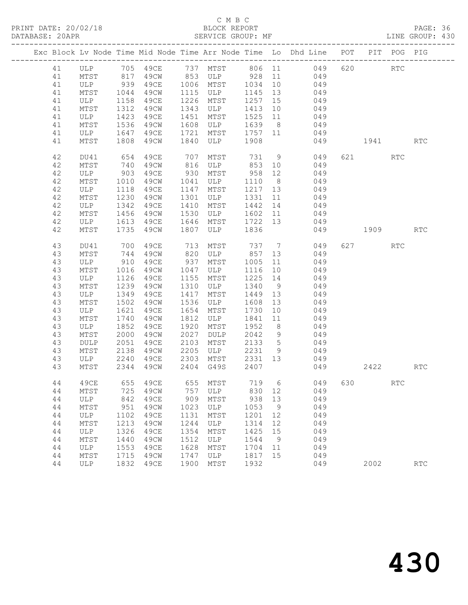# C M B C<br>BLOCK REPORT

PAGE: 36<br>LINE GROUP: 430

|          |                 |                                                         |                       |              |                                     |                  |                | Exc Block Lv Node Time Mid Node Time Arr Node Time Lo Dhd Line POT PIT POG PIG |          |                      |            |
|----------|-----------------|---------------------------------------------------------|-----------------------|--------------|-------------------------------------|------------------|----------------|--------------------------------------------------------------------------------|----------|----------------------|------------|
| 41       |                 |                                                         |                       |              |                                     |                  |                | ULP 705 49CE 737 MTST 806 11 049                                               | 620 RTC  |                      |            |
| 41       | MTST            |                                                         |                       |              |                                     |                  |                | 817 49CW 853 ULP 928 11 049                                                    |          |                      |            |
| 41       | ULP 939         |                                                         |                       |              | 49CE 1006 MTST 1034 10              |                  |                | 049                                                                            |          |                      |            |
| 41       | MTST            | 1044                                                    | 49CW                  |              | 1115 ULP                            | 1145 13          |                | 049                                                                            |          |                      |            |
| 41       | ULP             | 1158                                                    | 49CE                  |              | 1226 MTST                           | 1257 15          |                | 049                                                                            |          |                      |            |
| 41       | $\mathtt{MTST}$ | 1312                                                    | 49CW                  |              | 1343 ULP                            | 1413 10          |                | 049                                                                            |          |                      |            |
| 41       | ULP             | 1423                                                    | 49CE                  | 1451         | MTST                                | 1525 11          |                | 049                                                                            |          |                      |            |
| 41       | MTST            | 1536                                                    | 49CW                  | 1608         | ULP                                 | 1639 8           |                | 049                                                                            |          |                      |            |
| 41       | ULP             | 1647                                                    | 49CE                  | 1721         | MTST 1757 11<br>ULP 1908            |                  |                | 049                                                                            |          |                      |            |
| 41       | MTST            |                                                         | 1808 49CW             | 1840         |                                     |                  |                | 049                                                                            | 1941 RTC |                      |            |
| 42       | DU41            | 654                                                     | 49CE                  | 707          | MTST                                |                  |                | 731 9 049                                                                      | 621 000  | RTC                  |            |
| 42       | MTST            | 740<br>903                                              | 49CW                  |              | 816 ULP                             | 853 10<br>958 12 |                | 049<br>049                                                                     |          |                      |            |
| 42       | ULP             |                                                         | 49CE                  | 930          | MTST                                |                  |                |                                                                                |          |                      |            |
| 42       | MTST            | 1010                                                    | 49CW                  | 1041         | ULP                                 | 1110 8           |                | 049                                                                            |          |                      |            |
| 42       | ULP             | 1118                                                    | 49CE                  | 1147         | MTST<br>114/<br>1301 ULP<br>22 MTST | 1217 13          |                | 049                                                                            |          |                      |            |
| 42       | MTST            | 1230                                                    | 49CW                  |              |                                     | 1331 11          |                | $049$                                                                          |          |                      |            |
| 42       | ULP             | 1342                                                    | 49CE                  |              |                                     | 1442 14          |                | 049                                                                            |          |                      |            |
| 42       | MTST            | 1456                                                    | 49CW                  | 1530         | ULP                                 | 1602 11          |                | 049                                                                            |          |                      |            |
| 42       | ULP             | 1613                                                    | 49CE                  | 1646         | MTST 1722 13                        |                  |                | 049                                                                            |          |                      |            |
| 42       | MTST            | 1735                                                    | 49CW                  | 1807         | ULP                                 | 1836             |                | 049                                                                            | 1909     |                      | RTC        |
| 43       | DU41            | 700                                                     | 49CE                  | 713          | MTST                                |                  |                | 737 7 049                                                                      | 627      | RTC                  |            |
| 43       | MTST            | 744                                                     | 49CW                  |              | 820 ULP 857 13                      |                  |                | 049                                                                            |          |                      |            |
| 43       | ULP             | $\begin{array}{c}\n 910 \\  \hline\n 101\n \end{array}$ | 49CE 937<br>49CW 1047 |              | MTST                                | 1005 11          |                | 049                                                                            |          |                      |            |
| 43       | MTST            | 1016                                                    |                       |              | ULP                                 | 1116 10          |                | 049                                                                            |          |                      |            |
| 43       | ULP             | 1126                                                    | 49CE                  | 1155         | MTST                                | 1225 14          |                | $049$                                                                          |          |                      |            |
| 43       | MTST            | 1239                                                    | 49CW                  | 1310         | ULP                                 | 1340 9           |                | 049                                                                            |          |                      |            |
| 43       | ULP             | 1349                                                    | 49CE                  | 1417         | MTST                                | 1449 13          |                | 049                                                                            |          |                      |            |
| 43       | MTST            | 1502                                                    | 49CW                  | 1536         | ULP                                 | 1608 13          |                | 049                                                                            |          |                      |            |
| 43       | ULP             | 1621                                                    | 49CE                  | 1654         | MTST                                | 1730 10          |                | 049                                                                            |          |                      |            |
| 43       | MTST            | 1740                                                    | 49CW                  | 1812         | <b>ULP</b>                          | 1841 11          | 8 <sup>8</sup> | 049                                                                            |          |                      |            |
| 43<br>43 | ULP<br>MTST     | 1852<br>2000                                            | 49CE<br>49CW          | 1920<br>2027 | MTST<br>DULP                        | 1952<br>2042 9   |                | 049<br>049                                                                     |          |                      |            |
| 43       | DULP            | 2051                                                    | 49CE                  | 2103         | MTST                                | 2133 5           |                | 049                                                                            |          |                      |            |
| 43       | MTST            | 2138                                                    | 49CW                  | 2205         | ULP                                 | 2231 9           |                | 049                                                                            |          |                      |            |
| 43       | ULP             | 2240                                                    | 49CE                  | 2303         | MTST                                | 2331 13          |                | 049                                                                            |          |                      |            |
| 43       | MTST            | 2344                                                    | 49CW                  |              | 2404 G49S                           | 2407             |                | 049                                                                            | 2422     |                      | <b>RTC</b> |
|          |                 |                                                         |                       |              |                                     |                  |                |                                                                                |          |                      |            |
| 44       |                 |                                                         |                       |              |                                     |                  |                | 49CE 655 49CE 655 MTST 719 6 049 630                                           |          | $\operatorname{RTC}$ |            |
| 44       | MTST            | 725                                                     | 49CW                  | 757          | ULP                                 | 830              | 12             | 049                                                                            |          |                      |            |
| 44       | ULP             | 842                                                     | 49CE                  | 909          | MTST                                | 938              | 13             | 049                                                                            |          |                      |            |
| 44       | MTST            | 951                                                     | 49CW                  | 1023         | ULP                                 | 1053             | 9              | 049                                                                            |          |                      |            |
| 44       | ULP             | 1102                                                    | 49CE                  | 1131         | MTST                                | 1201             | 12             | 049                                                                            |          |                      |            |
| 44       | MTST            | 1213                                                    | 49CW                  | 1244         | ULP                                 | 1314             | 12             | 049                                                                            |          |                      |            |
| 44       | ULP             | 1326                                                    | 49CE                  | 1354         | MTST                                | 1425             | 15             | 049                                                                            |          |                      |            |
| 44       | MTST            | 1440                                                    | 49CW                  | 1512         | ULP                                 | 1544             | 9              | 049                                                                            |          |                      |            |
| 44<br>44 | ULP<br>MTST     | 1553<br>1715                                            | 49CE<br>49CW          | 1628<br>1747 | MTST<br>ULP                         | 1704             | 11             | 049<br>049                                                                     |          |                      |            |
| 44       | ULP             | 1832                                                    | 49CE                  | 1900         | MTST                                | 1817 15<br>1932  |                | 049                                                                            | 2002     |                      | RTC        |
|          |                 |                                                         |                       |              |                                     |                  |                |                                                                                |          |                      |            |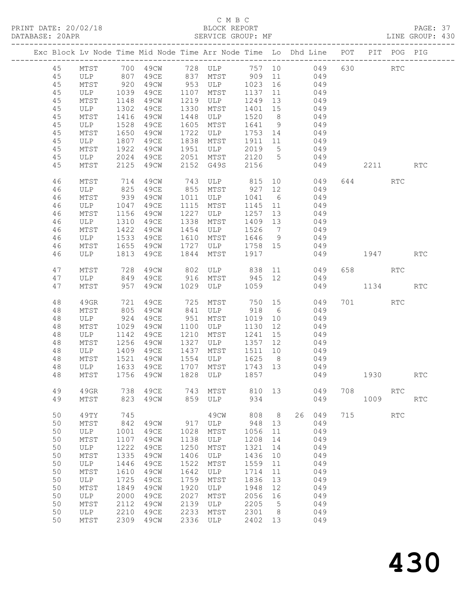# C M B C<br>BLOCK REPORT

PAGE: 37<br>LINE GROUP: 430

|          | Exc Block Lv Node Time Mid Node Time Arr Node Time Lo Dhd Line POT           |      |                   |      |                  |                 |                 |              |      |          | PIT POG PIG |            |
|----------|------------------------------------------------------------------------------|------|-------------------|------|------------------|-----------------|-----------------|--------------|------|----------|-------------|------------|
| 45       |                                                                              |      |                   |      |                  |                 |                 |              |      | 630 000  | RTC         |            |
| 45       | MTST 700 49CW 728 ULP 757 10      049<br>ULP 807 49CE 837 MTST 909 11    049 |      |                   |      |                  |                 |                 |              |      |          |             |            |
| 45       | MTST                                                                         | 920  | 49CW              |      | $953$ ULP $1023$ |                 |                 | 16 049       |      |          |             |            |
| 45       | ULP                                                                          | 1039 | 49CE              | 1107 | MTST             | 1137            |                 | 11 049       |      |          |             |            |
| 45       | MTST                                                                         | 1148 | 49CW              | 1219 | ULP              | 1249            | 13              | 049          |      |          |             |            |
| 45       | ULP                                                                          | 1302 | 49CE              | 1330 | MTST             | 1401            | 15              | 049          |      |          |             |            |
| 45       | MTST                                                                         | 1416 | 49CW              | 1448 | ULP              | 1520            | 8 <sup>8</sup>  | 049          |      |          |             |            |
| 45       | ULP                                                                          | 1528 | 49CE              | 1605 | MTST             | 1641            | 9               | 049          |      |          |             |            |
| 45       | MTST                                                                         | 1650 | 49CW              | 1722 | ULP              | 1753            | 14              | 049          |      |          |             |            |
| 45       | ULP                                                                          | 1807 | 49CE              | 1838 | MTST             | 1911            | 11              | 049          |      |          |             |            |
| 45       | MTST                                                                         | 1922 | 49CW              | 1951 | ULP              | 2019            | $5\overline{)}$ | 049          |      |          |             |            |
| 45       | ULP                                                                          | 2024 | 49CE              |      | 2051 MTST 2120 5 |                 |                 | 049          |      |          |             |            |
| 45       | MTST                                                                         | 2125 | 49CW              | 2152 | G49S             | 2156            |                 | 049          |      | 2211 RTC |             |            |
|          |                                                                              |      |                   |      |                  |                 |                 |              |      |          |             |            |
| 46       | MTST                                                                         | 714  | 49CW              | 743  | ULP 815          |                 |                 | 10<br>049    |      | 644 64   | RTC         |            |
| 46       | ULP                                                                          | 825  | 49CE              |      | 855 MTST         | 927             | 12              | 049          |      |          |             |            |
| 46       | MTST                                                                         | 939  | 49CW              | 1011 | ULP              | 1041 6          |                 | 049          |      |          |             |            |
| 46       | ULP                                                                          | 1047 | 49CE              | 1115 | MTST             | 1145            | 11              | 049          |      |          |             |            |
| 46       | MTST                                                                         | 1156 | 49CW              | 1227 | ULP              | 1257            | 13              | 049          |      |          |             |            |
| 46       | ULP                                                                          | 1310 | 49CE              | 1338 | MTST             | 1409 13         |                 | 049          |      |          |             |            |
| 46       | MTST                                                                         | 1422 | 49CW              | 1454 | ULP              | 1526            | $\overline{7}$  | 049          |      |          |             |            |
| 46       | ULP                                                                          | 1533 | 49CE              | 1610 | MTST             | 1646            | 9               | $049$        |      |          |             |            |
| 46       | MTST                                                                         | 1655 | 49CW              | 1727 | ULP              | 1758 15         |                 | 049          |      |          |             |            |
| 46       | ULP                                                                          | 1813 | 49CE              | 1844 | MTST             | 1917            |                 | 049          | 1947 |          |             | <b>RTC</b> |
| 47       | MTST                                                                         | 728  | 49CW              | 802  | ULP 838          |                 |                 | 11<br>049    |      | 658 RTC  |             |            |
| 47       | ULP                                                                          |      | 849 49CE          |      | 916 MTST 945 12  |                 |                 | 049          |      |          |             |            |
| 47       | MTST                                                                         | 957  | 49CW              | 1029 | ULP 1059         |                 |                 | 049          |      | 1134 RTC |             |            |
| 48       |                                                                              | 721  | 49CE              |      | MTST             | 750 15          |                 | 049          |      | 701 RTC  |             |            |
|          | 49GR                                                                         |      |                   | 725  |                  |                 |                 |              |      |          |             |            |
| 48       | MTST                                                                         | 805  | 49CW              | 841  | ULP              | 918             | $6\overline{6}$ | 049          |      |          |             |            |
| 48       | ULP                                                                          | 924  | 49CE              | 951  | MTST             | 1019            | 10              | 049          |      |          |             |            |
| 48       | MTST                                                                         | 1029 | 49CW              | 1100 | ULP              | 1130            | 12              | 049          |      |          |             |            |
| 48       | ULP                                                                          | 1142 | 49CE              | 1210 | MTST             | 1241            | 15              | 049          |      |          |             |            |
| 48       | MTST                                                                         | 1256 | 49CW              | 1327 | ULP              | 1357            | 12              | 049<br>$049$ |      |          |             |            |
| 48       | ULP                                                                          | 1409 | 49CE              | 1437 | MTST<br>ULP      | 1511            | 10              |              |      |          |             |            |
| 48       | MTST                                                                         | 1521 | 49CW              | 1554 |                  | 1625            | 8 <sup>8</sup>  | 049          |      |          |             |            |
| 48<br>48 | ULP<br>MTST                                                                  | 1633 | 49CE<br>1756 49CW | 1707 | MTST<br>1828 ULP | 1743 13<br>1857 |                 | 049<br>049   | 1930 |          |             | <b>RTC</b> |
|          |                                                                              |      |                   |      |                  |                 |                 |              |      |          |             |            |
| 49       | 49GR                                                                         | 738  | 49CE              | 743  | MTST             | 810 13          |                 | 049          | 708  |          | RTC         |            |
| 49       | MTST                                                                         | 823  | 49CW              | 859  | ULP              | 934             |                 | 049          |      | 1009     |             | <b>RTC</b> |
|          |                                                                              |      |                   |      |                  |                 |                 |              |      |          |             |            |
| 50       | 49TY                                                                         | 745  |                   |      | 49CW             | 808             | 8 <sup>8</sup>  | 26<br>049    |      | 715      | <b>RTC</b>  |            |
| 50       | MTST                                                                         | 842  | 49CW              | 917  | ULP              | 948             | 13              | 049          |      |          |             |            |
| 50       | ULP                                                                          | 1001 | 49CE              | 1028 | MTST             | 1056            | 11              | 049          |      |          |             |            |
| 50       | MTST                                                                         | 1107 | 49CW              | 1138 | ULP              | 1208            | 14              | 049          |      |          |             |            |
| 50       | ULP                                                                          | 1222 | 49CE              | 1250 | MTST             | 1321            | 14              | 049          |      |          |             |            |
| 50       | MTST                                                                         | 1335 | 49CW              | 1406 | ULP              | 1436            | 10              | 049          |      |          |             |            |
| 50       | ULP                                                                          | 1446 | 49CE              | 1522 | MTST             | 1559            | 11              | 049          |      |          |             |            |
| 50       | MTST                                                                         | 1610 | 49CW              | 1642 | ULP              | 1714            | 11              | 049          |      |          |             |            |
| 50       | ULP                                                                          | 1725 | 49CE              | 1759 | MTST             | 1836            | 13              | 049          |      |          |             |            |
| 50       | MTST                                                                         | 1849 | 49CW              | 1920 | ULP              | 1948            | 12              | 049          |      |          |             |            |
| 50       | ULP                                                                          | 2000 | 49CE              | 2027 | MTST             | 2056            | 16              | 049          |      |          |             |            |
| 50       | MTST                                                                         | 2112 | 49CW              | 2139 | ULP              | 2205            | 5               | 049          |      |          |             |            |
| 50       | ULP                                                                          | 2210 | 49CE              | 2233 | MTST             | 2301            | 8               | 049          |      |          |             |            |
| 50       | MTST                                                                         | 2309 | 49CW              | 2336 | ULP              | 2402            | 13              | 049          |      |          |             |            |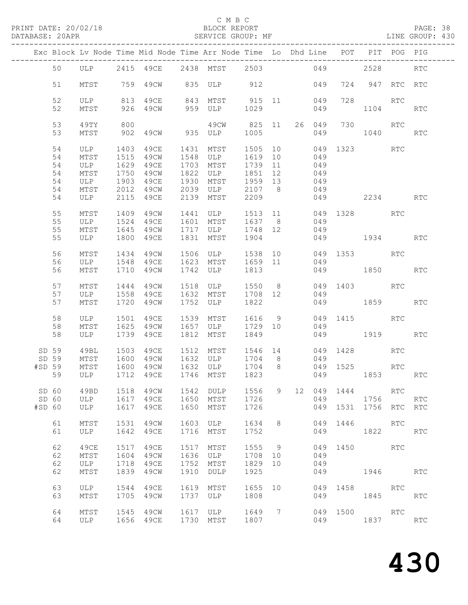# C M B C<br>BLOCK REPORT

PAGE: 38<br>LINE GROUP: 430

|        |          |                                 |      |                        |      | Exc Block Lv Node Time Mid Node Time Arr Node Time Lo Dhd Line POT PIT POG PIG |                    |     |    |        |      |                 |            |                      |
|--------|----------|---------------------------------|------|------------------------|------|--------------------------------------------------------------------------------|--------------------|-----|----|--------|------|-----------------|------------|----------------------|
|        | 50       |                                 |      |                        |      | ULP 2415 49CE 2438 MTST 2503                                                   |                    |     |    | 049    |      | 2528            |            | <b>RTC</b>           |
|        | 51       | MTST                            |      | 759 49CW               |      | 835 ULP 912                                                                    |                    |     |    | 049    |      | 724 947 RTC RTC |            |                      |
|        | 52<br>52 |                                 |      | 926 49CW               |      | ULP 813 49CE 843 MTST 915 11 049<br>MTST 926 49CW 959 ULP 1029 049             |                    |     |    |        | 728  | 1104            | RTC        | $\operatorname{RTC}$ |
|        | 53       | 49TY                            | 800  |                        |      | 49CW 825 11                                                                    |                    |     |    | 26 049 |      | 730             | RTC        |                      |
|        | 53       | MTST                            |      | 902 49CW 935 ULP       |      |                                                                                | 1005               |     |    | 049    |      | 1040            |            | RTC                  |
|        | 54<br>54 | ULP<br>MTST                     | 1515 | 49CW 1548 ULP          |      | 1403  49CE  1431  MTST                                                         | 1505 10<br>1619 10 |     |    | 049    |      | 049 1323 RTC    |            |                      |
|        | 54       | ULP                             | 1629 | 49CE                   |      | 1703 MTST                                                                      | 1739 11            |     |    | 049    |      |                 |            |                      |
|        | 54       | MTST                            | 1750 | 49CW                   |      | 1822 ULP                                                                       | 1851 12            |     |    | 049    |      |                 |            |                      |
|        | 54       | ULP                             | 1903 | 49CE                   |      | 1930 MTST 1959 13                                                              |                    |     |    | 049    |      |                 |            |                      |
|        | 54       | MTST                            |      |                        |      | 2012 49CW 2039 ULP 2107 8                                                      |                    |     |    | 049    |      |                 |            |                      |
|        |          |                                 |      |                        |      |                                                                                |                    |     |    |        |      |                 |            |                      |
|        | 54       | ULP                             |      | 2115 49CE              | 2139 | MTST                                                                           | 2209               |     |    |        |      | 049 2234        |            | <b>RTC</b>           |
|        | 55       | MTST                            |      |                        |      | 1409  49CW  1441  ULP                                                          | 1513 11            |     |    |        |      | 049 1328 RTC    |            |                      |
|        | 55       | ULP                             | 1524 | 49CE                   |      | 1601 MTST                                                                      | 1637 8             |     |    | 049    |      |                 |            |                      |
|        | 55       | MTST                            |      | 1645 49CW              |      | 1717 ULP                                                                       | 1748 12            |     |    | 049    |      |                 |            |                      |
|        |          |                                 |      |                        |      |                                                                                |                    |     |    |        |      |                 |            |                      |
|        | 55       | ULP                             |      | 1800 49CE              |      | 1831 MTST                                                                      | 1904               |     |    |        |      | 049 1934        |            | RTC                  |
|        | 56       | MTST                            | 1434 |                        |      | 49CW 1506 ULP                                                                  | 1538 10            |     |    |        |      | 049 1353 RTC    |            |                      |
|        | 56       | ULP                             |      | 1548  49CE  1623  MTST |      |                                                                                | 1659 11            |     |    | 049    |      |                 |            |                      |
|        | 56       | MTST                            |      | 1710 49CW              |      | 1742 ULP                                                                       | 1813               |     |    |        |      | 049 1850        |            | RTC                  |
|        |          |                                 |      |                        |      |                                                                                |                    |     |    |        |      |                 |            |                      |
|        | 57       | MTST                            |      |                        |      | 1444 49CW 1518 ULP 1550 8                                                      |                    |     |    |        |      | 049 1403 RTC    |            |                      |
|        | 57       | ULP                             | 1558 | 49CE                   |      | 1632 MTST                                                                      | 1708 12            |     |    | 049    |      |                 |            |                      |
|        | 57       | MTST                            |      | 1720 49CW              |      | 1752 ULP                                                                       | 1822               |     |    |        |      | 049 1859        |            | RTC                  |
|        |          |                                 |      |                        |      |                                                                                |                    |     |    |        |      |                 |            |                      |
|        | 58       | ULP                             | 1501 | 49CE                   |      | 1539 MTST                                                                      | 1616 9             |     |    |        |      | 049 1415        | RTC        |                      |
|        | 58       | MTST                            |      | 1625 49CW              |      | 1657 ULP                                                                       | 1729 10            |     |    | 049    |      |                 |            |                      |
|        | 58       | ULP                             |      | 1739 49CE              |      | 1812 MTST                                                                      | 1849               |     |    |        |      | 049 1919        |            | <b>RTC</b>           |
|        | SD 59    | 49BL                            |      |                        |      | 1503  49CE  1512  MTST                                                         | 1546 14            |     |    |        |      | 049 1428        | RTC        |                      |
|        | SD 59    | MTST                            | 1600 | 49CW                   |      | 1632 ULP                                                                       | 1704 8             |     |    | 049    |      |                 |            |                      |
| #SD 59 |          |                                 |      | 49CW                   |      |                                                                                |                    |     |    |        |      | 049 1525        | RTC        |                      |
|        | 59       | MTST 1600 49CW<br>ULP 1712 49CE |      |                        |      | 1632 ULP       1704      8<br>1746    MTST         1823                        |                    |     |    |        |      | 049 1853        |            | RTC                  |
|        |          |                                 |      |                        |      |                                                                                |                    |     |    |        |      |                 |            |                      |
|        | SD 60    | 49BD                            | 1518 | 49CW                   | 1542 | DULP                                                                           | 1556               | 9   | 12 | 049    | 1444 |                 | RTC        |                      |
|        | SD 60    | ULP                             | 1617 | 49CE                   | 1650 | MTST                                                                           | 1726               |     |    | 049    |      | 1756            |            | RTC                  |
| #SD 60 |          | ULP                             | 1617 | 49CE                   | 1650 | MTST                                                                           | 1726               |     |    | 049    | 1531 | 1756 RTC        |            | <b>RTC</b>           |
|        |          |                                 |      |                        |      |                                                                                |                    |     |    |        |      |                 |            |                      |
|        | 61       | MTST                            | 1531 | 49CW                   | 1603 | ULP                                                                            | 1634               | 8   |    | 049    | 1446 |                 | <b>RTC</b> |                      |
|        | 61       | ULP                             | 1642 | 49CE                   | 1716 | MTST                                                                           | 1752               |     |    | 049    |      | 1822            |            | <b>RTC</b>           |
|        | 62       | 49CE                            | 1517 | 49CE                   | 1517 | MTST                                                                           | 1555               | - 9 |    | 049    | 1450 |                 | RTC        |                      |
|        | 62       | MTST                            | 1604 | 49CW                   | 1636 | ULP                                                                            | 1708               | 10  |    | 049    |      |                 |            |                      |
|        | 62       | ULP                             | 1718 | 49CE                   | 1752 | MTST                                                                           | 1829               | 10  |    | 049    |      |                 |            |                      |
|        | 62       | MTST                            | 1839 | 49CW                   | 1910 | DULP                                                                           | 1925               |     |    | 049    |      | 1946            |            | RTC                  |
|        |          |                                 |      |                        |      |                                                                                |                    |     |    |        |      |                 |            |                      |
|        | 63       | ULP                             | 1544 | 49CE                   | 1619 | MTST                                                                           | 1655               | 10  |    | 049    | 1458 |                 | RTC        |                      |
|        | 63       | MTST                            | 1705 | 49CW                   | 1737 | ULP                                                                            | 1808               |     |    | 049    |      | 1845            |            | RTC                  |
|        |          |                                 |      |                        |      |                                                                                |                    |     |    |        |      |                 |            |                      |
|        | 64       | MTST                            | 1545 | 49CW                   | 1617 | ULP                                                                            | 1649               | 7   |    | 049    | 1500 |                 | RTC        |                      |
|        | 64       | ULP                             | 1656 | 49CE                   | 1730 | MTST                                                                           | 1807               |     |    | 049    |      | 1837            |            | <b>RTC</b>           |
|        |          |                                 |      |                        |      |                                                                                |                    |     |    |        |      |                 |            |                      |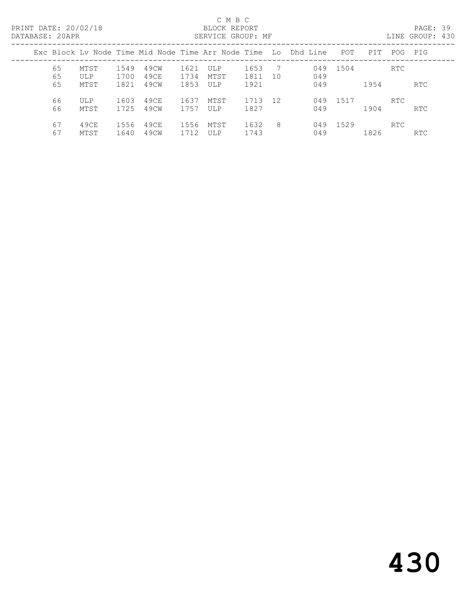# C M B C<br>BLOCK REPORT

PAGE: 39<br>LINE GROUP: 430

|          | Exc Block Lv Node Time Mid Node Time Arr Node Time Lo Dhd Line POT |              |              |              |             |              |           |     |          | PIT  | POG PIG |            |
|----------|--------------------------------------------------------------------|--------------|--------------|--------------|-------------|--------------|-----------|-----|----------|------|---------|------------|
| 65<br>65 | MTST<br>ULP                                                        | 1549<br>1700 | 49CW<br>49CE | 1621<br>1734 | ULP<br>MTST | 1653<br>1811 | - 7<br>10 | 049 | 049 1504 |      | RTC     |            |
| 65       | MTST                                                               | 1821         | 49CW         | 1853         | ULP         | 1921         |           | 049 |          | 1954 |         | <b>RTC</b> |
| 66<br>66 | ULP<br>MTST                                                        | 1603<br>1725 | 49CE<br>49CW | 1637<br>1757 | MTST<br>ULP | 1713<br>1827 | 12        | 049 | 049 1517 | 1904 | RTC.    | RTC        |
| 67<br>67 | 49CE<br>MTST                                                       | 1556<br>1640 | 49CE<br>49CW | 1556<br>1712 | MTST<br>ULP | 1632<br>1743 | -8        | 049 | 049 1529 | 1826 | RTC     | <b>RTC</b> |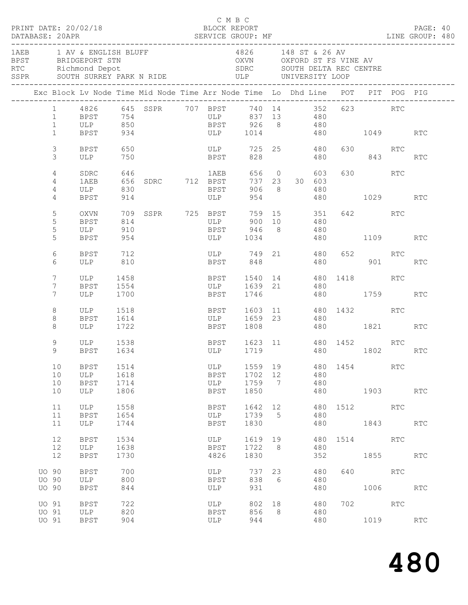| PRINT DATE: 20/02/18<br>DATABASE: 20APR                                                                 |                                     |                              |                                                                                                      | C M B C<br>BLOCK REPORT                        |                                                                                                        |                                          |                                                    |                          |                                                                                                                                                                                                                               |          |                                                                                                                                                                                                                                      | PAGE: 40   |  |
|---------------------------------------------------------------------------------------------------------|-------------------------------------|------------------------------|------------------------------------------------------------------------------------------------------|------------------------------------------------|--------------------------------------------------------------------------------------------------------|------------------------------------------|----------------------------------------------------|--------------------------|-------------------------------------------------------------------------------------------------------------------------------------------------------------------------------------------------------------------------------|----------|--------------------------------------------------------------------------------------------------------------------------------------------------------------------------------------------------------------------------------------|------------|--|
| 1AEB 1 AV & ENGLISH BLUFF<br>BPST BRIDGEPORT STN<br>RTC Richmond Depot<br>SSPR SOUTH SURREY PARK N RIDE | -----------------------             |                              |                                                                                                      |                                                | 4826 148 ST & 26 AV<br>OXVN OXFORD ST FS VINE AV<br>SDRC SOUTH DELTA REC CENTRE<br>ULP UNIVERSITY LOOP |                                          |                                                    |                          |                                                                                                                                                                                                                               |          |                                                                                                                                                                                                                                      |            |  |
| Exc Block Lv Node Time Mid Node Time Arr Node Time Lo Dhd Line POT PIT POG PIG                          |                                     |                              |                                                                                                      |                                                |                                                                                                        |                                          |                                                    |                          |                                                                                                                                                                                                                               |          |                                                                                                                                                                                                                                      |            |  |
| $\mathbf{1}$                                                                                            | BPST 934                            |                              | 1 4826 645 SSPR 707 BPST 740 14 352 623 RTC<br>1 BPST 754 ULP 837 13 480<br>1 ULP 850 BPST 926 8 480 | ULP 1014 480 1049 RTC                          |                                                                                                        |                                          |                                                    |                          |                                                                                                                                                                                                                               |          |                                                                                                                                                                                                                                      |            |  |
| $\mathfrak{Z}$<br>3                                                                                     | BPST<br>ULP                         | 650<br>750                   |                                                                                                      | <b>BPST</b>                                    | ULP 725 25 480                                                                                         |                                          | 828 and the state of $\sim$                        |                          | 480 843                                                                                                                                                                                                                       | 630 RTC  |                                                                                                                                                                                                                                      | RTC        |  |
| 4<br>4<br>4<br>4                                                                                        | SDRC<br>1AEB<br>ULP 830<br>BPST 914 |                              |                                                                                                      | <b>BPST</b><br>ULP                             |                                                                                                        |                                          | 737 23 30 603<br>906 8<br>954 and $\overline{954}$ | 603 —<br>480             | 480 1029 RTC                                                                                                                                                                                                                  | 630 RTC  |                                                                                                                                                                                                                                      |            |  |
| 5<br>5<br>5                                                                                             | OXVN<br>BPST<br>ULP                 | 814<br>910                   | 709 SSPR 725 BPST                                                                                    |                                                | ULP 900 10 480<br>BPST 946 8 480                                                                       |                                          | 759 15 351                                         |                          |                                                                                                                                                                                                                               | 642 RTC  |                                                                                                                                                                                                                                      |            |  |
| 5<br>6<br>6                                                                                             | BPST<br>BPST 712<br>ULP 810         | 954                          |                                                                                                      |                                                | ULP 1034<br>ULP 749 21 480 652 RTC<br>BPST 848                                                         |                                          |                                                    |                          | 480 1109 RTC<br>480 901 RTC                                                                                                                                                                                                   |          |                                                                                                                                                                                                                                      |            |  |
| 7<br>7<br>$7^{\circ}$                                                                                   | ULP 1458<br>BPST<br>ULP 1700        | 1554                         |                                                                                                      | BPST 1540 14 480 1418 RTC<br>ULP<br>BPST       | 1639 21<br>1746                                                                                        |                                          |                                                    | 480                      | 480 1759                                                                                                                                                                                                                      |          |                                                                                                                                                                                                                                      | RTC        |  |
| 8<br>8<br>8                                                                                             | ULP 1518<br>BPST<br>ULP 1722        | 1614                         |                                                                                                      | BPST 1603 11 480 1432 RTC<br>ULP               | 1659 23<br>BPST 1808                                                                                   |                                          |                                                    | 480                      | 480 1821 RTC                                                                                                                                                                                                                  |          |                                                                                                                                                                                                                                      |            |  |
| 9<br>9                                                                                                  | ULP 1538<br>BPST 1634               |                              |                                                                                                      | BPST 1623 11 480 1452 RTC<br>ULP 1719 480 1802 |                                                                                                        |                                          |                                                    |                          | 480 1802 RTC                                                                                                                                                                                                                  |          |                                                                                                                                                                                                                                      |            |  |
| 10<br>10<br>10<br>10                                                                                    | BPST<br>ULP<br><b>BPST</b><br>ULP   | 1514<br>1618<br>1714<br>1806 |                                                                                                      | ULP<br>BPST<br>ULP<br><b>BPST</b>              | 1559<br>1702<br>1759<br>1850                                                                           | 19<br>12<br>$7\phantom{.0}\phantom{.0}7$ |                                                    | 480<br>480<br>480<br>480 | 1454   1454   1460   1470   1480   1480   1481   1482   1482   1482   1482   1482   1482   1482   1482   1482   1482   1482   1482   1482   1482   1482   1482   1482   1482   1482   1482   1482   1482   1482   1482   1482 |          | RTC<br>1903   1903   1904   1905   1906   1907   1908   1908   1908   1908   1908   1908   1908   1908   1908   1908   1908   1908   1908   1908   1908   1908   1908   1908   1908   1908   1908   1908   1908   1908   1908   1908 | <b>RTC</b> |  |
| 11<br>11<br>11                                                                                          | <b>ULP</b><br><b>BPST</b><br>ULP    | 1558<br>1654<br>1744         |                                                                                                      | BPST<br>ULP<br><b>BPST</b>                     | 1642<br>1739<br>1830                                                                                   | 12<br>5                                  |                                                    | 480<br>480<br>480        |                                                                                                                                                                                                                               | 1512 RTC | 1843                                                                                                                                                                                                                                 | <b>RTC</b> |  |
| 12<br>12<br>12                                                                                          | <b>BPST</b><br>ULP<br><b>BPST</b>   | 1534<br>1638<br>1730         |                                                                                                      | ULP<br>BPST<br>4826                            | 1619<br>1722<br>1830                                                                                   | 19<br>- 8                                |                                                    | 480<br>480<br>352        |                                                                                                                                                                                                                               | 1514     | RTC<br>1855 000                                                                                                                                                                                                                      | <b>RTC</b> |  |
| <b>UO 90</b><br><b>UO 90</b><br><b>UO 90</b>                                                            | <b>BPST</b><br>ULP<br><b>BPST</b>   | 700<br>800<br>844            |                                                                                                      | ULP<br><b>BPST</b><br>ULP                      | 737<br>838<br>931                                                                                      | 23<br>- 6                                |                                                    | 480<br>480<br>480        | 640                                                                                                                                                                                                                           | RTC      | 1006                                                                                                                                                                                                                                 | <b>RTC</b> |  |
| UO 91<br>UO 91<br>UO 91                                                                                 | <b>BPST</b><br>ULP<br><b>BPST</b>   | 722<br>820<br>904            |                                                                                                      | ULP<br>BPST<br>ULP                             | 802<br>856<br>944                                                                                      | 18<br>8                                  |                                                    | 480<br>480<br>480        |                                                                                                                                                                                                                               | 702      | RTC<br>1019                                                                                                                                                                                                                          | <b>RTC</b> |  |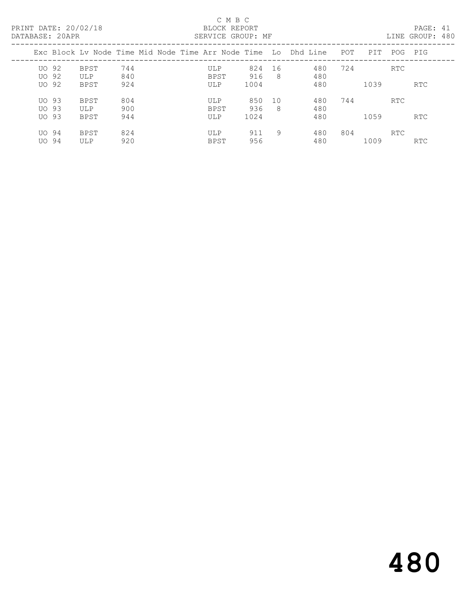## C M B C<br>BLOCK REPORT SERVICE GROUP: MF

|         |             | Exc Block Ly Node Time Mid Node Time Arr Node Time Lo Dhd Line |             |      |     |     | POT | PIT  | POG        | PIG        |
|---------|-------------|----------------------------------------------------------------|-------------|------|-----|-----|-----|------|------------|------------|
| $UO$ 92 | BPST        | 744                                                            | ULP         | 824  | -16 | 480 | 724 |      | <b>RTC</b> |            |
| UO 92   | ULP         | 840                                                            | <b>BPST</b> | 916  | -8  | 480 |     |      |            |            |
| UO 92   | <b>BPST</b> | 924                                                            | ULP         | 1004 |     | 480 |     | 1039 |            | RTC.       |
| $UO$ 93 | BPST        | 804                                                            | ULP         | 850  | 10  | 480 | 744 |      | <b>RTC</b> |            |
| UO 93   | ULP         | 900                                                            | <b>BPST</b> | 936  | -8  | 480 |     |      |            |            |
| UO 93   | <b>BPST</b> | 944                                                            | ULP         | 1024 |     | 480 |     | 1059 |            | <b>RTC</b> |
| UO 94   | BPST        | 824                                                            | ULP         | 911  | 9   | 480 | 804 |      | RTC        |            |
| UO 94   | ULP         | 920                                                            | <b>BPST</b> | 956  |     | 480 |     | 1009 |            | <b>RTC</b> |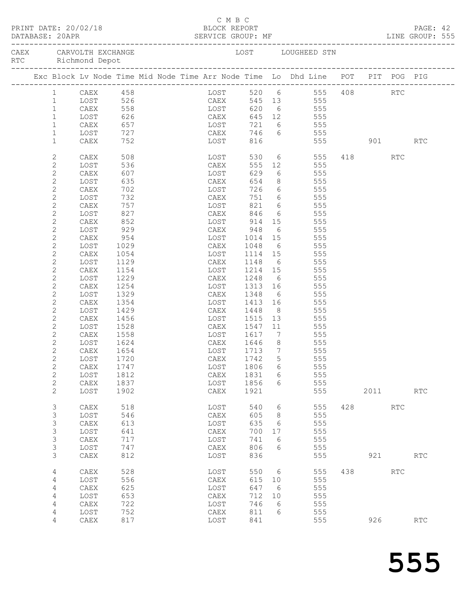|                    |                              |              |              |                        | C M B C                     |                             |                |                                                                                |     |         |     | PAGE: 42<br>LINE GROUP: 555 |  |
|--------------------|------------------------------|--------------|--------------|------------------------|-----------------------------|-----------------------------|----------------|--------------------------------------------------------------------------------|-----|---------|-----|-----------------------------|--|
| RTC Richmond Depot |                              |              |              | CAEX CARVOLTH EXCHANGE |                             |                             |                | LOST LOUGHEED STN                                                              |     |         |     |                             |  |
|                    |                              |              |              |                        |                             |                             |                | Exc Block Lv Node Time Mid Node Time Arr Node Time Lo Dhd Line POT PIT POG PIG |     |         |     |                             |  |
|                    | $1 \quad$                    |              |              |                        |                             |                             |                | LOST 520 6 555 408 RTC<br>CAEX 545 13 555                                      |     |         |     |                             |  |
|                    | $\mathbf{1}$                 |              |              |                        |                             |                             |                |                                                                                |     |         |     |                             |  |
|                    | $\mathbf{1}$                 | CAEX         |              | 558 LOST               |                             |                             |                | 620 6 555                                                                      |     |         |     |                             |  |
|                    | $\mathbf{1}$                 | LOST         | 626          | <b>CAEX</b>            |                             |                             |                | 645 12 555                                                                     |     |         |     |                             |  |
|                    | $\mathbf{1}$                 | CAEX         | 657<br>727   |                        | LOST<br>CAEX                |                             |                | 721 6 555<br>746 6 555                                                         |     |         |     |                             |  |
|                    | $\mathbf{1}$                 | LOST         |              |                        |                             |                             |                | 746 6 555<br>816 555 901 RTC                                                   |     |         |     |                             |  |
|                    | $\mathbf{1}$                 | CAEX         | 752          |                        | LOST                        |                             |                |                                                                                |     |         |     |                             |  |
|                    | $\mathbf{2}$                 | CAEX         | 508          |                        | LOST<br>CAEX                | 530                         |                | $6$ 555                                                                        |     | 418 RTC |     |                             |  |
|                    | 2                            | LOST         | 536          |                        |                             | 555                         | 12             | 555                                                                            |     |         |     |                             |  |
|                    | 2                            | CAEX         | 607          |                        | LOST                        | 629                         |                | $-6$ 555                                                                       |     |         |     |                             |  |
|                    | $\mathbf{2}$                 | LOST         | 635          |                        | CAEX                        | 654                         |                | 8 555                                                                          |     |         |     |                             |  |
|                    | $\mathbf{2}$                 | CAEX         | 702<br>732   |                        | LOST<br>CAEX                |                             |                | 726 6 555                                                                      |     |         |     |                             |  |
|                    | $\mathbf{2}$                 | LOST         | 757          |                        | CAEX<br>LOST                | 751 6                       |                | 555<br>821 6 555                                                               |     |         |     |                             |  |
|                    | 2                            | CAEX         |              |                        | CAEX                        |                             |                | 6 555                                                                          |     |         |     |                             |  |
|                    | 2<br>$\mathbf{2}$            | LOST<br>CAEX | 827          |                        |                             | 846                         |                |                                                                                |     |         |     |                             |  |
|                    | $\mathbf{2}$                 | LOST         | 852<br>929   |                        |                             | LOST 914                    |                | 15 555                                                                         |     |         |     |                             |  |
|                    | 2                            | CAEX         | 954          |                        |                             |                             |                | CAEX 948 6 555<br>LOST 1014 15 555                                             |     |         |     |                             |  |
|                    | 2                            | LOST         | 1029         |                        | CAEX 1048                   |                             |                | 6 555                                                                          |     |         |     |                             |  |
|                    | 2                            | CAEX         | 1054         |                        | LOST                        |                             |                | 1114 15 555                                                                    |     |         |     |                             |  |
|                    | $\mathbf{2}$                 | LOST         | 1129         |                        | CAEX                        | 1148 6                      |                | 555                                                                            |     |         |     |                             |  |
|                    | 2                            | CAEX         | 1154         |                        |                             |                             |                | LOST 1214 15 555                                                               |     |         |     |                             |  |
|                    | $\mathbf{2}$                 | LOST         | 1229         |                        |                             |                             |                | CAEX 1248 6 555                                                                |     |         |     |                             |  |
|                    | 2                            | CAEX         | 1254         |                        | LOST                        | 1313                        |                | 16 555                                                                         |     |         |     |                             |  |
|                    | $\mathbf{2}$                 | LOST         | 1329         |                        |                             | CAEX 1348 6<br>LOST 1413 16 |                | 555                                                                            |     |         |     |                             |  |
|                    | $\mathbf{2}$                 | CAEX         | 1354         |                        |                             |                             |                | 555                                                                            |     |         |     |                             |  |
|                    | 2                            | LOST         | 1429         |                        |                             | CAEX 1448                   |                | 8 555                                                                          |     |         |     |                             |  |
|                    | 2                            | CAEX         | 1456         |                        |                             | LOST 1515                   |                | 13 555                                                                         |     |         |     |                             |  |
|                    | $\mathbf{2}$                 | LOST         | 1528         |                        | CAEX 1547 11<br>LOST 1617 7 |                             |                | 555                                                                            |     |         |     |                             |  |
|                    | $\mathbf{2}$                 | CAEX         | 1558         |                        |                             |                             |                | 555                                                                            |     |         |     |                             |  |
|                    | 2                            | LOST         | 1624         |                        | CAEX 1646                   |                             | 8 <sup>8</sup> | 555                                                                            |     |         |     |                             |  |
|                    | 2                            | CAEX         | 1654         |                        | LOST                        | 1713 7                      |                | 555                                                                            |     |         |     |                             |  |
|                    | $\overline{2}$               | LOST         | 1720         |                        | CAEX 1742 5                 |                             |                | 555                                                                            |     |         |     |                             |  |
|                    | $\mathbf{2}$<br>$\mathbf{2}$ | CAEX<br>LOST | 1747<br>1812 |                        | LOST<br>CAEX                | 1806<br>1831                | 6<br>6         | 555<br>555                                                                     |     |         |     |                             |  |
|                    | $\mathbf{2}$                 | CAEX         | 1837         |                        | LOST                        | 1856                        | 6              | 555                                                                            |     |         |     |                             |  |
|                    | 2                            | LOST         | 1902         |                        | CAEX                        | 1921                        |                | 555                                                                            |     | 2011    |     | $\operatorname{RTC}$        |  |
|                    |                              |              |              |                        |                             |                             |                |                                                                                |     |         |     |                             |  |
|                    | $\mathsf 3$                  | CAEX         | 518          |                        | LOST                        | 540                         | 6              | 555                                                                            | 428 |         | RTC |                             |  |
|                    | 3                            | LOST         | 546          |                        | CAEX                        | 605                         | 8              | 555                                                                            |     |         |     |                             |  |
|                    | 3                            | ${\tt CAEX}$ | 613          |                        | LOST                        | 635                         | 6              | 555                                                                            |     |         |     |                             |  |
|                    | 3                            | LOST         | 641          |                        | CAEX                        | 700                         | 17             | 555                                                                            |     |         |     |                             |  |
|                    | 3                            | CAEX         | 717          |                        | LOST                        | 741                         | 6              | 555                                                                            |     |         |     |                             |  |
|                    | 3<br>3                       | LOST<br>CAEX | 747<br>812   |                        | CAEX<br>LOST                | 806<br>836                  | 6              | 555<br>555                                                                     |     | 921     |     | $\operatorname{RTC}$        |  |
|                    |                              |              |              |                        |                             |                             |                |                                                                                |     |         |     |                             |  |
|                    | 4                            | CAEX         | 528          |                        | LOST                        | 550                         | 6              | 555                                                                            | 438 |         | RTC |                             |  |
|                    | 4                            | LOST         | 556          |                        | CAEX                        | 615                         | 10             | 555                                                                            |     |         |     |                             |  |
|                    | 4                            | CAEX         | 625          |                        | LOST                        | 647                         | 6              | 555                                                                            |     |         |     |                             |  |
|                    | $\overline{4}$               | LOST         | 653          |                        | CAEX                        | 712                         | 10             | 555                                                                            |     |         |     |                             |  |
|                    | 4                            | CAEX         | 722          |                        | LOST                        | 746                         | 6              | 555                                                                            |     |         |     |                             |  |
|                    | 4                            | LOST         | 752          |                        | CAEX                        | 811                         | 6              | 555                                                                            |     |         |     |                             |  |
|                    | 4                            | CAEX         | 817          |                        | LOST                        | 841                         |                | 555                                                                            |     | 926     |     | RTC                         |  |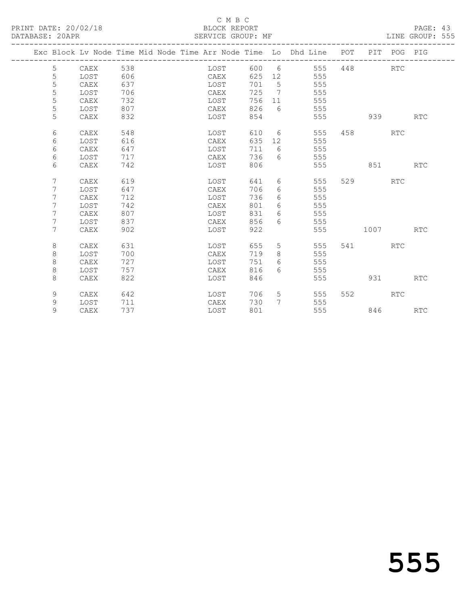PRINT DATE: 20/02/18 BLOCK REPORT BATABASE: 20APR

# C M B C<br>BLOCK REPORT

PAGE: 43<br>LINE GROUP: 555

|             |      |     |  |      |     |                 | Exc Block Lv Node Time Mid Node Time Arr Node Time Lo Dhd Line POT |     |      | PIT POG PIG |            |
|-------------|------|-----|--|------|-----|-----------------|--------------------------------------------------------------------|-----|------|-------------|------------|
| 5           | CAEX | 538 |  | LOST | 600 | 6               | 555                                                                | 448 |      | <b>RTC</b>  |            |
| 5           | LOST | 606 |  | CAEX | 625 | 12              | 555                                                                |     |      |             |            |
| 5           | CAEX | 637 |  | LOST | 701 | $5\phantom{.0}$ | 555                                                                |     |      |             |            |
| 5           | LOST | 706 |  | CAEX | 725 | 7               | 555                                                                |     |      |             |            |
| 5           | CAEX | 732 |  | LOST | 756 | 11              | 555                                                                |     |      |             |            |
| 5           | LOST | 807 |  | CAEX | 826 | 6               | 555                                                                |     |      |             |            |
| 5           | CAEX | 832 |  | LOST | 854 |                 | 555                                                                |     | 939  |             | RTC        |
| 6           | CAEX | 548 |  | LOST | 610 | 6               | 555                                                                | 458 |      | <b>RTC</b>  |            |
| 6           | LOST | 616 |  | CAEX | 635 | 12              | 555                                                                |     |      |             |            |
| 6           | CAEX | 647 |  | LOST | 711 | 6               | 555                                                                |     |      |             |            |
| 6           | LOST | 717 |  | CAEX | 736 | 6               | 555                                                                |     |      |             |            |
| 6           | CAEX | 742 |  | LOST | 806 |                 | 555                                                                |     | 851  |             | RTC        |
| 7           | CAEX | 619 |  | LOST | 641 | 6               | 555                                                                | 529 |      | <b>RTC</b>  |            |
| 7           | LOST | 647 |  | CAEX | 706 | 6               | 555                                                                |     |      |             |            |
| 7           | CAEX | 712 |  | LOST | 736 | 6               | 555                                                                |     |      |             |            |
| 7           | LOST | 742 |  | CAEX | 801 | 6               | 555                                                                |     |      |             |            |
| 7           | CAEX | 807 |  | LOST | 831 | 6               | 555                                                                |     |      |             |            |
| 7           | LOST | 837 |  | CAEX | 856 | 6               | 555                                                                |     |      |             |            |
| 7           | CAEX | 902 |  | LOST | 922 |                 | 555                                                                |     | 1007 |             | <b>RTC</b> |
| 8           | CAEX | 631 |  | LOST | 655 | 5               | 555                                                                | 541 |      | RTC         |            |
| $\,8\,$     | LOST | 700 |  | CAEX | 719 | 8               | 555                                                                |     |      |             |            |
| 8           | CAEX | 727 |  | LOST | 751 | 6               | 555                                                                |     |      |             |            |
| 8           | LOST | 757 |  | CAEX | 816 | 6               | 555                                                                |     |      |             |            |
| 8           | CAEX | 822 |  | LOST | 846 |                 | 555                                                                |     | 931  |             | <b>RTC</b> |
| 9           | CAEX | 642 |  | LOST | 706 | 5               | 555                                                                | 552 |      | <b>RTC</b>  |            |
| $\mathsf 9$ | LOST | 711 |  | CAEX | 730 | 7               | 555                                                                |     |      |             |            |
| 9           | CAEX | 737 |  | LOST | 801 |                 | 555                                                                |     | 846  |             | <b>RTC</b> |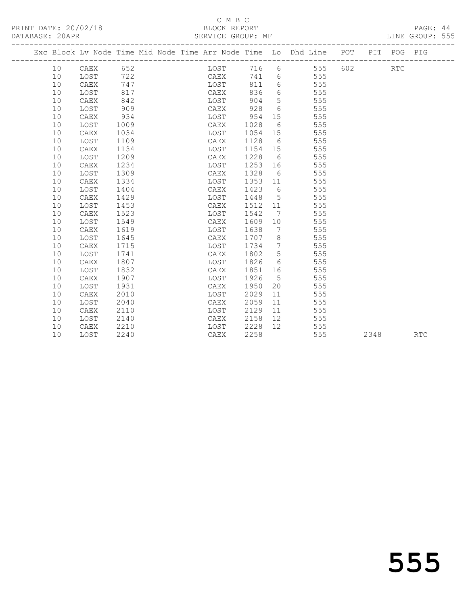## C M B C<br>BLOCK REPORT SERVICE GROUP: MF

|    |      |      |  |      |      |                 | Exc Block Lv Node Time Mid Node Time Arr Node Time Lo Dhd Line POT PIT POG PIG |     |      |            |     |
|----|------|------|--|------|------|-----------------|--------------------------------------------------------------------------------|-----|------|------------|-----|
| 10 | CAEX | 652  |  | LOST | 716  | 6               | 555                                                                            | 602 |      | <b>RTC</b> |     |
| 10 | LOST | 722  |  | CAEX | 741  |                 | 6<br>555                                                                       |     |      |            |     |
| 10 | CAEX | 747  |  | LOST | 811  | 6               | 555                                                                            |     |      |            |     |
| 10 | LOST | 817  |  | CAEX | 836  | 6               | 555                                                                            |     |      |            |     |
| 10 | CAEX | 842  |  | LOST | 904  | $5\overline{)}$ | 555                                                                            |     |      |            |     |
| 10 | LOST | 909  |  | CAEX | 928  | 6               | 555                                                                            |     |      |            |     |
| 10 | CAEX | 934  |  | LOST | 954  | 15              | 555                                                                            |     |      |            |     |
| 10 | LOST | 1009 |  | CAEX | 1028 | 6               | 555                                                                            |     |      |            |     |
| 10 | CAEX | 1034 |  | LOST | 1054 | 15              | 555                                                                            |     |      |            |     |
| 10 | LOST | 1109 |  | CAEX | 1128 | 6               | 555                                                                            |     |      |            |     |
| 10 | CAEX | 1134 |  | LOST | 1154 | 15              | 555                                                                            |     |      |            |     |
| 10 | LOST | 1209 |  | CAEX | 1228 | 6               | 555                                                                            |     |      |            |     |
| 10 | CAEX | 1234 |  | LOST | 1253 | 16              | 555                                                                            |     |      |            |     |
| 10 | LOST | 1309 |  | CAEX | 1328 | 6               | 555                                                                            |     |      |            |     |
| 10 | CAEX | 1334 |  | LOST | 1353 | 11              | 555                                                                            |     |      |            |     |
| 10 | LOST | 1404 |  | CAEX | 1423 | 6               | 555                                                                            |     |      |            |     |
| 10 | CAEX | 1429 |  | LOST | 1448 | $5^{\circ}$     | 555                                                                            |     |      |            |     |
| 10 | LOST | 1453 |  | CAEX | 1512 | 11              | 555                                                                            |     |      |            |     |
| 10 | CAEX | 1523 |  | LOST | 1542 | 7               | 555                                                                            |     |      |            |     |
| 10 | LOST | 1549 |  | CAEX | 1609 | 10              | 555                                                                            |     |      |            |     |
| 10 | CAEX | 1619 |  | LOST | 1638 | 7               | 555                                                                            |     |      |            |     |
| 10 | LOST | 1645 |  | CAEX | 1707 | 8 <sup>8</sup>  | 555                                                                            |     |      |            |     |
| 10 | CAEX | 1715 |  | LOST | 1734 | $7\overline{ }$ | 555                                                                            |     |      |            |     |
| 10 | LOST | 1741 |  | CAEX | 1802 | 5 <sup>5</sup>  | 555                                                                            |     |      |            |     |
| 10 | CAEX | 1807 |  | LOST | 1826 | 6               | 555                                                                            |     |      |            |     |
| 10 | LOST | 1832 |  | CAEX | 1851 | 16              | 555                                                                            |     |      |            |     |
| 10 | CAEX | 1907 |  | LOST | 1926 | $5^{\circ}$     | 555                                                                            |     |      |            |     |
| 10 | LOST | 1931 |  | CAEX | 1950 | 20              | 555                                                                            |     |      |            |     |
| 10 | CAEX | 2010 |  | LOST | 2029 | 11              | 555                                                                            |     |      |            |     |
| 10 | LOST | 2040 |  | CAEX | 2059 | 11              | 555                                                                            |     |      |            |     |
| 10 | CAEX | 2110 |  | LOST | 2129 | 11              | 555                                                                            |     |      |            |     |
| 10 | LOST | 2140 |  | CAEX | 2158 | 12              | 555                                                                            |     |      |            |     |
| 10 | CAEX | 2210 |  | LOST | 2228 | 12 <sup>°</sup> | 555                                                                            |     |      |            |     |
| 10 | LOST | 2240 |  | CAEX | 2258 |                 | 555                                                                            |     | 2348 |            | RTC |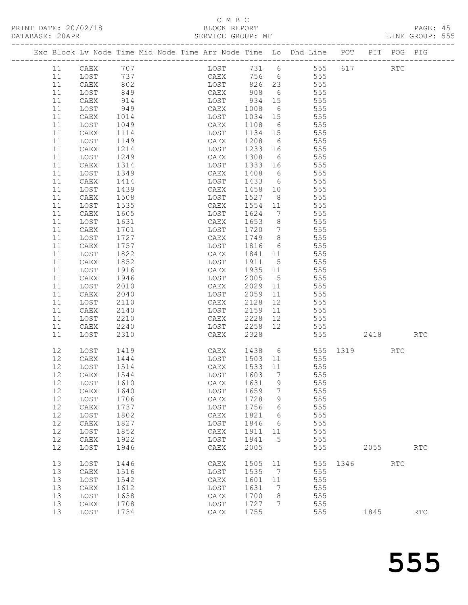PRINT DATE: 20/02/18<br>DATABASE: 20APR

# C M B C<br>BLOCK REPORT<br>SERVICE GROUP: MF

PAGE: 45<br>LINE GROUP: 555

| DAIADAOL. |          |              |                                                                    |  | ODAVICE GAOOF. ME |              |                              |            |            |      |      |                      |                             |
|-----------|----------|--------------|--------------------------------------------------------------------|--|-------------------|--------------|------------------------------|------------|------------|------|------|----------------------|-----------------------------|
|           |          |              | Exc Block Lv Node Time Mid Node Time Arr Node Time Lo Dhd Line POT |  |                   |              |                              |            |            |      | PIT  | POG                  | PIG                         |
|           | 11       | CAEX         | 707                                                                |  | LOST              | 731 6        |                              |            | 555        | 617  |      | RTC                  |                             |
|           | 11       | LOST         | 737                                                                |  | CAEX              | 756          | 6                            |            | 555        |      |      |                      |                             |
|           | 11       | CAEX         | 802                                                                |  | LOST              | 826          | 23                           |            | 555        |      |      |                      |                             |
|           | 11       | LOST         | 849                                                                |  | CAEX              | 908          | 6                            | 555        |            |      |      |                      |                             |
|           | 11       | CAEX         | 914                                                                |  | LOST              | 934          | 15                           |            | 555        |      |      |                      |                             |
|           | 11       | LOST         | 949                                                                |  | CAEX              | 1008         | 6                            | 555        |            |      |      |                      |                             |
|           | 11       | CAEX         | 1014                                                               |  | LOST              | 1034         | 15                           | 555        |            |      |      |                      |                             |
|           | 11       | LOST         | 1049                                                               |  | CAEX              | 1108         | 6                            | 555        |            |      |      |                      |                             |
|           | 11       | CAEX         | 1114                                                               |  | LOST              | 1134         | 15                           | 555        |            |      |      |                      |                             |
|           | 11       | LOST         | 1149                                                               |  | CAEX              | 1208         | 6                            | 555        |            |      |      |                      |                             |
|           | 11       | CAEX         | 1214                                                               |  | LOST              | 1233         | 16                           | 555        |            |      |      |                      |                             |
|           | 11       | LOST         | 1249                                                               |  | CAEX              | 1308         | 6                            | 555        |            |      |      |                      |                             |
|           | 11       | CAEX         | 1314                                                               |  | LOST              | 1333         | 16                           | 555        |            |      |      |                      |                             |
|           | 11       | LOST         | 1349                                                               |  | CAEX              | 1408         | 6                            | 555        |            |      |      |                      |                             |
|           | 11       | CAEX         | 1414                                                               |  | LOST              | 1433         | 6                            | 555        |            |      |      |                      |                             |
|           | 11       | LOST         | 1439                                                               |  | CAEX              | 1458         | 10                           | 555        |            |      |      |                      |                             |
|           | 11       | CAEX         | 1508                                                               |  | LOST              | 1527         | 8 <sup>8</sup>               | 555        |            |      |      |                      |                             |
|           | 11       | LOST         | 1535                                                               |  | CAEX              | 1554         | 11                           | 555        |            |      |      |                      |                             |
|           | 11       | CAEX         | 1605                                                               |  | LOST              | 1624         | $7\phantom{.0}\phantom{.0}7$ | 555        |            |      |      |                      |                             |
|           | 11       | LOST         | 1631                                                               |  | CAEX              | 1653         | 8 <sup>8</sup>               | 555        |            |      |      |                      |                             |
|           | 11       | CAEX         | 1701                                                               |  | LOST              | 1720         | $\overline{7}$               | 555        |            |      |      |                      |                             |
|           | 11       | LOST         | 1727                                                               |  | CAEX              | 1749         | 8 <sup>8</sup>               | 555        |            |      |      |                      |                             |
|           | 11       | CAEX         | 1757                                                               |  | LOST              | 1816         | 6                            | 555        |            |      |      |                      |                             |
|           | 11       | LOST         | 1822                                                               |  | CAEX              | 1841         | 11                           | 555        |            |      |      |                      |                             |
|           | 11       | CAEX         | 1852                                                               |  | LOST              | 1911         | 5                            | 555        |            |      |      |                      |                             |
|           | 11       | LOST         | 1916                                                               |  | CAEX              | 1935         | 11                           | 555        |            |      |      |                      |                             |
|           | 11       | CAEX         | 1946                                                               |  | LOST              | 2005         | $5\overline{)}$              | 555        |            |      |      |                      |                             |
|           | 11       | LOST         | 2010                                                               |  | CAEX              | 2029         | 11                           |            | 555        |      |      |                      |                             |
|           | 11       | CAEX         | 2040                                                               |  | LOST              | 2059         | 11                           | 555        |            |      |      |                      |                             |
|           | 11       | LOST         | 2110                                                               |  | CAEX              | 2128         | 12                           |            | 555        |      |      |                      |                             |
|           | 11<br>11 | CAEX         | 2140                                                               |  | LOST              | 2159<br>2228 | 11<br>12                     | 555        |            |      |      |                      |                             |
|           | 11       | LOST<br>CAEX | 2210<br>2240                                                       |  | CAEX<br>LOST      | 2258         | 12                           | 555        | 555        |      |      |                      |                             |
|           | 11       | LOST         | 2310                                                               |  | CAEX              | 2328         |                              |            | 555        |      | 2418 |                      | RTC                         |
|           |          |              |                                                                    |  |                   |              |                              |            |            |      |      |                      |                             |
|           | 12       | LOST         | 1419                                                               |  | CAEX              | 1438         |                              | $6\degree$ | 555 1319   |      |      | RTC                  |                             |
|           | 12       | CAEX         | 1444                                                               |  | LOST              | 1503         | 11                           |            | 555        |      |      |                      |                             |
|           | 12       | LOST         | 1514                                                               |  | CAEX              | 1533         | 11                           | 555        |            |      |      |                      |                             |
|           | 12       | CAEX         | 1544                                                               |  | LOST              | 1603         | $7\phantom{0}7$              |            | 555        |      |      |                      |                             |
|           | 12       | LOST         | 1610                                                               |  | ${\tt CAEX}$      | 1631         | 9                            |            | 555        |      |      |                      |                             |
|           | 12       | CAEX         | 1640                                                               |  | LOST              | 1659         | 7                            |            | 555        |      |      |                      |                             |
|           | 12       | LOST         | 1706                                                               |  | CAEX              | 1728         | 9                            |            | 555        |      |      |                      |                             |
|           | 12       | CAEX         | 1737                                                               |  | LOST              | 1756         | 6                            |            | 555        |      |      |                      |                             |
|           | 12<br>12 | LOST         | 1802                                                               |  | CAEX              | 1821         | 6                            |            | 555<br>555 |      |      |                      |                             |
|           | 12       | CAEX<br>LOST | 1827<br>1852                                                       |  | LOST              | 1846<br>1911 | 6<br>11                      |            | 555        |      |      |                      |                             |
|           | 12       | CAEX         | 1922                                                               |  | CAEX<br>LOST      | 1941         | 5                            |            | 555        |      |      |                      |                             |
|           | 12       | LOST         | 1946                                                               |  | ${\tt CAEX}$      | 2005         |                              |            | 555        |      | 2055 |                      | $\operatorname{RTC}$        |
|           |          |              |                                                                    |  |                   |              |                              |            |            |      |      |                      |                             |
|           | 13       | LOST         | 1446                                                               |  | CAEX              | 1505         | 11                           |            | 555        | 1346 |      | $\operatorname{RTC}$ |                             |
|           | 13       | CAEX         | 1516                                                               |  | LOST              | 1535         | 7                            |            | 555        |      |      |                      |                             |
|           | 13       | LOST         | 1542                                                               |  | CAEX              | 1601         | 11                           |            | 555        |      |      |                      |                             |
|           | 13       | CAEX         | 1612                                                               |  | LOST              | 1631         | 7                            |            | 555        |      |      |                      |                             |
|           | 13       | LOST         | 1638                                                               |  | CAEX              | 1700         | 8                            |            | 555        |      |      |                      |                             |
|           | 13       | CAEX         | 1708                                                               |  | LOST              | 1727         | 7                            |            | 555        |      |      |                      |                             |
|           | 13       | LOST         | 1734                                                               |  | ${\tt CAEX}$      | 1755         |                              |            | 555        |      | 1845 |                      | $\mathop{\rm RTC}\nolimits$ |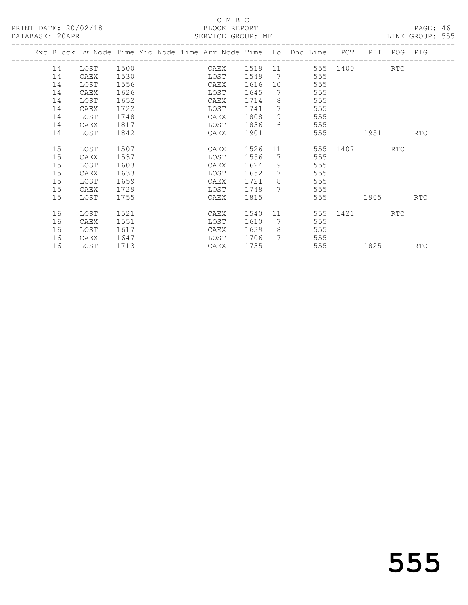## C M B C<br>BLOCK REPORT SERVICE GROUP: MF

|  |    | Exc Block Lv Node Time Mid Node Time Arr Node Time Lo Dhd Line |      |  |      |      |                              |     | POT      | PIT  | POG PIG    |            |
|--|----|----------------------------------------------------------------|------|--|------|------|------------------------------|-----|----------|------|------------|------------|
|  | 14 | LOST                                                           | 1500 |  | CAEX | 1519 | 11                           |     | 555 1400 |      | RTC        |            |
|  | 14 | CAEX                                                           | 1530 |  | LOST | 1549 | $7\phantom{.0}\phantom{.0}7$ | 555 |          |      |            |            |
|  | 14 | LOST                                                           | 1556 |  | CAEX | 1616 | 10                           | 555 |          |      |            |            |
|  | 14 | CAEX                                                           | 1626 |  | LOST | 1645 | 7                            | 555 |          |      |            |            |
|  | 14 | LOST                                                           | 1652 |  | CAEX | 1714 | 8                            | 555 |          |      |            |            |
|  | 14 | CAEX                                                           | 1722 |  | LOST | 1741 | 7                            | 555 |          |      |            |            |
|  | 14 | LOST                                                           | 1748 |  | CAEX | 1808 | 9                            | 555 |          |      |            |            |
|  | 14 | CAEX                                                           | 1817 |  | LOST | 1836 | $6^{6}$                      | 555 |          |      |            |            |
|  | 14 | LOST                                                           | 1842 |  | CAEX | 1901 |                              | 555 |          | 1951 |            | RTC        |
|  |    |                                                                |      |  |      |      |                              |     |          |      |            |            |
|  | 15 | LOST                                                           | 1507 |  | CAEX | 1526 | 11                           | 555 | 1407     |      | <b>RTC</b> |            |
|  | 15 | CAEX                                                           | 1537 |  | LOST | 1556 | 7                            | 555 |          |      |            |            |
|  | 15 | LOST                                                           | 1603 |  | CAEX | 1624 | 9                            | 555 |          |      |            |            |
|  | 15 | CAEX                                                           | 1633 |  | LOST | 1652 | $7\phantom{.0}$              | 555 |          |      |            |            |
|  | 15 | LOST                                                           | 1659 |  | CAEX | 1721 | 8                            | 555 |          |      |            |            |
|  | 15 | CAEX                                                           | 1729 |  | LOST | 1748 | $7\overline{ }$              | 555 |          |      |            |            |
|  | 15 | LOST                                                           | 1755 |  | CAEX | 1815 |                              | 555 |          | 1905 |            | <b>RTC</b> |
|  |    |                                                                |      |  |      |      |                              |     |          |      |            |            |
|  | 16 | LOST                                                           | 1521 |  | CAEX | 1540 | 11                           | 555 | 1421     |      | <b>RTC</b> |            |
|  | 16 | CAEX                                                           | 1551 |  | LOST | 1610 | 7                            | 555 |          |      |            |            |
|  | 16 | LOST                                                           | 1617 |  | CAEX | 1639 | 8                            | 555 |          |      |            |            |
|  | 16 | CAEX                                                           | 1647 |  | LOST | 1706 | 7                            | 555 |          |      |            |            |
|  | 16 | LOST                                                           | 1713 |  | CAEX | 1735 |                              | 555 |          | 1825 |            | RTC        |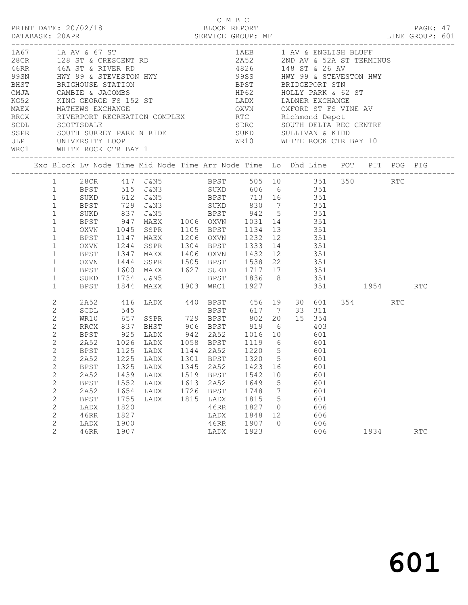|                                                                                                                                                                                                                                                                                                                                                                                                                                                                                                                                                                                                                                                                                                                                                                                                                                                                                        |                                                                                                                                                                                                                                                               |                                                                                                                                           |                                                                             |                                                                                                                                                                                                                                                                                                                                                                                                                                                                                      |                                      | C M B C                                                                                           |                                                                      |                                                   |                                                                                       |                 | PAGE: 47<br>LINE GROUP: 601 |  |
|----------------------------------------------------------------------------------------------------------------------------------------------------------------------------------------------------------------------------------------------------------------------------------------------------------------------------------------------------------------------------------------------------------------------------------------------------------------------------------------------------------------------------------------------------------------------------------------------------------------------------------------------------------------------------------------------------------------------------------------------------------------------------------------------------------------------------------------------------------------------------------------|---------------------------------------------------------------------------------------------------------------------------------------------------------------------------------------------------------------------------------------------------------------|-------------------------------------------------------------------------------------------------------------------------------------------|-----------------------------------------------------------------------------|--------------------------------------------------------------------------------------------------------------------------------------------------------------------------------------------------------------------------------------------------------------------------------------------------------------------------------------------------------------------------------------------------------------------------------------------------------------------------------------|--------------------------------------|---------------------------------------------------------------------------------------------------|----------------------------------------------------------------------|---------------------------------------------------|---------------------------------------------------------------------------------------|-----------------|-----------------------------|--|
| $\begin{array}{lllllllllllllllllll} 1\, \text{A\,O} & 1\, \text{A\,O} & 1\, \text{A\,O} & 1\, \text{A\,O} & 1\, \text{A\,O} & 1\, \text{A\,O} & 1\, \text{A\,O} & 1\, \text{A\,O} & 1\, \text{A\,O} & 1\, \text{A\,O} & 1\, \text{A\,O} & 1\, \text{A\,O} & 1\, \text{A\,O} & 1\, \text{A\,O} & 1\, \text{A\,O} & 1\, \text{A\$<br>99SN HWY 99 & STEVESTON HWY 699SS HWY 99 & STEVESTON HWY<br>BHST BRIGHOUSE STATION BPST BRIDGEPORT STN<br>CMJA CAMBIE & JACOMBS HP62 HOLLY PARK & 62 ST<br>KG52 KING GEORGE FS 152 ST LADX LADNER EXCHANGE MAEX MATHEWS EXCHANGE OXVN OXFORD ST FS VINE A<br>RECK RIVERPORT RECREATION COMPLEX<br>SCOL SCOTTSDALE<br>SCOTTSDALE<br>SEPR SOUTH SURREY PARK N RIDE<br>ULP UNIVERSITY LOOP<br>WRC1 WHITE ROCK CTR BAY 1<br>WRC1 WHITE ROCK CTR BAY 1<br>WRC1 WHITE ROCK CTR BAY 1<br>WRC1 WHITE ROCK CTR BAY 1<br>____________________________________ |                                                                                                                                                                                                                                                               |                                                                                                                                           |                                                                             |                                                                                                                                                                                                                                                                                                                                                                                                                                                                                      |                                      |                                                                                                   | OXVN OXFORD ST FS VINE AV                                            |                                                   |                                                                                       |                 |                             |  |
| Exc Block Lv Node Time Mid Node Time Arr Node Time Lo Dhd Line POT PIT POG PIG                                                                                                                                                                                                                                                                                                                                                                                                                                                                                                                                                                                                                                                                                                                                                                                                         |                                                                                                                                                                                                                                                               |                                                                                                                                           |                                                                             |                                                                                                                                                                                                                                                                                                                                                                                                                                                                                      |                                      |                                                                                                   |                                                                      |                                                   |                                                                                       |                 |                             |  |
|                                                                                                                                                                                                                                                                                                                                                                                                                                                                                                                                                                                                                                                                                                                                                                                                                                                                                        | 1<br>1<br>$\mathbf{1}$<br>$\mathbf{1}$<br>$\mathbf{1}$<br>$\mathbf{1}$<br>$\mathbf{1}$<br>$\mathbf{1}$<br>$\mathbf{1}$<br>$\mathbf{1}$<br>$\mathbf{1}$<br>$\mathbf 1$<br>$\mathbf{1}$                                                                         | BPST<br>OXVN<br>BPST<br>OXVN<br>BPST<br>OXVN<br>BPST<br>SUKD 1734<br>BPST                                                                 |                                                                             | 1 28CR 417 J&N5 BPST 505 10 351 350 RTC<br>BPST 515 J&N3 SUKD 606 6 351<br>SUKD 612 J&N5 BPST 713 16 351<br>BPST 729 J&N3 SUKD 830 7 351<br>SUKD 837 J&N5 BPST 942 5 351<br>947 MAEX 1006 OXVN 1031 14 351<br>1045 SSPR 1105 BPST 1134 13 351<br>1147 MAEX 1206 OXVN 1232 12 351<br>1244 SSPR<br>1347 MAEX<br>1347 MAEX 1406 OXVN 1432 12 351<br>1444 SSPR 1505 BPST 1538 22 351<br>1600 MAEX 1627 SUKD 1717 17 351<br>J&N5 BPST 1836 8 351<br>1844 MAEX 1903 WRC1 1927 351 1954 RTC |                                      |                                                                                                   | 1304 BPST 1333 14 351                                                |                                                   |                                                                                       |                 |                             |  |
|                                                                                                                                                                                                                                                                                                                                                                                                                                                                                                                                                                                                                                                                                                                                                                                                                                                                                        | 2<br>$\mathbf{2}$<br>$\mathbf{2}$<br>$\mathbf{2}$<br>$\mathbf{2}$<br>$\mathbf{2}$<br>$\mathbf{2}^{\prime}$<br>$2^{\circ}$<br>$\sqrt{2}$<br>$\sqrt{2}$<br>$\mathbf{2}$<br>$\sqrt{2}$<br>$\sqrt{2}$<br>$\sqrt{2}$<br>$\sqrt{2}$<br>$\sqrt{2}$<br>$\overline{c}$ | 2A52<br>SCDL<br>WR10<br>RRCX<br>BPST<br>BPST<br><b>BPST</b><br>2A52<br><b>BPST</b><br>2A52<br><b>BPST</b><br>LADX<br>46RR<br>LADX<br>46RR | 545<br>1325<br>1439<br>1552<br>1654<br>1755<br>1820<br>1827<br>1900<br>1907 | 416 LADX 440 BPST 456 19 30 601<br>and the contract of the contract of<br>657 SSPR 729 BPST 802 20<br>2A52 1026 LADX 1058 BPST 1119 6 601<br>1125 LADX 1144 2A52 1220 5 601<br>2A52 1225 LADX 1301 BPST 1320 5 601<br>LADX<br>LADX<br>LADX<br>LADX<br>LADX                                                                                                                                                                                                                           | 1345<br>1519<br>1613<br>1726<br>1815 | <b>BPST</b><br>2A52<br><b>BPST</b><br>2A52<br><b>BPST</b><br>LADX<br>46RR<br>LADX<br>46RR<br>LADX | 1423<br>1542<br>1649<br>1748<br>1815<br>1827<br>1848<br>1907<br>1923 | 16<br>10<br>5<br>7<br>5<br>0<br>12<br>$\mathbf 0$ | 617 7 33 311<br>15 354<br>601<br>601<br>601<br>601<br>601<br>606<br>606<br>606<br>606 | 354 RTC<br>1934 | <b>RTC</b>                  |  |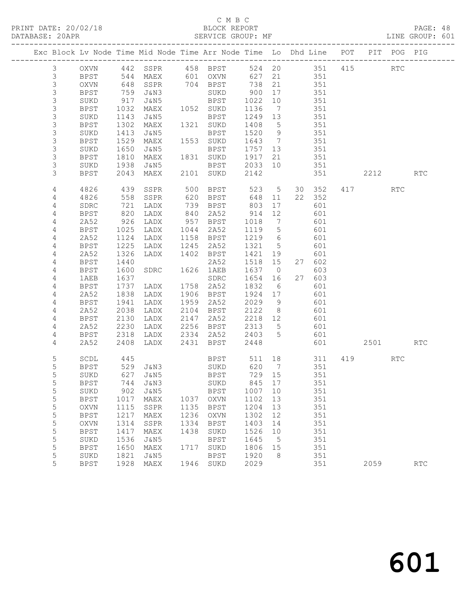## C M B C<br>BLOCK REPORT SERVICE GROUP: MF

|                |             |      | Exc Block Lv Node Time Mid Node Time Arr Node Time Lo Dhd Line POT |      |                              |         |                 |       |                |           | PIT POG PIG          |            |
|----------------|-------------|------|--------------------------------------------------------------------|------|------------------------------|---------|-----------------|-------|----------------|-----------|----------------------|------------|
| $\mathcal{S}$  | OXVN        |      | 442 SSPR                                                           |      | 458 BPST                     |         |                 |       | 524 20 351 415 |           | $\operatorname{RTC}$ |            |
| $\mathsf 3$    | BPST        |      |                                                                    |      |                              | 627     | 21              |       | 351            |           |                      |            |
| $\mathsf S$    | OXVN        |      | 544 MAEX<br>648 SSPR<br>SSPR                                       |      | 601 OXVN<br>704 BPST<br>SUKD | 738     | 21              |       | 351            |           |                      |            |
| 3              | BPST        | 759  | J&N3                                                               |      | SUKD                         | 900     | 17              |       | 351            |           |                      |            |
| $\mathsf S$    | SUKD        | 917  | J&N5                                                               |      | BPST                         | 1022    | 10              |       | 351            |           |                      |            |
| 3              | BPST        | 1032 | MAEX                                                               |      | 1052 SUKD                    | 1136    | $\overline{7}$  |       | 351            |           |                      |            |
| $\mathsf S$    | SUKD        | 1143 | J&N5                                                               |      | BPST                         | 1249 13 |                 |       | 351            |           |                      |            |
| 3              | BPST        | 1302 | MAEX                                                               |      | 1321 SUKD                    | 1408    | $5^{\circ}$     |       | 351            |           |                      |            |
| $\mathsf S$    | SUKD        | 1413 | J&N5                                                               |      | BPST                         | 1520    | 9               |       | 351            |           |                      |            |
| 3              | <b>BPST</b> | 1529 | MAEX                                                               |      | 1553 SUKD                    | 1643 7  |                 |       | 351            |           |                      |            |
| $\mathsf S$    | SUKD        | 1650 | J&N5                                                               |      | BPST                         | 1757 13 |                 |       | 351            |           |                      |            |
| 3              | BPST        | 1810 | MAEX                                                               |      | 1831 SUKD                    | 1917    | 21              |       | 351            |           |                      |            |
| 3              | SUKD        | 1938 | J&N5                                                               |      | BPST                         | 2033    | 10              |       | 351            |           |                      |            |
| 3              | BPST        | 2043 | MAEX                                                               |      | 2101 SUKD                    | 2142    |                 |       | 351            | 2212      |                      | <b>RTC</b> |
|                |             |      |                                                                    |      |                              |         |                 |       |                |           |                      |            |
| 4              | 4826        | 439  | SSPR                                                               | 500  | BPST                         | 523     | 5 <sup>5</sup>  |       | 30 352         | 417       | <b>RTC</b>           |            |
| 4              | 4826        | 558  | SSPR                                                               |      | 620 BPST                     | 648     | 11              | 22    | 352            |           |                      |            |
| 4              | SDRC        | 721  | LADX                                                               | 739  | BPST                         | 803     | 17              |       | 601            |           |                      |            |
| 4              | BPST        | 820  | LADX                                                               | 840  | 2A52                         | 914     | 12              |       | 601            |           |                      |            |
| 4              | 2A52        | 926  | LADX                                                               |      | 957 BPST                     | 1018    | $\overline{7}$  |       | 601            |           |                      |            |
| 4              | BPST        | 1025 | LADX                                                               |      | 1044 2A52                    | 1119    | $5\overline{)}$ |       | 601            |           |                      |            |
| 4              | 2A52        | 1124 | LADX                                                               | 1158 | BPST                         | 1219    | 6               |       | 601            |           |                      |            |
| $\overline{4}$ | BPST        | 1225 | LADX                                                               | 1245 | 2A52                         | 1321    | $5^{\circ}$     |       | 601            |           |                      |            |
| 4              | 2A52        | 1326 | LADX                                                               |      | 1402 BPST                    | 1421    | 19              |       | 601            |           |                      |            |
| $\overline{4}$ | BPST        | 1440 |                                                                    |      | 2A52                         | 1518 15 |                 |       | 27 602         |           |                      |            |
| 4              | BPST        | 1600 | SDRC                                                               | 1626 | 1AEB                         | 1637    | $\overline{0}$  |       | 603            |           |                      |            |
| $\overline{4}$ | 1AEB        | 1637 |                                                                    |      | SDRC                         | 1654    | 16              |       | 27 603         |           |                      |            |
| 4              | BPST        | 1737 | LADX                                                               |      | 1758 2A52                    | 1832    | 6               |       | 601            |           |                      |            |
| 4              | 2A52        | 1838 | LADX                                                               |      | 1906 BPST                    | 1924 17 |                 |       | 601            |           |                      |            |
| 4              | BPST        | 1941 | LADX                                                               | 1959 | 2A52                         | 2029    | 9               |       | 601            |           |                      |            |
| 4              | 2A52        | 2038 | LADX                                                               |      | 2104 BPST                    | 2122    | 8 <sup>8</sup>  |       | 601            |           |                      |            |
| 4              | BPST        | 2130 | LADX                                                               | 2147 | 2A52                         | 2218 12 |                 |       | 601            |           |                      |            |
| 4              | 2A52        | 2230 | LADX                                                               |      | 2256 BPST                    | 2313    | $5^{\circ}$     |       | 601            |           |                      |            |
| 4              | BPST        | 2318 | LADX                                                               | 2334 | 2A52                         | 2403    | $5^{\circ}$     |       | 601            |           |                      |            |
| 4              | 2A52        | 2408 | LADX                                                               | 2431 | BPST                         | 2448    |                 |       | 601            | 2501 2500 |                      | <b>RTC</b> |
| 5              | SCDL        | 445  |                                                                    |      | <b>BPST</b>                  | 511     |                 | 18 18 | 311            | 419       | RTC                  |            |
| 5              | <b>BPST</b> |      | 529 J&N3                                                           |      | SUKD                         | 620 7   |                 |       | 351            |           |                      |            |
| 5              | SUKD        | 627  | J&N5                                                               |      | BPST                         | 729 15  |                 |       | 351            |           |                      |            |
| 5              |             |      | BPST 744 J&N3                                                      |      | SUKD                         | 845 17  |                 |       | 351            |           |                      |            |
| 5              | SUKD        | 902  | J&N5                                                               |      | BPST                         | 1007    | 10              |       | 351            |           |                      |            |
| 5              | <b>BPST</b> | 1017 | MAEX                                                               | 1037 | <b>OXVN</b>                  | 1102    | 13              |       | 351            |           |                      |            |
| 5              | <b>OXVN</b> | 1115 | SSPR                                                               | 1135 | <b>BPST</b>                  | 1204    | 13              |       | 351            |           |                      |            |
| 5              | <b>BPST</b> | 1217 | MAEX                                                               | 1236 | OXVN                         | 1302    | 12              |       | 351            |           |                      |            |
| 5              | OXVN        | 1314 | SSPR                                                               | 1334 | <b>BPST</b>                  | 1403    | 14              |       | 351            |           |                      |            |
| 5              | <b>BPST</b> | 1417 | MAEX                                                               | 1438 | SUKD                         | 1526    | 10              |       | 351            |           |                      |            |
| 5              | SUKD        | 1536 | J&N5                                                               |      | <b>BPST</b>                  | 1645    | 5               |       | 351            |           |                      |            |
| 5              | <b>BPST</b> | 1650 | MAEX                                                               | 1717 | SUKD                         | 1806    | 15              |       | 351            |           |                      |            |
| 5              | SUKD        | 1821 | J&N5                                                               |      | BPST                         | 1920    | 8               |       | 351            |           |                      |            |
| 5              | <b>BPST</b> | 1928 | MAEX                                                               | 1946 | SUKD                         | 2029    |                 |       | 351            | 2059      |                      | RTC        |
|                |             |      |                                                                    |      |                              |         |                 |       |                |           |                      |            |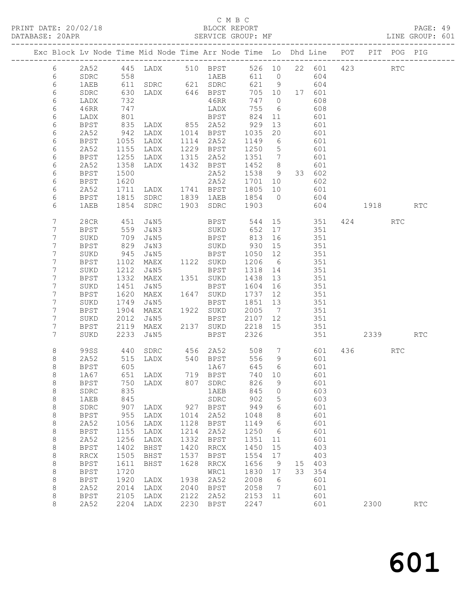## C M B C<br>BLOCK REPORT SERVICE GROUP: MF

|         |                     |              | Exc Block Lv Node Time Mid Node Time Arr Node Time Lo Dhd Line POT |      |              |              |                      |    |            |     |       | PIT POG PIG |            |
|---------|---------------------|--------------|--------------------------------------------------------------------|------|--------------|--------------|----------------------|----|------------|-----|-------|-------------|------------|
| $6\,$   | 2A52                | 445          | LADX                                                               |      | 510 BPST     |              | 526 10               |    | 22 601     | 423 |       | RTC         |            |
| 6       | SDRC                | 558          |                                                                    |      | 1AEB         | 611          | $\overline{0}$       |    | 604        |     |       |             |            |
| 6       | 1AEB                | 611          | SDRC 621 SDRC                                                      |      |              | 621          | 9                    |    | 604        |     |       |             |            |
| 6       | SDRC                | 630          | LADX                                                               |      | 646 BPST     | 705          | 10                   |    | 17 601     |     |       |             |            |
| 6       | LADX                | 732          |                                                                    |      | 46RR         | 747          | $\overline{0}$       |    | 608        |     |       |             |            |
| 6       | 46RR                | 747          |                                                                    |      | LADX         | 755          | - 6                  |    | 608        |     |       |             |            |
| 6       | LADX                | 801          |                                                                    |      | BPST         | 824          | 11                   |    | 601        |     |       |             |            |
| 6       | <b>BPST</b>         | 835          | LADX                                                               |      | 855 2A52     | 929          | 13                   |    | 601        |     |       |             |            |
| 6       | 2A52                | 942          | LADX                                                               | 1014 | BPST         | 1035         | 20                   |    | 601        |     |       |             |            |
| 6       | <b>BPST</b>         | 1055         | LADX                                                               | 1114 | 2A52         | 1149         | 6                    |    | 601        |     |       |             |            |
| 6       | 2A52                | 1155         | LADX                                                               | 1229 | BPST         | 1250         | 5                    |    | 601        |     |       |             |            |
| 6       | BPST<br>2A52        | 1255         | LADX                                                               | 1315 | 2A52         | 1351<br>1452 | $7\phantom{.0}$      |    | 601<br>601 |     |       |             |            |
| 6<br>6  | BPST                | 1358<br>1500 | LADX                                                               | 1432 | BPST<br>2A52 | 1538         | 8<br>9               |    | 33 602     |     |       |             |            |
| 6       | <b>BPST</b>         | 1620         |                                                                    |      | 2A52         | 1701         | 10                   |    | 602        |     |       |             |            |
| 6       | 2A52                | 1711         | LADX                                                               |      | 1741 BPST    | 1805         | 10                   |    | 601        |     |       |             |            |
| 6       | <b>BPST</b>         | 1815         | SDRC                                                               | 1839 | 1AEB         | 1854         | $\overline{0}$       |    | 604        |     |       |             |            |
| 6       | 1AEB                | 1854         | SDRC                                                               | 1903 | SDRC         | 1903         |                      |    | 604        |     | 1918  |             | <b>RTC</b> |
|         |                     |              |                                                                    |      |              |              |                      |    |            |     |       |             |            |
| 7       | 28CR                | 451          | J&N5                                                               |      | BPST         | 544          | 15                   |    | 351        |     | 424   | RTC         |            |
| 7       | <b>BPST</b>         | 559          | J&N3                                                               |      | SUKD         | 652          | 17                   |    | 351        |     |       |             |            |
| 7       | SUKD                | 709          | J&N5                                                               |      | BPST         | 813          | 16                   |    | 351        |     |       |             |            |
| 7       | <b>BPST</b>         | 829          | J&N3                                                               |      | SUKD         | 930          | 15                   |    | 351        |     |       |             |            |
| 7       | SUKD                | 945          | J&N5                                                               |      | BPST         | 1050         | 12                   |    | 351        |     |       |             |            |
| 7       | <b>BPST</b>         | 1102         | MAEX                                                               |      | 1122 SUKD    | 1206         | $6\overline{6}$      |    | 351        |     |       |             |            |
| 7       | SUKD                | 1212         | J&N5                                                               |      | BPST         | 1318         | 14                   |    | 351        |     |       |             |            |
| 7       | <b>BPST</b>         | 1332         | MAEX                                                               | 1351 | SUKD         | 1438         | 13                   |    | 351        |     |       |             |            |
| 7       | SUKD                | 1451         | J&N5                                                               |      | BPST         | 1604         | 16                   |    | 351        |     |       |             |            |
| 7       | BPST                | 1620         | MAEX                                                               |      | 1647 SUKD    | 1737         | 12                   |    | 351        |     |       |             |            |
| 7<br>7  | SUKD                | 1749         | J&N5                                                               | 1922 | <b>BPST</b>  | 1851         | 13                   |    | 351        |     |       |             |            |
| 7       | <b>BPST</b><br>SUKD | 1904<br>2012 | MAEX<br>J&N5                                                       |      | SUKD<br>BPST | 2005<br>2107 | $\overline{7}$<br>12 |    | 351<br>351 |     |       |             |            |
| 7       | BPST                | 2119         | MAEX                                                               |      | 2137 SUKD    | 2218         | 15                   |    | 351        |     |       |             |            |
| 7       | SUKD                | 2233         | J&N5                                                               |      | <b>BPST</b>  | 2326         |                      |    | 351        |     | 2339  |             | RTC        |
|         |                     |              |                                                                    |      |              |              |                      |    |            |     |       |             |            |
| 8       | 99SS                | 440          | SDRC                                                               |      | 456 2A52     | 508          | $\overline{7}$       |    | 601        |     | 436 7 | RTC         |            |
| 8       | 2A52                | 515          | LADX                                                               |      | 540 BPST     | 556          | 9                    |    | 601        |     |       |             |            |
| 8       | <b>BPST</b>         | 605          |                                                                    |      | 1A67         | 645          | - 6                  |    | 601        |     |       |             |            |
| 8       | 1A67                | 651          | LADX                                                               |      | 719 BPST     | 740          | 10                   |    | 601        |     |       |             |            |
| 8       | $_{\rm BPST}$       |              | 750 LADX                                                           |      | 807 SDRC     | 826 9        |                      |    | 601        |     |       |             |            |
| 8<br>8  | SDRC<br>1AEB        | 835<br>845   |                                                                    |      | 1AEB<br>SDRC | 845<br>902   | 0<br>5               |    | 603<br>603 |     |       |             |            |
| $\,8\,$ | SDRC                | 907          | LADX                                                               | 927  | <b>BPST</b>  | 949          | 6                    |    | 601        |     |       |             |            |
| $\,8\,$ | <b>BPST</b>         | 955          | LADX                                                               | 1014 | 2A52         | 1048         | 8                    |    | 601        |     |       |             |            |
| $\,8\,$ | 2A52                | 1056         | LADX                                                               | 1128 | <b>BPST</b>  | 1149         | 6                    |    | 601        |     |       |             |            |
| $\,8\,$ | <b>BPST</b>         | 1155         | LADX                                                               | 1214 | 2A52         | 1250         | 6                    |    | 601        |     |       |             |            |
| 8       | 2A52                | 1256         | LADX                                                               | 1332 | <b>BPST</b>  | 1351         | 11                   |    | 601        |     |       |             |            |
| $\,8\,$ | <b>BPST</b>         | 1402         | <b>BHST</b>                                                        | 1420 | <b>RRCX</b>  | 1450         | 15                   |    | 403        |     |       |             |            |
| $\,8\,$ | <b>RRCX</b>         | 1505         | <b>BHST</b>                                                        | 1537 | <b>BPST</b>  | 1554         | 17                   |    | 403        |     |       |             |            |
| $\,8\,$ | <b>BPST</b>         | 1611         | BHST                                                               | 1628 | <b>RRCX</b>  | 1656         | 9                    | 15 | 403        |     |       |             |            |
| $\,8\,$ | <b>BPST</b>         | 1720         |                                                                    |      | WRC1         | 1830         | 17                   | 33 | 354        |     |       |             |            |
| $\,8\,$ | <b>BPST</b>         | 1920         | LADX                                                               | 1938 | 2A52         | 2008         | 6                    |    | 601        |     |       |             |            |
| $\,8\,$ | 2A52                | 2014         | LADX                                                               | 2040 | <b>BPST</b>  | 2058         | 7                    |    | 601        |     |       |             |            |
| 8       | <b>BPST</b>         | 2105         | LADX                                                               | 2122 | 2A52         | 2153         | 11                   |    | 601        |     |       |             |            |
| 8       | 2A52                | 2204         | LADX                                                               | 2230 | <b>BPST</b>  | 2247         |                      |    | 601        |     | 2300  |             | RTC        |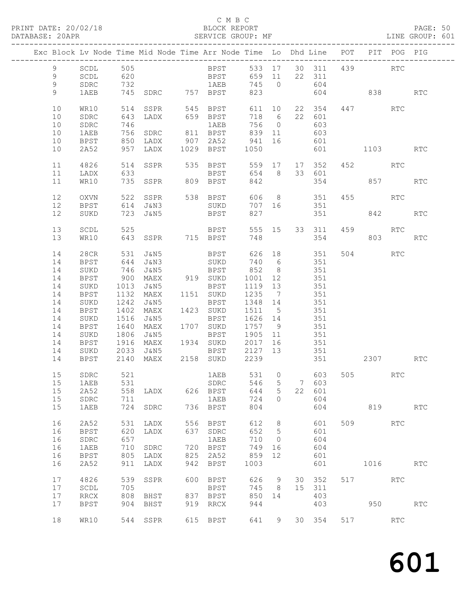# C M B C<br>BLOCK REPORT

PAGE: 50<br>LINE GROUP: 601

|                 |                                |            | Exc Block Lv Node Time Mid Node Time Arr Node Time Lo Dhd Line POT PIT POG PIG |     |                   |         |                |               |               |     |            |                      |                             |
|-----------------|--------------------------------|------------|--------------------------------------------------------------------------------|-----|-------------------|---------|----------------|---------------|---------------|-----|------------|----------------------|-----------------------------|
| 9               | SCDL                           | 505        |                                                                                |     | <b>BPST</b>       |         |                |               | 533 17 30 311 |     | 439        | <b>RTC</b>           |                             |
| 9               | $\operatorname{\mathsf{SCDL}}$ | 620        |                                                                                |     | <b>BPST</b>       |         |                | 659 11 22 311 |               |     |            |                      |                             |
| $\overline{9}$  | ${\tt SDRC}$                   |            |                                                                                |     |                   | 745 0   |                |               | 604           |     |            |                      |                             |
|                 |                                | 732<br>745 |                                                                                |     |                   |         |                |               |               |     |            |                      |                             |
| 9               | 1AEB                           |            |                                                                                |     |                   | 823     |                |               | 604           |     | 838 RTC    |                      |                             |
| 10              | WR10                           | 514        |                                                                                |     | SSPR 545 BPST     | 611 10  |                |               | 22 354        |     | 447 RTC    |                      |                             |
| 10              | SDRC                           | 643        | LADX                                                                           |     |                   | 718 6   |                |               | 22 601        |     |            |                      |                             |
| 10              |                                | 746        |                                                                                |     | 659 BPST<br>1AEB  |         |                | 756 0         | 603           |     |            |                      |                             |
|                 | ${\tt SDRC}$                   |            |                                                                                |     | 1AEB              |         |                |               |               |     |            |                      |                             |
| 10              | 1AEB                           | 756        | SDRC                                                                           |     | 811 BPST          | 839 11  |                |               | 603           |     |            |                      |                             |
| 10              | BPST                           | 850        | LADX                                                                           |     | 907 2A52 941 16   |         |                |               | 601           |     |            |                      |                             |
| 10              | 2A52                           | 957        | LADX                                                                           |     | 1029 BPST         | 1050    |                |               | 601           |     | 1103       |                      | <b>RTC</b>                  |
| 11              | 4826                           |            | 514 SSPR                                                                       |     | 535 BPST          |         |                |               | 559 17 17 352 |     | 452 RTC    |                      |                             |
| 11              | LADX                           | 633        |                                                                                |     | BPST 654 8 33 601 |         |                |               |               |     |            |                      |                             |
| 11              | WR10                           |            | 735 SSPR 809 BPST                                                              |     |                   | 842     |                |               | 354           |     | 857        |                      | RTC                         |
|                 |                                |            |                                                                                |     |                   |         |                |               |               |     |            |                      |                             |
| 12              | OXVN                           | 522        |                                                                                |     | SSPR 538 BPST     |         |                |               | 606 8 351     |     | 455        | RTC                  |                             |
| 12              | BPST                           |            | 614 J&N3                                                                       |     | SUKD              |         |                | 707 16 351    |               |     |            |                      |                             |
| 12              | SUKD                           |            | 723 J&N5                                                                       |     | <b>BPST</b>       | 827     |                |               | 351           |     | 842        |                      | <b>RTC</b>                  |
|                 |                                |            |                                                                                |     |                   |         |                |               |               |     |            |                      |                             |
| 13              | SCDL                           | 525        |                                                                                |     | <b>BPST</b>       |         |                |               | 555 15 33 311 | 459 | <b>RTC</b> |                      |                             |
| 13              | WR10                           |            | 643 SSPR 715 BPST                                                              |     |                   | 748     |                |               | 354           |     |            |                      | <b>RTC</b>                  |
|                 |                                |            |                                                                                |     |                   |         |                |               |               |     |            |                      |                             |
| 14              | 28CR                           | 531        | J&N5                                                                           |     | BPST              |         |                |               | 626 18 351    |     | 504 RTC    |                      |                             |
| 14              | BPST                           | 644        | J&N3                                                                           |     | SUKD              | 740 6   |                |               | 351           |     |            |                      |                             |
| 14              | SUKD                           | 746        | J&N5                                                                           |     | <b>BPST</b>       | 852 8   |                | 351           |               |     |            |                      |                             |
| 14              | BPST                           | 900        | MAEX                                                                           |     | 919 SUKD          | 1001    | 12             | 351           |               |     |            |                      |                             |
| 14              | SUKD                           | 1013       | J&N5                                                                           |     | BPST              | 1119 13 |                |               | 351           |     |            |                      |                             |
| 14              | BPST                           | 1132       | MAEX                                                                           |     | 1151 SUKD         | 1235 7  |                |               | 351           |     |            |                      |                             |
| 14              | SUKD                           | 1242       | J&N5                                                                           |     | BPST              | 1348 14 |                |               | 351           |     |            |                      |                             |
| 14              | BPST                           | 1402       | MAEX                                                                           |     | 1423 SUKD         | 1511 5  |                |               | 351           |     |            |                      |                             |
| 14              | SUKD                           | 1516       | J&N5                                                                           |     | BPST              | 1626 14 |                |               |               |     |            |                      |                             |
| 14              | <b>BPST</b>                    | 1640       | MAEX                                                                           |     | 1707 SUKD         | 1757 9  |                |               | 351           |     |            |                      |                             |
| 14              | SUKD                           | 1806       | J&N5                                                                           |     | BPST              | 1905 11 |                |               | 351           |     |            |                      |                             |
| 14              | BPST                           | 1916       | MAEX                                                                           |     | 1934 SUKD         | 2017 16 |                | 351           |               |     |            |                      |                             |
| 14              | SUKD                           | 2033       |                                                                                |     | J&N5 BPST 2127 13 |         |                |               | 351           |     |            |                      |                             |
| 14              | BPST                           | 2140       | MAEX                                                                           |     | 2158 SUKD         | 2239    |                |               | 351           |     | 2307 RTC   |                      |                             |
|                 |                                |            |                                                                                |     |                   |         |                |               |               |     |            |                      |                             |
| 15 <sub>1</sub> | SDRC                           | 521        |                                                                                |     | 1AEB 531 0 603    |         |                |               |               |     | 505 RTC    |                      |                             |
| 15              | 1AEB                           | 531        |                                                                                |     | SDRC              |         |                |               | 546 5 7 603   |     |            |                      |                             |
| 15              | 2A52                           | 558        | LADX                                                                           | 626 | BPST              | 644     | 5              | 22            | 601           |     |            |                      |                             |
| 15              | SDRC                           | 711        |                                                                                |     | 1AEB              | 724     | $\circ$        |               | 604           |     |            |                      |                             |
| 15              | 1AEB                           | 724        | SDRC                                                                           | 736 | BPST              | 804     |                |               | 604           |     | 819        |                      | $\mathop{\rm RTC}\nolimits$ |
|                 |                                |            |                                                                                |     |                   |         |                |               |               |     |            |                      |                             |
| 16              | 2A52                           | 531        | LADX                                                                           | 556 | <b>BPST</b>       | 612     | 8              |               | 601           | 509 |            | $\operatorname{RTC}$ |                             |
| 16              | <b>BPST</b>                    | 620        | LADX                                                                           | 637 | ${\tt SDRC}$      | 652     | 5              |               | 601           |     |            |                      |                             |
| 16              | ${\tt SDRC}$                   | 657        |                                                                                |     | 1AEB              | 710     | $\overline{0}$ |               | 604           |     |            |                      |                             |
| 16              | 1AEB                           | 710        | SDRC                                                                           | 720 | BPST              | 749     | 16             |               | 604           |     |            |                      |                             |
| 16              | <b>BPST</b>                    | 805        | LADX                                                                           | 825 | 2A52              | 859     | 12             |               | 601           |     |            |                      |                             |
| 16              | 2A52                           | 911        | LADX                                                                           | 942 | <b>BPST</b>       | 1003    |                |               | 601           |     | 1016       |                      | <b>RTC</b>                  |
|                 |                                |            |                                                                                |     |                   |         |                |               |               |     |            |                      |                             |
| 17              | 4826                           | 539        | SSPR                                                                           | 600 | <b>BPST</b>       | 626     | 9              | 30            | 352           | 517 |            | <b>RTC</b>           |                             |
| 17              | SCDL                           | 705        |                                                                                |     | BPST              | 745     | 8              | 15            | 311           |     |            |                      |                             |
| 17              | RRCX                           | 808        | BHST                                                                           | 837 | BPST              | 850     | 14             |               | 403           |     |            |                      |                             |
| 17              | <b>BPST</b>                    | 904        | BHST                                                                           | 919 | RRCX              | 944     |                |               | 403           |     | 950        |                      | RTC                         |
| 18              | WR10                           | 544        | SSPR                                                                           | 615 | BPST              | 641     | 9              | 30            | 354           | 517 |            | <b>RTC</b>           |                             |
|                 |                                |            |                                                                                |     |                   |         |                |               |               |     |            |                      |                             |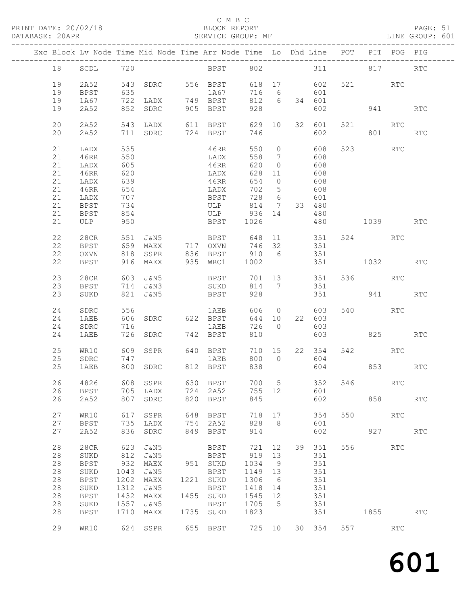## C M B C<br>BLOCK REPORT

PAGE: 51<br>LINE GROUP: 601

|  |    |             |            |                                                           |     | Exc Block Lv Node Time Mid Node Time Arr Node Time Lo Dhd Line POT PIT POG PIG |         |                 |              |              |          |            |
|--|----|-------------|------------|-----------------------------------------------------------|-----|--------------------------------------------------------------------------------|---------|-----------------|--------------|--------------|----------|------------|
|  | 18 | SCDL 720    |            |                                                           |     | BPST 802 311 817 RTC                                                           |         |                 |              |              |          |            |
|  | 19 | 2A52        |            |                                                           |     | 543 SDRC 556 BPST                                                              |         |                 | 618 17 602   | 521 RTC      |          |            |
|  | 19 | BPST        | 635        |                                                           |     | 1A67                                                                           | 716 6   |                 | 601          |              |          |            |
|  | 19 | 1A67        |            |                                                           |     |                                                                                |         |                 | 812 6 34 601 |              |          |            |
|  |    |             |            | 722 LADX       749   BPST<br>852   SDRC        905   BPST |     |                                                                                | 928     |                 |              |              |          |            |
|  | 19 | 2A52        |            |                                                           |     |                                                                                |         |                 | 602          |              | 941 — 10 | RTC        |
|  | 20 | 2A52        |            |                                                           |     | 543 LADX 611 BPST                                                              | 629 10  |                 | 32 601       | 521          | RTC      |            |
|  | 20 | 2A52        |            |                                                           |     | 711 SDRC 724 BPST                                                              | 746     |                 | 602          |              | 801 12   | RTC        |
|  |    |             |            |                                                           |     |                                                                                |         |                 |              |              |          |            |
|  | 21 | LADX        | 535        |                                                           |     | 46RR                                                                           | 550 0   |                 | 608          | 523 RTC      |          |            |
|  | 21 | 46RR        | 550        |                                                           |     | LADX                                                                           | 558     | $7\overline{ }$ | 608          |              |          |            |
|  | 21 | LADX        |            |                                                           |     | 46RR                                                                           | 620     | $\overline{0}$  | 608          |              |          |            |
|  | 21 | 46RR        | 605<br>620 |                                                           |     | LADX                                                                           | 628 11  |                 | 608          |              |          |            |
|  |    |             |            |                                                           |     |                                                                                |         |                 | 608          |              |          |            |
|  | 21 | LADX        | 639        |                                                           |     | 46RR                                                                           | 654     | $\overline{0}$  |              |              |          |            |
|  | 21 | 46RR        | 654        |                                                           |     | LADX                                                                           | 702 5   |                 | 608          |              |          |            |
|  | 21 | LADX        | 707<br>734 |                                                           |     | BPST<br>ULP                                                                    | 728 6   |                 | 601          |              |          |            |
|  | 21 | BPST        |            |                                                           |     |                                                                                | 814 7   |                 | 33 480       |              |          |            |
|  | 21 | BPST        | 854        |                                                           |     | ULP 936 14 480                                                                 |         |                 |              |              |          |            |
|  | 21 | ULP 950     |            |                                                           |     | <b>BPST</b>                                                                    | 1026    |                 |              | 480 1039 RTC |          |            |
|  |    |             |            |                                                           |     |                                                                                |         |                 |              |              |          |            |
|  | 22 | 28CR        | 551        | J&N5                                                      |     | <b>BPST</b>                                                                    |         |                 | 648 11 351   | 524 RTC      |          |            |
|  | 22 | BPST        |            |                                                           |     | 659 MAEX 717 OXVN                                                              | 746 32  |                 | 351          |              |          |            |
|  | 22 | OXVN        |            |                                                           |     | 818 SSPR 836 BPST 910 6 351                                                    |         |                 |              |              |          |            |
|  | 22 | BPST        |            | 916 MAEX                                                  |     | 935 WRC1                                                                       | 1002    |                 |              | 351 1032     |          | <b>RTC</b> |
|  |    |             |            |                                                           |     |                                                                                |         |                 |              |              |          |            |
|  | 23 | 28CR        |            |                                                           |     | 603 J&N5 BPST 701 13 351                                                       |         |                 |              | 536 RTC      |          |            |
|  | 23 | BPST        |            | 714 J&N3                                                  |     | SUKD                                                                           |         |                 | 814 7 351    |              |          |            |
|  | 23 | SUKD        |            | 821 J&N5                                                  |     | <b>BPST</b>                                                                    | 928     |                 |              | 351 941 RTC  |          |            |
|  |    |             |            |                                                           |     |                                                                                |         |                 | 606 0 603    |              |          |            |
|  | 24 | SDRC        | 556        |                                                           |     | 1AEB                                                                           |         |                 |              | 540          | RTC      |            |
|  | 24 | 1AEB        |            |                                                           |     | 606 SDRC 622 BPST                                                              | 644 10  |                 | 22 603       |              |          |            |
|  | 24 | SDRC        | 716        |                                                           |     | 1AEB                                                                           | 726 0   |                 | 603          |              |          |            |
|  | 24 | 1AEB        |            | 726 SDRC                                                  |     | 742 BPST                                                                       | 810     |                 | 603          | 825 32       |          | RTC        |
|  | 25 | WR10        |            | 609 SSPR                                                  |     | 640 BPST                                                                       | 710 15  |                 | 22 354       | 542 RTC      |          |            |
|  |    |             |            |                                                           |     |                                                                                |         |                 |              |              |          |            |
|  | 25 | SDRC        | 747        |                                                           |     | 1AEB                                                                           |         |                 | 800 0 604    |              |          |            |
|  | 25 | 1AEB        |            |                                                           |     | 800 SDRC 812 BPST                                                              | 838     |                 | 604          |              | 853 85   | RTC        |
|  | 26 | 4826        |            |                                                           |     |                                                                                |         |                 | 700 5 352    | 546          | RTC      |            |
|  | 26 | BPST        |            | 705 LADX                                                  | 724 | 2A52                                                                           | 755 12  |                 | 601          |              |          |            |
|  | 26 | 2A52        | 807        | SDRC                                                      |     | 820 BPST                                                                       | 845     |                 | 602          | 858          |          | <b>RTC</b> |
|  |    |             |            |                                                           |     |                                                                                |         |                 |              |              |          |            |
|  | 27 | WR10        | 617        | SSPR                                                      | 648 | BPST                                                                           | 718 17  |                 | 354          | 550 000      | RTC      |            |
|  | 27 | BPST        | 735        | LADX                                                      | 754 | 2A52                                                                           | 828     | 8 <sup>8</sup>  | 601          |              |          |            |
|  | 27 | 2A52        | 836        | SDRC                                                      |     | 849 BPST                                                                       | 914     |                 | 602          |              | 927      | RTC        |
|  |    |             |            |                                                           |     |                                                                                |         |                 |              |              |          |            |
|  | 28 | 28CR        |            | 623 J&N5                                                  |     | BPST                                                                           | 721 12  |                 | 39 351       | 556 RTC      |          |            |
|  | 28 | SUKD        | 812        | J&N5                                                      |     | BPST                                                                           | 919 13  |                 | 351          |              |          |            |
|  | 28 | BPST        | 932        | MAEX                                                      |     | 951 SUKD                                                                       | 1034    | 9               | 351          |              |          |            |
|  | 28 | SUKD        | 1043       | J&N5                                                      |     | BPST                                                                           | 1149 13 |                 | 351          |              |          |            |
|  | 28 |             | 1202       | MAEX                                                      |     | 1221 SUKD                                                                      | 1306    | 6               | 351          |              |          |            |
|  |    | <b>BPST</b> |            |                                                           |     |                                                                                |         |                 |              |              |          |            |
|  | 28 | SUKD        | 1312       | J&N5                                                      |     | BPST                                                                           | 1418 14 |                 | 351          |              |          |            |
|  | 28 | BPST        | 1432       | MAEX                                                      |     | 1455 SUKD                                                                      | 1545 12 |                 | 351          |              |          |            |
|  | 28 | $\rm SUKD$  | 1557       | J&N5                                                      |     | BPST                                                                           | 1705 5  |                 | 351          |              |          |            |
|  | 28 | <b>BPST</b> | 1710       | MAEX                                                      |     | 1735 SUKD                                                                      | 1823    |                 | 351          | 1855 000     |          | RTC        |
|  |    |             |            |                                                           |     | 655 BPST 725 10                                                                |         |                 |              |              |          |            |
|  | 29 | WR10        |            | 624 SSPR                                                  |     |                                                                                |         |                 | 30 354       | 557 000      | RTC      |            |
|  |    |             |            |                                                           |     |                                                                                |         |                 |              |              |          |            |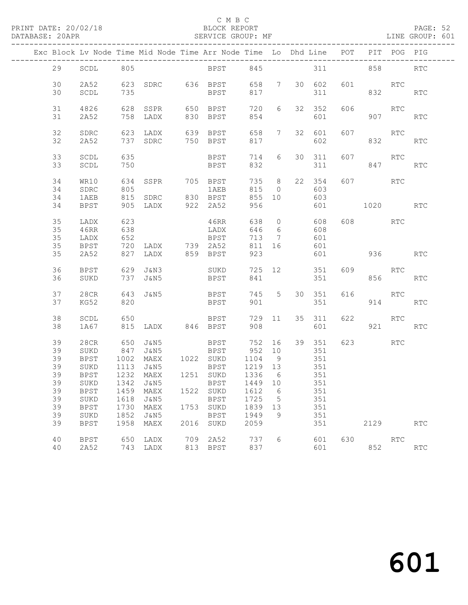# C M B C<br>BLOCK REPORT

PAGE: 52<br>LINE GROUP: 601

|                                                          |                                                                                           |                                                            |                                                                                     |      | Exc Block Lv Node Time Mid Node Time Arr Node Time Lo Dhd Line POT                                                           |                                                                               |                                  |                                                                |     |                     | PIT POG PIG   |                                    |
|----------------------------------------------------------|-------------------------------------------------------------------------------------------|------------------------------------------------------------|-------------------------------------------------------------------------------------|------|------------------------------------------------------------------------------------------------------------------------------|-------------------------------------------------------------------------------|----------------------------------|----------------------------------------------------------------|-----|---------------------|---------------|------------------------------------|
| 29                                                       | SCDL                                                                                      | 805                                                        |                                                                                     |      | BPST 845                                                                                                                     |                                                                               |                                  |                                                                |     | 311 858             |               | <b>RTC</b>                         |
| 30<br>30                                                 | 2A52<br>SCDL                                                                              | 735                                                        |                                                                                     |      | 623 SDRC 636 BPST 658 7 30 602<br><b>BPST</b>                                                                                | 817                                                                           |                                  | 311                                                            | 601 | <b>RTC</b>          | 832           | RTC                                |
| 31<br>31                                                 | 4826<br>2A52                                                                              | 628                                                        | SSPR<br>758 LADX                                                                    |      | 650 BPST<br>830 BPST                                                                                                         | 720<br>854                                                                    | 6                                | 32 352<br>601                                                  | 606 | 907                 | RTC           | <b>RTC</b>                         |
| 32<br>32                                                 | SDRC<br>2A52                                                                              |                                                            |                                                                                     |      |                                                                                                                              | 817                                                                           | 658 7                            | 32 601<br>602                                                  |     | 607 RTC             |               | RTC                                |
| 33<br>33                                                 | SCDL<br>SCDL                                                                              | 635<br>750                                                 |                                                                                     |      | <b>BPST</b><br>BPST                                                                                                          | 714<br>832                                                                    | 6                                | 30 311<br>311                                                  | 607 | RTC                 | 847           | RTC                                |
| 34<br>34<br>34                                           | WR10<br>SDRC<br>1AEB                                                                      | 634<br>805                                                 | SSPR<br>815 SDRC 830 BPST                                                           |      | 705 BPST<br>1 AEB                                                                                                            | 815<br>855 10                                                                 | 735 8<br>$\overline{0}$          | 22 354<br>603<br>603                                           |     | 607                 | <b>RTC</b>    |                                    |
| 34<br>35<br>35                                           | BPST<br>LADX<br>46RR                                                                      | 623<br>638                                                 | 905 LADX 922 2A52                                                                   |      | 46RR<br>LADX                                                                                                                 | 956<br>638<br>646                                                             | 6                                | 601<br>0 608<br>608                                            |     | 1020 RTC<br>608 RTC |               |                                    |
| 35<br>35<br>35                                           | LADX<br>BPST<br>2A52                                                                      | 652<br>720                                                 | LADX 739 2A52<br>827 LADX                                                           |      | BPST<br>859 BPST                                                                                                             | 713<br>811 16<br>923                                                          | $\overline{7}$                   | 601<br>601<br>601                                              |     | 936 — 10            |               | <b>RTC</b>                         |
| 36<br>36                                                 | BPST<br>SUKD                                                                              |                                                            | 629 J&N3<br>737 J&N5                                                                |      | SUKD<br><b>BPST</b>                                                                                                          | 841                                                                           |                                  | 725 12 351<br>351                                              | 609 | <b>RTC</b>          | 856 8         | RTC                                |
| 37<br>37                                                 | 28CR<br>KG52                                                                              | 820                                                        | 643 J&N5                                                                            |      | <b>BPST</b><br>BPST                                                                                                          | 745 5<br>901                                                                  |                                  | 30 351<br>351                                                  | 616 | <b>RTC</b>          | 914           | RTC                                |
| 38<br>38                                                 | SCDL<br>1A67                                                                              | 650                                                        | 815 LADX 846 BPST                                                                   |      | BPST                                                                                                                         | 908                                                                           | 729 11                           | 35 311<br>601                                                  | 622 |                     | RTC<br>921 72 | <b>RTC</b>                         |
| 39<br>39<br>39<br>39<br>39<br>39<br>39<br>39<br>39<br>39 | 28CR<br>SUKD<br>BPST<br>SUKD<br><b>BPST</b><br><b>BPST</b><br>SUKD<br><b>BPST</b><br>SUKD | 650<br>847<br>1002<br>1113<br>1459<br>1618<br>1730<br>1852 | J&N5<br>J&N5<br>MAEX 1022 SUKD<br>J&N5<br>1232 MAEX<br>MAEX<br>J&N5<br>MAEX<br>J&N5 |      | <b>BPST</b><br><b>BPST</b><br>BPST<br>1251 SUKD<br>SUKD 1342 J&N5 BPST 1449 10 351<br>1522 SUKD<br>BPST<br>1753 SUKD<br>BPST | 752 16<br>952 10<br>1104<br>1219 13<br>1336 6<br>1612<br>1725<br>1839<br>1949 | 9<br>6<br>$5^{\circ}$<br>13<br>9 | 39 351<br>351<br>351<br>351<br>351<br>351<br>351<br>351<br>351 |     | 623 RTC             |               |                                    |
| 39<br>40<br>40                                           | BPST<br>BPST<br>2A52                                                                      | 1958<br>650                                                | MAEX<br>LADX<br>743 LADX                                                            | 2016 | SUKD<br>709 2A52<br>813 BPST                                                                                                 | 2059<br>737<br>837                                                            | 6                                | 351<br>601<br>601                                              | 630 | 2129<br>852         | RTC           | RTC<br>$\mathop{\rm RTC}\nolimits$ |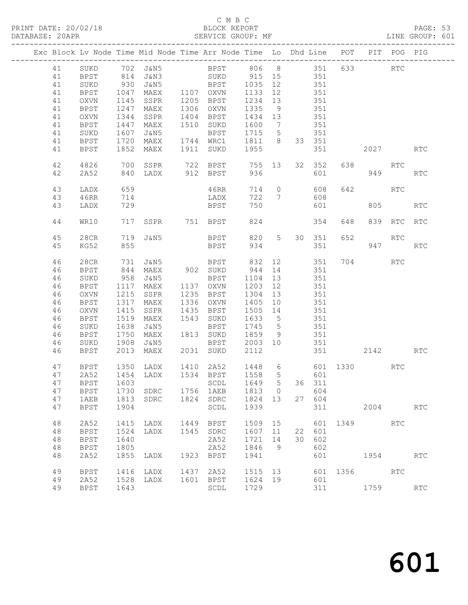# C M B C<br>BLOCK REPORT

PAGE: 53<br>LINE GROUP: 601

| Exc Block Lv Node Time Mid Node Time Arr Node Time Lo Dhd Line POT PIT POG PIG |                     |              |               |      |                    |                 |                 |    |        |            |         |                      |                             |
|--------------------------------------------------------------------------------|---------------------|--------------|---------------|------|--------------------|-----------------|-----------------|----|--------|------------|---------|----------------------|-----------------------------|
| 41                                                                             | SUKD                |              | 702 J&N5      |      | BPST 806 8 351     |                 |                 |    |        |            | 633 000 | $\operatorname{RTC}$ |                             |
| 41                                                                             | <b>BPST</b>         | 814          | J&N3          |      | SUKD               | 915 15          |                 |    | 351    |            |         |                      |                             |
| 41                                                                             | SUKD                | 930          | J&N5          |      | BPST               | 1035            | 12              |    | 351    |            |         |                      |                             |
| 41                                                                             | <b>BPST</b>         | 1047         | MAEX          |      | 1107 OXVN          | 1133            | 12              |    | 351    |            |         |                      |                             |
| 41                                                                             | OXVN                | 1145         | SSPR          |      | 1205 BPST          | 1234            | 13              |    | 351    |            |         |                      |                             |
| 41                                                                             | <b>BPST</b>         | 1247         | MAEX          | 1306 | OXVN               | 1335            | 9               |    | 351    |            |         |                      |                             |
| 41                                                                             | OXVN                | 1344         | SSPR          |      | 1404 BPST          | 1434 13         |                 |    | 351    |            |         |                      |                             |
| 41                                                                             | <b>BPST</b>         | 1447         | MAEX          |      | 1510 SUKD          | 1600            | $\overline{7}$  |    | 351    |            |         |                      |                             |
| 41                                                                             | SUKD                | 1607         | J&N5          |      | BPST               | 1715            | $5\overline{)}$ |    | 351    |            |         |                      |                             |
| 41                                                                             | BPST                | 1720         | MAEX          |      | 1744 WRC1          | 1811 8          |                 |    | 33 351 |            |         |                      |                             |
|                                                                                |                     | 1852         |               |      |                    | 1955            |                 |    |        |            |         |                      | <b>RTC</b>                  |
| 41                                                                             | <b>BPST</b>         |              | MAEX          | 1911 | SUKD               |                 |                 |    | 351    |            | 2027    |                      |                             |
| 42                                                                             | 4826                | 700          | SSPR          |      | 722 BPST           | 755 13          |                 |    | 32 352 | 638        |         | RTC                  |                             |
| 42                                                                             | 2A52                | 840          | LADX          |      | 912 BPST           | 936             |                 |    | 601    |            |         | 949                  | <b>RTC</b>                  |
| 43                                                                             | LADX                | 659          |               |      | 46RR               | 714             | $\overline{0}$  |    | 608    | 642        |         | <b>RTC</b>           |                             |
| 43                                                                             | 46RR                | 714          |               |      | LADX               | 722             | 7               |    | 608    |            |         |                      |                             |
| 43                                                                             | LADX                | 729          |               |      | BPST               | 750             |                 |    | 601    |            | 805     |                      | RTC                         |
| 44                                                                             | WR10                | 717          | SSPR 751 BPST |      |                    | 824             |                 |    | 354    | 648        |         | 839 RTC              | RTC                         |
| 45                                                                             | 28CR                | 719          | J&N5          |      | BPST               | 820             | 5 <sub>5</sub>  |    | 30 351 | 652        |         | RTC                  |                             |
| 45                                                                             | KG52                | 855          |               |      | BPST               | 934             |                 |    | 351    |            |         | 947 — 100            | <b>RTC</b>                  |
|                                                                                |                     |              |               |      |                    |                 |                 |    |        |            |         |                      |                             |
| 46                                                                             | 28CR                | 731          | J&N5          |      | BPST               | 832             | 12              |    | 351    |            | 704     | RTC                  |                             |
| 46                                                                             | <b>BPST</b>         | 844          | MAEX          |      | 902 SUKD           | 944             | 14              |    | 351    |            |         |                      |                             |
| 46                                                                             | SUKD                | 958          | J&N5          |      | <b>BPST</b>        | 1104            | 13              |    | 351    |            |         |                      |                             |
| 46                                                                             | <b>BPST</b>         | 1117         | MAEX          |      | 1137 OXVN          | 1203            | 12              |    | 351    |            |         |                      |                             |
| 46                                                                             | OXVN                | 1215         | SSPR          | 1235 | BPST               | 1304            | 13              |    | 351    |            |         |                      |                             |
| 46                                                                             | <b>BPST</b>         | 1317         | MAEX          | 1336 | OXVN               | 1405            | 10              |    | 351    |            |         |                      |                             |
| 46                                                                             | OXVN                | 1415         | SSPR          | 1435 | BPST               | 1505            | 14              |    | 351    |            |         |                      |                             |
| 46                                                                             | <b>BPST</b>         | 1519         | MAEX          |      | 1543 SUKD          | 1633            | $5^{\circ}$     |    | 351    |            |         |                      |                             |
| 46                                                                             | SUKD                | 1638         | J&N5          |      | BPST               | 1745            | $5^{\circ}$     |    | 351    |            |         |                      |                             |
| 46                                                                             | <b>BPST</b>         | 1750         | MAEX          |      | 1813 SUKD          | 1859            | 9               |    | 351    |            |         |                      |                             |
| 46                                                                             | SUKD                | 1908         | J&N5          |      | BPST               | 2003            | 10              |    | 351    |            |         |                      |                             |
| 46                                                                             | <b>BPST</b>         | 2013         | MAEX          | 2031 | SUKD               | 2112            |                 |    | 351    |            | 2142    |                      | <b>RTC</b>                  |
| 47                                                                             | BPST                |              | 1350 LADX     |      | 1410 2A52          | 1448            |                 |    |        | 6 601 1330 |         | RTC                  |                             |
| 47                                                                             | 2A52                |              | 1454 LADX     |      | 1534 BPST          | 1558 5          |                 |    | 601    |            |         |                      |                             |
|                                                                                | 47 BPST 1603        |              |               |      | SCDL 1649 5 36 311 |                 |                 |    |        |            |         |                      |                             |
| 47                                                                             | <b>BPST</b>         | 1730         | SDRC          | 1756 | 1AEB               | 1813            | $\overline{0}$  |    | 604    |            |         |                      |                             |
| 47                                                                             | 1AEB                | 1813         | SDRC          | 1824 | SDRC               | 1824            | 13              | 27 | 604    |            |         |                      |                             |
| 47                                                                             | <b>BPST</b>         | 1904         |               |      | SCDL               | 1939            |                 |    | 311    |            | 2004    |                      | $\mathop{\rm RTC}\nolimits$ |
|                                                                                |                     |              |               |      |                    |                 |                 |    |        |            |         |                      |                             |
| 48                                                                             | 2A52                | 1415         | LADX          | 1449 | BPST               | 1509            | 15              |    | 601    | 1349       |         | <b>RTC</b>           |                             |
| 48                                                                             | <b>BPST</b>         | 1524         | LADX          | 1545 | SDRC               | 1607            | 11              | 22 | 601    |            |         |                      |                             |
| 48                                                                             | <b>BPST</b>         | 1640         |               |      | 2A52               | 1721            | 14              | 30 | 602    |            |         |                      |                             |
| $4\,8$                                                                         | <b>BPST</b>         | 1805         |               |      | 2A52               | 1846            | 9               |    | 602    |            |         |                      |                             |
| 48                                                                             | 2A52                | 1855         | LADX          | 1923 | BPST               | 1941            |                 |    | 601    |            | 1954    |                      | <b>RTC</b>                  |
| 49                                                                             |                     |              |               | 1437 |                    |                 |                 |    | 601    | 1356       |         | RTC                  |                             |
| 49                                                                             | <b>BPST</b><br>2A52 | 1416<br>1528 | LADX<br>LADX  |      | 2A52<br>1601 BPST  | 1515 13<br>1624 | 19              |    | 601    |            |         |                      |                             |
|                                                                                |                     |              |               |      |                    |                 |                 |    |        |            |         |                      |                             |
| 49                                                                             | <b>BPST</b>         | 1643         |               |      | SCDL               | 1729            |                 |    | 311    |            | 1759    |                      | <b>RTC</b>                  |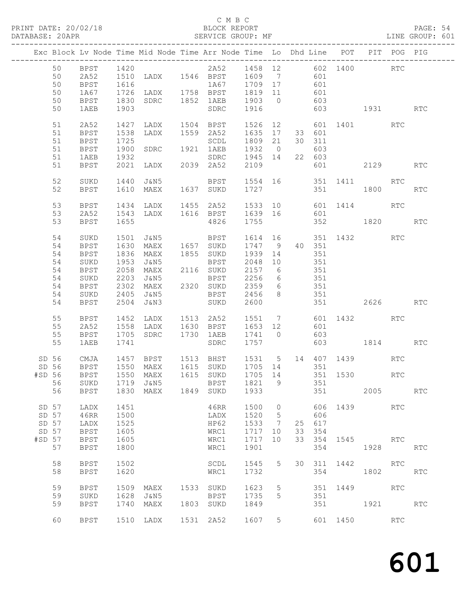## C M B C<br>BLOCK REPORT

PAGE: 54<br>LINE GROUP: 601

|        |       |             |                      | Exc Block Lv Node Time Mid Node Time Arr Node Time Lo Dhd Line POT PIT POG PIG |      |                                                 |                              |                 |                |        |          |                          |            |            |
|--------|-------|-------------|----------------------|--------------------------------------------------------------------------------|------|-------------------------------------------------|------------------------------|-----------------|----------------|--------|----------|--------------------------|------------|------------|
|        | 50    | <b>BPST</b> | 1420                 |                                                                                |      | 2A52 1458 12 602 1400 RTC                       |                              |                 |                |        |          |                          |            |            |
|        | 50    | 2A52        |                      |                                                                                |      |                                                 |                              |                 |                |        |          |                          |            |            |
|        | 50    | BPST        |                      | 1510 LADX 1546 BPST 1609 7 601<br>1616 1A67 1709 17 601                        |      |                                                 |                              |                 |                |        |          |                          |            |            |
|        | 50    | 1A67        |                      | 1726 LADX 1758 BPST 1819 11                                                    |      |                                                 |                              |                 |                | 601    |          |                          |            |            |
|        | 50    | BPST        | 1830                 |                                                                                |      | SDRC 1852 1AEB 1903 0 603                       |                              |                 |                |        |          |                          |            |            |
|        | 50    |             | 1903                 |                                                                                |      |                                                 | 1916                         |                 |                |        |          | 603 1931 RTC             |            |            |
|        |       | 1AEB        |                      |                                                                                |      | SDRC                                            |                              |                 |                |        |          |                          |            |            |
|        | 51    | 2A52        | 1427                 | LADX 1504 BPST                                                                 |      |                                                 | 1526                         |                 |                |        |          | 12 601 1401              | RTC        |            |
|        | 51    | BPST        | 1538                 | LADX                                                                           |      | 1559 2A52                                       | 1635 17                      |                 |                | 33 601 |          |                          |            |            |
|        | 51    | <b>BPST</b> |                      |                                                                                |      | SCDL                                            | 1809 21                      |                 |                | 30 311 |          |                          |            |            |
|        | 51    | BPST        |                      | SDRC 1921                                                                      |      | 1921 1AEB                                       | 1932 0                       |                 |                | 603    |          |                          |            |            |
|        | 51    | 1AEB        | 1725<br>1900<br>1932 |                                                                                |      | SDRC 1945 14                                    |                              |                 |                | 22 603 |          |                          |            |            |
|        | 51    | BPST        |                      |                                                                                |      |                                                 | 2109                         |                 |                |        |          | 601 2129 RTC             |            |            |
|        |       |             |                      |                                                                                |      |                                                 |                              |                 |                |        |          |                          |            |            |
|        | 52    | SUKD        | 1440                 | J&N5                                                                           |      | BPST 1554 16 351 1411 RTC<br>SUKD 1727 351 1800 |                              |                 |                |        |          |                          |            |            |
|        | 52    | BPST        |                      | 1610 MAEX                                                                      |      | 1637 SUKD                                       | 1727                         |                 |                |        | 351      | 1800                     |            | <b>RTC</b> |
|        | 53    | BPST        | 1434                 | LADX 1455 2A52                                                                 |      |                                                 |                              |                 |                |        |          | 1533 10 601 1414         | RTC        |            |
|        | 53    | 2A52        |                      |                                                                                |      |                                                 |                              |                 |                | 601    |          |                          |            |            |
|        | 53    | BPST        |                      |                                                                                |      |                                                 |                              |                 |                |        |          | 352 1820 RTC             |            |            |
|        |       |             |                      |                                                                                |      |                                                 |                              |                 |                |        |          |                          |            |            |
|        | 54    | SUKD        | 1501                 | J&N5                                                                           |      | BPST                                            |                              |                 |                |        |          | 1614  16  351  1432  RTC |            |            |
|        | 54    | BPST        | 1630                 | MAEX 1657 SUKD                                                                 |      |                                                 | 1747 9 40 351<br>1939 14 351 |                 |                |        |          |                          |            |            |
|        | 54    | <b>BPST</b> | 1836                 | MAEX                                                                           |      | 1855 SUKD                                       |                              |                 |                |        |          |                          |            |            |
|        | 54    | SUKD        | 1953                 | J&N5                                                                           |      | BPST 2048 10                                    |                              |                 |                | 351    |          |                          |            |            |
|        | 54    | BPST        | 2058                 | MAEX                                                                           |      | 2116 SUKD                                       | 2157 6                       |                 | 351            |        |          |                          |            |            |
|        | 54    | SUKD        | 2203                 | J&N5                                                                           |      |                                                 |                              | $6\overline{6}$ |                |        |          |                          |            |            |
|        | 54    | BPST        |                      | 2302 MAEX                                                                      |      | BPST 2256<br>2320 SUKD 2359                     |                              | $6\overline{6}$ | $351$<br>$351$ |        |          |                          |            |            |
|        | 54    | SUKD        |                      | 2405 J&N5                                                                      |      | BPST 2456                                       |                              | 8 <sup>1</sup>  |                | 351    |          |                          |            |            |
|        | 54    | BPST        |                      | 2504 J&N3                                                                      |      | SUKD 2600                                       |                              |                 |                |        |          | 351 2626 RTC             |            |            |
|        | 55    |             |                      |                                                                                |      | LADX 1513 2A52                                  |                              |                 |                |        |          | 1551 7 601 1432 RTC      |            |            |
|        | 55    | BPST        | 1452                 | 1558 LADX                                                                      |      | 1630 BPST 1653 12                               |                              |                 |                | 601    |          |                          |            |            |
|        |       | 2A52        |                      |                                                                                |      |                                                 |                              |                 |                |        |          |                          |            |            |
|        | 55    | <b>BPST</b> |                      | 1705 SDRC 1730 1AEB                                                            |      |                                                 | 1741 0 603                   |                 |                |        |          |                          |            |            |
|        | 55    | 1AEB        | 1741                 |                                                                                |      | SDRC                                            | 1757                         |                 |                |        |          | 603 1814                 |            | <b>RTC</b> |
|        | SD 56 | CMJA        |                      | 1457 BPST 1513 BHST 1531 5 14 407 1439                                         |      |                                                 |                              |                 |                |        |          |                          | RTC        |            |
|        | SD 56 | <b>BPST</b> |                      | 1550 MAEX 1615 SUKD 1705 14 351                                                |      |                                                 |                              |                 |                |        |          |                          |            |            |
| #SD 56 |       | BPST        |                      | 1550 MAEX                                                                      |      | 1615 SUKD                                       |                              |                 |                |        |          | 1705 14 351 1530 RTC     |            |            |
|        |       |             |                      | 56 SUKD 1719 J&N5 BPST 1821 9                                                  |      |                                                 |                              |                 |                | 351    |          |                          |            |            |
|        | 56    | <b>BPST</b> | 1830                 | MAEX                                                                           | 1849 | SUKD                                            | 1933                         |                 |                | 351    |          | 2005                     |            | <b>RTC</b> |
|        |       |             |                      |                                                                                |      |                                                 |                              |                 |                |        |          |                          |            |            |
|        | SD 57 | LADX        | 1451                 |                                                                                |      | 46RR                                            | 1500                         | $\circ$         |                | 606    |          | 1439                     | <b>RTC</b> |            |
|        | SD 57 | 46RR        | 1500                 |                                                                                |      | LADX                                            | 1520                         | 5               |                | 606    |          |                          |            |            |
| SD 57  |       | LADX        | 1525                 |                                                                                |      | HP62                                            | 1533                         | 7               |                | 25 617 |          |                          |            |            |
| SD 57  |       | <b>BPST</b> | 1605                 |                                                                                |      | WRC1                                            | 1717                         | 10              | 33             | 354    |          |                          |            |            |
| #SD 57 |       | BPST        | 1605                 |                                                                                |      | WRC1                                            | 1717                         | 10              | 33             | 354    | 1545     |                          | RTC.       |            |
|        | 57    | <b>BPST</b> | 1800                 |                                                                                |      | WRC1                                            | 1901                         |                 |                | 354    |          | 1928                     |            | RTC        |
|        | 58    | <b>BPST</b> | 1502                 |                                                                                |      | SCDL                                            | 1545                         | 5               | 30             | 311    | 1442     |                          | <b>RTC</b> |            |
|        | 58    | <b>BPST</b> | 1620                 |                                                                                |      | WRC1                                            | 1732                         |                 |                | 354    |          | 1802                     |            | <b>RTC</b> |
|        |       |             |                      |                                                                                |      |                                                 |                              |                 |                |        |          |                          |            |            |
|        | 59    | <b>BPST</b> | 1509                 | MAEX                                                                           |      | 1533 SUKD                                       | 1623                         | 5               |                | 351    | 1449     |                          | <b>RTC</b> |            |
|        | 59    | SUKD        | 1628                 | J&N5                                                                           |      | BPST                                            | 1735                         | 5               |                | 351    |          |                          |            |            |
|        | 59    | <b>BPST</b> | 1740                 | MAEX                                                                           | 1803 | SUKD                                            | 1849                         |                 |                | 351    |          | 1921                     |            | <b>RTC</b> |
|        | 60    | BPST        | 1510                 | LADX                                                                           |      | 1531 2A52                                       | 1607                         | 5 <sup>5</sup>  |                |        | 601 1450 |                          | RTC        |            |
|        |       |             |                      |                                                                                |      |                                                 |                              |                 |                |        |          |                          |            |            |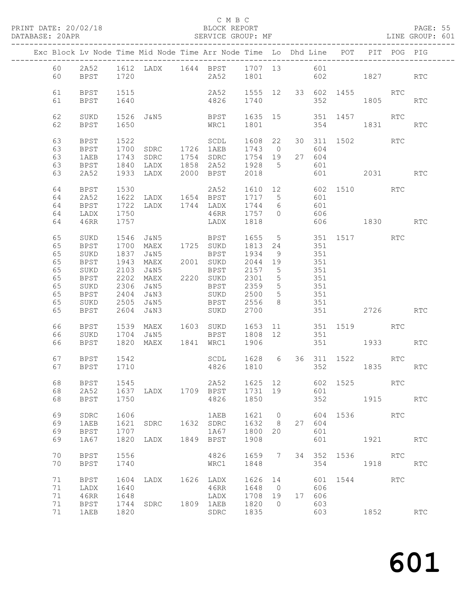## C M B C<br>BLOCK REPORT

|                                                          |                                                                                                   |                                      | PRINT DATE: 20/02/18 BLOCK REPORT DATABASE: 20APR SERVICE GROUP:                                     | SERVICE GROUP: MF                                   |                                         |                                    |     |                             |                     |          |            | PAGE: 55<br>LINE GROUP: 601 |  |
|----------------------------------------------------------|---------------------------------------------------------------------------------------------------|--------------------------------------|------------------------------------------------------------------------------------------------------|-----------------------------------------------------|-----------------------------------------|------------------------------------|-----|-----------------------------|---------------------|----------|------------|-----------------------------|--|
|                                                          |                                                                                                   |                                      | Exc Block Lv Node Time Mid Node Time Arr Node Time Lo Dhd Line POT PIT POG PIG                       |                                                     |                                         |                                    |     |                             |                     |          |            |                             |  |
| 60<br>60                                                 |                                                                                                   |                                      | 2A52 1612 LADX 1644 BPST 1707 13 601<br>BPST 1720 2A52 1801 602 1827 RTC                             |                                                     |                                         |                                    |     |                             |                     |          |            |                             |  |
| 61<br>61                                                 | BPST<br><b>BPST</b>                                                                               | 1515<br>1640                         |                                                                                                      | 2A52 1555 12 33 602 1455 RTC<br>4826 1740           |                                         |                                    |     |                             | 352                 | 1805     |            | RTC                         |  |
| 62<br>62                                                 | SUKD<br>BPST                                                                                      | 1650                                 | 1526 J&N5 BPST 1635 15 351 1457 RTC                                                                  | WRC1                                                |                                         |                                    |     |                             | 1801 354 1831       |          |            | RTC                         |  |
| 63<br>63<br>63<br>63<br>63                               | BPST<br>BPST<br>1AEB<br>BPST<br>2A52                                                              |                                      | 1743 SDRC 1754 SDRC 1754 19 27 604<br>1840 LADX 1858 2A52 1928 5 601<br>1933 LADX 2000 BPST 2018 601 |                                                     |                                         |                                    |     |                             | 601 2031 RTC        |          |            |                             |  |
| 64<br>64<br>64<br>64<br>64                               | BPST<br>2A52<br>BPST<br>LADX<br>46RR                                                              | 1530<br>1757                         | 1622 LADX 1654 BPST 1717 5 601                                                                       | 2A52 1610 12 602 1510<br>LADX 1818                  |                                         |                                    |     |                             | 606 1830 RTC        |          | <b>RTC</b> |                             |  |
| 65<br>65<br>65<br>65<br>65<br>65<br>65<br>65<br>65<br>65 | SUKD<br><b>BPST</b><br>SUKD<br>BPST<br>SUKD<br><b>BPST</b><br>SUKD<br><b>BPST</b><br>SUKD<br>BPST | 2404<br>2505                         | 1943 MAEX 2001 SUKD 2044 19<br>J&N3<br>J&N5<br>2604 J&N3                                             | SUKD 2500 5 351<br>BPST 2556 8 351<br>SUKD 2700 351 |                                         |                                    | 351 |                             | 351 2726 RTC        |          |            |                             |  |
| 66<br>66<br>66                                           | BPST<br>SUKD<br><b>BPST</b>                                                                       |                                      | 1539 MAEX 1603 SUKD 1653 11 351 1519 RTC                                                             |                                                     |                                         |                                    |     |                             | 351 1933 RTC        |          |            |                             |  |
| 67<br>67                                                 | BPST<br>BPST                                                                                      | 1542<br>1710                         |                                                                                                      | SCDL 1628 6 36 311 1522 RTC<br>4826                 | 1810                                    |                                    |     | 352                         |                     | 1835     |            | RTC                         |  |
| 68<br>68<br>68                                           | BPST<br>2A52<br><b>BPST</b>                                                                       | 1545<br>1750                         | 1637 LADX 1709 BPST                                                                                  | 2A52<br>4826                                        | 1625 12<br>1731 19<br>1850              |                                    |     | 601                         | 602 1525 RTC<br>352 | 1915 RTC |            |                             |  |
| 69<br>69<br>69<br>69                                     | SDRC<br>1AEB<br><b>BPST</b><br>1A67                                                               | 1606<br>1621<br>1707<br>1820         | SDRC<br>LADX                                                                                         | 1AEB<br>1632 SDRC<br>1A67<br>1849 BPST              | 1621 0<br>1632 8<br>1800<br>1908        | 20                                 |     | 27 604<br>601<br>601        | 604 1536 RTC        | 1921 RTC |            |                             |  |
| 70<br>70                                                 | <b>BPST</b><br><b>BPST</b>                                                                        | 1556<br>1740                         |                                                                                                      | 4826<br>WRC1                                        | 1659 7<br>1848                          |                                    |     | 354                         |                     | 1918 RTC |            |                             |  |
| 71<br>71<br>71<br>71<br>71                               | <b>BPST</b><br>LADX<br>46RR<br><b>BPST</b><br>1AEB                                                | 1604<br>1640<br>1648<br>1744<br>1820 | LADX 1626 LADX<br>SDRC                                                                               | 46RR<br>LADX<br>1809 1AEB<br>SDRC                   | 1626 14<br>1648<br>1708<br>1820<br>1835 | $\overline{0}$<br>19<br>$\bigcirc$ |     | 606<br>17 606<br>603<br>603 | 601 1544 RTC        | 1852     |            | RTC                         |  |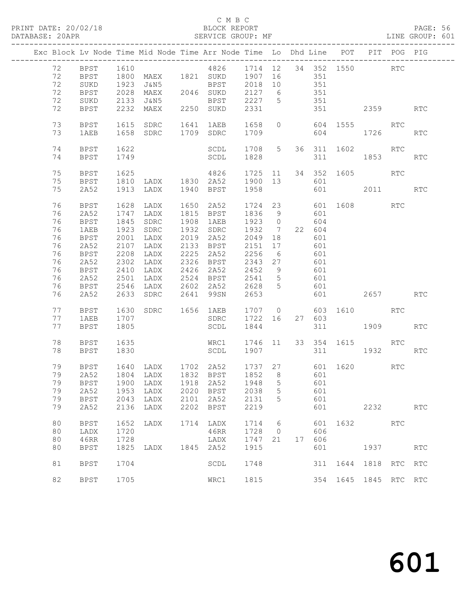## C M B C<br>BLOCK REPORT

## SERVICE GROUP: MF

|                            |                                      |                      |                                                          |      | Exc Block Lv Node Time Mid Node Time Arr Node Time Lo Dhd Line POT PIT POG PIG                                                |                                           |                                       |                   |                                 |         |                                                                                                                                                                                                                                 |     |            |
|----------------------------|--------------------------------------|----------------------|----------------------------------------------------------|------|-------------------------------------------------------------------------------------------------------------------------------|-------------------------------------------|---------------------------------------|-------------------|---------------------------------|---------|---------------------------------------------------------------------------------------------------------------------------------------------------------------------------------------------------------------------------------|-----|------------|
| 72<br>72<br>72<br>72       | BPST<br>BPST<br>SUKD<br>BPST         | 1610<br>1923<br>2028 | J&N5<br>MAEX                                             |      | 4826 1714 12 34 352 1550 RTC<br>1800 MAEX 1821 SUKD 1907 16<br>BPST 2018 10<br>2046 SUKD                                      | 2127 6                                    |                                       | 351<br>351<br>351 |                                 |         |                                                                                                                                                                                                                                 |     |            |
| 72<br>72                   | $\rm SUKD$<br>BPST                   | 2133                 | J&N5<br>2232 MAEX                                        |      | BPST<br>2250 SUKD                                                                                                             | 2227<br>2331                              | $5^{\circ}$                           |                   | 351                             |         | 2359                                                                                                                                                                                                                            |     | <b>RTC</b> |
| 73<br>73                   | BPST<br>1AEB                         | 1615                 | SDRC<br>1658 SDRC                                        |      | 1641 1AEB<br>1709 SDRC                                                                                                        | 1658<br>1709                              | $\circ$                               |                   |                                 | 604     | 604 1555 RTC<br>1726                                                                                                                                                                                                            |     | RTC        |
| 74<br>74                   | BPST<br>BPST                         | 1622<br>1749         |                                                          |      | SCDL<br>SCDL                                                                                                                  | 1828                                      |                                       |                   | 311                             |         | 1708 5 36 311 1602<br>1853 186                                                                                                                                                                                                  | RTC | RTC        |
| 75<br>75<br>75             | BPST<br>BPST<br>2A52                 | 1625<br>1913         | 1810 LADX 1830 2A52<br>LADX                              |      | 4826<br>1940 BPST                                                                                                             | 1900 13<br>1958                           |                                       |                   | 601                             |         | 1725 11 34 352 1605<br>601 2011                                                                                                                                                                                                 | RTC | <b>RTC</b> |
| 76<br>76<br>76<br>76<br>76 | BPST<br>2A52<br>BPST<br>1AEB<br>BPST | 1845<br>1923         | 1628 LADX 1650<br>1747 LADX<br>SDRC<br>SDRC<br>2001 LADX |      | 2A52<br>1815 BPST<br>1908 1AEB<br>1932 SDRC<br>2019 2A52                                                                      | 1724 23<br>1836<br>1923 0<br>1932<br>2049 | - 9<br>$\overline{7}$<br>18           |                   | 601<br>604<br>22 604<br>601     |         | 601 1608 RTC                                                                                                                                                                                                                    |     |            |
| 76<br>76<br>76<br>76<br>76 | 2A52<br>BPST<br>2A52<br>BPST<br>2A52 | 2107<br>2208<br>2501 | LADX<br>LADX<br>2302 LADX<br>2410 LADX<br>LADX           | 2225 | 2133 BPST<br>2A52<br>2326 BPST<br>2426 2A52<br>2524 BPST                                                                      | 2151<br>2256<br>2343<br>2452<br>2541      | 17<br>6<br>27<br>9<br>$5\overline{)}$ |                   | 601<br>601<br>601<br>601<br>601 |         |                                                                                                                                                                                                                                 |     |            |
| 76<br>76                   | BPST<br>2A52                         |                      | 2546 LADX<br>2633 SDRC                                   |      | 2602 2A52<br>2641 99SN                                                                                                        | 2628<br>2653                              | $5^{\circ}$                           |                   | 601                             | 601 000 | 2657 RTC                                                                                                                                                                                                                        |     |            |
| 77<br>77<br>77             | BPST<br>1AEB<br>BPST                 | 1630<br>1707<br>1805 | SDRC 1656 1AEB                                           |      | SDRC<br>SCDL                                                                                                                  | 1707 0<br>1722 16<br>1844                 |                                       |                   | 27 603                          | 311 7   | 603 1610 RTC<br>1909                                                                                                                                                                                                            |     | <b>RTC</b> |
| 78<br>78                   | BPST<br>BPST                         | 1635<br>1830         |                                                          |      | WRC1<br>SCDL                                                                                                                  | 1907                                      |                                       |                   |                                 | 311 7   | 1746 11 33 354 1615 RTC<br>1932                                                                                                                                                                                                 |     | RTC        |
| 79<br>79<br>79<br>79       | BPST<br>2A52<br>2A52<br>BPST         | 1953<br>2043         | LADX<br>LADX                                             |      | 1640 LADX 1702 2A52 1737 27<br>1804 LADX 1832 BPST 1852 8<br>79 BPST 1900 LADX 1918 2A52 1948 5 601<br>2020 BPST<br>2101 2A52 | 2038<br>2131                              | $\overline{5}$<br>5                   |                   | 601<br>601                      |         | 601 1620<br>601                                                                                                                                                                                                                 | RTC |            |
| 79<br>80                   | 2A52<br><b>BPST</b>                  | 2136<br>1652         | LADX<br>LADX                                             |      | 2202 BPST<br>1714 LADX                                                                                                        | 2219<br>1714                              | 6                                     |                   | 601                             |         | 2232<br>601 1632                                                                                                                                                                                                                | RTC | RTC        |
| 80<br>80<br>80             | LADX<br>46RR<br><b>BPST</b>          | 1720<br>1728         | 1825 LADX                                                |      | 46RR<br>LADX<br>1845 2A52                                                                                                     | 1728<br>1747 21<br>1915                   | $\overline{0}$                        |                   | 606<br>17 606<br>601            |         | 1937 — 1937 — 1948 — 1948 — 1948 — 1948 — 1948 — 1948 — 1948 — 1948 — 1948 — 1948 — 1948 — 1948 — 1948 — 1948 — 1948 — 1948 — 1948 — 1948 — 1948 — 1948 — 1948 — 1948 — 1948 — 1948 — 1948 — 1948 — 1948 — 1948 — 1948 — 1948 — |     | RTC        |
| 81                         | <b>BPST</b>                          | 1704                 |                                                          |      | SCDL                                                                                                                          | 1748                                      |                                       |                   | 311                             |         | 1644 1818 RTC RTC                                                                                                                                                                                                               |     |            |
| 82                         | <b>BPST</b>                          | 1705                 |                                                          |      | WRC1                                                                                                                          | 1815                                      |                                       |                   |                                 |         | 354 1645 1845 RTC RTC                                                                                                                                                                                                           |     |            |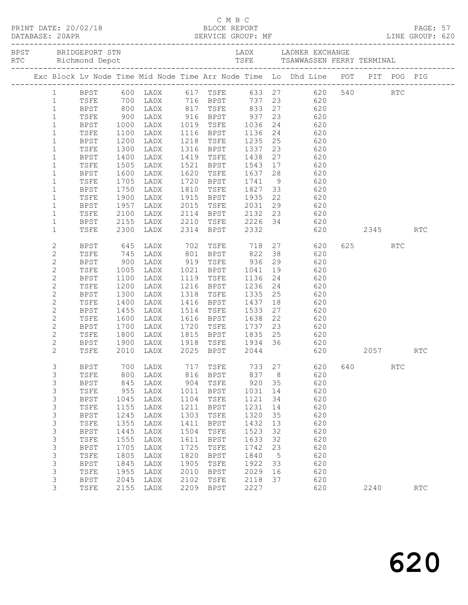|  |                           |             |                                                    |                                                                    |      | C M B C                                            |              |    | C M B C<br>PRINT DATE: 20/02/18 BLOCK REPORT<br>DATABASE: 20APR SERVICE GROUP: MF SERVICE GROUP: ME LINE GROUP: 620 |     |      |            |            |  |
|--|---------------------------|-------------|----------------------------------------------------|--------------------------------------------------------------------|------|----------------------------------------------------|--------------|----|---------------------------------------------------------------------------------------------------------------------|-----|------|------------|------------|--|
|  |                           |             |                                                    |                                                                    |      |                                                    |              |    |                                                                                                                     |     |      |            |            |  |
|  |                           |             |                                                    |                                                                    |      |                                                    |              |    | Exc Block Lv Node Time Mid Node Time Arr Node Time Lo Dhd Line POT PIT POG PIG                                      |     |      |            |            |  |
|  | $\mathbf{1}$              |             |                                                    |                                                                    |      |                                                    |              |    | BPST 600 LADX 617 TSFE 633 27 620 540 RTC<br>TSFE 700 LADX 716 BPST 737 23 620                                      |     |      |            |            |  |
|  | $\mathbf{1}$              | TSFE        |                                                    |                                                                    |      |                                                    |              |    |                                                                                                                     |     |      |            |            |  |
|  | $\mathbf{1}$              | <b>BPST</b> |                                                    |                                                                    |      |                                                    |              |    | 800 LADX 817 TSFE 833 27 620                                                                                        |     |      |            |            |  |
|  | $\mathbf{1}$              | TSFE        | $\begin{array}{c} 900 \\ 1000 \\ 1100 \end{array}$ | 12001 1016 116 116<br>12018 1019 1116 1036<br>1202 1116 1116 11116 |      |                                                    |              |    |                                                                                                                     |     |      |            |            |  |
|  | $\mathbf{1}$              | BPST        |                                                    |                                                                    |      |                                                    |              |    | $\begin{array}{ccc} 23 & \phantom{00} & 620 \\ 24 & \phantom{00} & 620 \end{array}$                                 |     |      |            |            |  |
|  | $\mathbf{1}$              | TSFE        |                                                    |                                                                    |      |                                                    |              |    | $24$ 620                                                                                                            |     |      |            |            |  |
|  | $\mathbf{1}$              | BPST        | 1200                                               | LADX                                                               |      |                                                    |              |    | 1218 TSFE 1235 25 620                                                                                               |     |      |            |            |  |
|  | $\mathbf{1}$              | TSFE        | 1300                                               | LADX                                                               |      |                                                    |              |    | 23 620                                                                                                              |     |      |            |            |  |
|  | $\mathbf{1}$              | BPST        |                                                    | LADX                                                               |      | 1316 BPST 1337<br>1419 TSFE 1438<br>1521 BPST 1543 |              |    | 27<br>620                                                                                                           |     |      |            |            |  |
|  | $\mathbf{1}$              | TSFE        | 1400<br>1505                                       | LADX                                                               |      |                                                    |              |    | $17$ $620$                                                                                                          |     |      |            |            |  |
|  | $\mathbf{1}$              | BPST        | 1600                                               | LADX                                                               |      |                                                    |              |    | 1620 TSFE 1637 28 620                                                                                               |     |      |            |            |  |
|  | $\mathbf{1}$              | TSFE        | 1705                                               | LADX                                                               |      |                                                    |              |    |                                                                                                                     |     |      |            |            |  |
|  | $\mathbf{1}$              | BPST        |                                                    | LADX                                                               |      |                                                    |              |    | 1720 BPST 1741 9 620<br>1810 TSFE 1827 33 620<br>1915 BPST 1935 22 620                                              |     |      |            |            |  |
|  | $\mathbf{1}$              | TSFE        | 1750<br>1900                                       | LADX                                                               |      |                                                    |              |    |                                                                                                                     |     |      |            |            |  |
|  | $\mathbf{1}$              | BPST        | 1957                                               | LADX                                                               | 2015 | TSFE 2031                                          |              |    | 29 620                                                                                                              |     |      |            |            |  |
|  | $\mathbf{1}$              | TSFE        | 2100                                               | LADX                                                               |      |                                                    |              |    |                                                                                                                     |     |      |            |            |  |
|  | $\mathbf{1}$              | BPST        | 2155                                               | LADX                                                               |      |                                                    |              |    |                                                                                                                     |     |      |            |            |  |
|  | $\mathbf{1}$              | TSFE        | 2300                                               | LADX                                                               |      |                                                    |              |    | 2114 BPST 2132 23 620<br>2210 TSFE 2226 34 620<br>2314 BPST 2332 620<br>620                                         |     |      | 2345       | <b>RTC</b> |  |
|  | $\mathbf{2}$              | BPST        | 645                                                | LADX 702 TSFE 718                                                  |      |                                                    |              |    | 27 620                                                                                                              |     | 625  | <b>RTC</b> |            |  |
|  | $\mathbf{2}$              | TSFE        |                                                    | LADX                                                               |      |                                                    |              |    |                                                                                                                     |     |      |            |            |  |
|  | $\mathbf{2}$              | BPST        | 745<br>900                                         | LADX 801 BPST 822<br>LADX 919 TSFE 936                             |      |                                                    |              |    | 38 620<br>29 620                                                                                                    |     |      |            |            |  |
|  | $\mathbf{2}$              | TSFE        | 1005                                               | LADX 1021 BPST 1041                                                |      |                                                    |              |    | 19 620                                                                                                              |     |      |            |            |  |
|  | $\mathbf{2}$              | BPST        | 1100                                               | LADX                                                               |      | 1119 TSFE 1136                                     |              |    | 24 620                                                                                                              |     |      |            |            |  |
|  | $\mathbf{2}$              | TSFE        |                                                    | LADX                                                               |      | 1216 BPST                                          |              |    | $24$ 620                                                                                                            |     |      |            |            |  |
|  | $\mathbf{2}$              | BPST        | 1200<br>1300                                       | LADX                                                               |      | 1318 TSFE                                          | 1236<br>1335 |    | 25<br>620                                                                                                           |     |      |            |            |  |
|  | 2                         | TSFE        | 1400                                               | LADX                                                               |      | 1416 BPST 1437                                     |              |    | $\begin{array}{ccc}\n 18 & 620\n \end{array}$                                                                       |     |      |            |            |  |
|  | $\mathbf{2}$              | BPST        | 1455                                               | LADX                                                               |      | 1514 TSFE                                          | 1533         |    | 27 620                                                                                                              |     |      |            |            |  |
|  | $\mathbf{2}$              | TSFE        |                                                    | LADX                                                               |      |                                                    |              | 22 | 620                                                                                                                 |     |      |            |            |  |
|  | $\mathbf{2}$              | BPST        | 1600<br>1700<br>1800                               | LADX                                                               |      | 1616 BPST 1638<br>1720 TSFE 1737<br>1815 BPST 1835 |              |    | 23<br>620                                                                                                           |     |      |            |            |  |
|  | $\mathbf{2}$              | TSFE        |                                                    | LADX                                                               |      |                                                    |              |    | $25$ 620                                                                                                            |     |      |            |            |  |
|  | $\mathbf{2}$              | BPST        | 1900                                               |                                                                    |      |                                                    |              |    | LADX 1918 TSFE 1934 36 620                                                                                          |     |      |            |            |  |
|  | $\overline{2}$            | TSFE        | 2010                                               | LADX                                                               |      | 2025 BPST 2044                                     |              |    | 620 2057                                                                                                            |     |      |            | <b>RTC</b> |  |
|  | 3                         | <b>BPST</b> | 700                                                | LADX                                                               | 717  | TSFE                                               | 733          | 27 | 620                                                                                                                 | 640 |      | <b>RTC</b> |            |  |
|  | 3                         | TSFE        | 800                                                | LADX                                                               | 816  | <b>BPST</b>                                        | 837          | 8  | 620                                                                                                                 |     |      |            |            |  |
|  | 3                         | <b>BPST</b> | 845                                                | LADX                                                               | 904  | TSFE                                               | 920          | 35 | 620                                                                                                                 |     |      |            |            |  |
|  | 3                         | TSFE        | 955                                                | LADX                                                               | 1011 | <b>BPST</b>                                        | 1031         | 14 | 620                                                                                                                 |     |      |            |            |  |
|  | 3                         | <b>BPST</b> | 1045                                               | LADX                                                               | 1104 | TSFE                                               | 1121         | 34 | 620                                                                                                                 |     |      |            |            |  |
|  | 3                         | TSFE        | 1155                                               | LADX                                                               | 1211 | <b>BPST</b>                                        | 1231         | 14 | 620                                                                                                                 |     |      |            |            |  |
|  | 3                         | <b>BPST</b> | 1245                                               | LADX                                                               | 1303 | TSFE                                               | 1320         | 35 | 620                                                                                                                 |     |      |            |            |  |
|  | $\ensuremath{\mathsf{3}}$ | TSFE        | 1355                                               | LADX                                                               | 1411 | <b>BPST</b>                                        | 1432         | 13 | 620                                                                                                                 |     |      |            |            |  |
|  | $\mathsf S$               | <b>BPST</b> | 1445                                               | LADX                                                               | 1504 | TSFE                                               | 1523         | 32 | 620                                                                                                                 |     |      |            |            |  |
|  | $\mathsf 3$               | TSFE        | 1555                                               | LADX                                                               | 1611 | <b>BPST</b>                                        | 1633         | 32 | 620                                                                                                                 |     |      |            |            |  |
|  | 3                         | <b>BPST</b> | 1705                                               | LADX                                                               | 1725 | TSFE                                               | 1742         | 23 | 620                                                                                                                 |     |      |            |            |  |
|  | $\ensuremath{\mathsf{3}}$ | TSFE        | 1805                                               | LADX                                                               | 1820 | <b>BPST</b>                                        | 1840         | 5  | 620                                                                                                                 |     |      |            |            |  |
|  | 3                         | <b>BPST</b> | 1845                                               | LADX                                                               | 1905 | TSFE                                               | 1922         | 33 | 620                                                                                                                 |     |      |            |            |  |
|  | 3                         | TSFE        | 1955                                               | LADX                                                               | 2010 | <b>BPST</b>                                        | 2029         | 16 | 620                                                                                                                 |     |      |            |            |  |
|  | 3                         | <b>BPST</b> | 2045                                               | LADX                                                               | 2102 | TSFE                                               | 2118         | 37 | 620                                                                                                                 |     |      |            |            |  |
|  | 3                         |             |                                                    |                                                                    | 2209 | <b>BPST</b>                                        | 2227         |    | 620                                                                                                                 |     | 2240 |            | RTC        |  |
|  |                           | TSFE        | 2155                                               | LADX                                                               |      |                                                    |              |    |                                                                                                                     |     |      |            |            |  |